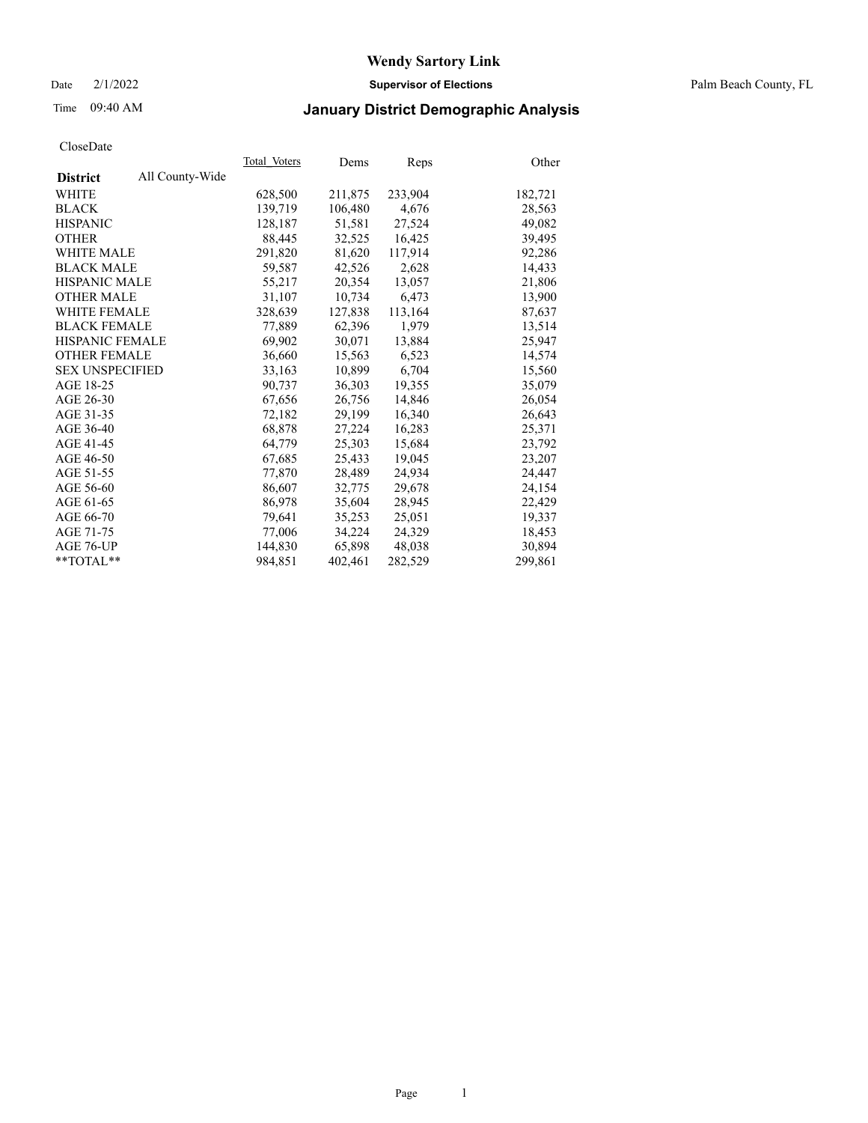Date 2/1/2022 **Supervisor of Elections** Palm Beach County, FL

## Time 09:40 AM **January District Demographic Analysis**

|                        |                 | Total Voters | Dems    | Reps    | Other   |
|------------------------|-----------------|--------------|---------|---------|---------|
| <b>District</b>        | All County-Wide |              |         |         |         |
| WHITE                  |                 | 628,500      | 211,875 | 233,904 | 182,721 |
| <b>BLACK</b>           |                 | 139,719      | 106,480 | 4,676   | 28,563  |
| <b>HISPANIC</b>        |                 | 128,187      | 51.581  | 27,524  | 49,082  |
| <b>OTHER</b>           |                 | 88,445       | 32,525  | 16,425  | 39,495  |
| <b>WHITE MALE</b>      |                 | 291,820      | 81,620  | 117,914 | 92,286  |
| <b>BLACK MALE</b>      |                 | 59,587       | 42,526  | 2,628   | 14,433  |
| <b>HISPANIC MALE</b>   |                 | 55,217       | 20,354  | 13,057  | 21,806  |
| <b>OTHER MALE</b>      |                 | 31,107       | 10,734  | 6,473   | 13,900  |
| <b>WHITE FEMALE</b>    |                 | 328,639      | 127,838 | 113,164 | 87,637  |
| <b>BLACK FEMALE</b>    |                 | 77,889       | 62,396  | 1,979   | 13,514  |
| <b>HISPANIC FEMALE</b> |                 | 69,902       | 30,071  | 13,884  | 25,947  |
| <b>OTHER FEMALE</b>    |                 | 36,660       | 15,563  | 6,523   | 14,574  |
| <b>SEX UNSPECIFIED</b> |                 | 33,163       | 10,899  | 6,704   | 15,560  |
| AGE 18-25              |                 | 90,737       | 36,303  | 19,355  | 35,079  |
| AGE 26-30              |                 | 67,656       | 26.756  | 14,846  | 26,054  |
| AGE 31-35              |                 | 72,182       | 29,199  | 16,340  | 26,643  |
| AGE 36-40              |                 | 68,878       | 27,224  | 16,283  | 25,371  |
| AGE 41-45              |                 | 64,779       | 25,303  | 15,684  | 23,792  |
| AGE 46-50              |                 | 67,685       | 25,433  | 19,045  | 23,207  |
| AGE 51-55              |                 | 77,870       | 28,489  | 24,934  | 24,447  |
| AGE 56-60              |                 | 86,607       | 32,775  | 29,678  | 24,154  |
| AGE 61-65              |                 | 86,978       | 35,604  | 28,945  | 22,429  |
| AGE 66-70              |                 | 79,641       | 35,253  | 25,051  | 19,337  |
| AGE 71-75              |                 | 77,006       | 34,224  | 24,329  | 18,453  |
| AGE 76-UP              |                 | 144,830      | 65,898  | 48,038  | 30,894  |
| $*$ $TOTAL**$          |                 | 984,851      | 402,461 | 282,529 | 299,861 |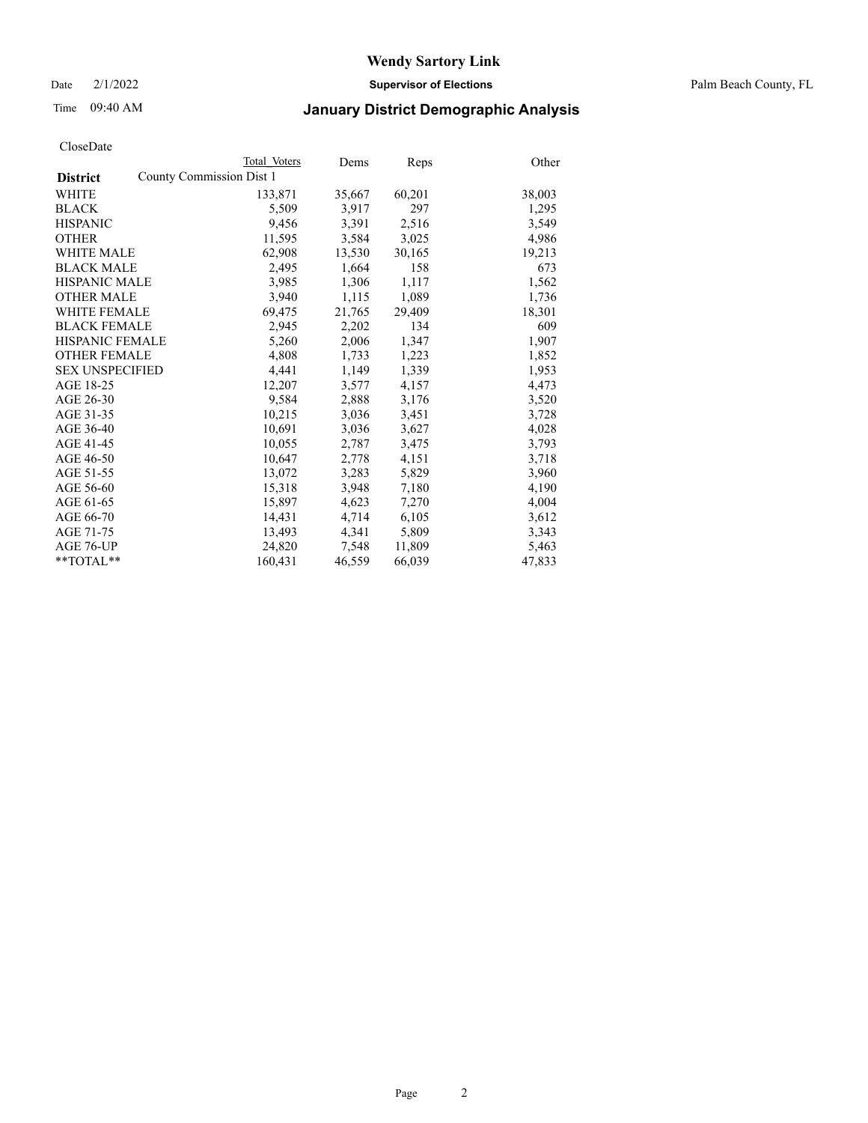Date 2/1/2022 **Supervisor of Elections** Palm Beach County, FL

## Time 09:40 AM **January District Demographic Analysis**

|                                             | Total Voters | Dems   | <b>Reps</b> | Other  |
|---------------------------------------------|--------------|--------|-------------|--------|
| County Commission Dist 1<br><b>District</b> |              |        |             |        |
| WHITE                                       | 133,871      | 35,667 | 60,201      | 38,003 |
| <b>BLACK</b>                                | 5,509        | 3,917  | 297         | 1,295  |
| <b>HISPANIC</b>                             | 9,456        | 3,391  | 2,516       | 3,549  |
| <b>OTHER</b>                                | 11,595       | 3,584  | 3,025       | 4,986  |
| <b>WHITE MALE</b>                           | 62,908       | 13,530 | 30,165      | 19,213 |
| <b>BLACK MALE</b>                           | 2,495        | 1,664  | 158         | 673    |
| <b>HISPANIC MALE</b>                        | 3,985        | 1,306  | 1,117       | 1,562  |
| <b>OTHER MALE</b>                           | 3.940        | 1,115  | 1,089       | 1,736  |
| <b>WHITE FEMALE</b>                         | 69,475       | 21,765 | 29,409      | 18,301 |
| <b>BLACK FEMALE</b>                         | 2,945        | 2,202  | 134         | 609    |
| <b>HISPANIC FEMALE</b>                      | 5,260        | 2,006  | 1,347       | 1,907  |
| <b>OTHER FEMALE</b>                         | 4,808        | 1,733  | 1,223       | 1,852  |
| <b>SEX UNSPECIFIED</b>                      | 4,441        | 1,149  | 1,339       | 1,953  |
| AGE 18-25                                   | 12,207       | 3,577  | 4,157       | 4,473  |
| AGE 26-30                                   | 9,584        | 2,888  | 3,176       | 3,520  |
| AGE 31-35                                   | 10,215       | 3,036  | 3,451       | 3,728  |
| AGE 36-40                                   | 10,691       | 3,036  | 3,627       | 4,028  |
| AGE 41-45                                   | 10,055       | 2,787  | 3,475       | 3,793  |
| AGE 46-50                                   | 10,647       | 2,778  | 4,151       | 3,718  |
| AGE 51-55                                   | 13,072       | 3,283  | 5,829       | 3,960  |
| AGE 56-60                                   | 15,318       | 3,948  | 7,180       | 4,190  |
| AGE 61-65                                   | 15,897       | 4,623  | 7,270       | 4,004  |
| AGE 66-70                                   | 14,431       | 4,714  | 6,105       | 3,612  |
| AGE 71-75                                   | 13,493       | 4,341  | 5,809       | 3,343  |
| AGE 76-UP                                   | 24,820       | 7,548  | 11,809      | 5,463  |
| $*$ $TOTAL**$                               | 160.431      | 46,559 | 66,039      | 47,833 |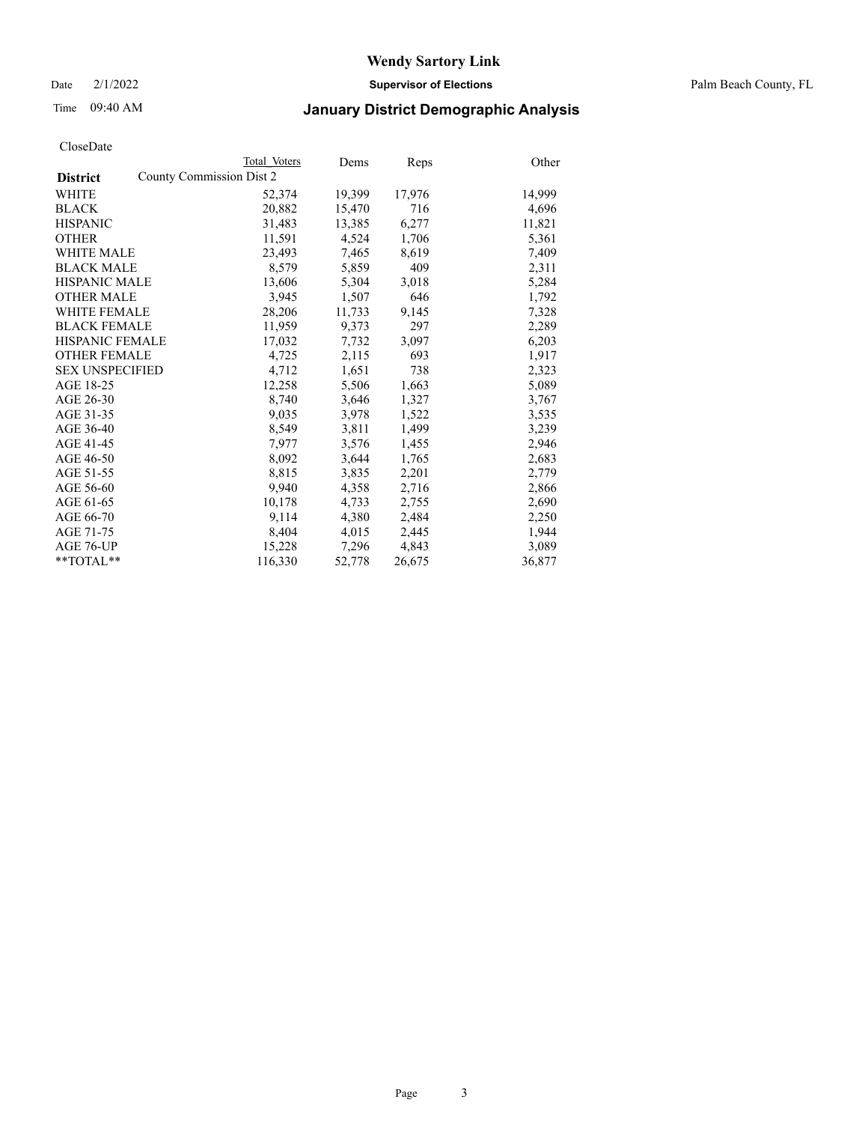Date 2/1/2022 **Supervisor of Elections** Palm Beach County, FL

## Time 09:40 AM **January District Demographic Analysis**

|                                             | Total Voters | Dems   | <b>Reps</b> | Other  |
|---------------------------------------------|--------------|--------|-------------|--------|
| County Commission Dist 2<br><b>District</b> |              |        |             |        |
| WHITE                                       | 52,374       | 19,399 | 17,976      | 14,999 |
| <b>BLACK</b>                                | 20,882       | 15,470 | 716         | 4,696  |
| <b>HISPANIC</b>                             | 31,483       | 13,385 | 6,277       | 11,821 |
| <b>OTHER</b>                                | 11,591       | 4,524  | 1,706       | 5,361  |
| <b>WHITE MALE</b>                           | 23,493       | 7,465  | 8,619       | 7,409  |
| <b>BLACK MALE</b>                           | 8,579        | 5,859  | 409         | 2,311  |
| <b>HISPANIC MALE</b>                        | 13,606       | 5,304  | 3,018       | 5,284  |
| <b>OTHER MALE</b>                           | 3.945        | 1,507  | 646         | 1,792  |
| <b>WHITE FEMALE</b>                         | 28,206       | 11,733 | 9,145       | 7,328  |
| <b>BLACK FEMALE</b>                         | 11,959       | 9,373  | 297         | 2,289  |
| <b>HISPANIC FEMALE</b>                      | 17,032       | 7,732  | 3,097       | 6,203  |
| <b>OTHER FEMALE</b>                         | 4,725        | 2,115  | 693         | 1,917  |
| <b>SEX UNSPECIFIED</b>                      | 4,712        | 1,651  | 738         | 2,323  |
| AGE 18-25                                   | 12,258       | 5,506  | 1,663       | 5,089  |
| AGE 26-30                                   | 8.740        | 3,646  | 1,327       | 3,767  |
| AGE 31-35                                   | 9,035        | 3,978  | 1,522       | 3,535  |
| AGE 36-40                                   | 8,549        | 3,811  | 1,499       | 3,239  |
| AGE 41-45                                   | 7,977        | 3,576  | 1,455       | 2,946  |
| AGE 46-50                                   | 8,092        | 3,644  | 1,765       | 2,683  |
| AGE 51-55                                   | 8,815        | 3,835  | 2,201       | 2,779  |
| AGE 56-60                                   | 9,940        | 4,358  | 2,716       | 2,866  |
| AGE 61-65                                   | 10,178       | 4,733  | 2,755       | 2,690  |
| AGE 66-70                                   | 9,114        | 4,380  | 2,484       | 2,250  |
| AGE 71-75                                   | 8,404        | 4,015  | 2,445       | 1,944  |
| AGE 76-UP                                   | 15,228       | 7,296  | 4,843       | 3,089  |
| $*$ TOTAL $*$                               | 116,330      | 52,778 | 26,675      | 36,877 |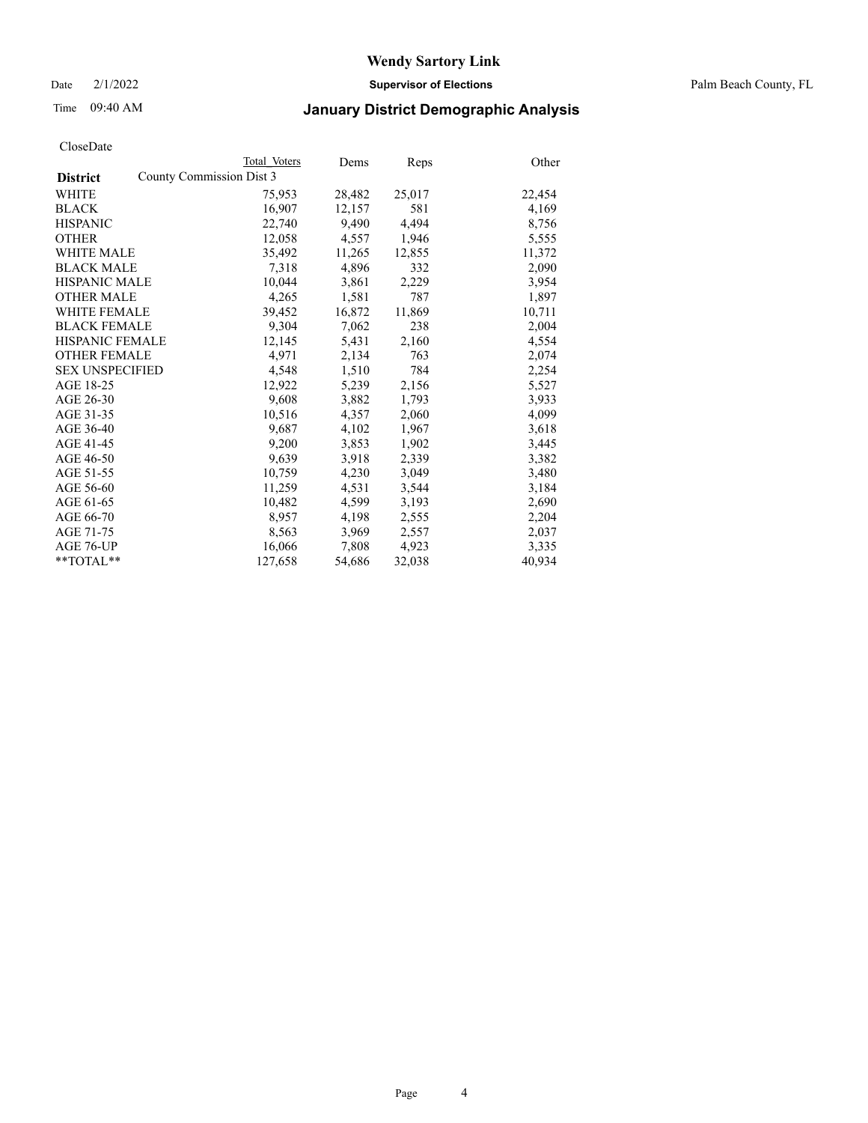Date 2/1/2022 **Supervisor of Elections** Palm Beach County, FL

## Time 09:40 AM **January District Demographic Analysis**

|                        | Total Voters             | Dems   | <b>Reps</b> | Other  |
|------------------------|--------------------------|--------|-------------|--------|
| <b>District</b>        | County Commission Dist 3 |        |             |        |
| WHITE                  | 75,953                   | 28,482 | 25,017      | 22,454 |
| <b>BLACK</b>           | 16,907                   | 12,157 | 581         | 4,169  |
| <b>HISPANIC</b>        | 22,740                   | 9,490  | 4,494       | 8,756  |
| <b>OTHER</b>           | 12,058                   | 4,557  | 1,946       | 5,555  |
| <b>WHITE MALE</b>      | 35,492                   | 11,265 | 12,855      | 11,372 |
| <b>BLACK MALE</b>      | 7,318                    | 4,896  | 332         | 2,090  |
| <b>HISPANIC MALE</b>   | 10,044                   | 3,861  | 2,229       | 3,954  |
| <b>OTHER MALE</b>      | 4,265                    | 1,581  | 787         | 1,897  |
| <b>WHITE FEMALE</b>    | 39,452                   | 16,872 | 11,869      | 10,711 |
| <b>BLACK FEMALE</b>    | 9,304                    | 7,062  | 238         | 2,004  |
| <b>HISPANIC FEMALE</b> | 12,145                   | 5,431  | 2,160       | 4,554  |
| <b>OTHER FEMALE</b>    | 4,971                    | 2,134  | 763         | 2,074  |
| <b>SEX UNSPECIFIED</b> | 4,548                    | 1,510  | 784         | 2,254  |
| AGE 18-25              | 12,922                   | 5,239  | 2,156       | 5,527  |
| AGE 26-30              | 9,608                    | 3,882  | 1,793       | 3,933  |
| AGE 31-35              | 10,516                   | 4,357  | 2,060       | 4,099  |
| AGE 36-40              | 9,687                    | 4,102  | 1,967       | 3,618  |
| AGE 41-45              | 9,200                    | 3,853  | 1,902       | 3,445  |
| AGE 46-50              | 9,639                    | 3,918  | 2,339       | 3,382  |
| AGE 51-55              | 10,759                   | 4,230  | 3,049       | 3,480  |
| AGE 56-60              | 11,259                   | 4,531  | 3,544       | 3,184  |
| AGE 61-65              | 10,482                   | 4,599  | 3,193       | 2,690  |
| AGE 66-70              | 8,957                    | 4,198  | 2,555       | 2,204  |
| AGE 71-75              | 8,563                    | 3,969  | 2,557       | 2,037  |
| AGE 76-UP              | 16,066                   | 7,808  | 4,923       | 3,335  |
| $*$ $TOTAL**$          | 127,658                  | 54,686 | 32,038      | 40,934 |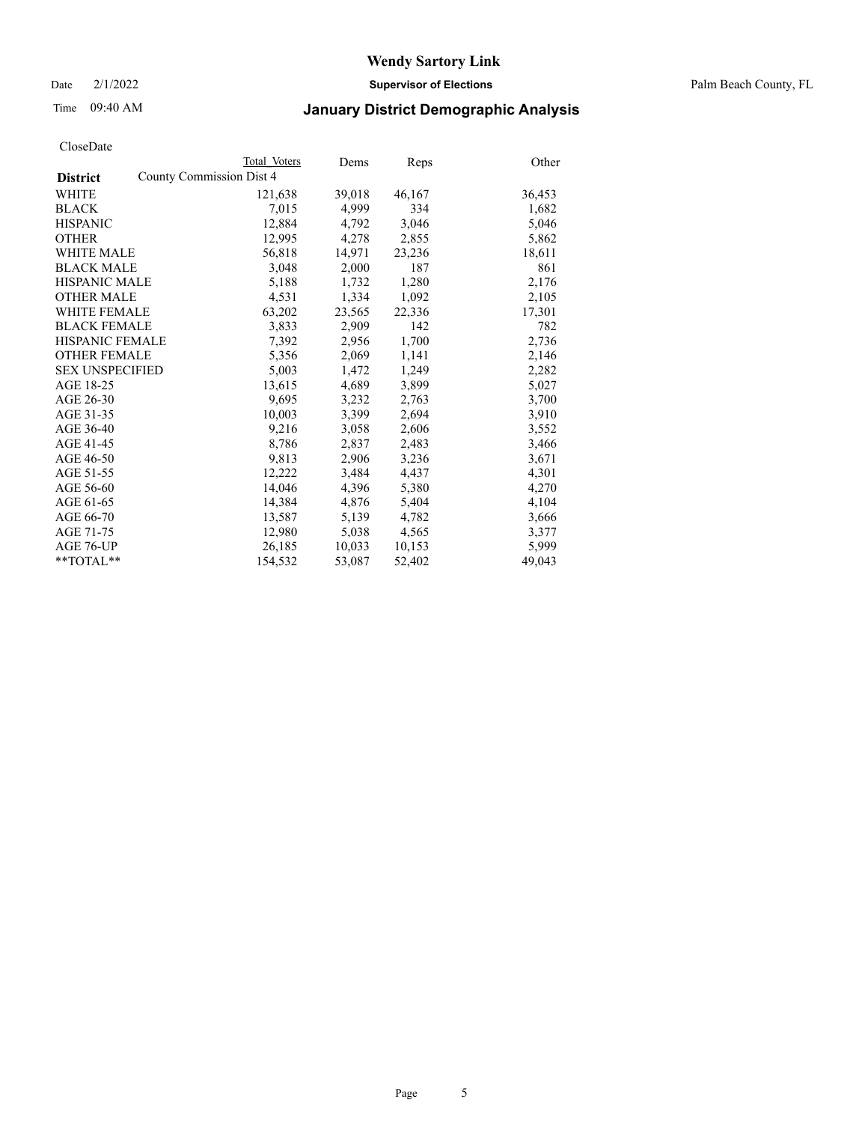Date 2/1/2022 **Supervisor of Elections** Palm Beach County, FL

## Time 09:40 AM **January District Demographic Analysis**

|                        | Total Voters             | Dems   | Reps   | Other  |
|------------------------|--------------------------|--------|--------|--------|
| <b>District</b>        | County Commission Dist 4 |        |        |        |
| WHITE                  | 121,638                  | 39,018 | 46,167 | 36,453 |
| <b>BLACK</b>           | 7,015                    | 4.999  | 334    | 1,682  |
| <b>HISPANIC</b>        | 12,884                   | 4.792  | 3,046  | 5,046  |
| <b>OTHER</b>           | 12,995                   | 4,278  | 2,855  | 5,862  |
| <b>WHITE MALE</b>      | 56,818                   | 14,971 | 23,236 | 18,611 |
| <b>BLACK MALE</b>      | 3,048                    | 2,000  | 187    | 861    |
| <b>HISPANIC MALE</b>   | 5,188                    | 1,732  | 1,280  | 2,176  |
| <b>OTHER MALE</b>      | 4,531                    | 1,334  | 1,092  | 2,105  |
| <b>WHITE FEMALE</b>    | 63,202                   | 23,565 | 22,336 | 17,301 |
| <b>BLACK FEMALE</b>    | 3,833                    | 2,909  | 142    | 782    |
| <b>HISPANIC FEMALE</b> | 7,392                    | 2,956  | 1,700  | 2,736  |
| <b>OTHER FEMALE</b>    | 5,356                    | 2,069  | 1,141  | 2,146  |
| <b>SEX UNSPECIFIED</b> | 5,003                    | 1,472  | 1,249  | 2,282  |
| AGE 18-25              | 13,615                   | 4,689  | 3,899  | 5,027  |
| AGE 26-30              | 9.695                    | 3,232  | 2,763  | 3,700  |
| AGE 31-35              | 10,003                   | 3,399  | 2,694  | 3,910  |
| AGE 36-40              | 9,216                    | 3,058  | 2,606  | 3,552  |
| AGE 41-45              | 8,786                    | 2,837  | 2,483  | 3,466  |
| AGE 46-50              | 9,813                    | 2,906  | 3,236  | 3,671  |
| AGE 51-55              | 12,222                   | 3,484  | 4,437  | 4,301  |
| AGE 56-60              | 14,046                   | 4,396  | 5,380  | 4,270  |
| AGE 61-65              | 14,384                   | 4,876  | 5,404  | 4,104  |
| AGE 66-70              | 13,587                   | 5,139  | 4,782  | 3,666  |
| AGE 71-75              | 12,980                   | 5,038  | 4,565  | 3,377  |
| AGE 76-UP              | 26,185                   | 10,033 | 10,153 | 5,999  |
| $*$ $TOTAL**$          | 154,532                  | 53,087 | 52,402 | 49,043 |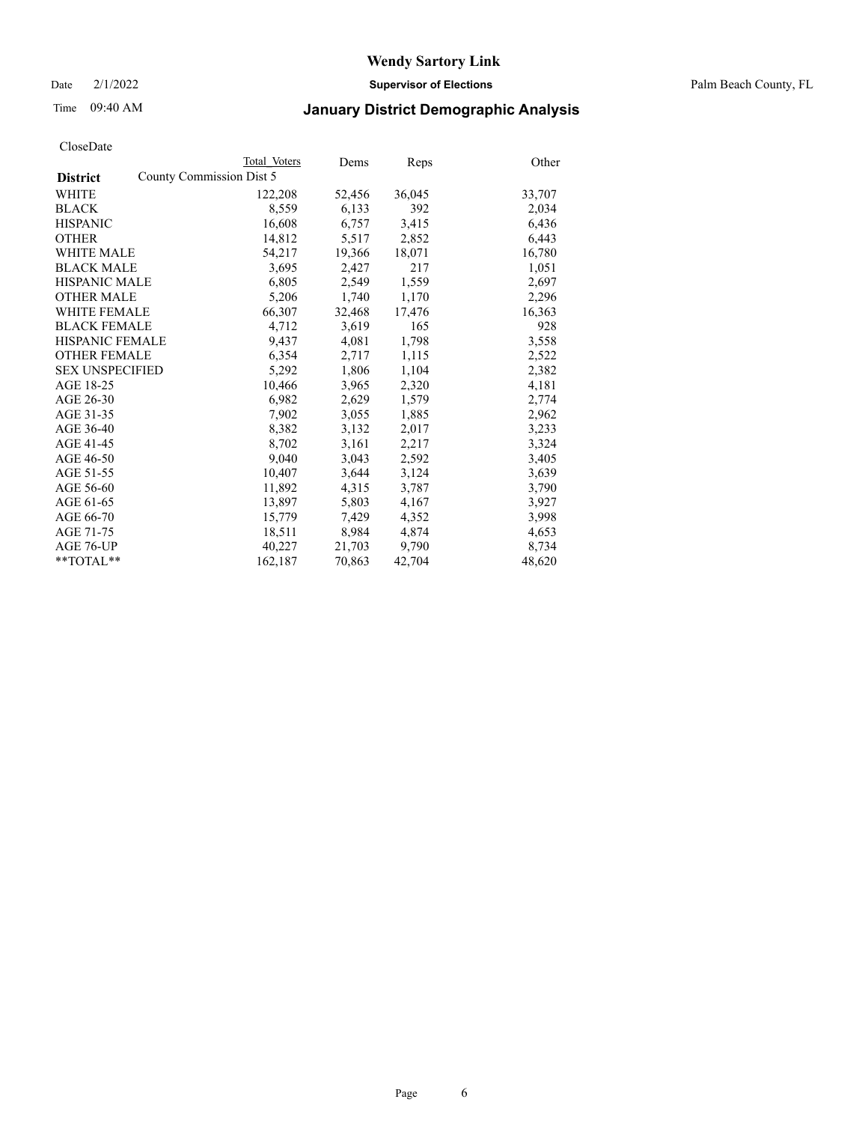Date 2/1/2022 **Supervisor of Elections** Palm Beach County, FL

## Time 09:40 AM **January District Demographic Analysis**

|                        | Total Voters             | Dems   | Reps   | Other  |
|------------------------|--------------------------|--------|--------|--------|
| <b>District</b>        | County Commission Dist 5 |        |        |        |
| WHITE                  | 122,208                  | 52,456 | 36,045 | 33,707 |
| <b>BLACK</b>           | 8,559                    | 6,133  | 392    | 2,034  |
| <b>HISPANIC</b>        | 16,608                   | 6,757  | 3,415  | 6,436  |
| <b>OTHER</b>           | 14,812                   | 5,517  | 2,852  | 6,443  |
| <b>WHITE MALE</b>      | 54,217                   | 19,366 | 18,071 | 16,780 |
| <b>BLACK MALE</b>      | 3,695                    | 2,427  | 217    | 1,051  |
| <b>HISPANIC MALE</b>   | 6,805                    | 2,549  | 1,559  | 2,697  |
| <b>OTHER MALE</b>      | 5,206                    | 1,740  | 1,170  | 2,296  |
| <b>WHITE FEMALE</b>    | 66,307                   | 32,468 | 17,476 | 16,363 |
| <b>BLACK FEMALE</b>    | 4,712                    | 3,619  | 165    | 928    |
| <b>HISPANIC FEMALE</b> | 9,437                    | 4,081  | 1,798  | 3,558  |
| <b>OTHER FEMALE</b>    | 6,354                    | 2,717  | 1,115  | 2,522  |
| <b>SEX UNSPECIFIED</b> | 5,292                    | 1,806  | 1,104  | 2,382  |
| AGE 18-25              | 10,466                   | 3,965  | 2,320  | 4,181  |
| AGE 26-30              | 6,982                    | 2,629  | 1,579  | 2,774  |
| AGE 31-35              | 7,902                    | 3,055  | 1,885  | 2,962  |
| AGE 36-40              | 8,382                    | 3,132  | 2,017  | 3,233  |
| AGE 41-45              | 8,702                    | 3,161  | 2,217  | 3,324  |
| AGE 46-50              | 9,040                    | 3,043  | 2,592  | 3,405  |
| AGE 51-55              | 10,407                   | 3,644  | 3,124  | 3,639  |
| AGE 56-60              | 11,892                   | 4,315  | 3,787  | 3,790  |
| AGE 61-65              | 13,897                   | 5,803  | 4,167  | 3,927  |
| AGE 66-70              | 15,779                   | 7,429  | 4,352  | 3,998  |
| AGE 71-75              | 18,511                   | 8,984  | 4,874  | 4,653  |
| AGE 76-UP              | 40,227                   | 21,703 | 9,790  | 8,734  |
| **TOTAL**              | 162,187                  | 70,863 | 42,704 | 48,620 |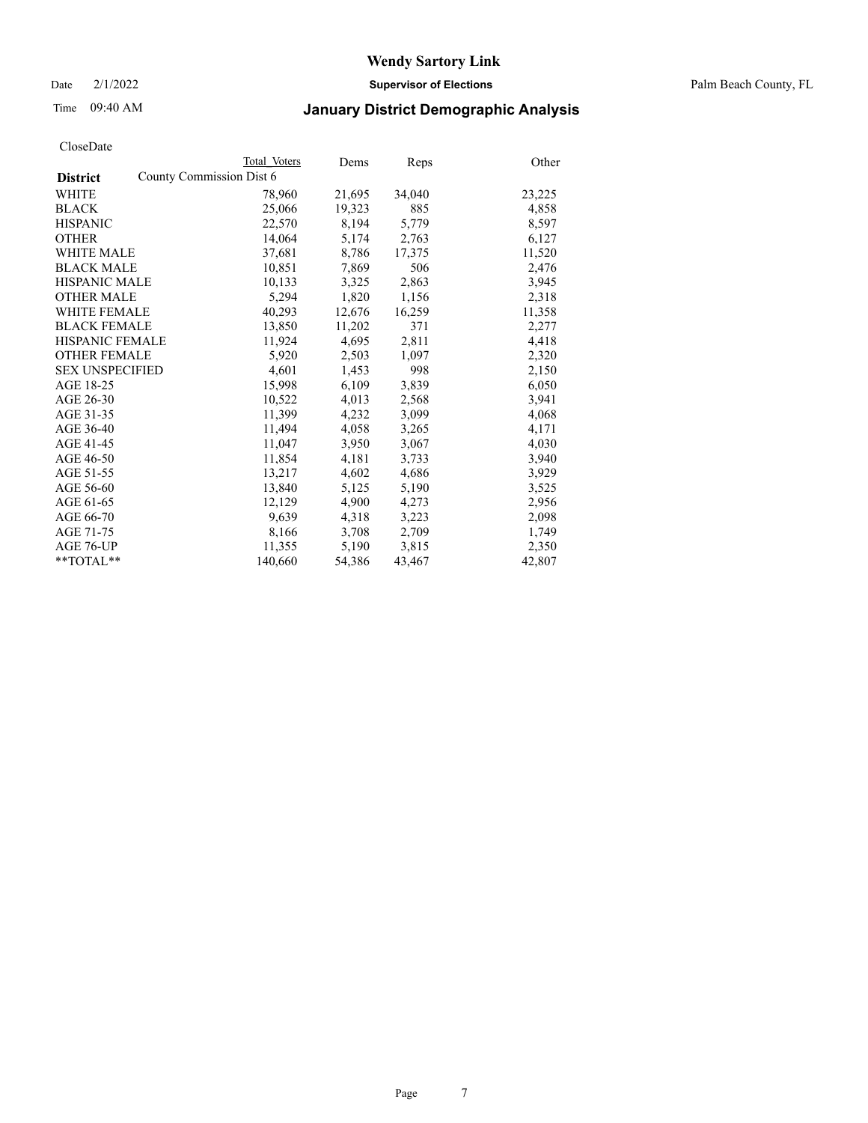Date 2/1/2022 **Supervisor of Elections** Palm Beach County, FL

## Time 09:40 AM **January District Demographic Analysis**

|                        |                          | Total Voters | Dems   | Reps   | Other  |
|------------------------|--------------------------|--------------|--------|--------|--------|
| <b>District</b>        | County Commission Dist 6 |              |        |        |        |
| <b>WHITE</b>           |                          | 78,960       | 21,695 | 34,040 | 23,225 |
| <b>BLACK</b>           |                          | 25,066       | 19,323 | 885    | 4,858  |
| <b>HISPANIC</b>        |                          | 22,570       | 8,194  | 5,779  | 8,597  |
| <b>OTHER</b>           |                          | 14,064       | 5,174  | 2,763  | 6,127  |
| <b>WHITE MALE</b>      |                          | 37,681       | 8,786  | 17,375 | 11,520 |
| <b>BLACK MALE</b>      |                          | 10,851       | 7,869  | 506    | 2,476  |
| <b>HISPANIC MALE</b>   |                          | 10,133       | 3,325  | 2,863  | 3,945  |
| <b>OTHER MALE</b>      |                          | 5,294        | 1,820  | 1,156  | 2,318  |
| <b>WHITE FEMALE</b>    |                          | 40,293       | 12,676 | 16,259 | 11,358 |
| <b>BLACK FEMALE</b>    |                          | 13.850       | 11,202 | 371    | 2,277  |
| <b>HISPANIC FEMALE</b> |                          | 11,924       | 4,695  | 2,811  | 4,418  |
| <b>OTHER FEMALE</b>    |                          | 5,920        | 2,503  | 1,097  | 2,320  |
| <b>SEX UNSPECIFIED</b> |                          | 4,601        | 1,453  | 998    | 2,150  |
| AGE 18-25              |                          | 15,998       | 6,109  | 3,839  | 6,050  |
| AGE 26-30              |                          | 10,522       | 4,013  | 2,568  | 3,941  |
| AGE 31-35              |                          | 11,399       | 4,232  | 3,099  | 4,068  |
| AGE 36-40              |                          | 11,494       | 4,058  | 3,265  | 4,171  |
| AGE 41-45              |                          | 11,047       | 3,950  | 3,067  | 4,030  |
| AGE 46-50              |                          | 11,854       | 4,181  | 3,733  | 3,940  |
| AGE 51-55              |                          | 13,217       | 4,602  | 4,686  | 3,929  |
| AGE 56-60              |                          | 13,840       | 5,125  | 5,190  | 3,525  |
| AGE 61-65              |                          | 12,129       | 4,900  | 4,273  | 2,956  |
| AGE 66-70              |                          | 9,639        | 4,318  | 3,223  | 2,098  |
| AGE 71-75              |                          | 8,166        | 3,708  | 2,709  | 1,749  |
| AGE 76-UP              |                          | 11,355       | 5,190  | 3,815  | 2,350  |
| $*$ $TOTAL**$          |                          | 140,660      | 54,386 | 43,467 | 42,807 |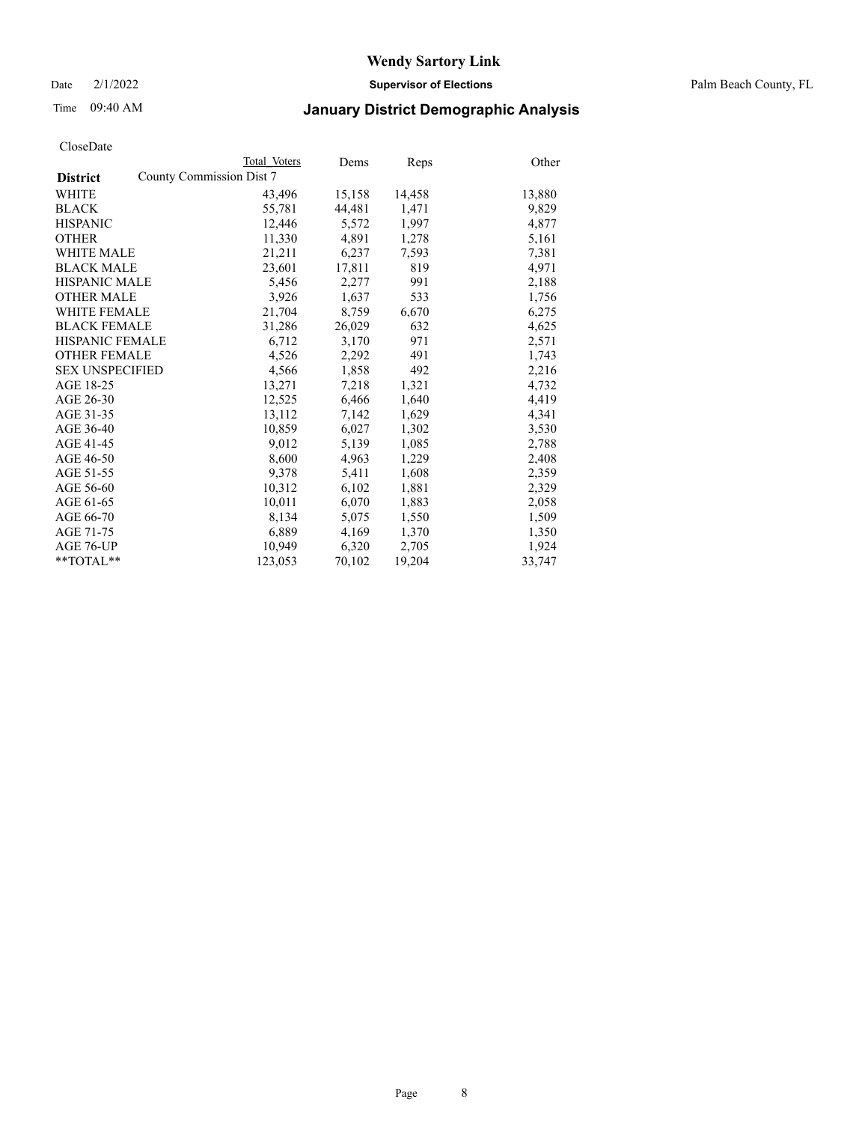Date 2/1/2022 **Supervisor of Elections** Palm Beach County, FL

## Time 09:40 AM **January District Demographic Analysis**

|                        | Total Voters             | Dems   | Reps   | Other  |
|------------------------|--------------------------|--------|--------|--------|
| <b>District</b>        | County Commission Dist 7 |        |        |        |
| WHITE                  | 43,496                   | 15,158 | 14,458 | 13,880 |
| <b>BLACK</b>           | 55,781                   | 44,481 | 1,471  | 9,829  |
| <b>HISPANIC</b>        | 12,446                   | 5,572  | 1,997  | 4,877  |
| <b>OTHER</b>           | 11,330                   | 4,891  | 1,278  | 5,161  |
| <b>WHITE MALE</b>      | 21,211                   | 6,237  | 7,593  | 7,381  |
| <b>BLACK MALE</b>      | 23,601                   | 17,811 | 819    | 4,971  |
| <b>HISPANIC MALE</b>   | 5,456                    | 2,277  | 991    | 2,188  |
| <b>OTHER MALE</b>      | 3,926                    | 1,637  | 533    | 1,756  |
| <b>WHITE FEMALE</b>    | 21,704                   | 8,759  | 6,670  | 6,275  |
| <b>BLACK FEMALE</b>    | 31,286                   | 26,029 | 632    | 4,625  |
| <b>HISPANIC FEMALE</b> | 6,712                    | 3,170  | 971    | 2,571  |
| <b>OTHER FEMALE</b>    | 4,526                    | 2,292  | 491    | 1,743  |
| <b>SEX UNSPECIFIED</b> | 4,566                    | 1,858  | 492    | 2,216  |
| AGE 18-25              | 13,271                   | 7,218  | 1,321  | 4,732  |
| AGE 26-30              | 12,525                   | 6,466  | 1,640  | 4,419  |
| AGE 31-35              | 13,112                   | 7,142  | 1,629  | 4,341  |
| AGE 36-40              | 10,859                   | 6,027  | 1,302  | 3,530  |
| AGE 41-45              | 9,012                    | 5,139  | 1,085  | 2,788  |
| AGE 46-50              | 8,600                    | 4,963  | 1,229  | 2,408  |
| AGE 51-55              | 9,378                    | 5,411  | 1,608  | 2,359  |
| AGE 56-60              | 10,312                   | 6,102  | 1,881  | 2,329  |
| AGE 61-65              | 10,011                   | 6,070  | 1,883  | 2,058  |
| AGE 66-70              | 8,134                    | 5,075  | 1,550  | 1,509  |
| AGE 71-75              | 6,889                    | 4,169  | 1,370  | 1,350  |
| AGE 76-UP              | 10,949                   | 6,320  | 2,705  | 1,924  |
| **TOTAL**              | 123,053                  | 70,102 | 19,204 | 33,747 |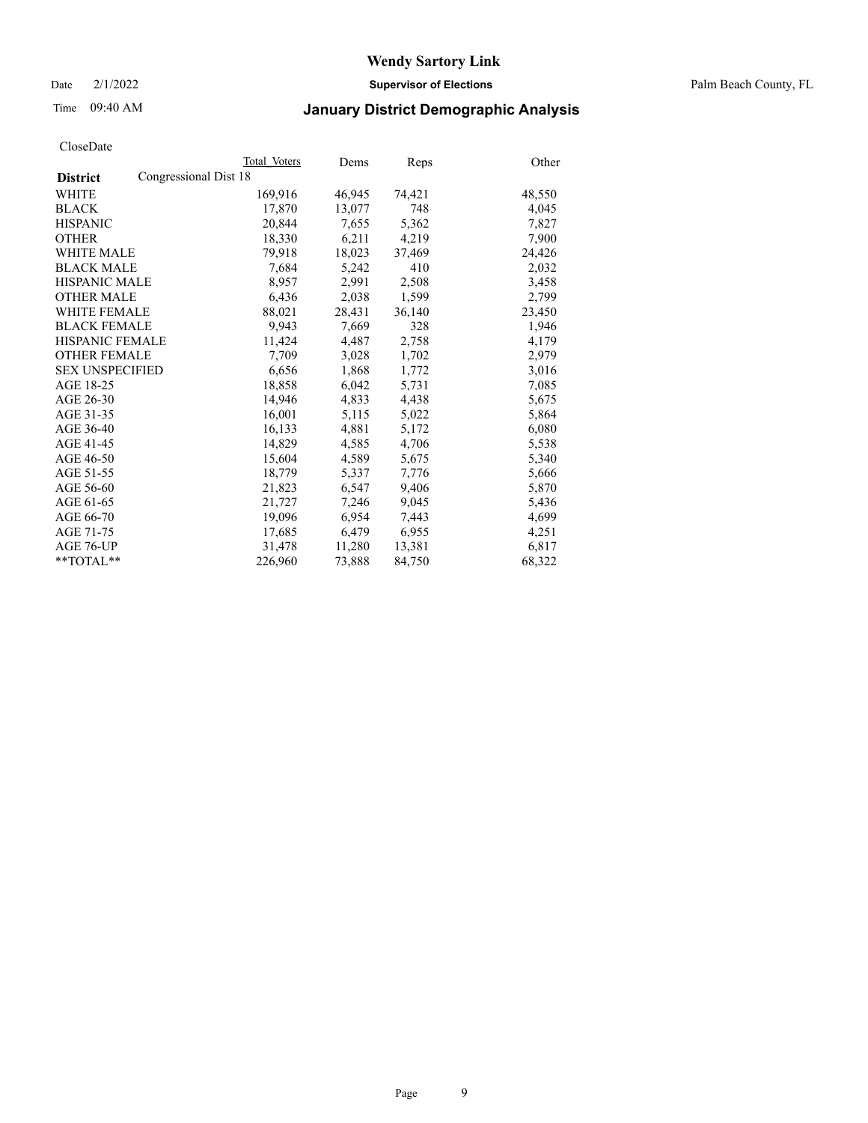Date 2/1/2022 **Supervisor of Elections** Palm Beach County, FL

## Time 09:40 AM **January District Demographic Analysis**

|                                          | Total Voters | Dems   | Reps   | Other  |
|------------------------------------------|--------------|--------|--------|--------|
| Congressional Dist 18<br><b>District</b> |              |        |        |        |
| <b>WHITE</b>                             | 169,916      | 46,945 | 74,421 | 48,550 |
| <b>BLACK</b>                             | 17,870       | 13,077 | 748    | 4,045  |
| <b>HISPANIC</b>                          | 20.844       | 7,655  | 5,362  | 7,827  |
| <b>OTHER</b>                             | 18,330       | 6,211  | 4,219  | 7,900  |
| <b>WHITE MALE</b>                        | 79,918       | 18,023 | 37,469 | 24,426 |
| <b>BLACK MALE</b>                        | 7,684        | 5,242  | 410    | 2,032  |
| <b>HISPANIC MALE</b>                     | 8,957        | 2,991  | 2,508  | 3,458  |
| <b>OTHER MALE</b>                        | 6,436        | 2,038  | 1,599  | 2,799  |
| <b>WHITE FEMALE</b>                      | 88,021       | 28,431 | 36,140 | 23,450 |
| <b>BLACK FEMALE</b>                      | 9.943        | 7,669  | 328    | 1,946  |
| <b>HISPANIC FEMALE</b>                   | 11,424       | 4,487  | 2,758  | 4,179  |
| <b>OTHER FEMALE</b>                      | 7,709        | 3,028  | 1,702  | 2,979  |
| <b>SEX UNSPECIFIED</b>                   | 6,656        | 1,868  | 1,772  | 3,016  |
| AGE 18-25                                | 18,858       | 6,042  | 5,731  | 7,085  |
| AGE 26-30                                | 14,946       | 4,833  | 4,438  | 5,675  |
| AGE 31-35                                | 16,001       | 5,115  | 5,022  | 5,864  |
| AGE 36-40                                | 16,133       | 4,881  | 5,172  | 6,080  |
| AGE 41-45                                | 14,829       | 4,585  | 4,706  | 5,538  |
| AGE 46-50                                | 15,604       | 4,589  | 5,675  | 5,340  |
| AGE 51-55                                | 18,779       | 5,337  | 7,776  | 5,666  |
| AGE 56-60                                | 21,823       | 6,547  | 9,406  | 5,870  |
| AGE 61-65                                | 21,727       | 7,246  | 9,045  | 5,436  |
| AGE 66-70                                | 19,096       | 6,954  | 7,443  | 4,699  |
| AGE 71-75                                | 17,685       | 6,479  | 6,955  | 4,251  |
| AGE 76-UP                                | 31,478       | 11,280 | 13,381 | 6,817  |
| **TOTAL**                                | 226,960      | 73,888 | 84,750 | 68,322 |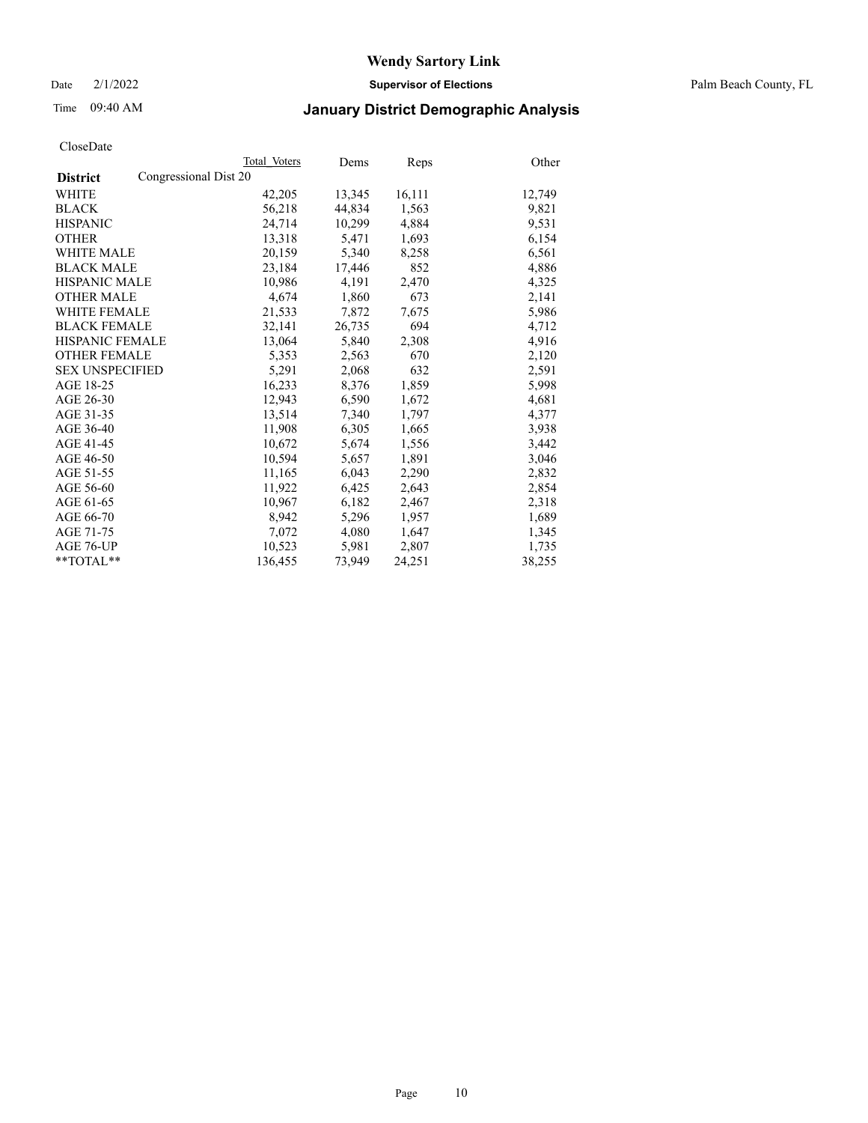Date 2/1/2022 **Supervisor of Elections** Palm Beach County, FL

## Time 09:40 AM **January District Demographic Analysis**

|                                          | Total Voters | Dems   | Reps   | Other  |
|------------------------------------------|--------------|--------|--------|--------|
| Congressional Dist 20<br><b>District</b> |              |        |        |        |
| WHITE                                    | 42,205       | 13,345 | 16,111 | 12,749 |
| <b>BLACK</b>                             | 56,218       | 44.834 | 1,563  | 9,821  |
| <b>HISPANIC</b>                          | 24,714       | 10,299 | 4,884  | 9,531  |
| <b>OTHER</b>                             | 13,318       | 5,471  | 1,693  | 6,154  |
| <b>WHITE MALE</b>                        | 20,159       | 5,340  | 8,258  | 6,561  |
| <b>BLACK MALE</b>                        | 23,184       | 17,446 | 852    | 4,886  |
| <b>HISPANIC MALE</b>                     | 10,986       | 4,191  | 2,470  | 4,325  |
| <b>OTHER MALE</b>                        | 4,674        | 1,860  | 673    | 2,141  |
| <b>WHITE FEMALE</b>                      | 21,533       | 7,872  | 7,675  | 5,986  |
| <b>BLACK FEMALE</b>                      | 32,141       | 26,735 | 694    | 4,712  |
| <b>HISPANIC FEMALE</b>                   | 13,064       | 5,840  | 2,308  | 4,916  |
| <b>OTHER FEMALE</b>                      | 5,353        | 2,563  | 670    | 2,120  |
| <b>SEX UNSPECIFIED</b>                   | 5,291        | 2,068  | 632    | 2,591  |
| AGE 18-25                                | 16,233       | 8,376  | 1,859  | 5,998  |
| AGE 26-30                                | 12,943       | 6,590  | 1,672  | 4,681  |
| AGE 31-35                                | 13,514       | 7,340  | 1,797  | 4,377  |
| AGE 36-40                                | 11,908       | 6,305  | 1,665  | 3,938  |
| AGE 41-45                                | 10,672       | 5,674  | 1,556  | 3,442  |
| AGE 46-50                                | 10,594       | 5,657  | 1,891  | 3,046  |
| AGE 51-55                                | 11,165       | 6,043  | 2,290  | 2,832  |
| AGE 56-60                                | 11,922       | 6,425  | 2,643  | 2,854  |
| AGE 61-65                                | 10,967       | 6,182  | 2,467  | 2,318  |
| AGE 66-70                                | 8,942        | 5,296  | 1,957  | 1,689  |
| AGE 71-75                                | 7,072        | 4,080  | 1,647  | 1,345  |
| AGE 76-UP                                | 10,523       | 5,981  | 2,807  | 1,735  |
| **TOTAL**                                | 136,455      | 73,949 | 24,251 | 38,255 |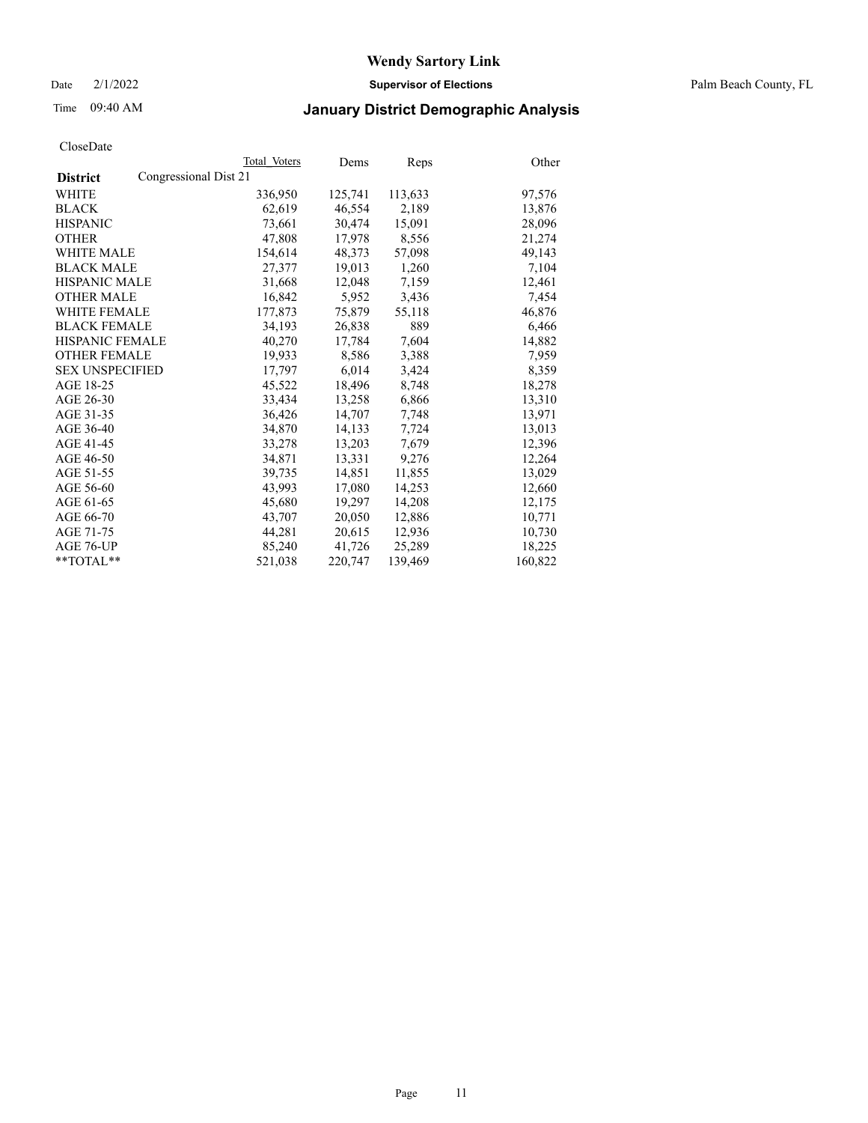Date 2/1/2022 **Supervisor of Elections** Palm Beach County, FL

## Time 09:40 AM **January District Demographic Analysis**

|                                          | Total Voters | Dems    | Reps    | Other   |
|------------------------------------------|--------------|---------|---------|---------|
| Congressional Dist 21<br><b>District</b> |              |         |         |         |
| WHITE                                    | 336,950      | 125,741 | 113,633 | 97,576  |
| <b>BLACK</b>                             | 62,619       | 46,554  | 2,189   | 13,876  |
| <b>HISPANIC</b>                          | 73,661       | 30,474  | 15,091  | 28,096  |
| <b>OTHER</b>                             | 47,808       | 17,978  | 8,556   | 21,274  |
| <b>WHITE MALE</b>                        | 154,614      | 48,373  | 57,098  | 49,143  |
| <b>BLACK MALE</b>                        | 27,377       | 19,013  | 1,260   | 7,104   |
| <b>HISPANIC MALE</b>                     | 31,668       | 12,048  | 7,159   | 12,461  |
| <b>OTHER MALE</b>                        | 16,842       | 5,952   | 3,436   | 7,454   |
| <b>WHITE FEMALE</b>                      | 177,873      | 75,879  | 55,118  | 46,876  |
| <b>BLACK FEMALE</b>                      | 34,193       | 26,838  | 889     | 6,466   |
| HISPANIC FEMALE                          | 40,270       | 17,784  | 7,604   | 14,882  |
| <b>OTHER FEMALE</b>                      | 19,933       | 8,586   | 3,388   | 7,959   |
| <b>SEX UNSPECIFIED</b>                   | 17,797       | 6,014   | 3,424   | 8,359   |
| AGE 18-25                                | 45,522       | 18,496  | 8,748   | 18,278  |
| AGE 26-30                                | 33,434       | 13,258  | 6,866   | 13,310  |
| AGE 31-35                                | 36,426       | 14,707  | 7,748   | 13,971  |
| AGE 36-40                                | 34,870       | 14,133  | 7,724   | 13,013  |
| AGE 41-45                                | 33,278       | 13,203  | 7,679   | 12,396  |
| AGE 46-50                                | 34,871       | 13,331  | 9,276   | 12,264  |
| AGE 51-55                                | 39,735       | 14,851  | 11,855  | 13,029  |
| AGE 56-60                                | 43,993       | 17,080  | 14,253  | 12,660  |
| AGE 61-65                                | 45,680       | 19,297  | 14,208  | 12,175  |
| AGE 66-70                                | 43,707       | 20,050  | 12,886  | 10,771  |
| AGE 71-75                                | 44,281       | 20,615  | 12,936  | 10,730  |
| AGE 76-UP                                | 85,240       | 41,726  | 25,289  | 18,225  |
| **TOTAL**                                | 521,038      | 220,747 | 139,469 | 160,822 |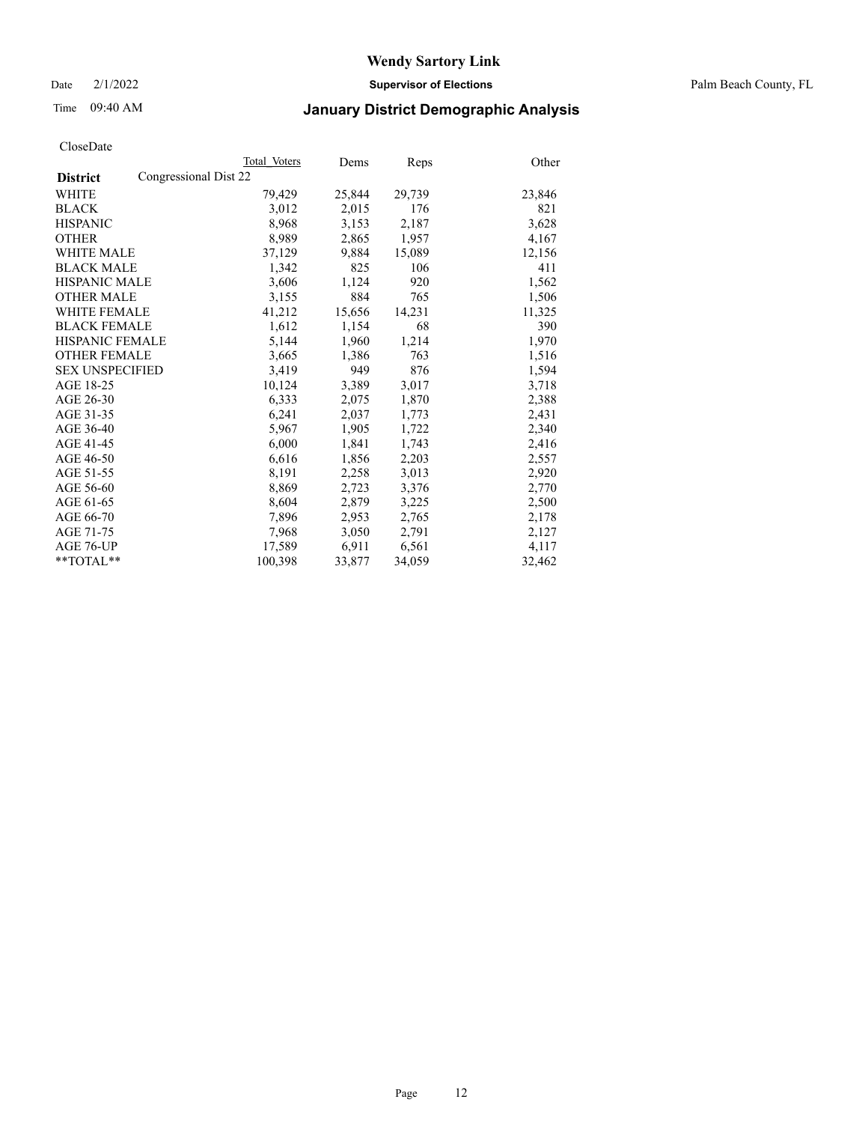Date 2/1/2022 **Supervisor of Elections** Palm Beach County, FL

## Time 09:40 AM **January District Demographic Analysis**

|                                          | Total Voters | Dems   | <b>Reps</b> | Other  |
|------------------------------------------|--------------|--------|-------------|--------|
| Congressional Dist 22<br><b>District</b> |              |        |             |        |
| WHITE                                    | 79,429       | 25,844 | 29,739      | 23,846 |
| <b>BLACK</b>                             | 3,012        | 2,015  | 176         | 821    |
| <b>HISPANIC</b>                          | 8,968        | 3,153  | 2,187       | 3,628  |
| <b>OTHER</b>                             | 8,989        | 2,865  | 1,957       | 4,167  |
| <b>WHITE MALE</b>                        | 37,129       | 9,884  | 15,089      | 12,156 |
| <b>BLACK MALE</b>                        | 1,342        | 825    | 106         | 411    |
| <b>HISPANIC MALE</b>                     | 3,606        | 1,124  | 920         | 1,562  |
| <b>OTHER MALE</b>                        | 3,155        | 884    | 765         | 1,506  |
| <b>WHITE FEMALE</b>                      | 41,212       | 15,656 | 14,231      | 11,325 |
| <b>BLACK FEMALE</b>                      | 1,612        | 1,154  | 68          | 390    |
| <b>HISPANIC FEMALE</b>                   | 5,144        | 1,960  | 1,214       | 1,970  |
| <b>OTHER FEMALE</b>                      | 3,665        | 1,386  | 763         | 1,516  |
| <b>SEX UNSPECIFIED</b>                   | 3,419        | 949    | 876         | 1,594  |
| AGE 18-25                                | 10,124       | 3,389  | 3,017       | 3,718  |
| AGE 26-30                                | 6,333        | 2,075  | 1,870       | 2,388  |
| AGE 31-35                                | 6,241        | 2,037  | 1,773       | 2,431  |
| AGE 36-40                                | 5,967        | 1,905  | 1,722       | 2,340  |
| AGE 41-45                                | 6,000        | 1,841  | 1,743       | 2,416  |
| AGE 46-50                                | 6,616        | 1,856  | 2,203       | 2,557  |
| AGE 51-55                                | 8,191        | 2,258  | 3,013       | 2,920  |
| AGE 56-60                                | 8,869        | 2,723  | 3,376       | 2,770  |
| AGE 61-65                                | 8,604        | 2,879  | 3,225       | 2,500  |
| AGE 66-70                                | 7,896        | 2,953  | 2,765       | 2,178  |
| AGE 71-75                                | 7,968        | 3,050  | 2,791       | 2,127  |
| AGE 76-UP                                | 17,589       | 6,911  | 6,561       | 4,117  |
| **TOTAL**                                | 100,398      | 33,877 | 34,059      | 32,462 |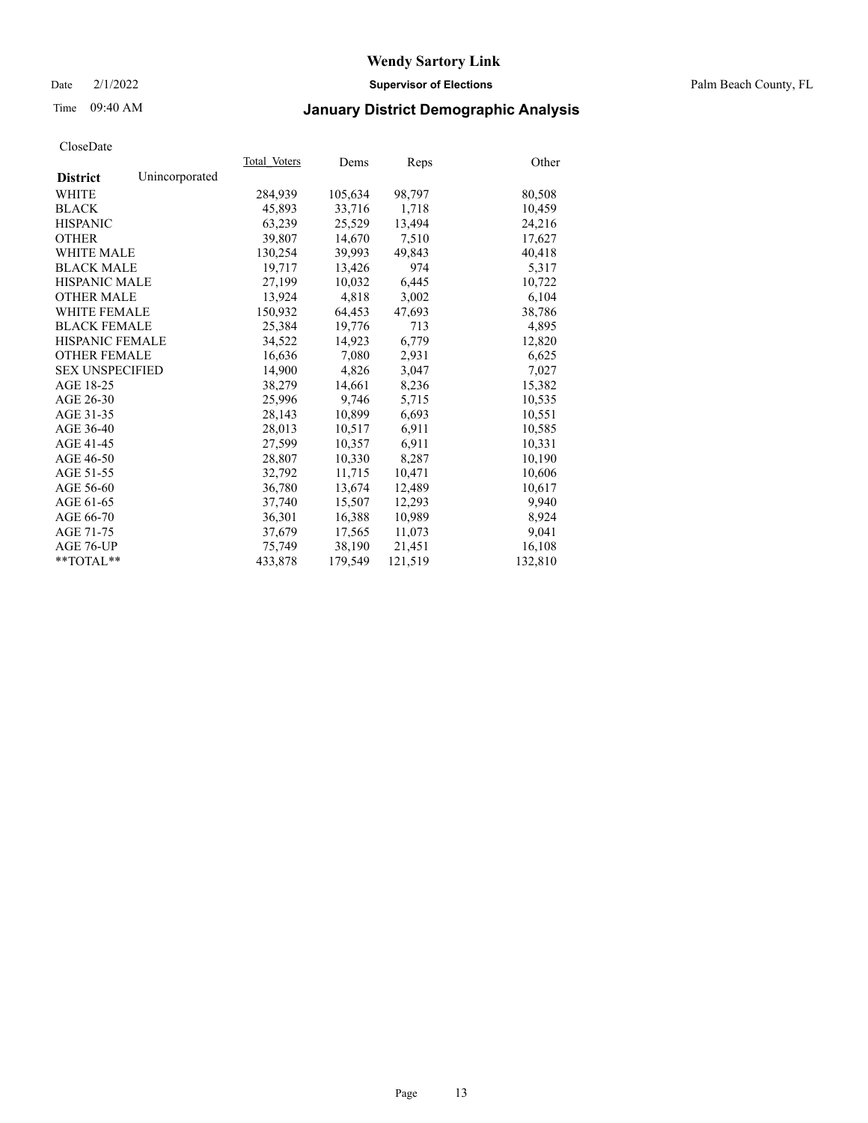Date 2/1/2022 **Supervisor of Elections** Palm Beach County, FL

## Time 09:40 AM **January District Demographic Analysis**

|                        |                | Total Voters | Dems    | <b>Reps</b> | Other   |
|------------------------|----------------|--------------|---------|-------------|---------|
| <b>District</b>        | Unincorporated |              |         |             |         |
| WHITE                  |                | 284,939      | 105,634 | 98,797      | 80,508  |
| <b>BLACK</b>           |                | 45,893       | 33,716  | 1,718       | 10,459  |
| <b>HISPANIC</b>        |                | 63,239       | 25,529  | 13,494      | 24,216  |
| <b>OTHER</b>           |                | 39,807       | 14,670  | 7,510       | 17,627  |
| <b>WHITE MALE</b>      |                | 130,254      | 39,993  | 49,843      | 40,418  |
| <b>BLACK MALE</b>      |                | 19,717       | 13,426  | 974         | 5,317   |
| <b>HISPANIC MALE</b>   |                | 27,199       | 10,032  | 6,445       | 10,722  |
| <b>OTHER MALE</b>      |                | 13,924       | 4,818   | 3,002       | 6,104   |
| <b>WHITE FEMALE</b>    |                | 150,932      | 64,453  | 47,693      | 38,786  |
| <b>BLACK FEMALE</b>    |                | 25,384       | 19,776  | 713         | 4,895   |
| HISPANIC FEMALE        |                | 34,522       | 14,923  | 6,779       | 12,820  |
| <b>OTHER FEMALE</b>    |                | 16,636       | 7,080   | 2,931       | 6,625   |
| <b>SEX UNSPECIFIED</b> |                | 14,900       | 4,826   | 3,047       | 7,027   |
| AGE 18-25              |                | 38,279       | 14,661  | 8,236       | 15,382  |
| AGE 26-30              |                | 25.996       | 9.746   | 5,715       | 10,535  |
| AGE 31-35              |                | 28,143       | 10,899  | 6,693       | 10,551  |
| AGE 36-40              |                | 28,013       | 10,517  | 6,911       | 10,585  |
| AGE 41-45              |                | 27,599       | 10,357  | 6,911       | 10,331  |
| AGE 46-50              |                | 28,807       | 10,330  | 8,287       | 10,190  |
| AGE 51-55              |                | 32,792       | 11,715  | 10,471      | 10,606  |
| AGE 56-60              |                | 36,780       | 13,674  | 12,489      | 10,617  |
| AGE 61-65              |                | 37,740       | 15,507  | 12,293      | 9,940   |
| AGE 66-70              |                | 36,301       | 16,388  | 10,989      | 8,924   |
| AGE 71-75              |                | 37,679       | 17,565  | 11,073      | 9,041   |
| AGE 76-UP              |                | 75,749       | 38,190  | 21,451      | 16,108  |
| $*$ TOTAL $*$          |                | 433,878      | 179,549 | 121,519     | 132,810 |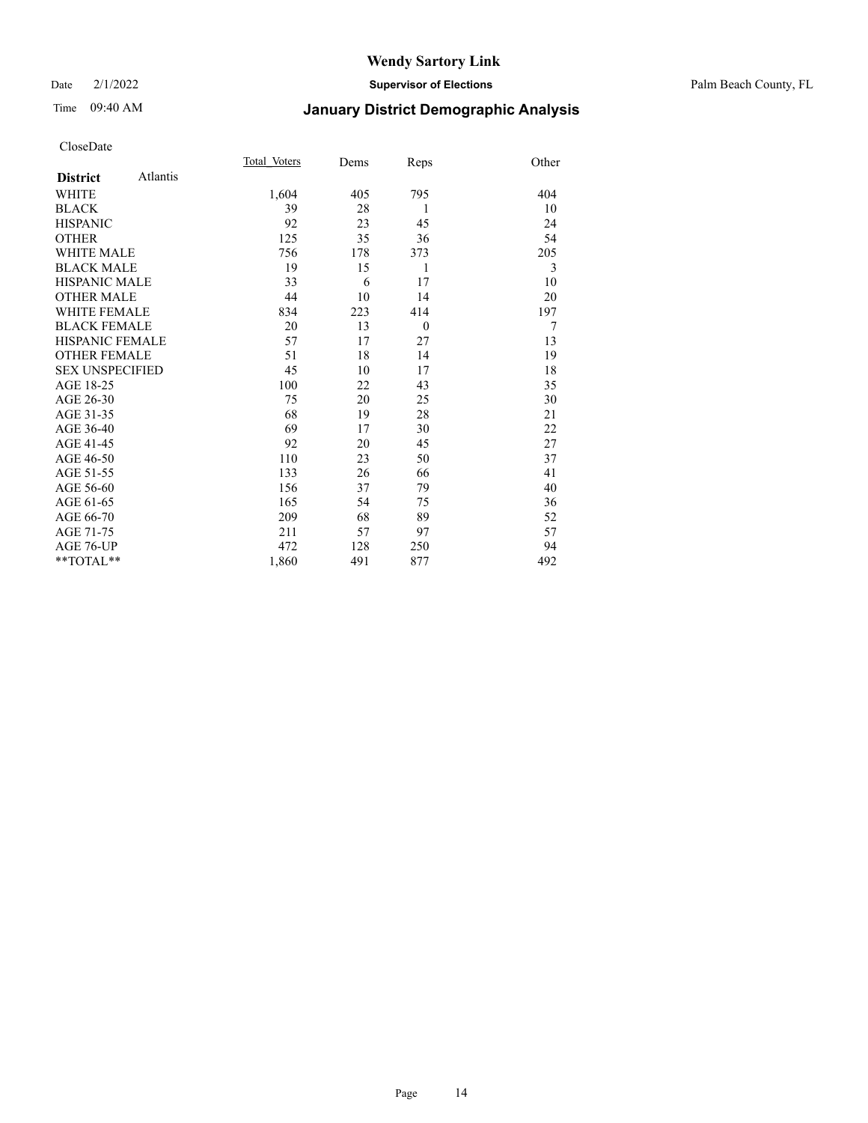#### Date 2/1/2022 **Supervisor of Elections** Palm Beach County, FL

## Time 09:40 AM **January District Demographic Analysis**

|                        |          | Total Voters | Dems | Reps     | Other |
|------------------------|----------|--------------|------|----------|-------|
| <b>District</b>        | Atlantis |              |      |          |       |
| WHITE                  |          | 1,604        | 405  | 795      | 404   |
| <b>BLACK</b>           |          | 39           | 28   | 1        | 10    |
| <b>HISPANIC</b>        |          | 92           | 23   | 45       | 24    |
| <b>OTHER</b>           |          | 125          | 35   | 36       | 54    |
| <b>WHITE MALE</b>      |          | 756          | 178  | 373      | 205   |
| <b>BLACK MALE</b>      |          | 19           | 15   | 1        | 3     |
| <b>HISPANIC MALE</b>   |          | 33           | 6    | 17       | 10    |
| <b>OTHER MALE</b>      |          | 44           | 10   | 14       | 20    |
| <b>WHITE FEMALE</b>    |          | 834          | 223  | 414      | 197   |
| <b>BLACK FEMALE</b>    |          | 20           | 13   | $\theta$ | 7     |
| HISPANIC FEMALE        |          | 57           | 17   | 27       | 13    |
| <b>OTHER FEMALE</b>    |          | 51           | 18   | 14       | 19    |
| <b>SEX UNSPECIFIED</b> |          | 45           | 10   | 17       | 18    |
| AGE 18-25              |          | 100          | 22   | 43       | 35    |
| AGE 26-30              |          | 75           | 20   | 25       | 30    |
| AGE 31-35              |          | 68           | 19   | 28       | 21    |
| AGE 36-40              |          | 69           | 17   | 30       | 22    |
| AGE 41-45              |          | 92           | 20   | 45       | 27    |
| AGE 46-50              |          | 110          | 23   | 50       | 37    |
| AGE 51-55              |          | 133          | 26   | 66       | 41    |
| AGE 56-60              |          | 156          | 37   | 79       | 40    |
| AGE 61-65              |          | 165          | 54   | 75       | 36    |
| AGE 66-70              |          | 209          | 68   | 89       | 52    |
| AGE 71-75              |          | 211          | 57   | 97       | 57    |
| AGE 76-UP              |          | 472          | 128  | 250      | 94    |
| **TOTAL**              |          | 1,860        | 491  | 877      | 492   |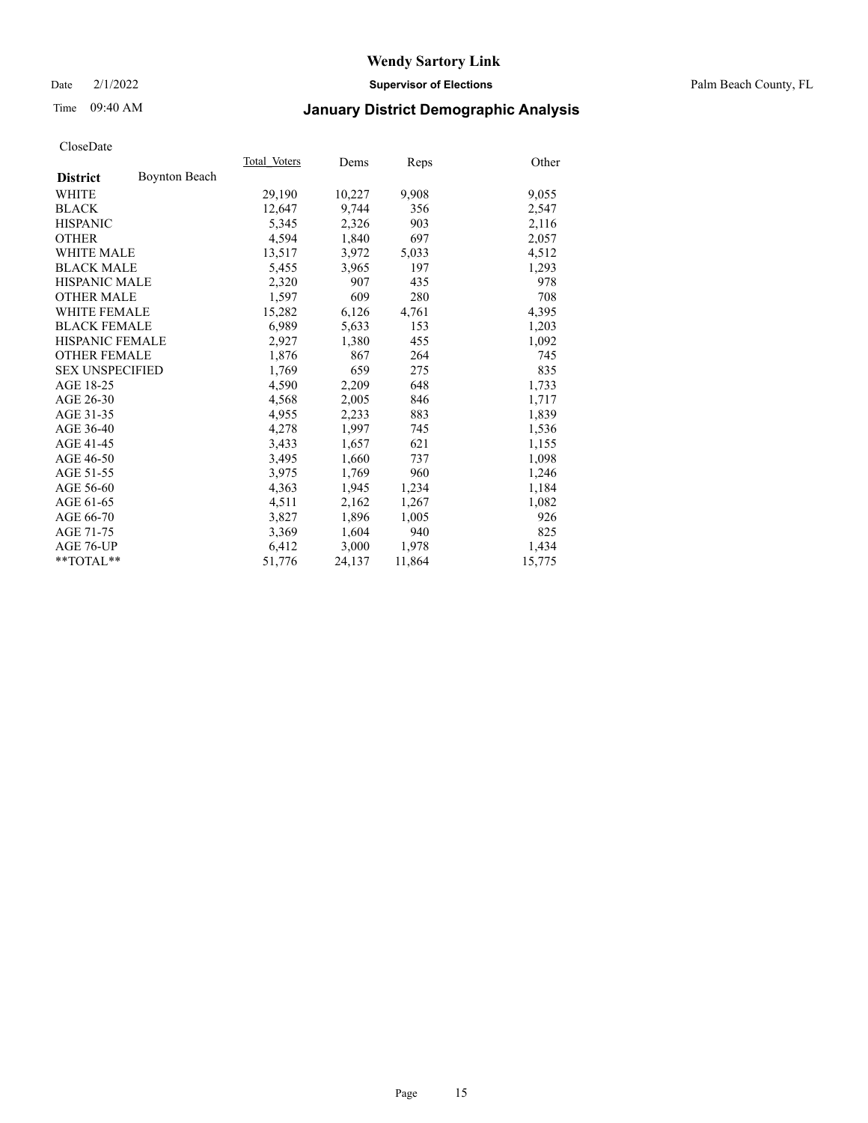Date 2/1/2022 **Supervisor of Elections** Palm Beach County, FL

## Time 09:40 AM **January District Demographic Analysis**

|                        |                      | Total Voters | Dems   | <b>Reps</b> | Other  |
|------------------------|----------------------|--------------|--------|-------------|--------|
| <b>District</b>        | <b>Boynton Beach</b> |              |        |             |        |
| WHITE                  |                      | 29,190       | 10,227 | 9,908       | 9,055  |
| <b>BLACK</b>           |                      | 12,647       | 9,744  | 356         | 2,547  |
| <b>HISPANIC</b>        |                      | 5,345        | 2,326  | 903         | 2,116  |
| <b>OTHER</b>           |                      | 4,594        | 1,840  | 697         | 2,057  |
| <b>WHITE MALE</b>      |                      | 13,517       | 3,972  | 5,033       | 4,512  |
| <b>BLACK MALE</b>      |                      | 5,455        | 3,965  | 197         | 1,293  |
| <b>HISPANIC MALE</b>   |                      | 2,320        | 907    | 435         | 978    |
| <b>OTHER MALE</b>      |                      | 1,597        | 609    | 280         | 708    |
| <b>WHITE FEMALE</b>    |                      | 15,282       | 6,126  | 4,761       | 4,395  |
| <b>BLACK FEMALE</b>    |                      | 6,989        | 5,633  | 153         | 1,203  |
| <b>HISPANIC FEMALE</b> |                      | 2,927        | 1,380  | 455         | 1,092  |
| <b>OTHER FEMALE</b>    |                      | 1,876        | 867    | 264         | 745    |
| <b>SEX UNSPECIFIED</b> |                      | 1,769        | 659    | 275         | 835    |
| AGE 18-25              |                      | 4,590        | 2,209  | 648         | 1,733  |
| AGE 26-30              |                      | 4,568        | 2,005  | 846         | 1,717  |
| AGE 31-35              |                      | 4,955        | 2,233  | 883         | 1,839  |
| AGE 36-40              |                      | 4,278        | 1,997  | 745         | 1,536  |
| AGE 41-45              |                      | 3,433        | 1,657  | 621         | 1,155  |
| AGE 46-50              |                      | 3,495        | 1,660  | 737         | 1,098  |
| AGE 51-55              |                      | 3,975        | 1,769  | 960         | 1,246  |
| AGE 56-60              |                      | 4,363        | 1,945  | 1,234       | 1,184  |
| AGE 61-65              |                      | 4,511        | 2,162  | 1,267       | 1,082  |
| AGE 66-70              |                      | 3,827        | 1,896  | 1,005       | 926    |
| AGE 71-75              |                      | 3,369        | 1,604  | 940         | 825    |
| AGE 76-UP              |                      | 6,412        | 3,000  | 1,978       | 1,434  |
| **TOTAL**              |                      | 51,776       | 24,137 | 11,864      | 15,775 |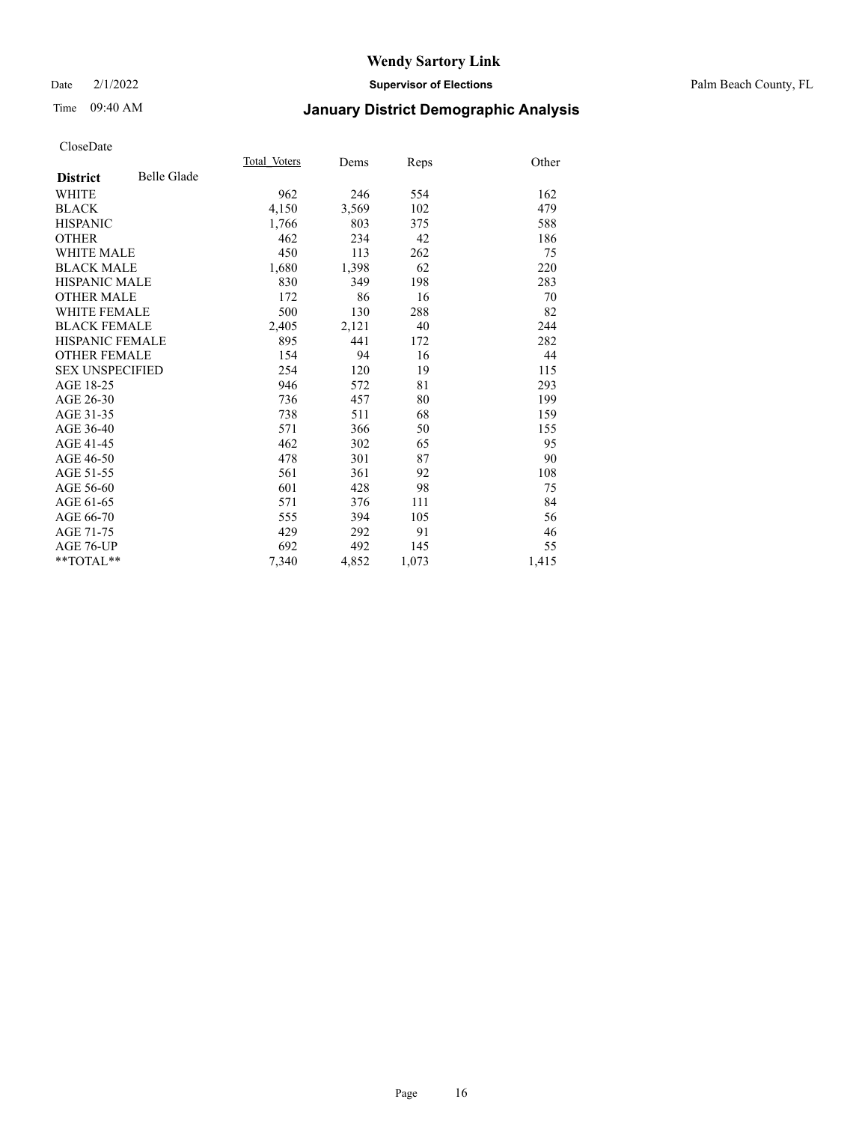#### Date 2/1/2022 **Supervisor of Elections** Palm Beach County, FL

## Time 09:40 AM **January District Demographic Analysis**

|                        |             | Total Voters | Dems  | Reps  | Other |
|------------------------|-------------|--------------|-------|-------|-------|
| <b>District</b>        | Belle Glade |              |       |       |       |
| WHITE                  |             | 962          | 246   | 554   | 162   |
| <b>BLACK</b>           |             | 4,150        | 3,569 | 102   | 479   |
| <b>HISPANIC</b>        |             | 1,766        | 803   | 375   | 588   |
| <b>OTHER</b>           |             | 462          | 234   | 42    | 186   |
| <b>WHITE MALE</b>      |             | 450          | 113   | 262   | 75    |
| <b>BLACK MALE</b>      |             | 1,680        | 1,398 | 62    | 220   |
| <b>HISPANIC MALE</b>   |             | 830          | 349   | 198   | 283   |
| <b>OTHER MALE</b>      |             | 172          | 86    | 16    | 70    |
| <b>WHITE FEMALE</b>    |             | 500          | 130   | 288   | 82    |
| <b>BLACK FEMALE</b>    |             | 2,405        | 2,121 | 40    | 244   |
| <b>HISPANIC FEMALE</b> |             | 895          | 441   | 172   | 282   |
| <b>OTHER FEMALE</b>    |             | 154          | 94    | 16    | 44    |
| <b>SEX UNSPECIFIED</b> |             | 254          | 120   | 19    | 115   |
| AGE 18-25              |             | 946          | 572   | 81    | 293   |
| AGE 26-30              |             | 736          | 457   | 80    | 199   |
| AGE 31-35              |             | 738          | 511   | 68    | 159   |
| AGE 36-40              |             | 571          | 366   | 50    | 155   |
| AGE 41-45              |             | 462          | 302   | 65    | 95    |
| AGE 46-50              |             | 478          | 301   | 87    | 90    |
| AGE 51-55              |             | 561          | 361   | 92    | 108   |
| AGE 56-60              |             | 601          | 428   | 98    | 75    |
| AGE 61-65              |             | 571          | 376   | 111   | 84    |
| AGE 66-70              |             | 555          | 394   | 105   | 56    |
| AGE 71-75              |             | 429          | 292   | 91    | 46    |
| <b>AGE 76-UP</b>       |             | 692          | 492   | 145   | 55    |
| $*$ $TOTAL**$          |             | 7,340        | 4,852 | 1,073 | 1,415 |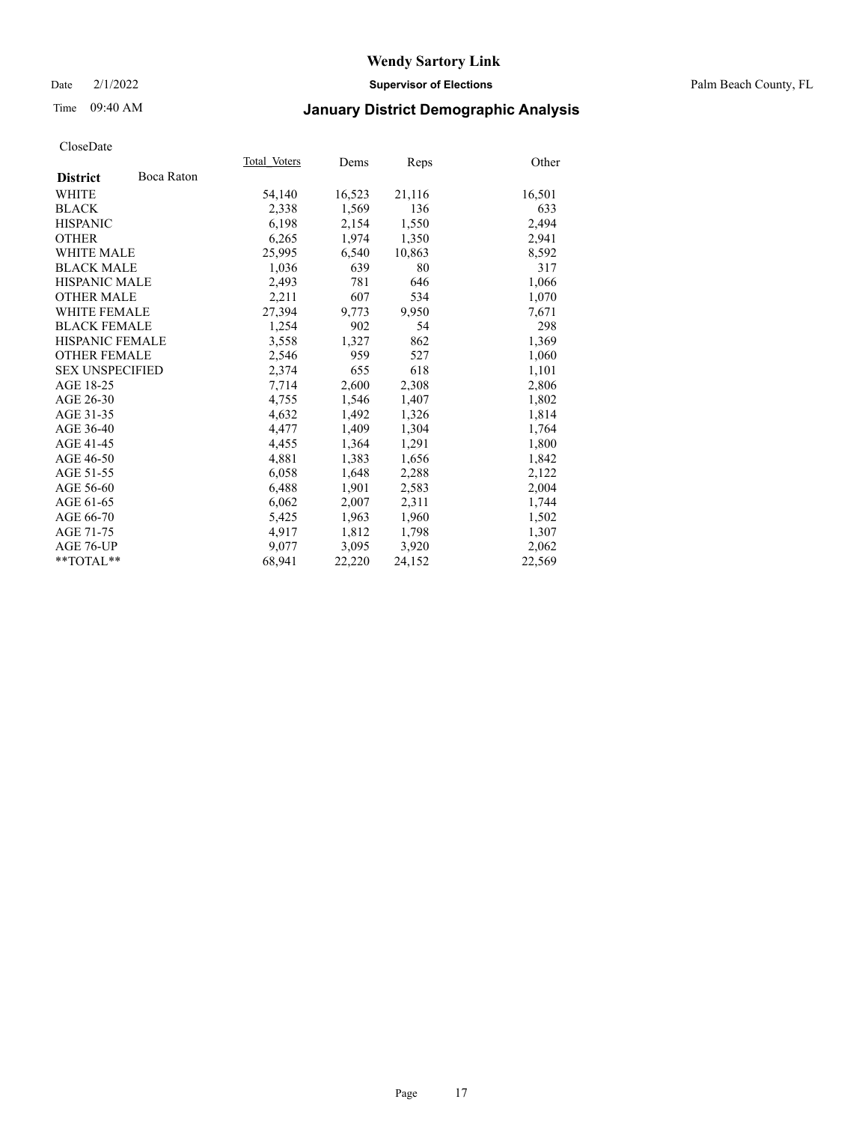Date 2/1/2022 **Supervisor of Elections** Palm Beach County, FL

## Time 09:40 AM **January District Demographic Analysis**

|                        |            | Total Voters | Dems   | Reps   | Other  |
|------------------------|------------|--------------|--------|--------|--------|
| <b>District</b>        | Boca Raton |              |        |        |        |
| WHITE                  |            | 54,140       | 16,523 | 21,116 | 16,501 |
| <b>BLACK</b>           |            | 2,338        | 1,569  | 136    | 633    |
| <b>HISPANIC</b>        |            | 6.198        | 2,154  | 1,550  | 2,494  |
| <b>OTHER</b>           |            | 6,265        | 1,974  | 1,350  | 2,941  |
| <b>WHITE MALE</b>      |            | 25,995       | 6,540  | 10,863 | 8,592  |
| <b>BLACK MALE</b>      |            | 1,036        | 639    | 80     | 317    |
| <b>HISPANIC MALE</b>   |            | 2,493        | 781    | 646    | 1,066  |
| <b>OTHER MALE</b>      |            | 2,211        | 607    | 534    | 1,070  |
| <b>WHITE FEMALE</b>    |            | 27,394       | 9,773  | 9.950  | 7,671  |
| <b>BLACK FEMALE</b>    |            | 1,254        | 902    | 54     | 298    |
| <b>HISPANIC FEMALE</b> |            | 3,558        | 1,327  | 862    | 1,369  |
| <b>OTHER FEMALE</b>    |            | 2,546        | 959    | 527    | 1,060  |
| <b>SEX UNSPECIFIED</b> |            | 2,374        | 655    | 618    | 1,101  |
| AGE 18-25              |            | 7,714        | 2,600  | 2,308  | 2,806  |
| AGE 26-30              |            | 4,755        | 1,546  | 1,407  | 1,802  |
| AGE 31-35              |            | 4,632        | 1,492  | 1,326  | 1,814  |
| AGE 36-40              |            | 4,477        | 1,409  | 1,304  | 1,764  |
| AGE 41-45              |            | 4,455        | 1,364  | 1,291  | 1,800  |
| AGE 46-50              |            | 4,881        | 1,383  | 1,656  | 1,842  |
| AGE 51-55              |            | 6,058        | 1,648  | 2,288  | 2,122  |
| AGE 56-60              |            | 6,488        | 1,901  | 2,583  | 2,004  |
| AGE 61-65              |            | 6,062        | 2,007  | 2,311  | 1,744  |
| AGE 66-70              |            | 5,425        | 1,963  | 1,960  | 1,502  |
| AGE 71-75              |            | 4,917        | 1,812  | 1,798  | 1,307  |
| AGE 76-UP              |            | 9.077        | 3,095  | 3,920  | 2,062  |
| $*$ $TOTAL**$          |            | 68,941       | 22,220 | 24,152 | 22,569 |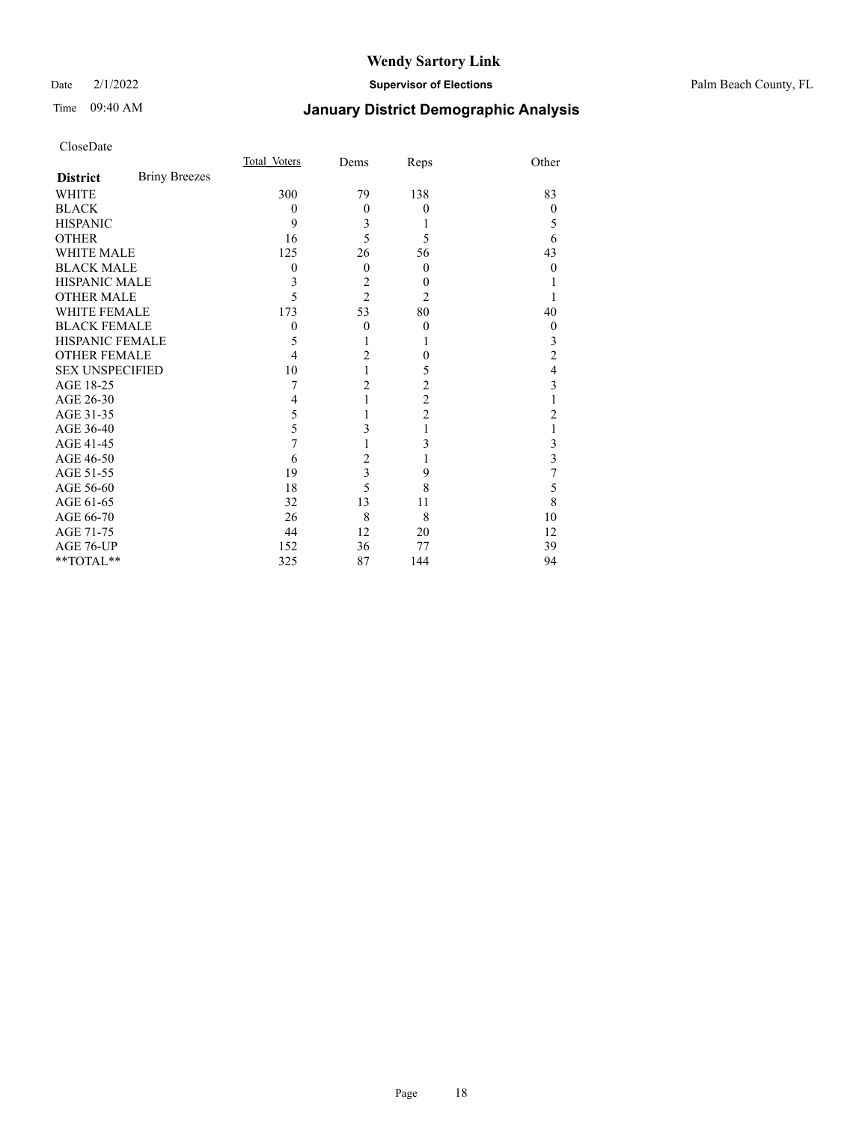#### Date 2/1/2022 **Supervisor of Elections** Palm Beach County, FL

## Time 09:40 AM **January District Demographic Analysis**

|                        |                      | Total Voters | Dems           | Reps           | Other            |
|------------------------|----------------------|--------------|----------------|----------------|------------------|
| <b>District</b>        | <b>Briny Breezes</b> |              |                |                |                  |
| WHITE                  |                      | 300          | 79             | 138            | 83               |
| <b>BLACK</b>           |                      | $\theta$     | $\theta$       | $\theta$       | 0                |
| <b>HISPANIC</b>        |                      | 9            | 3              | 1              | 5                |
| <b>OTHER</b>           |                      | 16           | 5              | 5              | 6                |
| <b>WHITE MALE</b>      |                      | 125          | 26             | 56             | 43               |
| <b>BLACK MALE</b>      |                      | 0            | $\theta$       | $\overline{0}$ | 0                |
| <b>HISPANIC MALE</b>   |                      | 3            | $\overline{c}$ | $\Omega$       |                  |
| <b>OTHER MALE</b>      |                      | 5            | $\overline{2}$ | $\overline{2}$ |                  |
| <b>WHITE FEMALE</b>    |                      | 173          | 53             | 80             | 40               |
| <b>BLACK FEMALE</b>    |                      | $\mathbf{0}$ | $\theta$       | $\theta$       | $\boldsymbol{0}$ |
| <b>HISPANIC FEMALE</b> |                      | 5            | 1              |                | 3                |
| <b>OTHER FEMALE</b>    |                      | 4            | $\overline{c}$ | $\theta$       | $\overline{c}$   |
| <b>SEX UNSPECIFIED</b> |                      | 10           | 1              | 5              | 4                |
| AGE 18-25              |                      | 7            | $\overline{c}$ | 2              | 3                |
| AGE 26-30              |                      | 4            | 1              | $\overline{c}$ |                  |
| AGE 31-35              |                      | 5            |                | $\overline{c}$ | $\overline{c}$   |
| AGE 36-40              |                      | 5            | 3              | 1              |                  |
| AGE 41-45              |                      |              |                | 3              | 3                |
| AGE 46-50              |                      | 6            | $\overline{c}$ |                | 3                |
| AGE 51-55              |                      | 19           | 3              | 9              | 7                |
| AGE 56-60              |                      | 18           | 5              | 8              | 5                |
| AGE 61-65              |                      | 32           | 13             | 11             | 8                |
| AGE 66-70              |                      | 26           | 8              | 8              | 10               |
| AGE 71-75              |                      | 44           | 12             | 20             | 12               |
| AGE 76-UP              |                      | 152          | 36             | 77             | 39               |
| **TOTAL**              |                      | 325          | 87             | 144            | 94               |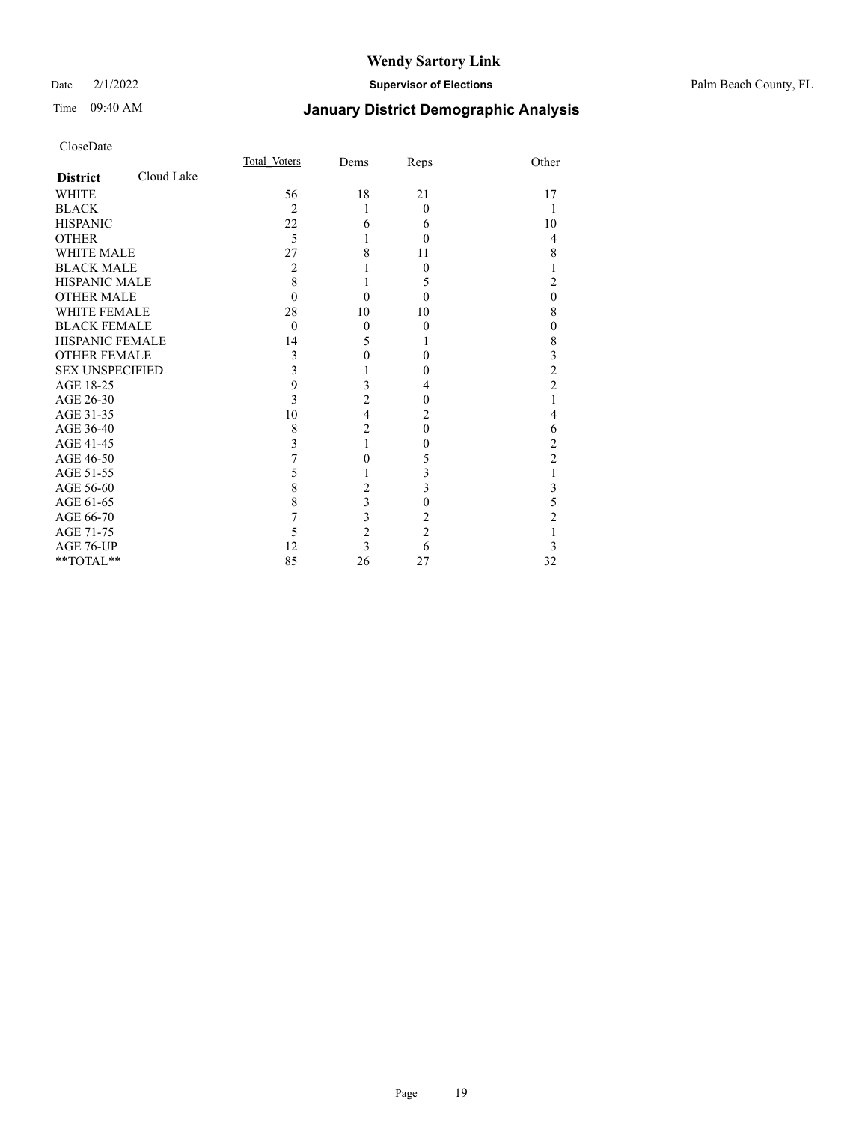#### Date 2/1/2022 **Supervisor of Elections** Palm Beach County, FL

## Time 09:40 AM **January District Demographic Analysis**

|                        |            | Total Voters   | Dems                    | Reps           | Other          |
|------------------------|------------|----------------|-------------------------|----------------|----------------|
| <b>District</b>        | Cloud Lake |                |                         |                |                |
| <b>WHITE</b>           |            | 56             | 18                      | 21             | 17             |
| <b>BLACK</b>           |            | $\overline{c}$ | 1                       | $\theta$       | 1              |
| <b>HISPANIC</b>        |            | 22             | 6                       | 6              | 10             |
| <b>OTHER</b>           |            | 5              | 1                       | $\theta$       | $\overline{4}$ |
| WHITE MALE             |            | 27             | 8                       | 11             | 8              |
| <b>BLACK MALE</b>      |            | 2              |                         | $\Omega$       | 1              |
| <b>HISPANIC MALE</b>   |            | 8              |                         | 5              | $\overline{c}$ |
| <b>OTHER MALE</b>      |            | $\Omega$       | $\theta$                | $\theta$       | $\theta$       |
| <b>WHITE FEMALE</b>    |            | 28             | 10                      | 10             | 8              |
| <b>BLACK FEMALE</b>    |            | $\theta$       | $\mathbf{0}$            | $\theta$       | $\theta$       |
| <b>HISPANIC FEMALE</b> |            | 14             | 5                       |                | 8              |
| <b>OTHER FEMALE</b>    |            | 3              | $\mathbf{0}$            | 0              | 3              |
| <b>SEX UNSPECIFIED</b> |            | 3              |                         | 0              | $\overline{c}$ |
| AGE 18-25              |            | 9              | 3                       | 4              | $\overline{2}$ |
| AGE 26-30              |            | 3              | $\overline{c}$          | $\theta$       | 1              |
| AGE 31-35              |            | 10             | $\overline{\mathbf{4}}$ | 2              | $\overline{4}$ |
| AGE 36-40              |            | 8              | $\overline{2}$          | $\Omega$       | 6              |
| AGE 41-45              |            | 3              | 1                       | 0              | $\overline{c}$ |
| AGE 46-50              |            | 7              | $\mathbf{0}$            | 5              | $\overline{c}$ |
| AGE 51-55              |            | 5              |                         | 3              | 1              |
| AGE 56-60              |            | 8              | $\sqrt{2}$              | 3              | 3              |
| AGE 61-65              |            | 8              | $\overline{\mathbf{3}}$ | $\theta$       | 5              |
| AGE 66-70              |            | 7              | 3                       | 2              | $\overline{c}$ |
| AGE 71-75              |            | 5              | $\overline{c}$          | $\overline{c}$ | 1              |
| AGE 76-UP              |            | 12             | $\overline{3}$          | 6              | 3              |
| **TOTAL**              |            | 85             | 26                      | 27             | 32             |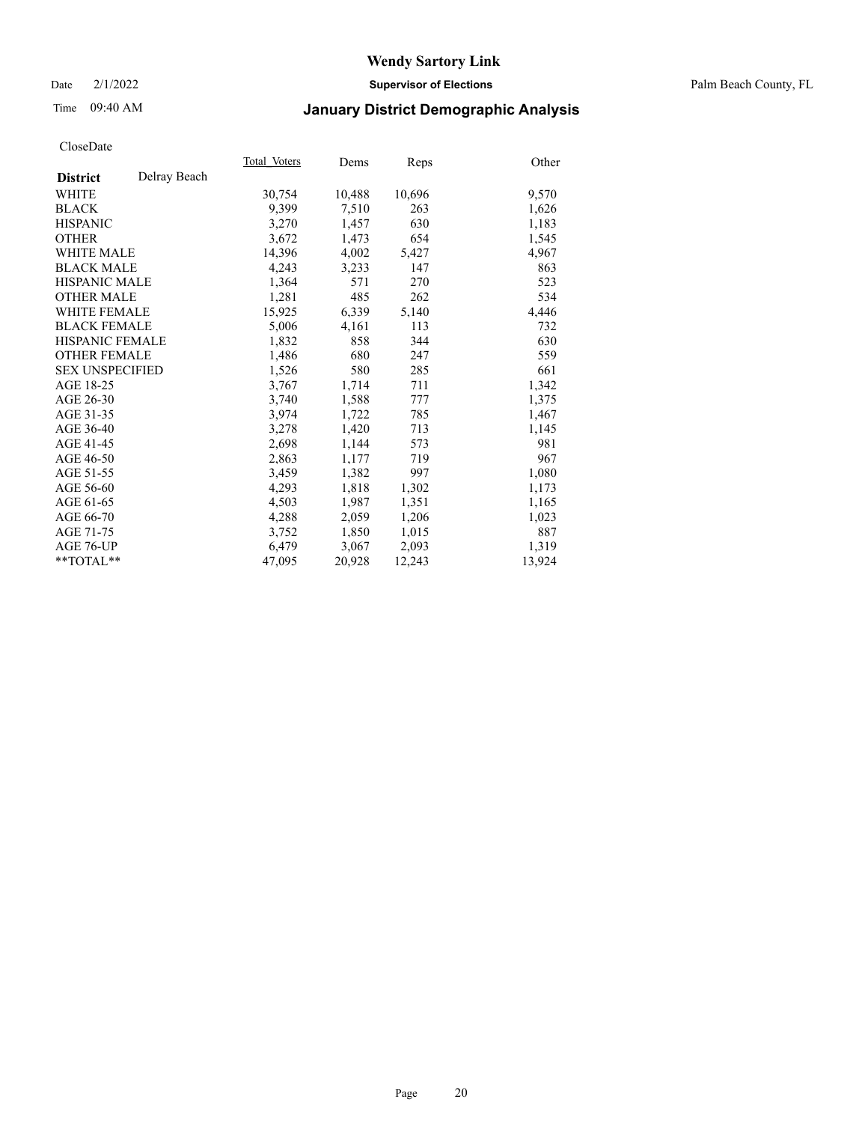Date 2/1/2022 **Supervisor of Elections** Palm Beach County, FL

## Time 09:40 AM **January District Demographic Analysis**

|                        |              | Total Voters | Dems   | Reps   | Other  |
|------------------------|--------------|--------------|--------|--------|--------|
| <b>District</b>        | Delray Beach |              |        |        |        |
| WHITE                  |              | 30,754       | 10,488 | 10,696 | 9,570  |
| <b>BLACK</b>           |              | 9,399        | 7,510  | 263    | 1,626  |
| <b>HISPANIC</b>        |              | 3,270        | 1,457  | 630    | 1,183  |
| <b>OTHER</b>           |              | 3,672        | 1,473  | 654    | 1,545  |
| <b>WHITE MALE</b>      |              | 14,396       | 4,002  | 5,427  | 4,967  |
| <b>BLACK MALE</b>      |              | 4,243        | 3,233  | 147    | 863    |
| <b>HISPANIC MALE</b>   |              | 1,364        | 571    | 270    | 523    |
| <b>OTHER MALE</b>      |              | 1,281        | 485    | 262    | 534    |
| <b>WHITE FEMALE</b>    |              | 15,925       | 6,339  | 5,140  | 4,446  |
| <b>BLACK FEMALE</b>    |              | 5,006        | 4,161  | 113    | 732    |
| <b>HISPANIC FEMALE</b> |              | 1,832        | 858    | 344    | 630    |
| <b>OTHER FEMALE</b>    |              | 1,486        | 680    | 247    | 559    |
| <b>SEX UNSPECIFIED</b> |              | 1,526        | 580    | 285    | 661    |
| AGE 18-25              |              | 3,767        | 1,714  | 711    | 1,342  |
| AGE 26-30              |              | 3.740        | 1,588  | 777    | 1,375  |
| AGE 31-35              |              | 3,974        | 1,722  | 785    | 1,467  |
| AGE 36-40              |              | 3,278        | 1,420  | 713    | 1,145  |
| AGE 41-45              |              | 2,698        | 1,144  | 573    | 981    |
| AGE 46-50              |              | 2,863        | 1,177  | 719    | 967    |
| AGE 51-55              |              | 3,459        | 1,382  | 997    | 1,080  |
| AGE 56-60              |              | 4,293        | 1,818  | 1,302  | 1,173  |
| AGE 61-65              |              | 4,503        | 1,987  | 1,351  | 1,165  |
| AGE 66-70              |              | 4,288        | 2,059  | 1,206  | 1,023  |
| AGE 71-75              |              | 3,752        | 1,850  | 1,015  | 887    |
| AGE 76-UP              |              | 6,479        | 3,067  | 2,093  | 1,319  |
| **TOTAL**              |              | 47,095       | 20,928 | 12,243 | 13,924 |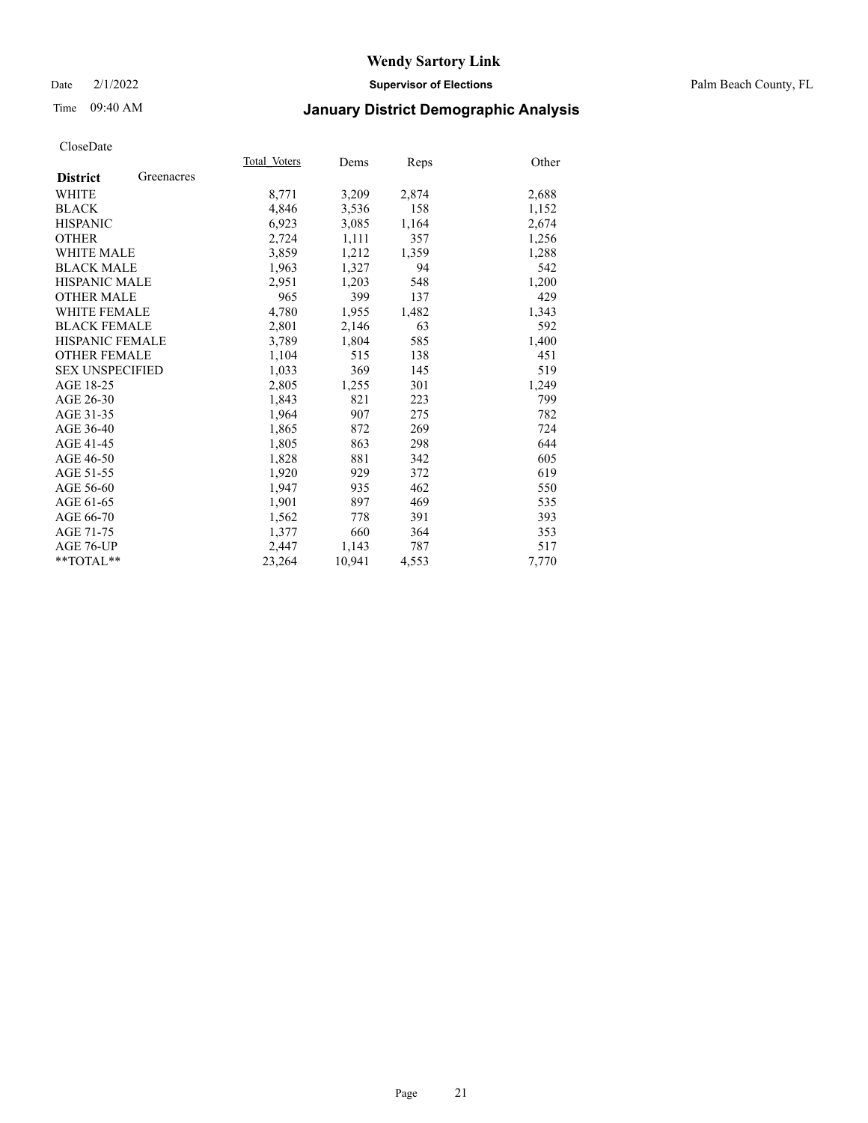Date 2/1/2022 **Supervisor of Elections** Palm Beach County, FL

## Time 09:40 AM **January District Demographic Analysis**

|                        | Total Voters | Dems   | Reps  | Other |
|------------------------|--------------|--------|-------|-------|
| Greenacres             |              |        |       |       |
|                        | 8,771        | 3,209  | 2,874 | 2,688 |
|                        | 4,846        | 3,536  | 158   | 1,152 |
|                        | 6,923        | 3,085  | 1,164 | 2,674 |
|                        | 2,724        | 1,111  | 357   | 1,256 |
|                        | 3,859        | 1,212  | 1,359 | 1,288 |
|                        | 1,963        | 1,327  | 94    | 542   |
| <b>HISPANIC MALE</b>   | 2,951        | 1,203  | 548   | 1,200 |
|                        | 965          | 399    | 137   | 429   |
| <b>WHITE FEMALE</b>    | 4,780        | 1,955  | 1,482 | 1,343 |
| <b>BLACK FEMALE</b>    | 2,801        | 2,146  | 63    | 592   |
| <b>HISPANIC FEMALE</b> | 3,789        | 1,804  | 585   | 1,400 |
| <b>OTHER FEMALE</b>    | 1,104        | 515    | 138   | 451   |
| <b>SEX UNSPECIFIED</b> | 1,033        | 369    | 145   | 519   |
|                        | 2,805        | 1,255  | 301   | 1,249 |
|                        | 1,843        | 821    | 223   | 799   |
|                        | 1,964        | 907    | 275   | 782   |
|                        | 1,865        | 872    | 269   | 724   |
|                        | 1,805        | 863    | 298   | 644   |
|                        | 1,828        | 881    | 342   | 605   |
|                        | 1,920        | 929    | 372   | 619   |
|                        | 1,947        | 935    | 462   | 550   |
|                        | 1,901        | 897    | 469   | 535   |
|                        | 1,562        | 778    | 391   | 393   |
|                        | 1,377        | 660    | 364   | 353   |
|                        | 2,447        | 1,143  | 787   | 517   |
|                        | 23,264       | 10,941 | 4,553 | 7,770 |
|                        |              |        |       |       |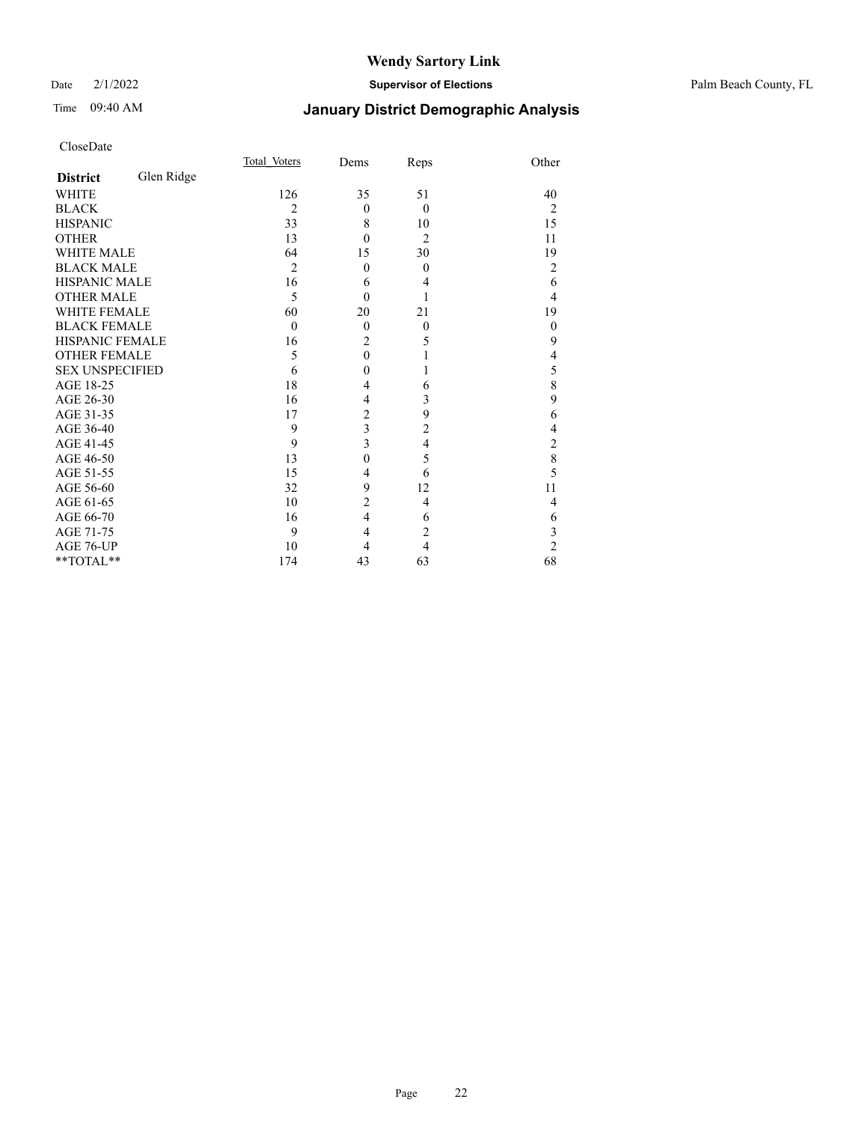#### Date 2/1/2022 **Supervisor of Elections** Palm Beach County, FL

## Time 09:40 AM **January District Demographic Analysis**

|                        |            | Total Voters   | Dems                    | Reps           | Other          |
|------------------------|------------|----------------|-------------------------|----------------|----------------|
| <b>District</b>        | Glen Ridge |                |                         |                |                |
| <b>WHITE</b>           |            | 126            | 35                      | 51             | 40             |
| <b>BLACK</b>           |            | $\overline{2}$ | $\theta$                | $\theta$       | 2              |
| <b>HISPANIC</b>        |            | 33             | 8                       | 10             | 15             |
| <b>OTHER</b>           |            | 13             | $\theta$                | $\overline{2}$ | 11             |
| <b>WHITE MALE</b>      |            | 64             | 15                      | 30             | 19             |
| <b>BLACK MALE</b>      |            | $\overline{2}$ | $\theta$                | $\mathbf{0}$   | 2              |
| <b>HISPANIC MALE</b>   |            | 16             | 6                       | 4              | 6              |
| <b>OTHER MALE</b>      |            | 5              | $\theta$                |                | 4              |
| <b>WHITE FEMALE</b>    |            | 60             | 20                      | 21             | 19             |
| <b>BLACK FEMALE</b>    |            | $\mathbf{0}$   | $\theta$                | $\mathbf{0}$   | $\mathbf{0}$   |
| <b>HISPANIC FEMALE</b> |            | 16             | $\overline{c}$          | 5              | 9              |
| <b>OTHER FEMALE</b>    |            | 5              | $\theta$                |                | 4              |
| <b>SEX UNSPECIFIED</b> |            | 6              | $\theta$                |                | 5              |
| AGE 18-25              |            | 18             | $\overline{4}$          | 6              | 8              |
| AGE 26-30              |            | 16             | 4                       | 3              | 9              |
| AGE 31-35              |            | 17             | $\overline{c}$          | 9              | 6              |
| AGE 36-40              |            | 9              | $\overline{\mathbf{3}}$ | $\overline{c}$ | 4              |
| AGE 41-45              |            | 9              | 3                       | 4              | 2              |
| AGE 46-50              |            | 13             | $\theta$                | 5              | 8              |
| AGE 51-55              |            | 15             | 4                       | 6              | 5              |
| AGE 56-60              |            | 32             | 9                       | 12             | 11             |
| AGE 61-65              |            | 10             | $\overline{c}$          | 4              | 4              |
| AGE 66-70              |            | 16             | $\overline{4}$          | 6              | 6              |
| AGE 71-75              |            | 9              | $\overline{4}$          | $\overline{2}$ | 3              |
| AGE 76-UP              |            | 10             | 4                       | $\overline{4}$ | $\overline{2}$ |
| **TOTAL**              |            | 174            | 43                      | 63             | 68             |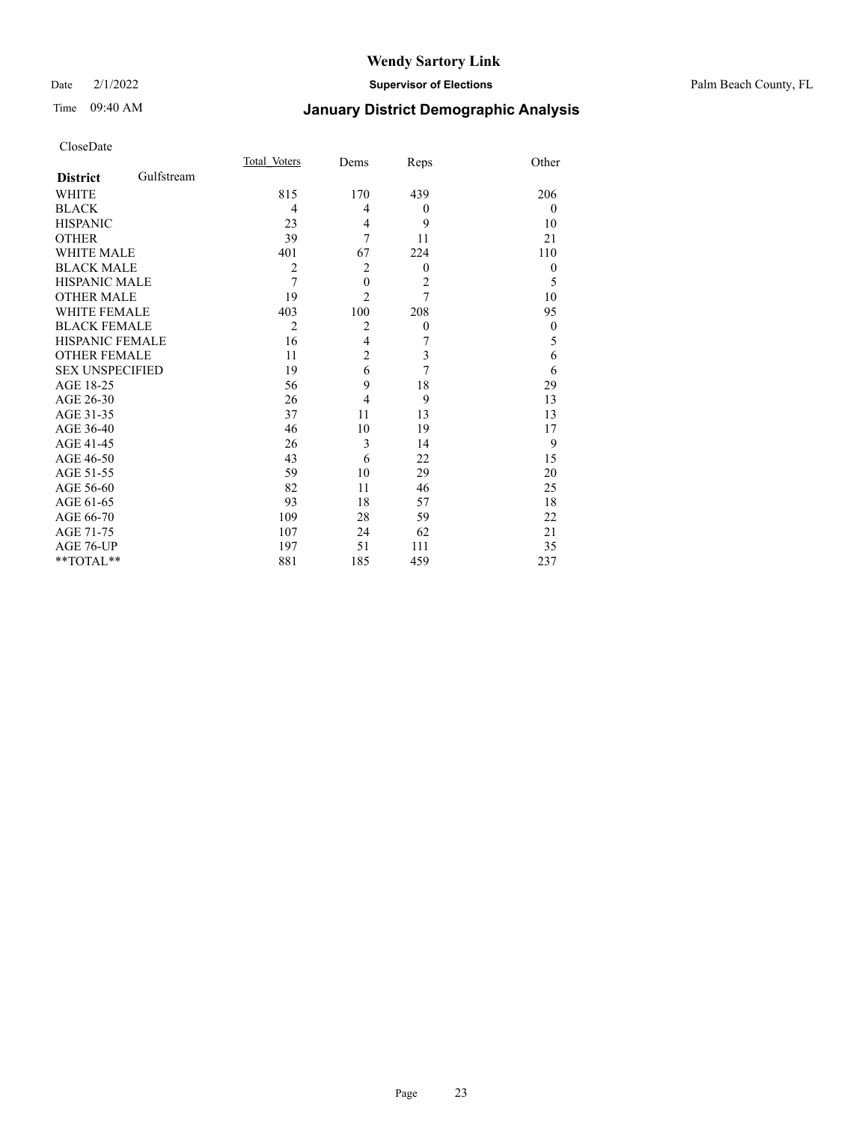#### Date 2/1/2022 **Supervisor of Elections** Palm Beach County, FL

## Time 09:40 AM **January District Demographic Analysis**

|                        |            | Total Voters   | Dems             | Reps             | Other        |
|------------------------|------------|----------------|------------------|------------------|--------------|
| <b>District</b>        | Gulfstream |                |                  |                  |              |
| WHITE                  |            | 815            | 170              | 439              | 206          |
| <b>BLACK</b>           |            | 4              | 4                | $\boldsymbol{0}$ | $\mathbf{0}$ |
| <b>HISPANIC</b>        |            | 23             | 4                | 9                | 10           |
| <b>OTHER</b>           |            | 39             | 7                | 11               | 21           |
| <b>WHITE MALE</b>      |            | 401            | 67               | 224              | 110          |
| <b>BLACK MALE</b>      |            | $\overline{2}$ | $\overline{2}$   | $\theta$         | $\theta$     |
| <b>HISPANIC MALE</b>   |            | 7              | $\boldsymbol{0}$ | $\overline{c}$   | 5            |
| <b>OTHER MALE</b>      |            | 19             | $\overline{2}$   | $\overline{7}$   | 10           |
| <b>WHITE FEMALE</b>    |            | 403            | 100              | 208              | 95           |
| <b>BLACK FEMALE</b>    |            | $\overline{2}$ | $\overline{2}$   | $\boldsymbol{0}$ | $\mathbf{0}$ |
| <b>HISPANIC FEMALE</b> |            | 16             | $\overline{4}$   | 7                | 5            |
| <b>OTHER FEMALE</b>    |            | 11             | $\overline{c}$   | 3                | 6            |
| <b>SEX UNSPECIFIED</b> |            | 19             | 6                | 7                | 6            |
| AGE 18-25              |            | 56             | 9                | 18               | 29           |
| AGE 26-30              |            | 26             | $\overline{4}$   | 9                | 13           |
| AGE 31-35              |            | 37             | 11               | 13               | 13           |
| AGE 36-40              |            | 46             | 10               | 19               | 17           |
| AGE 41-45              |            | 26             | 3                | 14               | 9            |
| AGE 46-50              |            | 43             | 6                | 22               | 15           |
| AGE 51-55              |            | 59             | 10               | 29               | 20           |
| AGE 56-60              |            | 82             | 11               | 46               | 25           |
| AGE 61-65              |            | 93             | 18               | 57               | 18           |
| AGE 66-70              |            | 109            | 28               | 59               | 22           |
| AGE 71-75              |            | 107            | 24               | 62               | 21           |
| AGE 76-UP              |            | 197            | 51               | 111              | 35           |
| **TOTAL**              |            | 881            | 185              | 459              | 237          |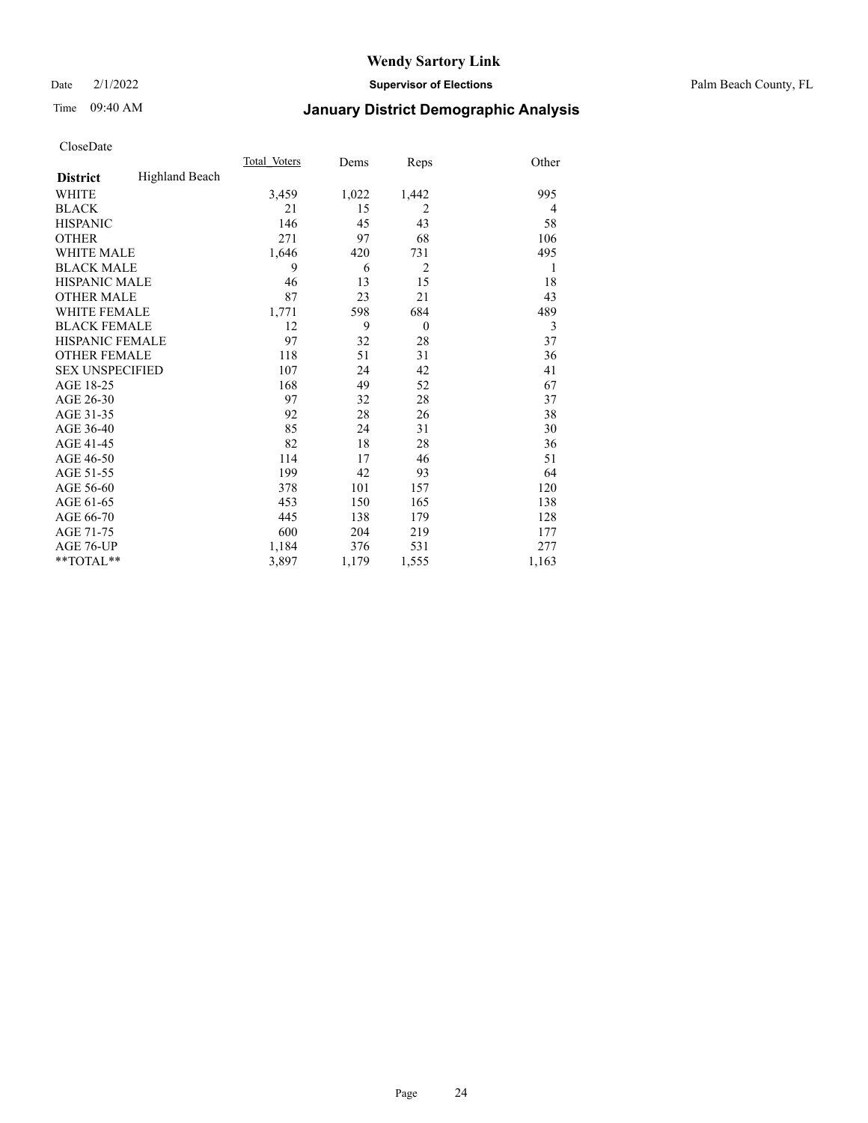Date 2/1/2022 **Supervisor of Elections** Palm Beach County, FL

## Time 09:40 AM **January District Demographic Analysis**

|                        |                       | Total Voters | Dems  | Reps           | Other |
|------------------------|-----------------------|--------------|-------|----------------|-------|
| <b>District</b>        | <b>Highland Beach</b> |              |       |                |       |
| <b>WHITE</b>           |                       | 3,459        | 1,022 | 1,442          | 995   |
| <b>BLACK</b>           |                       | 21           | 15    | $\overline{2}$ | 4     |
| <b>HISPANIC</b>        |                       | 146          | 45    | 43             | 58    |
| <b>OTHER</b>           |                       | 271          | 97    | 68             | 106   |
| <b>WHITE MALE</b>      |                       | 1,646        | 420   | 731            | 495   |
| <b>BLACK MALE</b>      |                       | 9            | 6     | $\overline{2}$ | 1     |
| <b>HISPANIC MALE</b>   |                       | 46           | 13    | 15             | 18    |
| <b>OTHER MALE</b>      |                       | 87           | 23    | 21             | 43    |
| <b>WHITE FEMALE</b>    |                       | 1,771        | 598   | 684            | 489   |
| <b>BLACK FEMALE</b>    |                       | 12           | 9     | $\theta$       | 3     |
| <b>HISPANIC FEMALE</b> |                       | 97           | 32    | 28             | 37    |
| <b>OTHER FEMALE</b>    |                       | 118          | 51    | 31             | 36    |
| <b>SEX UNSPECIFIED</b> |                       | 107          | 24    | 42             | 41    |
| AGE 18-25              |                       | 168          | 49    | 52             | 67    |
| AGE 26-30              |                       | 97           | 32    | 28             | 37    |
| AGE 31-35              |                       | 92           | 28    | 26             | 38    |
| AGE 36-40              |                       | 85           | 24    | 31             | 30    |
| AGE 41-45              |                       | 82           | 18    | 28             | 36    |
| AGE 46-50              |                       | 114          | 17    | 46             | 51    |
| AGE 51-55              |                       | 199          | 42    | 93             | 64    |
| AGE 56-60              |                       | 378          | 101   | 157            | 120   |
| AGE 61-65              |                       | 453          | 150   | 165            | 138   |
| AGE 66-70              |                       | 445          | 138   | 179            | 128   |
| AGE 71-75              |                       | 600          | 204   | 219            | 177   |
| AGE 76-UP              |                       | 1,184        | 376   | 531            | 277   |
| $*$ $TOTAL**$          |                       | 3,897        | 1,179 | 1,555          | 1,163 |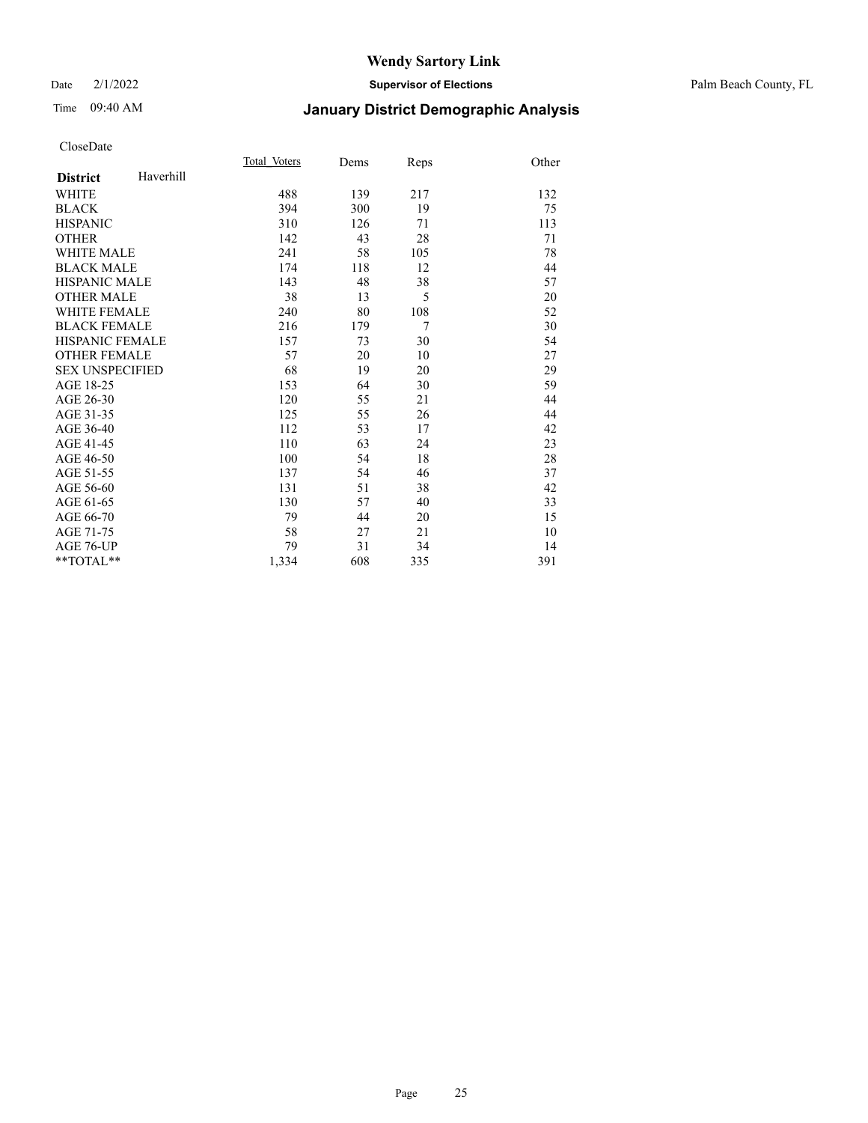#### Date 2/1/2022 **Supervisor of Elections** Palm Beach County, FL

## Time 09:40 AM **January District Demographic Analysis**

|                              | Total Voters | Dems | Reps           | Other |
|------------------------------|--------------|------|----------------|-------|
| Haverhill<br><b>District</b> |              |      |                |       |
| <b>WHITE</b>                 | 488          | 139  | 217            | 132   |
| <b>BLACK</b>                 | 394          | 300  | 19             | 75    |
| <b>HISPANIC</b>              | 310          | 126  | 71             | 113   |
| <b>OTHER</b>                 | 142          | 43   | 28             | 71    |
| <b>WHITE MALE</b>            | 241          | 58   | 105            | 78    |
| <b>BLACK MALE</b>            | 174          | 118  | 12             | 44    |
| <b>HISPANIC MALE</b>         | 143          | 48   | 38             | 57    |
| <b>OTHER MALE</b>            | 38           | 13   | 5              | 20    |
| <b>WHITE FEMALE</b>          | 240          | 80   | 108            | 52    |
| <b>BLACK FEMALE</b>          | 216          | 179  | $\overline{7}$ | 30    |
| <b>HISPANIC FEMALE</b>       | 157          | 73   | 30             | 54    |
| <b>OTHER FEMALE</b>          | 57           | 20   | 10             | 27    |
| <b>SEX UNSPECIFIED</b>       | 68           | 19   | 20             | 29    |
| AGE 18-25                    | 153          | 64   | 30             | 59    |
| AGE 26-30                    | 120          | 55   | 21             | 44    |
| AGE 31-35                    | 125          | 55   | 26             | 44    |
| AGE 36-40                    | 112          | 53   | 17             | 42    |
| AGE 41-45                    | 110          | 63   | 24             | 23    |
| AGE 46-50                    | 100          | 54   | 18             | 28    |
| AGE 51-55                    | 137          | 54   | 46             | 37    |
| AGE 56-60                    | 131          | 51   | 38             | 42    |
| AGE 61-65                    | 130          | 57   | 40             | 33    |
| AGE 66-70                    | 79           | 44   | 20             | 15    |
| AGE 71-75                    | 58           | 27   | 21             | 10    |
| <b>AGE 76-UP</b>             | 79           | 31   | 34             | 14    |
| **TOTAL**                    | 1,334        | 608  | 335            | 391   |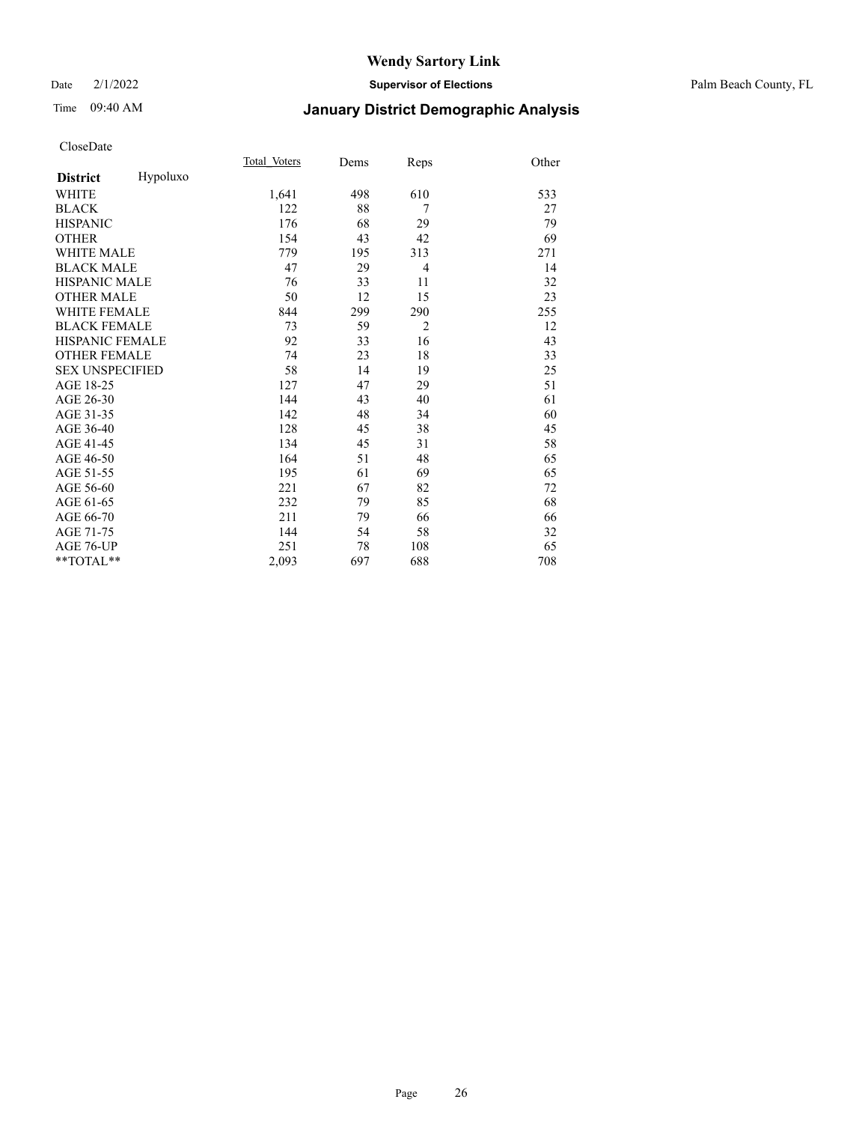#### Date 2/1/2022 **Supervisor of Elections** Palm Beach County, FL

## Time 09:40 AM **January District Demographic Analysis**

|                        |          | Total Voters | Dems | Reps           | Other |
|------------------------|----------|--------------|------|----------------|-------|
| <b>District</b>        | Hypoluxo |              |      |                |       |
| WHITE                  |          | 1,641        | 498  | 610            | 533   |
| <b>BLACK</b>           |          | 122          | 88   | 7              | 27    |
| <b>HISPANIC</b>        |          | 176          | 68   | 29             | 79    |
| <b>OTHER</b>           |          | 154          | 43   | 42             | 69    |
| WHITE MALE             |          | 779          | 195  | 313            | 271   |
| <b>BLACK MALE</b>      |          | 47           | 29   | $\overline{4}$ | 14    |
| <b>HISPANIC MALE</b>   |          | 76           | 33   | 11             | 32    |
| <b>OTHER MALE</b>      |          | 50           | 12   | 15             | 23    |
| <b>WHITE FEMALE</b>    |          | 844          | 299  | 290            | 255   |
| <b>BLACK FEMALE</b>    |          | 73           | 59   | $\overline{2}$ | 12    |
| HISPANIC FEMALE        |          | 92           | 33   | 16             | 43    |
| <b>OTHER FEMALE</b>    |          | 74           | 23   | 18             | 33    |
| <b>SEX UNSPECIFIED</b> |          | 58           | 14   | 19             | 25    |
| AGE 18-25              |          | 127          | 47   | 29             | 51    |
| AGE 26-30              |          | 144          | 43   | 40             | 61    |
| AGE 31-35              |          | 142          | 48   | 34             | 60    |
| AGE 36-40              |          | 128          | 45   | 38             | 45    |
| AGE 41-45              |          | 134          | 45   | 31             | 58    |
| AGE 46-50              |          | 164          | 51   | 48             | 65    |
| AGE 51-55              |          | 195          | 61   | 69             | 65    |
| AGE 56-60              |          | 221          | 67   | 82             | 72    |
| AGE 61-65              |          | 232          | 79   | 85             | 68    |
| AGE 66-70              |          | 211          | 79   | 66             | 66    |
| AGE 71-75              |          | 144          | 54   | 58             | 32    |
| AGE 76-UP              |          | 251          | 78   | 108            | 65    |
| **TOTAL**              |          | 2,093        | 697  | 688            | 708   |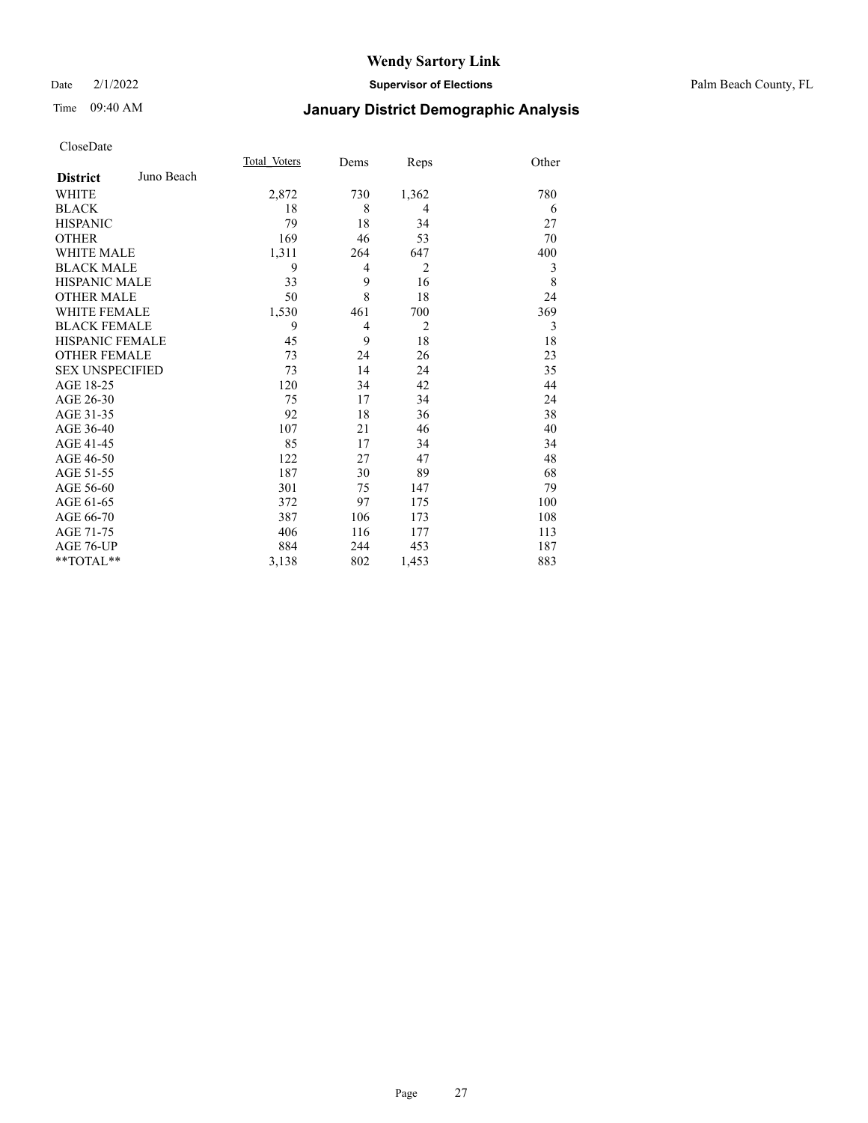Date 2/1/2022 **Supervisor of Elections** Palm Beach County, FL

## Time 09:40 AM **January District Demographic Analysis**

|                        |            | Total Voters | Dems | Reps           | Other |
|------------------------|------------|--------------|------|----------------|-------|
| <b>District</b>        | Juno Beach |              |      |                |       |
| WHITE                  |            | 2,872        | 730  | 1,362          | 780   |
| <b>BLACK</b>           |            | 18           | 8    | 4              | 6     |
| <b>HISPANIC</b>        |            | 79           | 18   | 34             | 27    |
| <b>OTHER</b>           |            | 169          | 46   | 53             | 70    |
| <b>WHITE MALE</b>      |            | 1,311        | 264  | 647            | 400   |
| <b>BLACK MALE</b>      |            | 9            | 4    | $\overline{2}$ | 3     |
| <b>HISPANIC MALE</b>   |            | 33           | 9    | 16             | 8     |
| <b>OTHER MALE</b>      |            | 50           | 8    | 18             | 24    |
| <b>WHITE FEMALE</b>    |            | 1,530        | 461  | 700            | 369   |
| <b>BLACK FEMALE</b>    |            | 9            | 4    | $\overline{2}$ | 3     |
| <b>HISPANIC FEMALE</b> |            | 45           | 9    | 18             | 18    |
| <b>OTHER FEMALE</b>    |            | 73           | 24   | 26             | 23    |
| <b>SEX UNSPECIFIED</b> |            | 73           | 14   | 24             | 35    |
| AGE 18-25              |            | 120          | 34   | 42             | 44    |
| AGE 26-30              |            | 75           | 17   | 34             | 24    |
| AGE 31-35              |            | 92           | 18   | 36             | 38    |
| AGE 36-40              |            | 107          | 21   | 46             | 40    |
| AGE 41-45              |            | 85           | 17   | 34             | 34    |
| AGE 46-50              |            | 122          | 27   | 47             | 48    |
| AGE 51-55              |            | 187          | 30   | 89             | 68    |
| AGE 56-60              |            | 301          | 75   | 147            | 79    |
| AGE 61-65              |            | 372          | 97   | 175            | 100   |
| AGE 66-70              |            | 387          | 106  | 173            | 108   |
| AGE 71-75              |            | 406          | 116  | 177            | 113   |
| AGE 76-UP              |            | 884          | 244  | 453            | 187   |
| $*$ $TOTAL**$          |            | 3,138        | 802  | 1,453          | 883   |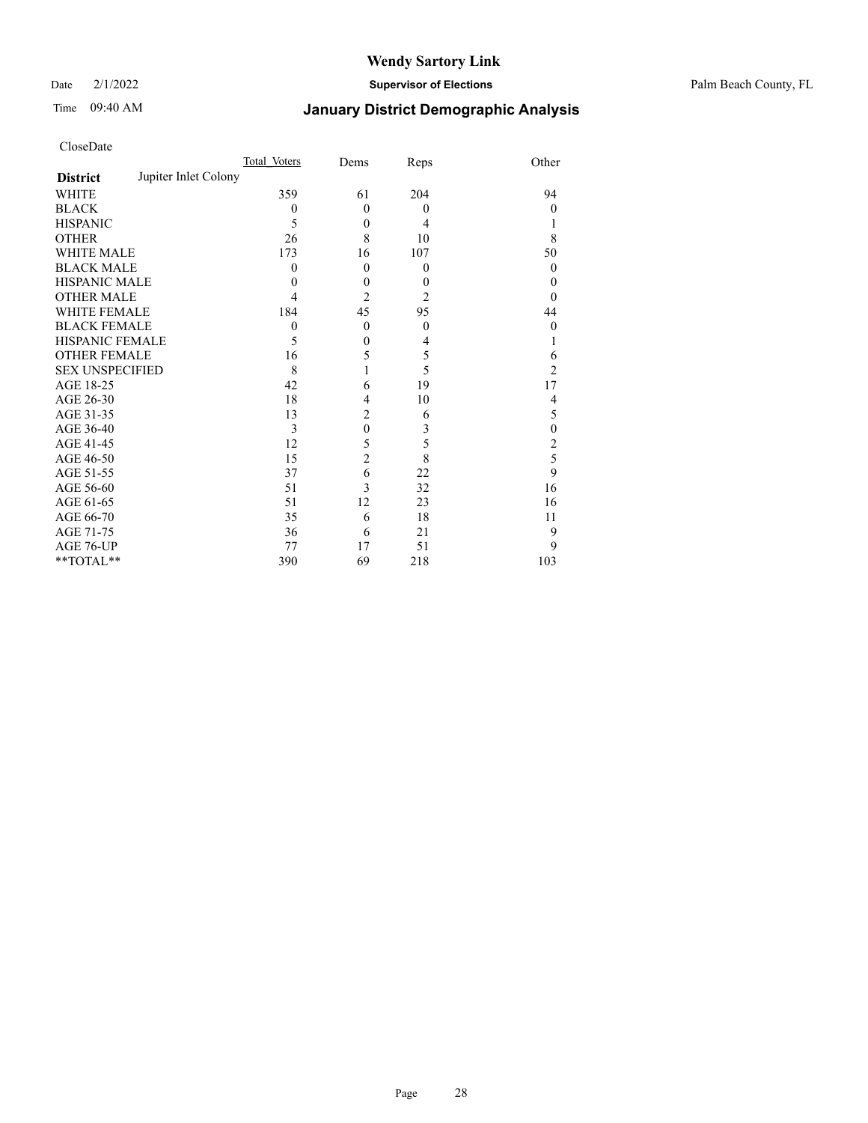Date 2/1/2022 **Supervisor of Elections** Palm Beach County, FL

## Time 09:40 AM **January District Demographic Analysis**

|                                         | Total Voters | Dems           | Reps           | Other            |
|-----------------------------------------|--------------|----------------|----------------|------------------|
| Jupiter Inlet Colony<br><b>District</b> |              |                |                |                  |
| WHITE                                   | 359          | 61             | 204            | 94               |
| <b>BLACK</b>                            | 0            | $\theta$       | $\overline{0}$ | 0                |
| <b>HISPANIC</b>                         | 5            | $\mathbf{0}$   | 4              |                  |
| <b>OTHER</b>                            | 26           | 8              | 10             | 8                |
| <b>WHITE MALE</b>                       | 173          | 16             | 107            | 50               |
| <b>BLACK MALE</b>                       | 0            | $\theta$       | $\theta$       | $\theta$         |
| <b>HISPANIC MALE</b>                    | 0            | $\mathbf{0}$   | $\theta$       | 0                |
| <b>OTHER MALE</b>                       | 4            | $\overline{2}$ | 2              | 0                |
| WHITE FEMALE                            | 184          | 45             | 95             | 44               |
| <b>BLACK FEMALE</b>                     | $\mathbf{0}$ | $\theta$       | $\theta$       | $\boldsymbol{0}$ |
| HISPANIC FEMALE                         | 5            | $\mathbf{0}$   | 4              |                  |
| <b>OTHER FEMALE</b>                     | 16           | 5              | 5              | 6                |
| <b>SEX UNSPECIFIED</b>                  | 8            |                | 5              | $\overline{c}$   |
| AGE 18-25                               | 42           | 6              | 19             | 17               |
| AGE 26-30                               | 18           | $\overline{4}$ | 10             | 4                |
| AGE 31-35                               | 13           | $\overline{2}$ | 6              | 5                |
| AGE 36-40                               | 3            | $\mathbf{0}$   | 3              | $\mathbf{0}$     |
| AGE 41-45                               | 12           | 5              | 5              | 2                |
| AGE 46-50                               | 15           | $\overline{c}$ | 8              | 5                |
| AGE 51-55                               | 37           | 6              | 22             | 9                |
| AGE 56-60                               | 51           | 3              | 32             | 16               |
| AGE 61-65                               | 51           | 12             | 23             | 16               |
| AGE 66-70                               | 35           | 6              | 18             | 11               |
| AGE 71-75                               | 36           | 6              | 21             | 9                |
| AGE 76-UP                               | 77           | 17             | 51             | 9                |
| **TOTAL**                               | 390          | 69             | 218            | 103              |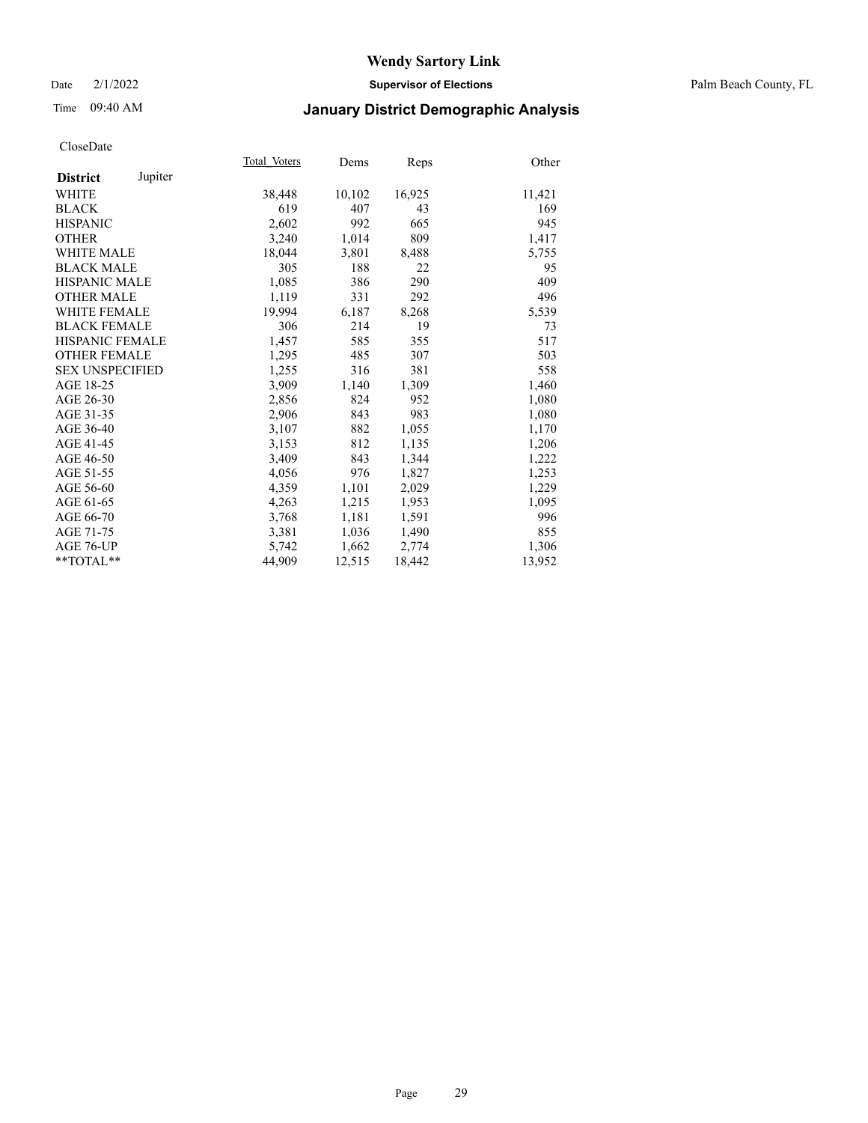#### Date 2/1/2022 **Supervisor of Elections** Palm Beach County, FL

## Time 09:40 AM **January District Demographic Analysis**

|                            | Total Voters | Dems   | Reps   | Other  |
|----------------------------|--------------|--------|--------|--------|
| Jupiter<br><b>District</b> |              |        |        |        |
| WHITE                      | 38,448       | 10,102 | 16,925 | 11,421 |
| <b>BLACK</b>               | 619          | 407    | 43     | 169    |
| <b>HISPANIC</b>            | 2,602        | 992    | 665    | 945    |
| <b>OTHER</b>               | 3,240        | 1,014  | 809    | 1,417  |
| <b>WHITE MALE</b>          | 18,044       | 3,801  | 8,488  | 5,755  |
| <b>BLACK MALE</b>          | 305          | 188    | 22     | 95     |
| <b>HISPANIC MALE</b>       | 1,085        | 386    | 290    | 409    |
| <b>OTHER MALE</b>          | 1.119        | 331    | 292    | 496    |
| <b>WHITE FEMALE</b>        | 19,994       | 6,187  | 8,268  | 5,539  |
| <b>BLACK FEMALE</b>        | 306          | 214    | 19     | 73     |
| <b>HISPANIC FEMALE</b>     | 1,457        | 585    | 355    | 517    |
| <b>OTHER FEMALE</b>        | 1,295        | 485    | 307    | 503    |
| <b>SEX UNSPECIFIED</b>     | 1,255        | 316    | 381    | 558    |
| AGE 18-25                  | 3,909        | 1,140  | 1,309  | 1,460  |
| AGE 26-30                  | 2,856        | 824    | 952    | 1,080  |
| AGE 31-35                  | 2,906        | 843    | 983    | 1,080  |
| AGE 36-40                  | 3,107        | 882    | 1,055  | 1,170  |
| AGE 41-45                  | 3,153        | 812    | 1,135  | 1,206  |
| AGE 46-50                  | 3,409        | 843    | 1,344  | 1,222  |
| AGE 51-55                  | 4,056        | 976    | 1,827  | 1,253  |
| AGE 56-60                  | 4,359        | 1,101  | 2,029  | 1,229  |
| AGE 61-65                  | 4,263        | 1,215  | 1,953  | 1,095  |
| AGE 66-70                  | 3,768        | 1,181  | 1,591  | 996    |
| AGE 71-75                  | 3,381        | 1,036  | 1,490  | 855    |
| AGE 76-UP                  | 5.742        | 1,662  | 2,774  | 1,306  |
| **TOTAL**                  | 44,909       | 12,515 | 18,442 | 13,952 |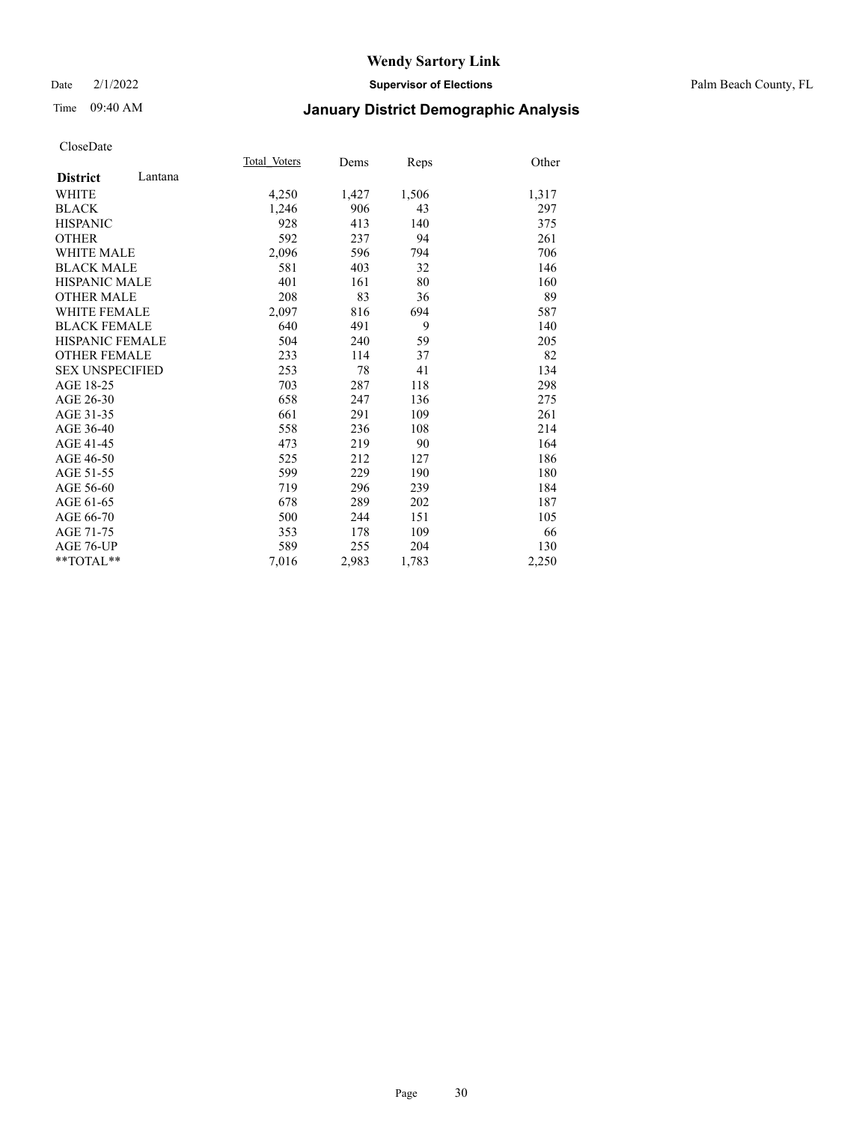#### Date 2/1/2022 **Supervisor of Elections** Palm Beach County, FL

## Time 09:40 AM **January District Demographic Analysis**

|                            | Total Voters | Dems  | Reps  | Other |
|----------------------------|--------------|-------|-------|-------|
| Lantana<br><b>District</b> |              |       |       |       |
| WHITE                      | 4,250        | 1,427 | 1,506 | 1,317 |
| <b>BLACK</b>               | 1,246        | 906   | 43    | 297   |
| <b>HISPANIC</b>            | 928          | 413   | 140   | 375   |
| <b>OTHER</b>               | 592          | 237   | 94    | 261   |
| <b>WHITE MALE</b>          | 2,096        | 596   | 794   | 706   |
| <b>BLACK MALE</b>          | 581          | 403   | 32    | 146   |
| <b>HISPANIC MALE</b>       | 401          | 161   | 80    | 160   |
| <b>OTHER MALE</b>          | 208          | 83    | 36    | 89    |
| <b>WHITE FEMALE</b>        | 2,097        | 816   | 694   | 587   |
| <b>BLACK FEMALE</b>        | 640          | 491   | 9     | 140   |
| <b>HISPANIC FEMALE</b>     | 504          | 240   | 59    | 205   |
| <b>OTHER FEMALE</b>        | 233          | 114   | 37    | 82    |
| <b>SEX UNSPECIFIED</b>     | 253          | 78    | 41    | 134   |
| AGE 18-25                  | 703          | 287   | 118   | 298   |
| AGE 26-30                  | 658          | 247   | 136   | 275   |
| AGE 31-35                  | 661          | 291   | 109   | 261   |
| AGE 36-40                  | 558          | 236   | 108   | 214   |
| AGE 41-45                  | 473          | 219   | 90    | 164   |
| AGE 46-50                  | 525          | 212   | 127   | 186   |
| AGE 51-55                  | 599          | 229   | 190   | 180   |
| AGE 56-60                  | 719          | 296   | 239   | 184   |
| AGE 61-65                  | 678          | 289   | 202   | 187   |
| AGE 66-70                  | 500          | 244   | 151   | 105   |
| AGE 71-75                  | 353          | 178   | 109   | 66    |
| <b>AGE 76-UP</b>           | 589          | 255   | 204   | 130   |
| $*$ $TOTAL**$              | 7,016        | 2,983 | 1,783 | 2,250 |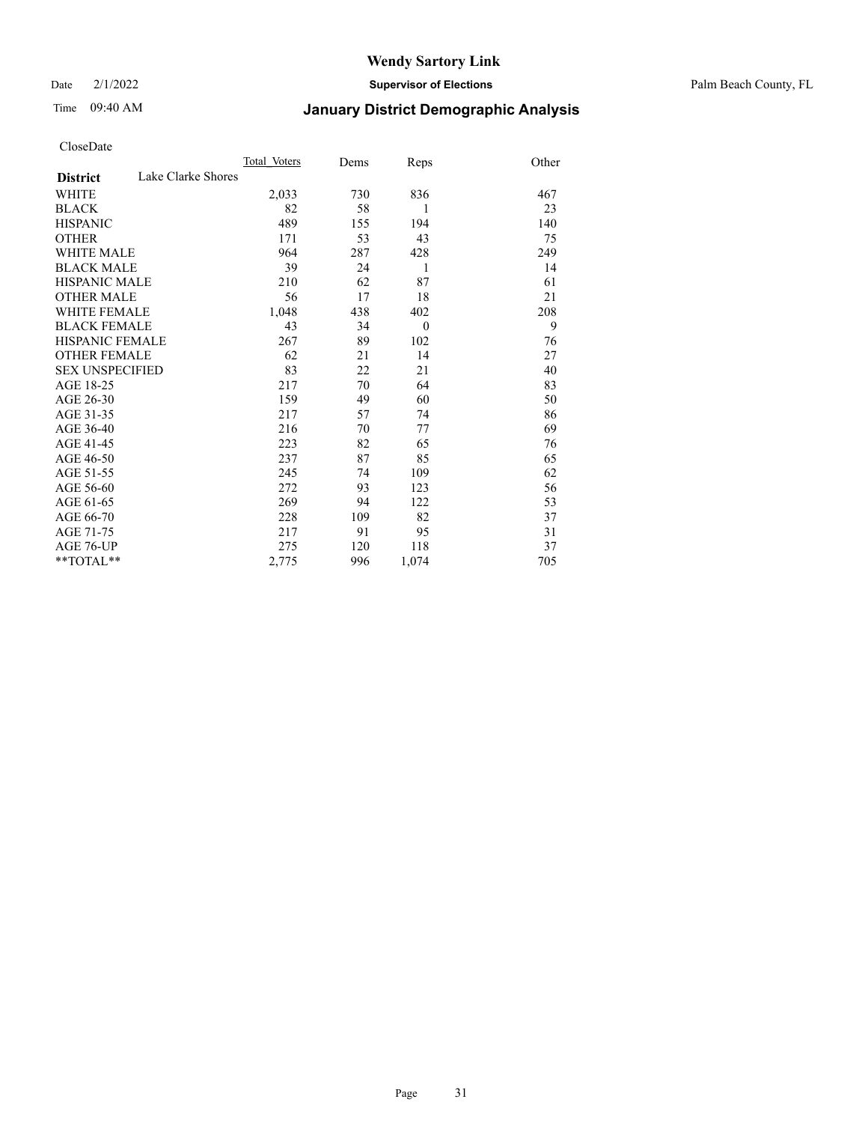Date 2/1/2022 **Supervisor of Elections** Palm Beach County, FL

## Time 09:40 AM **January District Demographic Analysis**

|                                       | Total Voters | Dems | Reps     | Other |
|---------------------------------------|--------------|------|----------|-------|
| Lake Clarke Shores<br><b>District</b> |              |      |          |       |
| WHITE                                 | 2,033        | 730  | 836      | 467   |
| <b>BLACK</b>                          | 82           | 58   | 1        | 23    |
| <b>HISPANIC</b>                       | 489          | 155  | 194      | 140   |
| <b>OTHER</b>                          | 171          | 53   | 43       | 75    |
| <b>WHITE MALE</b>                     | 964          | 287  | 428      | 249   |
| <b>BLACK MALE</b>                     | 39           | 24   | 1        | 14    |
| <b>HISPANIC MALE</b>                  | 210          | 62   | 87       | 61    |
| <b>OTHER MALE</b>                     | 56           | 17   | 18       | 21    |
| <b>WHITE FEMALE</b>                   | 1,048        | 438  | 402      | 208   |
| <b>BLACK FEMALE</b>                   | 43           | 34   | $\theta$ | 9     |
| HISPANIC FEMALE                       | 267          | 89   | 102      | 76    |
| <b>OTHER FEMALE</b>                   | 62           | 21   | 14       | 27    |
| <b>SEX UNSPECIFIED</b>                | 83           | 22   | 21       | 40    |
| AGE 18-25                             | 217          | 70   | 64       | 83    |
| AGE 26-30                             | 159          | 49   | 60       | 50    |
| AGE 31-35                             | 217          | 57   | 74       | 86    |
| AGE 36-40                             | 216          | 70   | 77       | 69    |
| AGE 41-45                             | 223          | 82   | 65       | 76    |
| AGE 46-50                             | 237          | 87   | 85       | 65    |
| AGE 51-55                             | 245          | 74   | 109      | 62    |
| AGE 56-60                             | 272          | 93   | 123      | 56    |
| AGE 61-65                             | 269          | 94   | 122      | 53    |
| AGE 66-70                             | 228          | 109  | 82       | 37    |
| AGE 71-75                             | 217          | 91   | 95       | 31    |
| AGE 76-UP                             | 275          | 120  | 118      | 37    |
| **TOTAL**                             | 2,775        | 996  | 1,074    | 705   |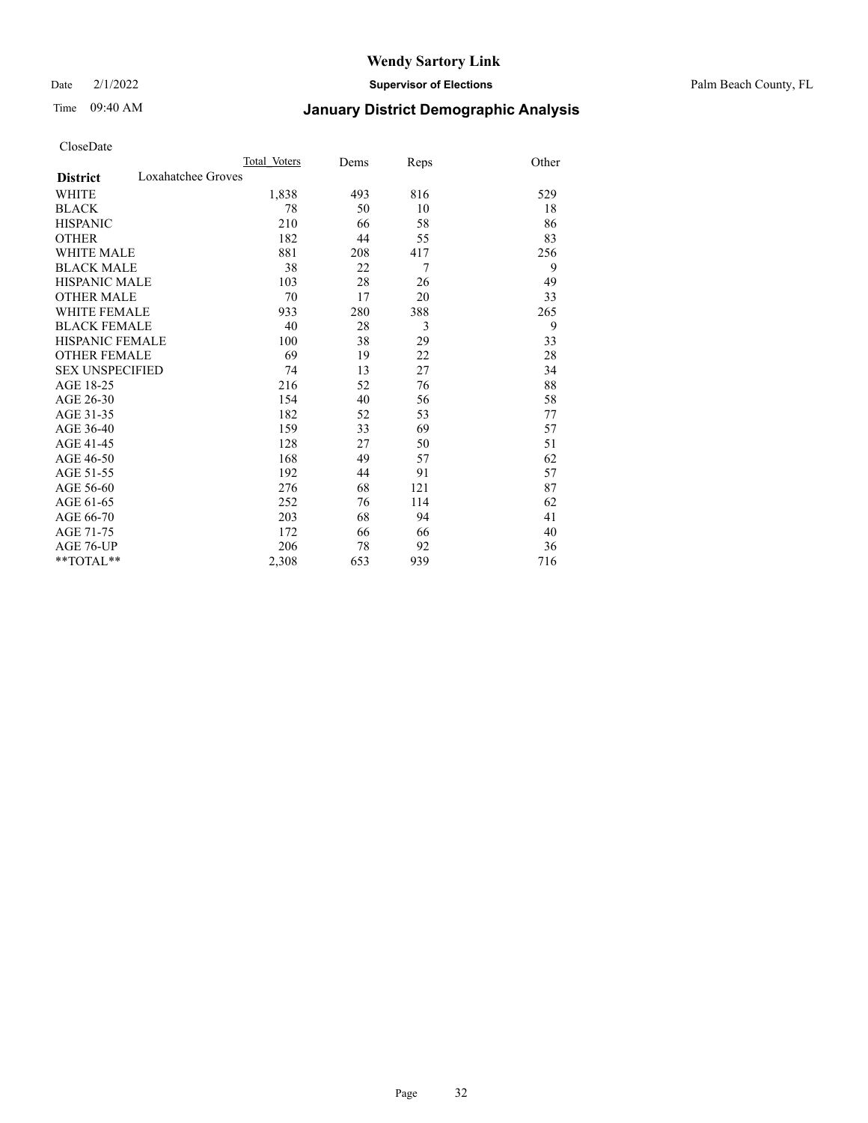Date 2/1/2022 **Supervisor of Elections** Palm Beach County, FL

## Time 09:40 AM **January District Demographic Analysis**

|                                       | Total Voters | Dems | Reps | Other |
|---------------------------------------|--------------|------|------|-------|
| Loxahatchee Groves<br><b>District</b> |              |      |      |       |
| WHITE                                 | 1,838        | 493  | 816  | 529   |
| <b>BLACK</b>                          | 78           | 50   | 10   | 18    |
| <b>HISPANIC</b>                       | 210          | 66   | 58   | 86    |
| <b>OTHER</b>                          | 182          | 44   | 55   | 83    |
| <b>WHITE MALE</b>                     | 881          | 208  | 417  | 256   |
| <b>BLACK MALE</b>                     | 38           | 22   | 7    | 9     |
| <b>HISPANIC MALE</b>                  | 103          | 28   | 26   | 49    |
| OTHER MALE                            | 70           | 17   | 20   | 33    |
| <b>WHITE FEMALE</b>                   | 933          | 280  | 388  | 265   |
| <b>BLACK FEMALE</b>                   | 40           | 28   | 3    | 9     |
| HISPANIC FEMALE                       | 100          | 38   | 29   | 33    |
| <b>OTHER FEMALE</b>                   | 69           | 19   | 22   | 28    |
| <b>SEX UNSPECIFIED</b>                | 74           | 13   | 27   | 34    |
| AGE 18-25                             | 216          | 52   | 76   | 88    |
| AGE 26-30                             | 154          | 40   | 56   | 58    |
| AGE 31-35                             | 182          | 52   | 53   | 77    |
| AGE 36-40                             | 159          | 33   | 69   | 57    |
| AGE 41-45                             | 128          | 27   | 50   | 51    |
| AGE 46-50                             | 168          | 49   | 57   | 62    |
| AGE 51-55                             | 192          | 44   | 91   | 57    |
| AGE 56-60                             | 276          | 68   | 121  | 87    |
| AGE 61-65                             | 252          | 76   | 114  | 62    |
| AGE 66-70                             | 203          | 68   | 94   | 41    |
| AGE 71-75                             | 172          | 66   | 66   | 40    |
| AGE 76-UP                             | 206          | 78   | 92   | 36    |
| $*$ $TOTAL**$                         | 2,308        | 653  | 939  | 716   |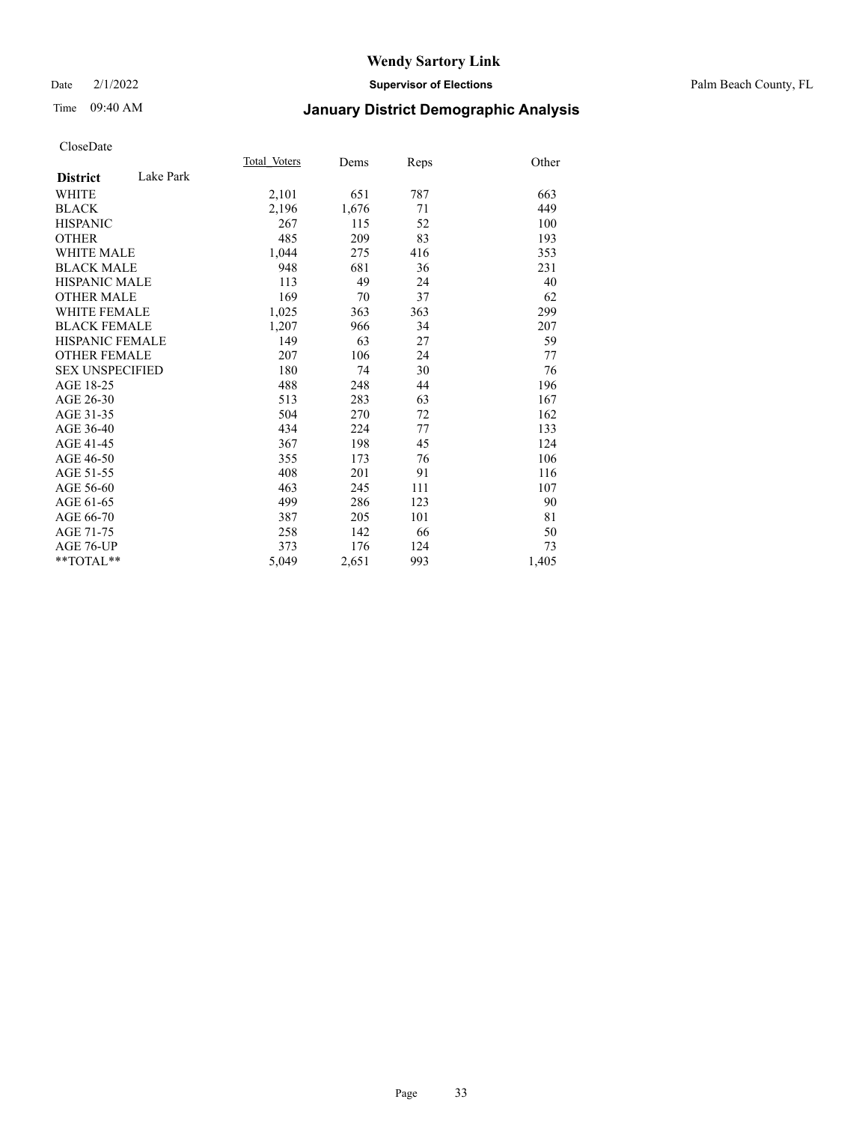#### Date 2/1/2022 **Supervisor of Elections** Palm Beach County, FL

## Time 09:40 AM **January District Demographic Analysis**

|                        |           | Total Voters | Dems  | <b>Reps</b> | Other |
|------------------------|-----------|--------------|-------|-------------|-------|
| <b>District</b>        | Lake Park |              |       |             |       |
| <b>WHITE</b>           |           | 2,101        | 651   | 787         | 663   |
| <b>BLACK</b>           |           | 2,196        | 1,676 | 71          | 449   |
| <b>HISPANIC</b>        |           | 267          | 115   | 52          | 100   |
| <b>OTHER</b>           |           | 485          | 209   | 83          | 193   |
| <b>WHITE MALE</b>      |           | 1,044        | 275   | 416         | 353   |
| <b>BLACK MALE</b>      |           | 948          | 681   | 36          | 231   |
| <b>HISPANIC MALE</b>   |           | 113          | 49    | 24          | 40    |
| <b>OTHER MALE</b>      |           | 169          | 70    | 37          | 62    |
| <b>WHITE FEMALE</b>    |           | 1,025        | 363   | 363         | 299   |
| <b>BLACK FEMALE</b>    |           | 1,207        | 966   | 34          | 207   |
| HISPANIC FEMALE        |           | 149          | 63    | 27          | 59    |
| <b>OTHER FEMALE</b>    |           | 207          | 106   | 24          | 77    |
| <b>SEX UNSPECIFIED</b> |           | 180          | 74    | 30          | 76    |
| AGE 18-25              |           | 488          | 248   | 44          | 196   |
| AGE 26-30              |           | 513          | 283   | 63          | 167   |
| AGE 31-35              |           | 504          | 270   | 72          | 162   |
| AGE 36-40              |           | 434          | 224   | 77          | 133   |
| AGE 41-45              |           | 367          | 198   | 45          | 124   |
| AGE 46-50              |           | 355          | 173   | 76          | 106   |
| AGE 51-55              |           | 408          | 201   | 91          | 116   |
| AGE 56-60              |           | 463          | 245   | 111         | 107   |
| AGE 61-65              |           | 499          | 286   | 123         | 90    |
| AGE 66-70              |           | 387          | 205   | 101         | 81    |
| AGE 71-75              |           | 258          | 142   | 66          | 50    |
| AGE 76-UP              |           | 373          | 176   | 124         | 73    |
| $*$ $TOTAL**$          |           | 5,049        | 2,651 | 993         | 1,405 |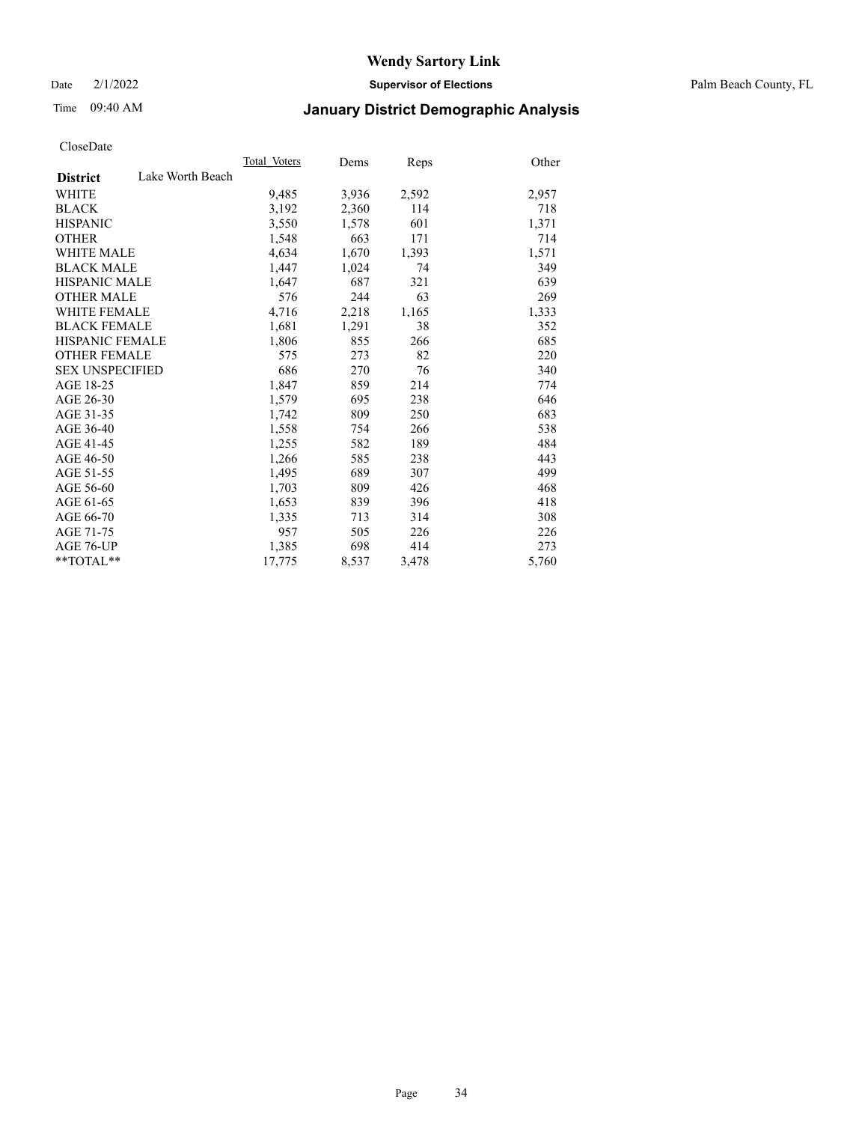Date 2/1/2022 **Supervisor of Elections** Palm Beach County, FL

## Time 09:40 AM **January District Demographic Analysis**

|                        |                  | Total Voters | Dems  | <b>Reps</b> | Other |
|------------------------|------------------|--------------|-------|-------------|-------|
| <b>District</b>        | Lake Worth Beach |              |       |             |       |
| WHITE                  |                  | 9,485        | 3,936 | 2,592       | 2,957 |
| <b>BLACK</b>           |                  | 3,192        | 2,360 | 114         | 718   |
| <b>HISPANIC</b>        |                  | 3,550        | 1,578 | 601         | 1,371 |
| <b>OTHER</b>           |                  | 1,548        | 663   | 171         | 714   |
| <b>WHITE MALE</b>      |                  | 4,634        | 1,670 | 1,393       | 1,571 |
| <b>BLACK MALE</b>      |                  | 1,447        | 1,024 | 74          | 349   |
| <b>HISPANIC MALE</b>   |                  | 1,647        | 687   | 321         | 639   |
| <b>OTHER MALE</b>      |                  | 576          | 244   | 63          | 269   |
| <b>WHITE FEMALE</b>    |                  | 4,716        | 2,218 | 1,165       | 1,333 |
| <b>BLACK FEMALE</b>    |                  | 1,681        | 1,291 | 38          | 352   |
| <b>HISPANIC FEMALE</b> |                  | 1,806        | 855   | 266         | 685   |
| <b>OTHER FEMALE</b>    |                  | 575          | 273   | 82          | 220   |
| <b>SEX UNSPECIFIED</b> |                  | 686          | 270   | 76          | 340   |
| AGE 18-25              |                  | 1,847        | 859   | 214         | 774   |
| AGE 26-30              |                  | 1,579        | 695   | 238         | 646   |
| AGE 31-35              |                  | 1,742        | 809   | 250         | 683   |
| AGE 36-40              |                  | 1,558        | 754   | 266         | 538   |
| AGE 41-45              |                  | 1,255        | 582   | 189         | 484   |
| AGE 46-50              |                  | 1,266        | 585   | 238         | 443   |
| AGE 51-55              |                  | 1,495        | 689   | 307         | 499   |
| AGE 56-60              |                  | 1,703        | 809   | 426         | 468   |
| AGE 61-65              |                  | 1,653        | 839   | 396         | 418   |
| AGE 66-70              |                  | 1,335        | 713   | 314         | 308   |
| AGE 71-75              |                  | 957          | 505   | 226         | 226   |
| AGE 76-UP              |                  | 1,385        | 698   | 414         | 273   |
| $*$ $TOTAL**$          |                  | 17,775       | 8,537 | 3,478       | 5,760 |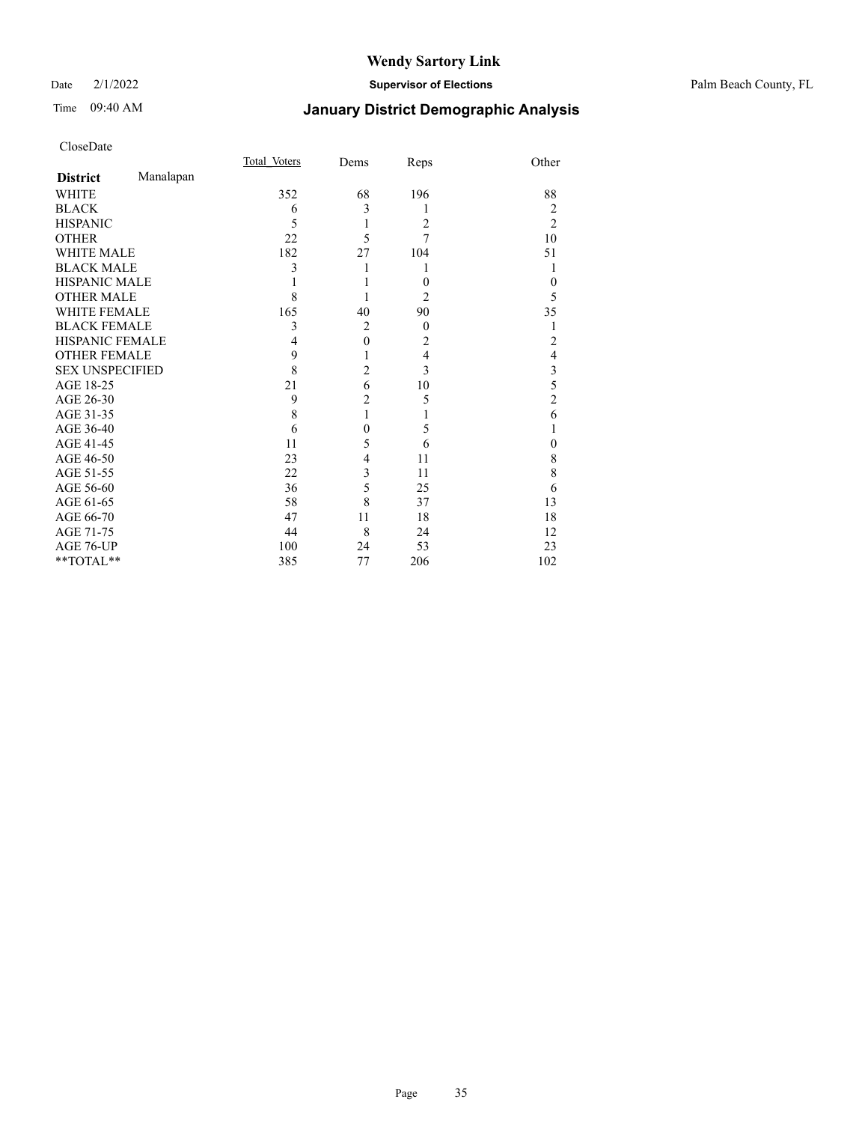#### Date 2/1/2022 **Supervisor of Elections** Palm Beach County, FL

## Time 09:40 AM **January District Demographic Analysis**

|                        |           | Total Voters | Dems           | Reps           | Other          |
|------------------------|-----------|--------------|----------------|----------------|----------------|
| <b>District</b>        | Manalapan |              |                |                |                |
| WHITE                  |           | 352          | 68             | 196            | 88             |
| <b>BLACK</b>           |           | 6            | 3              | 1              | 2              |
| <b>HISPANIC</b>        |           | 5            | 1              | $\overline{2}$ | $\overline{2}$ |
| <b>OTHER</b>           |           | 22           | 5              | 7              | 10             |
| <b>WHITE MALE</b>      |           | 182          | 27             | 104            | 51             |
| <b>BLACK MALE</b>      |           | 3            |                | 1              | 1              |
| <b>HISPANIC MALE</b>   |           |              |                | $\theta$       | 0              |
| <b>OTHER MALE</b>      |           | 8            |                | 2              | 5              |
| <b>WHITE FEMALE</b>    |           | 165          | 40             | 90             | 35             |
| <b>BLACK FEMALE</b>    |           | 3            | $\overline{2}$ | $\theta$       |                |
| HISPANIC FEMALE        |           | 4            | $\mathbf{0}$   | 2              | $\overline{2}$ |
| <b>OTHER FEMALE</b>    |           | 9            |                | $\overline{4}$ | 4              |
| <b>SEX UNSPECIFIED</b> |           | 8            | $\overline{2}$ | 3              | 3              |
| AGE 18-25              |           | 21           | 6              | 10             | 5              |
| AGE 26-30              |           | 9            | $\overline{c}$ | 5              | $\overline{2}$ |
| AGE 31-35              |           | 8            | 1              | 1              | 6              |
| AGE 36-40              |           | 6            | $\theta$       | 5              |                |
| AGE 41-45              |           | 11           | 5              | 6              | 0              |
| AGE 46-50              |           | 23           | 4              | 11             | 8              |
| AGE 51-55              |           | 22           | 3              | 11             | 8              |
| AGE 56-60              |           | 36           | 5              | 25             | 6              |
| AGE 61-65              |           | 58           | 8              | 37             | 13             |
| AGE 66-70              |           | 47           | 11             | 18             | 18             |
| AGE 71-75              |           | 44           | 8              | 24             | 12             |
| AGE 76-UP              |           | 100          | 24             | 53             | 23             |
| **TOTAL**              |           | 385          | 77             | 206            | 102            |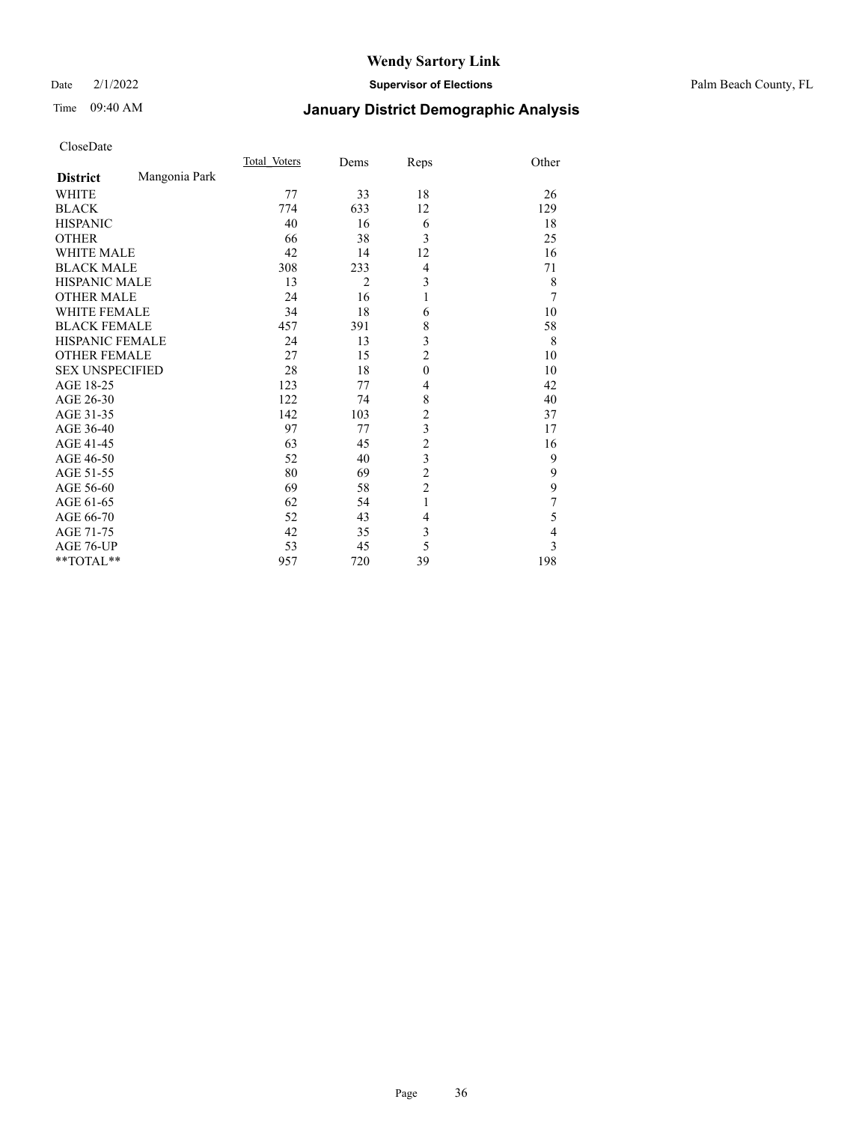Date 2/1/2022 **Supervisor of Elections** Palm Beach County, FL

## Time 09:40 AM **January District Demographic Analysis**

|                        |               | Total Voters | Dems           | Reps                    | Other          |
|------------------------|---------------|--------------|----------------|-------------------------|----------------|
| <b>District</b>        | Mangonia Park |              |                |                         |                |
| WHITE                  |               | 77           | 33             | 18                      | 26             |
| <b>BLACK</b>           |               | 774          | 633            | 12                      | 129            |
| <b>HISPANIC</b>        |               | 40           | 16             | 6                       | 18             |
| <b>OTHER</b>           |               | 66           | 38             | 3                       | 25             |
| <b>WHITE MALE</b>      |               | 42           | 14             | 12                      | 16             |
| <b>BLACK MALE</b>      |               | 308          | 233            | $\overline{4}$          | 71             |
| <b>HISPANIC MALE</b>   |               | 13           | $\overline{2}$ | $\mathfrak{Z}$          | 8              |
| <b>OTHER MALE</b>      |               | 24           | 16             | 1                       | 7              |
| WHITE FEMALE           |               | 34           | 18             | 6                       | 10             |
| <b>BLACK FEMALE</b>    |               | 457          | 391            | 8                       | 58             |
| <b>HISPANIC FEMALE</b> |               | 24           | 13             | 3                       | 8              |
| <b>OTHER FEMALE</b>    |               | 27           | 15             | $\overline{c}$          | 10             |
| <b>SEX UNSPECIFIED</b> |               | 28           | 18             | $\mathbf{0}$            | 10             |
| AGE 18-25              |               | 123          | 77             | 4                       | 42             |
| AGE 26-30              |               | 122          | 74             | 8                       | 40             |
| AGE 31-35              |               | 142          | 103            | $\overline{\mathbf{c}}$ | 37             |
| AGE 36-40              |               | 97           | 77             | $\mathfrak{Z}$          | 17             |
| AGE 41-45              |               | 63           | 45             | $\overline{c}$          | 16             |
| AGE 46-50              |               | 52           | 40             | 3                       | 9              |
| AGE 51-55              |               | 80           | 69             | $\overline{c}$          | 9              |
| AGE 56-60              |               | 69           | 58             | $\overline{c}$          | 9              |
| AGE 61-65              |               | 62           | 54             | 1                       | $\overline{7}$ |
| AGE 66-70              |               | 52           | 43             | 4                       | 5              |
| AGE 71-75              |               | 42           | 35             | 3                       | $\overline{4}$ |
| AGE 76-UP              |               | 53           | 45             | 5                       | $\overline{3}$ |
| **TOTAL**              |               | 957          | 720            | 39                      | 198            |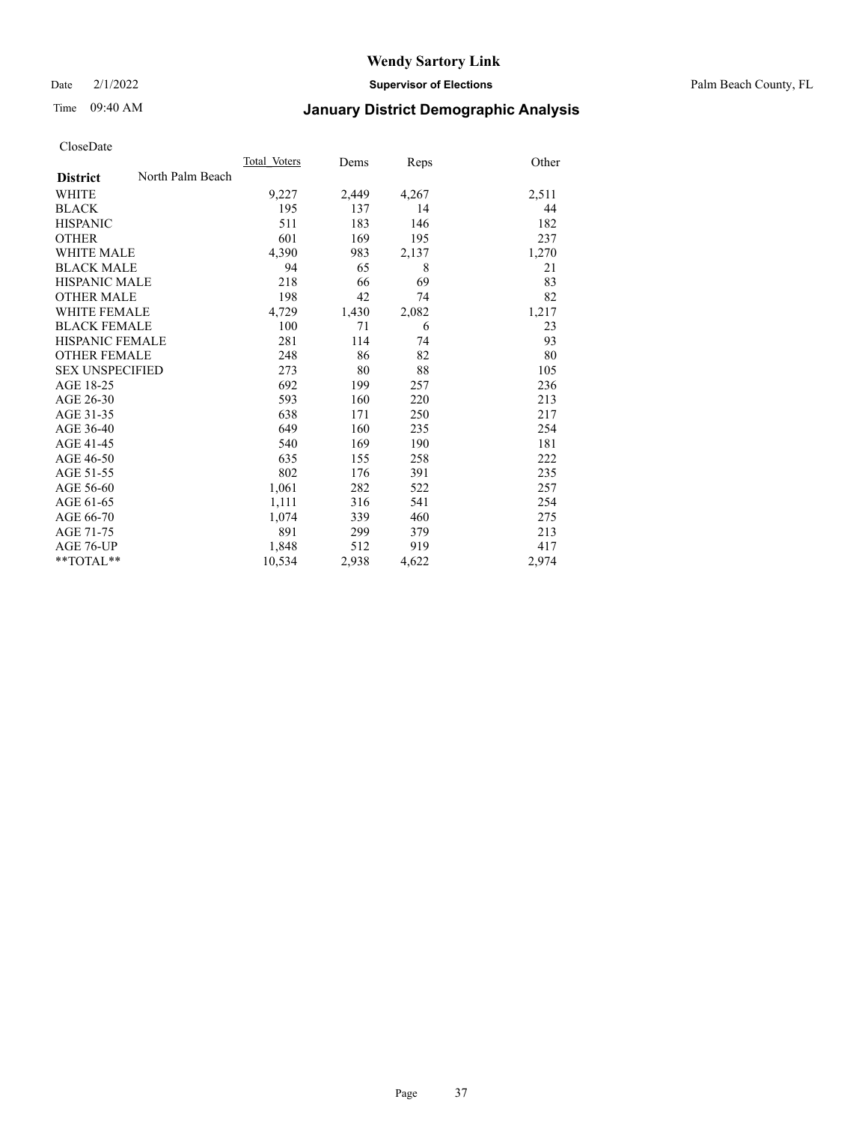Date 2/1/2022 **Supervisor of Elections** Palm Beach County, FL

## Time 09:40 AM **January District Demographic Analysis**

|                        |                  | Total Voters | Dems  | Reps  | Other |
|------------------------|------------------|--------------|-------|-------|-------|
| <b>District</b>        | North Palm Beach |              |       |       |       |
| <b>WHITE</b>           |                  | 9,227        | 2,449 | 4,267 | 2,511 |
| <b>BLACK</b>           |                  | 195          | 137   | 14    | 44    |
| <b>HISPANIC</b>        |                  | 511          | 183   | 146   | 182   |
| OTHER                  |                  | 601          | 169   | 195   | 237   |
| <b>WHITE MALE</b>      |                  | 4,390        | 983   | 2,137 | 1,270 |
| <b>BLACK MALE</b>      |                  | 94           | 65    | 8     | 21    |
| <b>HISPANIC MALE</b>   |                  | 218          | 66    | 69    | 83    |
| <b>OTHER MALE</b>      |                  | 198          | 42    | 74    | 82    |
| <b>WHITE FEMALE</b>    |                  | 4,729        | 1,430 | 2,082 | 1,217 |
| <b>BLACK FEMALE</b>    |                  | 100          | 71    | 6     | 23    |
| HISPANIC FEMALE        |                  | 281          | 114   | 74    | 93    |
| <b>OTHER FEMALE</b>    |                  | 248          | 86    | 82    | 80    |
| <b>SEX UNSPECIFIED</b> |                  | 273          | 80    | 88    | 105   |
| AGE 18-25              |                  | 692          | 199   | 257   | 236   |
| AGE 26-30              |                  | 593          | 160   | 220   | 213   |
| AGE 31-35              |                  | 638          | 171   | 250   | 217   |
| AGE 36-40              |                  | 649          | 160   | 235   | 254   |
| AGE 41-45              |                  | 540          | 169   | 190   | 181   |
| AGE 46-50              |                  | 635          | 155   | 258   | 222   |
| AGE 51-55              |                  | 802          | 176   | 391   | 235   |
| AGE 56-60              |                  | 1,061        | 282   | 522   | 257   |
| AGE 61-65              |                  | 1,111        | 316   | 541   | 254   |
| AGE 66-70              |                  | 1,074        | 339   | 460   | 275   |
| AGE 71-75              |                  | 891          | 299   | 379   | 213   |
| AGE 76-UP              |                  | 1,848        | 512   | 919   | 417   |
| $*$ $TOTAL**$          |                  | 10,534       | 2,938 | 4,622 | 2,974 |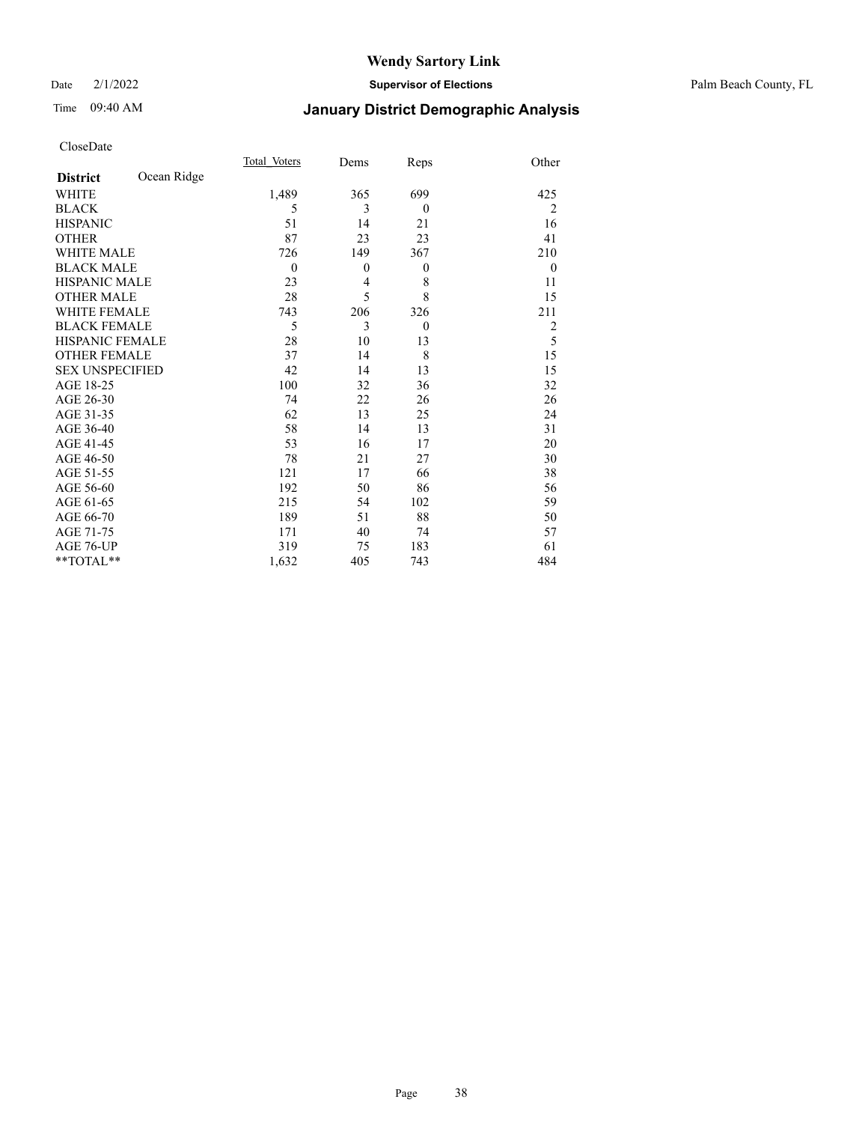Date 2/1/2022 **Supervisor of Elections** Palm Beach County, FL

## Time 09:40 AM **January District Demographic Analysis**

|                        |             | Total Voters | Dems     | Reps     | Other          |
|------------------------|-------------|--------------|----------|----------|----------------|
| <b>District</b>        | Ocean Ridge |              |          |          |                |
| WHITE                  |             | 1,489        | 365      | 699      | 425            |
| <b>BLACK</b>           |             | 5            | 3        | $\theta$ | $\overline{2}$ |
| <b>HISPANIC</b>        |             | 51           | 14       | 21       | 16             |
| <b>OTHER</b>           |             | 87           | 23       | 23       | 41             |
| <b>WHITE MALE</b>      |             | 726          | 149      | 367      | 210            |
| <b>BLACK MALE</b>      |             | $\mathbf{0}$ | $\theta$ | $\theta$ | $\theta$       |
| <b>HISPANIC MALE</b>   |             | 23           | 4        | 8        | 11             |
| <b>OTHER MALE</b>      |             | 28           | 5        | 8        | 15             |
| <b>WHITE FEMALE</b>    |             | 743          | 206      | 326      | 211            |
| <b>BLACK FEMALE</b>    |             | 5            | 3        | $\theta$ | 2              |
| <b>HISPANIC FEMALE</b> |             | 28           | 10       | 13       | 5              |
| <b>OTHER FEMALE</b>    |             | 37           | 14       | 8        | 15             |
| <b>SEX UNSPECIFIED</b> |             | 42           | 14       | 13       | 15             |
| AGE 18-25              |             | 100          | 32       | 36       | 32             |
| AGE 26-30              |             | 74           | 22       | 26       | 26             |
| AGE 31-35              |             | 62           | 13       | 25       | 24             |
| AGE 36-40              |             | 58           | 14       | 13       | 31             |
| AGE 41-45              |             | 53           | 16       | 17       | 20             |
| AGE 46-50              |             | 78           | 21       | 27       | 30             |
| AGE 51-55              |             | 121          | 17       | 66       | 38             |
| AGE 56-60              |             | 192          | 50       | 86       | 56             |
| AGE 61-65              |             | 215          | 54       | 102      | 59             |
| AGE 66-70              |             | 189          | 51       | 88       | 50             |
| AGE 71-75              |             | 171          | 40       | 74       | 57             |
| AGE 76-UP              |             | 319          | 75       | 183      | 61             |
| **TOTAL**              |             | 1,632        | 405      | 743      | 484            |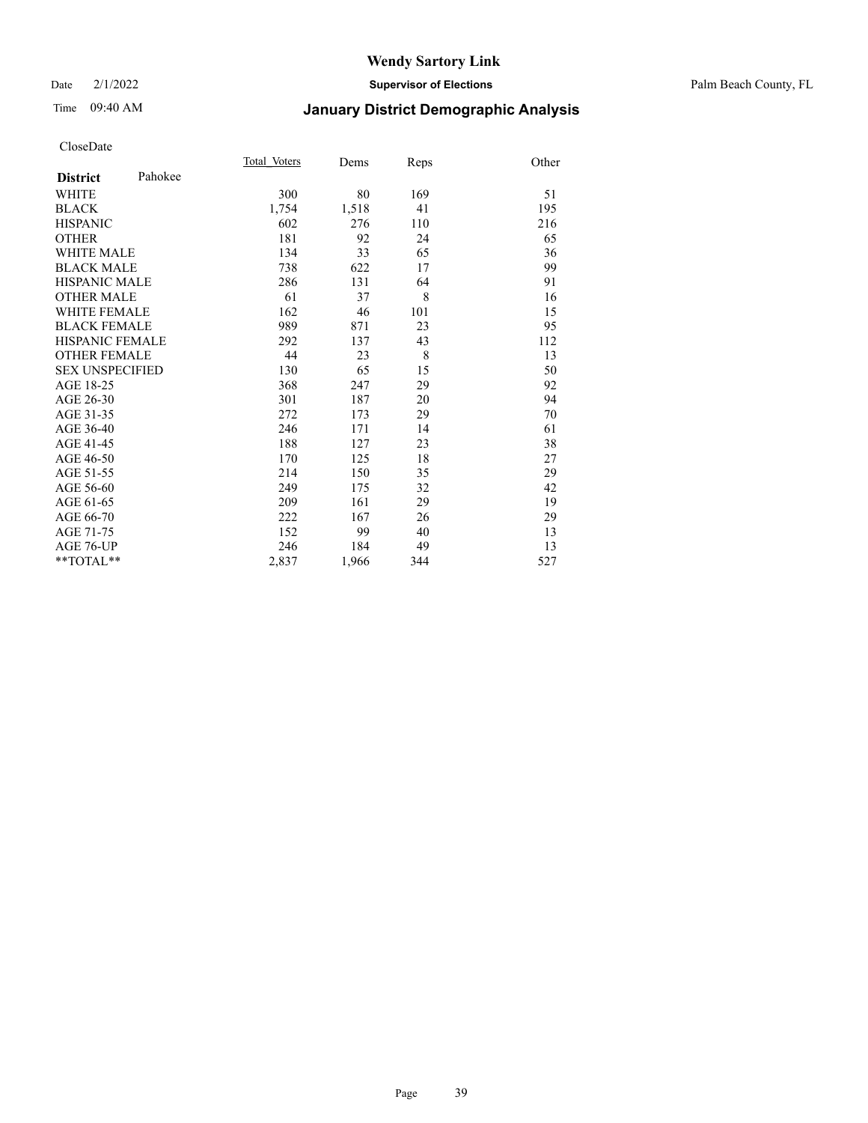#### Date 2/1/2022 **Supervisor of Elections** Palm Beach County, FL

## Time 09:40 AM **January District Demographic Analysis**

|                        |         | Total Voters | Dems  | Reps | Other |
|------------------------|---------|--------------|-------|------|-------|
| <b>District</b>        | Pahokee |              |       |      |       |
| <b>WHITE</b>           |         | 300          | 80    | 169  | 51    |
| <b>BLACK</b>           |         | 1,754        | 1,518 | 41   | 195   |
| <b>HISPANIC</b>        |         | 602          | 276   | 110  | 216   |
| <b>OTHER</b>           |         | 181          | 92    | 24   | 65    |
| <b>WHITE MALE</b>      |         | 134          | 33    | 65   | 36    |
| <b>BLACK MALE</b>      |         | 738          | 622   | 17   | 99    |
| <b>HISPANIC MALE</b>   |         | 286          | 131   | 64   | 91    |
| <b>OTHER MALE</b>      |         | 61           | 37    | 8    | 16    |
| <b>WHITE FEMALE</b>    |         | 162          | 46    | 101  | 15    |
| <b>BLACK FEMALE</b>    |         | 989          | 871   | 23   | 95    |
| <b>HISPANIC FEMALE</b> |         | 292          | 137   | 43   | 112   |
| <b>OTHER FEMALE</b>    |         | 44           | 23    | 8    | 13    |
| <b>SEX UNSPECIFIED</b> |         | 130          | 65    | 15   | 50    |
| AGE 18-25              |         | 368          | 247   | 29   | 92    |
| AGE 26-30              |         | 301          | 187   | 20   | 94    |
| AGE 31-35              |         | 272          | 173   | 29   | 70    |
| AGE 36-40              |         | 246          | 171   | 14   | 61    |
| AGE 41-45              |         | 188          | 127   | 23   | 38    |
| AGE 46-50              |         | 170          | 125   | 18   | 27    |
| AGE 51-55              |         | 214          | 150   | 35   | 29    |
| AGE 56-60              |         | 249          | 175   | 32   | 42    |
| AGE 61-65              |         | 209          | 161   | 29   | 19    |
| AGE 66-70              |         | 222          | 167   | 26   | 29    |
| AGE 71-75              |         | 152          | 99    | 40   | 13    |
| AGE 76-UP              |         | 246          | 184   | 49   | 13    |
| $*$ $TOTAL**$          |         | 2,837        | 1,966 | 344  | 527   |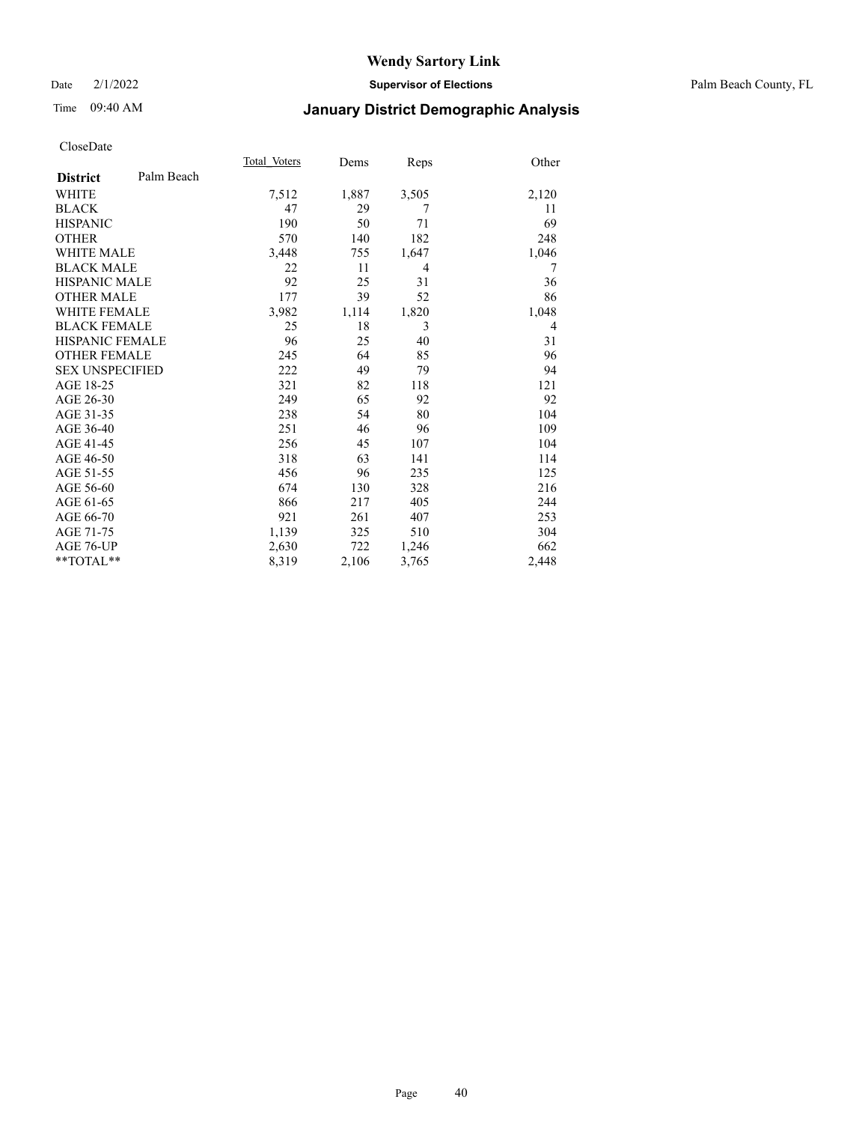Date 2/1/2022 **Supervisor of Elections** Palm Beach County, FL

## Time 09:40 AM **January District Demographic Analysis**

|                        |            | Total Voters | Dems  | Reps  | Other |
|------------------------|------------|--------------|-------|-------|-------|
| <b>District</b>        | Palm Beach |              |       |       |       |
| <b>WHITE</b>           |            | 7,512        | 1,887 | 3,505 | 2,120 |
| <b>BLACK</b>           |            | 47           | 29    | 7     | 11    |
| <b>HISPANIC</b>        |            | 190          | 50    | 71    | 69    |
| <b>OTHER</b>           |            | 570          | 140   | 182   | 248   |
| <b>WHITE MALE</b>      |            | 3,448        | 755   | 1,647 | 1,046 |
| <b>BLACK MALE</b>      |            | 22           | 11    | 4     | 7     |
| <b>HISPANIC MALE</b>   |            | 92           | 25    | 31    | 36    |
| <b>OTHER MALE</b>      |            | 177          | 39    | 52    | 86    |
| <b>WHITE FEMALE</b>    |            | 3,982        | 1,114 | 1,820 | 1,048 |
| <b>BLACK FEMALE</b>    |            | 25           | 18    | 3     | 4     |
| <b>HISPANIC FEMALE</b> |            | 96           | 25    | 40    | 31    |
| <b>OTHER FEMALE</b>    |            | 245          | 64    | 85    | 96    |
| <b>SEX UNSPECIFIED</b> |            | 222          | 49    | 79    | 94    |
| AGE 18-25              |            | 321          | 82    | 118   | 121   |
| AGE 26-30              |            | 249          | 65    | 92    | 92    |
| AGE 31-35              |            | 238          | 54    | 80    | 104   |
| AGE 36-40              |            | 251          | 46    | 96    | 109   |
| AGE 41-45              |            | 256          | 45    | 107   | 104   |
| AGE 46-50              |            | 318          | 63    | 141   | 114   |
| AGE 51-55              |            | 456          | 96    | 235   | 125   |
| AGE 56-60              |            | 674          | 130   | 328   | 216   |
| AGE 61-65              |            | 866          | 217   | 405   | 244   |
| AGE 66-70              |            | 921          | 261   | 407   | 253   |
| AGE 71-75              |            | 1,139        | 325   | 510   | 304   |
| AGE 76-UP              |            | 2,630        | 722   | 1,246 | 662   |
| $*$ $TOTAL**$          |            | 8,319        | 2,106 | 3,765 | 2,448 |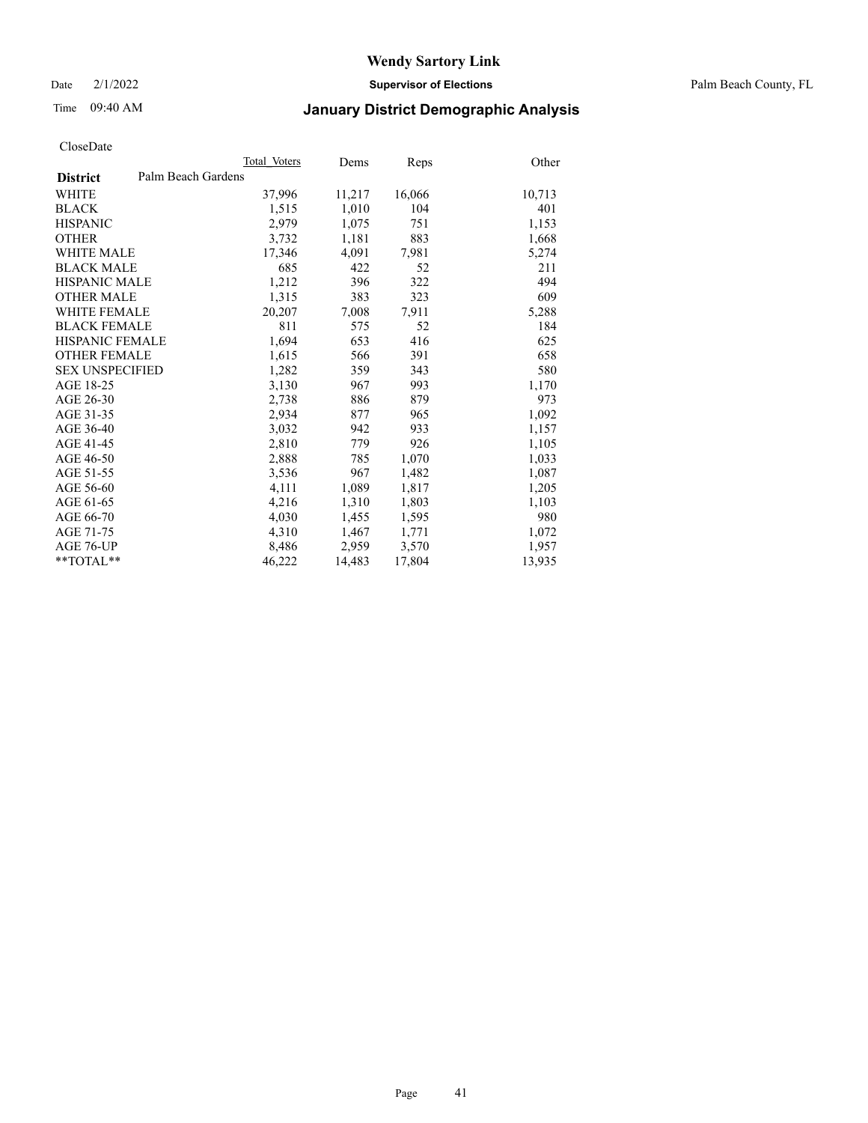Date 2/1/2022 **Supervisor of Elections** Palm Beach County, FL

## Time 09:40 AM **January District Demographic Analysis**

|                        | Total Voters       | Dems   | <b>Reps</b> | Other  |
|------------------------|--------------------|--------|-------------|--------|
| <b>District</b>        | Palm Beach Gardens |        |             |        |
| <b>WHITE</b>           | 37,996             | 11,217 | 16,066      | 10,713 |
| <b>BLACK</b>           | 1,515              | 1,010  | 104         | 401    |
| <b>HISPANIC</b>        | 2,979              | 1,075  | 751         | 1,153  |
| <b>OTHER</b>           | 3,732              | 1,181  | 883         | 1,668  |
| <b>WHITE MALE</b>      | 17,346             | 4,091  | 7,981       | 5,274  |
| <b>BLACK MALE</b>      | 685                | 422    | 52          | 211    |
| <b>HISPANIC MALE</b>   | 1,212              | 396    | 322         | 494    |
| <b>OTHER MALE</b>      | 1,315              | 383    | 323         | 609    |
| WHITE FEMALE           | 20,207             | 7,008  | 7,911       | 5,288  |
| <b>BLACK FEMALE</b>    | 811                | 575    | 52          | 184    |
| HISPANIC FEMALE        | 1,694              | 653    | 416         | 625    |
| <b>OTHER FEMALE</b>    | 1,615              | 566    | 391         | 658    |
| <b>SEX UNSPECIFIED</b> | 1,282              | 359    | 343         | 580    |
| AGE 18-25              | 3,130              | 967    | 993         | 1,170  |
| AGE 26-30              | 2,738              | 886    | 879         | 973    |
| AGE 31-35              | 2,934              | 877    | 965         | 1,092  |
| AGE 36-40              | 3,032              | 942    | 933         | 1,157  |
| AGE 41-45              | 2,810              | 779    | 926         | 1,105  |
| AGE 46-50              | 2,888              | 785    | 1,070       | 1,033  |
| AGE 51-55              | 3,536              | 967    | 1,482       | 1,087  |
| AGE 56-60              | 4,111              | 1,089  | 1,817       | 1,205  |
| AGE 61-65              | 4,216              | 1,310  | 1,803       | 1,103  |
| AGE 66-70              | 4,030              | 1,455  | 1,595       | 980    |
| AGE 71-75              | 4,310              | 1,467  | 1,771       | 1,072  |
| AGE 76-UP              | 8,486              | 2,959  | 3,570       | 1,957  |
| $*$ $TOTAL**$          | 46,222             | 14,483 | 17,804      | 13,935 |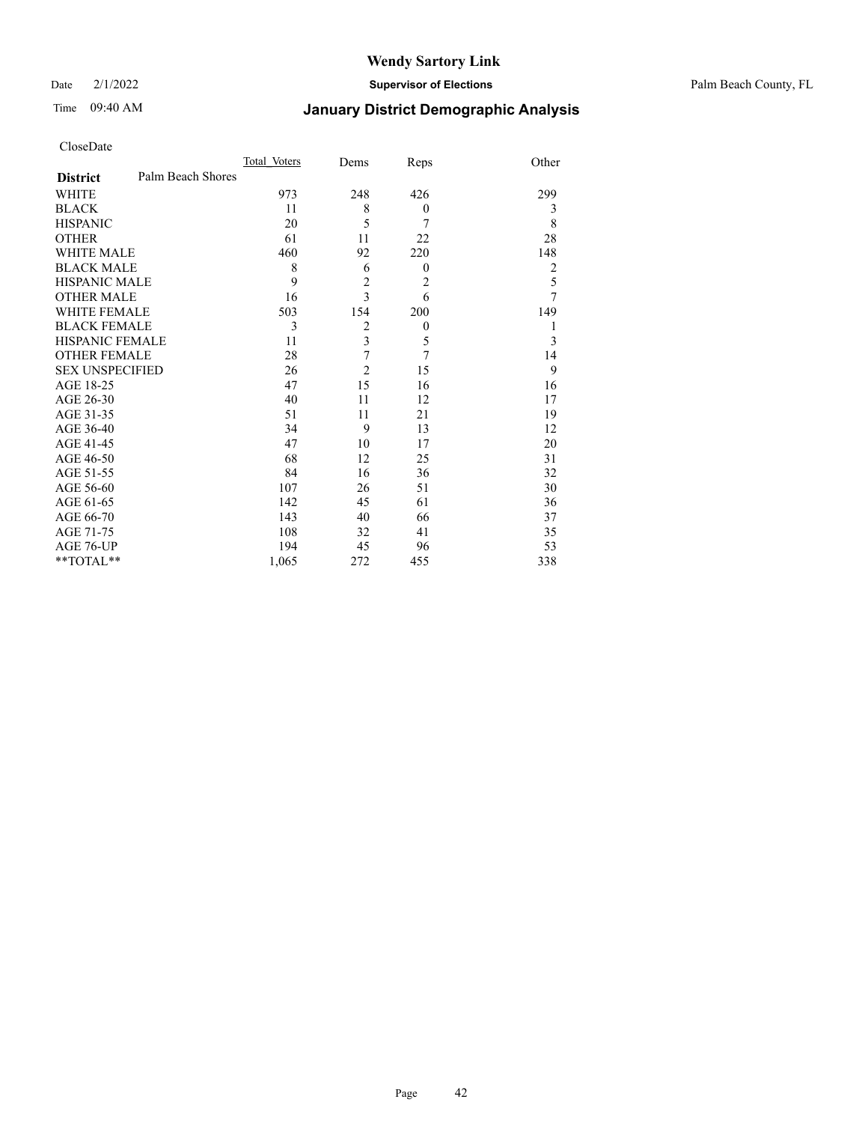Date 2/1/2022 **Supervisor of Elections** Palm Beach County, FL

## Time 09:40 AM **January District Demographic Analysis**

|                                      | Total Voters | Dems                    | Reps             | Other          |
|--------------------------------------|--------------|-------------------------|------------------|----------------|
| Palm Beach Shores<br><b>District</b> |              |                         |                  |                |
| <b>WHITE</b>                         | 973          | 248                     | 426              | 299            |
| <b>BLACK</b>                         | 11           | 8                       | $\boldsymbol{0}$ | 3              |
| <b>HISPANIC</b>                      | 20           | 5                       | 7                | 8              |
| <b>OTHER</b>                         | 61           | 11                      | 22               | 28             |
| WHITE MALE                           | 460          | 92                      | 220              | 148            |
| <b>BLACK MALE</b>                    | 8            | 6                       | $\mathbf{0}$     | $\overline{2}$ |
| <b>HISPANIC MALE</b>                 | 9            | $\overline{c}$          | $\overline{2}$   | 5              |
| <b>OTHER MALE</b>                    | 16           | 3                       | 6                | 7              |
| WHITE FEMALE                         | 503          | 154                     | 200              | 149            |
| <b>BLACK FEMALE</b>                  | 3            | 2                       | 0                | 1              |
| <b>HISPANIC FEMALE</b>               | 11           | $\overline{\mathbf{3}}$ | 5                | 3              |
| <b>OTHER FEMALE</b>                  | 28           | 7                       | $\overline{7}$   | 14             |
| <b>SEX UNSPECIFIED</b>               | 26           | $\overline{2}$          | 15               | 9              |
| AGE 18-25                            | 47           | 15                      | 16               | 16             |
| AGE 26-30                            | 40           | 11                      | 12               | 17             |
| AGE 31-35                            | 51           | 11                      | 21               | 19             |
| AGE 36-40                            | 34           | 9                       | 13               | 12             |
| AGE 41-45                            | 47           | 10                      | 17               | 20             |
| AGE 46-50                            | 68           | 12                      | 25               | 31             |
| AGE 51-55                            | 84           | 16                      | 36               | 32             |
| AGE 56-60                            | 107          | 26                      | 51               | 30             |
| AGE 61-65                            | 142          | 45                      | 61               | 36             |
| AGE 66-70                            | 143          | 40                      | 66               | 37             |
| AGE 71-75                            | 108          | 32                      | 41               | 35             |
| AGE 76-UP                            | 194          | 45                      | 96               | 53             |
| **TOTAL**                            | 1,065        | 272                     | 455              | 338            |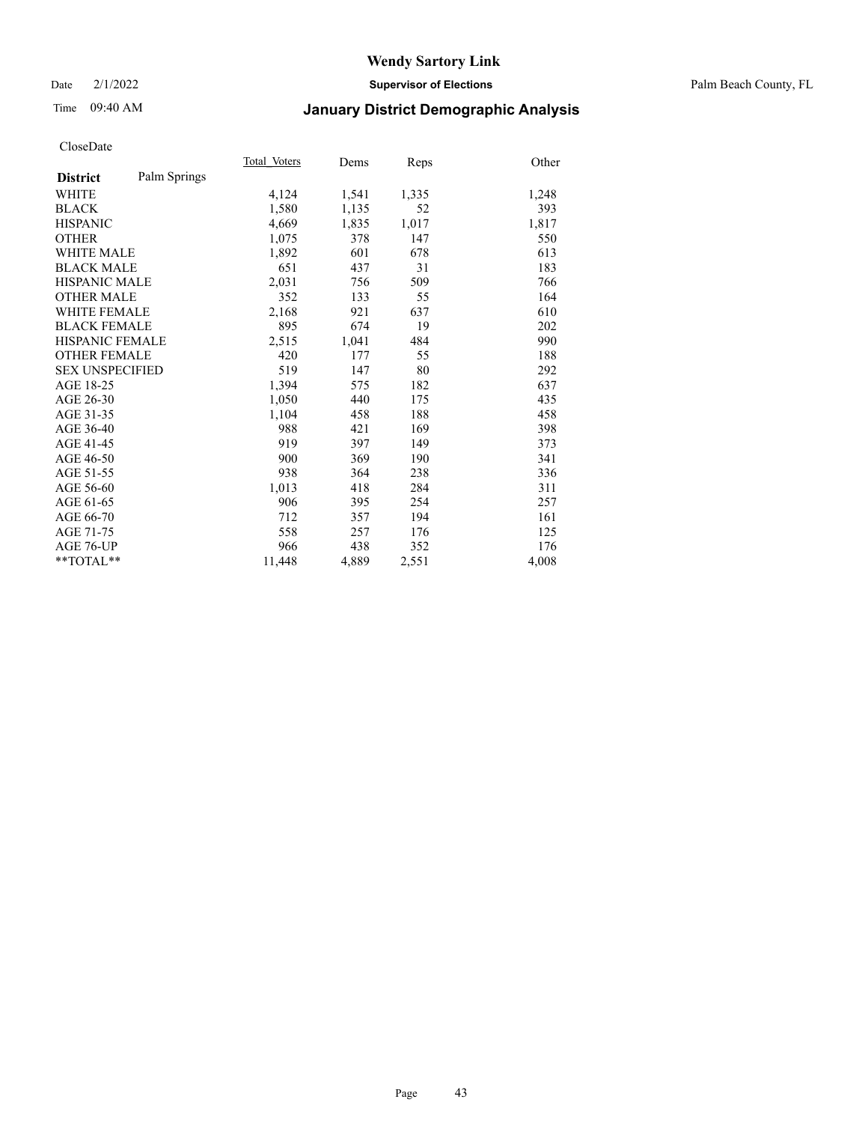## Time 09:40 AM **January District Demographic Analysis**

|                        |              | Total Voters | Dems  | Reps  | Other |
|------------------------|--------------|--------------|-------|-------|-------|
| <b>District</b>        | Palm Springs |              |       |       |       |
| WHITE                  |              | 4,124        | 1,541 | 1,335 | 1,248 |
| <b>BLACK</b>           |              | 1,580        | 1,135 | 52    | 393   |
| <b>HISPANIC</b>        |              | 4,669        | 1,835 | 1,017 | 1,817 |
| <b>OTHER</b>           |              | 1,075        | 378   | 147   | 550   |
| <b>WHITE MALE</b>      |              | 1,892        | 601   | 678   | 613   |
| <b>BLACK MALE</b>      |              | 651          | 437   | 31    | 183   |
| <b>HISPANIC MALE</b>   |              | 2,031        | 756   | 509   | 766   |
| <b>OTHER MALE</b>      |              | 352          | 133   | 55    | 164   |
| <b>WHITE FEMALE</b>    |              | 2,168        | 921   | 637   | 610   |
| <b>BLACK FEMALE</b>    |              | 895          | 674   | 19    | 202   |
| <b>HISPANIC FEMALE</b> |              | 2,515        | 1,041 | 484   | 990   |
| <b>OTHER FEMALE</b>    |              | 420          | 177   | 55    | 188   |
| <b>SEX UNSPECIFIED</b> |              | 519          | 147   | 80    | 292   |
| AGE 18-25              |              | 1,394        | 575   | 182   | 637   |
| AGE 26-30              |              | 1,050        | 440   | 175   | 435   |
| AGE 31-35              |              | 1,104        | 458   | 188   | 458   |
| AGE 36-40              |              | 988          | 421   | 169   | 398   |
| AGE 41-45              |              | 919          | 397   | 149   | 373   |
| AGE 46-50              |              | 900          | 369   | 190   | 341   |
| AGE 51-55              |              | 938          | 364   | 238   | 336   |
| AGE 56-60              |              | 1,013        | 418   | 284   | 311   |
| AGE 61-65              |              | 906          | 395   | 254   | 257   |
| AGE 66-70              |              | 712          | 357   | 194   | 161   |
| AGE 71-75              |              | 558          | 257   | 176   | 125   |
| AGE 76-UP              |              | 966          | 438   | 352   | 176   |
| $*$ $TOTAL**$          |              | 11,448       | 4,889 | 2,551 | 4,008 |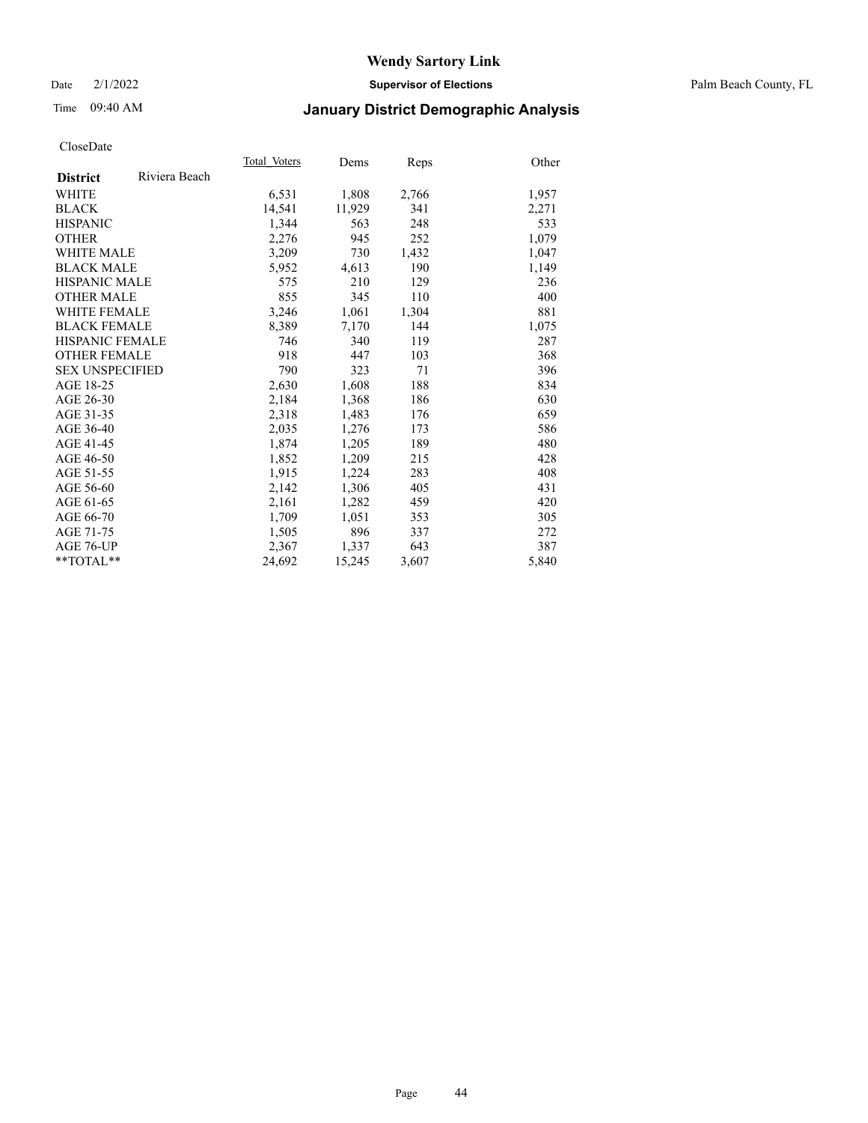Date 2/1/2022 **Supervisor of Elections** Palm Beach County, FL

## Time 09:40 AM **January District Demographic Analysis**

|                        |               | Total Voters | Dems   | Reps  | Other |
|------------------------|---------------|--------------|--------|-------|-------|
| <b>District</b>        | Riviera Beach |              |        |       |       |
| WHITE                  |               | 6,531        | 1,808  | 2,766 | 1,957 |
| <b>BLACK</b>           |               | 14,541       | 11,929 | 341   | 2,271 |
| <b>HISPANIC</b>        |               | 1,344        | 563    | 248   | 533   |
| <b>OTHER</b>           |               | 2,276        | 945    | 252   | 1,079 |
| <b>WHITE MALE</b>      |               | 3,209        | 730    | 1,432 | 1,047 |
| <b>BLACK MALE</b>      |               | 5,952        | 4,613  | 190   | 1,149 |
| <b>HISPANIC MALE</b>   |               | 575          | 210    | 129   | 236   |
| <b>OTHER MALE</b>      |               | 855          | 345    | 110   | 400   |
| <b>WHITE FEMALE</b>    |               | 3,246        | 1,061  | 1,304 | 881   |
| <b>BLACK FEMALE</b>    |               | 8,389        | 7,170  | 144   | 1,075 |
| <b>HISPANIC FEMALE</b> |               | 746          | 340    | 119   | 287   |
| <b>OTHER FEMALE</b>    |               | 918          | 447    | 103   | 368   |
| <b>SEX UNSPECIFIED</b> |               | 790          | 323    | 71    | 396   |
| AGE 18-25              |               | 2,630        | 1,608  | 188   | 834   |
| AGE 26-30              |               | 2,184        | 1,368  | 186   | 630   |
| AGE 31-35              |               | 2,318        | 1,483  | 176   | 659   |
| AGE 36-40              |               | 2,035        | 1,276  | 173   | 586   |
| AGE 41-45              |               | 1,874        | 1,205  | 189   | 480   |
| AGE 46-50              |               | 1,852        | 1,209  | 215   | 428   |
| AGE 51-55              |               | 1,915        | 1,224  | 283   | 408   |
| AGE 56-60              |               | 2,142        | 1,306  | 405   | 431   |
| AGE 61-65              |               | 2,161        | 1,282  | 459   | 420   |
| AGE 66-70              |               | 1,709        | 1,051  | 353   | 305   |
| AGE 71-75              |               | 1,505        | 896    | 337   | 272   |
| AGE 76-UP              |               | 2,367        | 1,337  | 643   | 387   |
| $*$ $TOTAL**$          |               | 24,692       | 15,245 | 3,607 | 5,840 |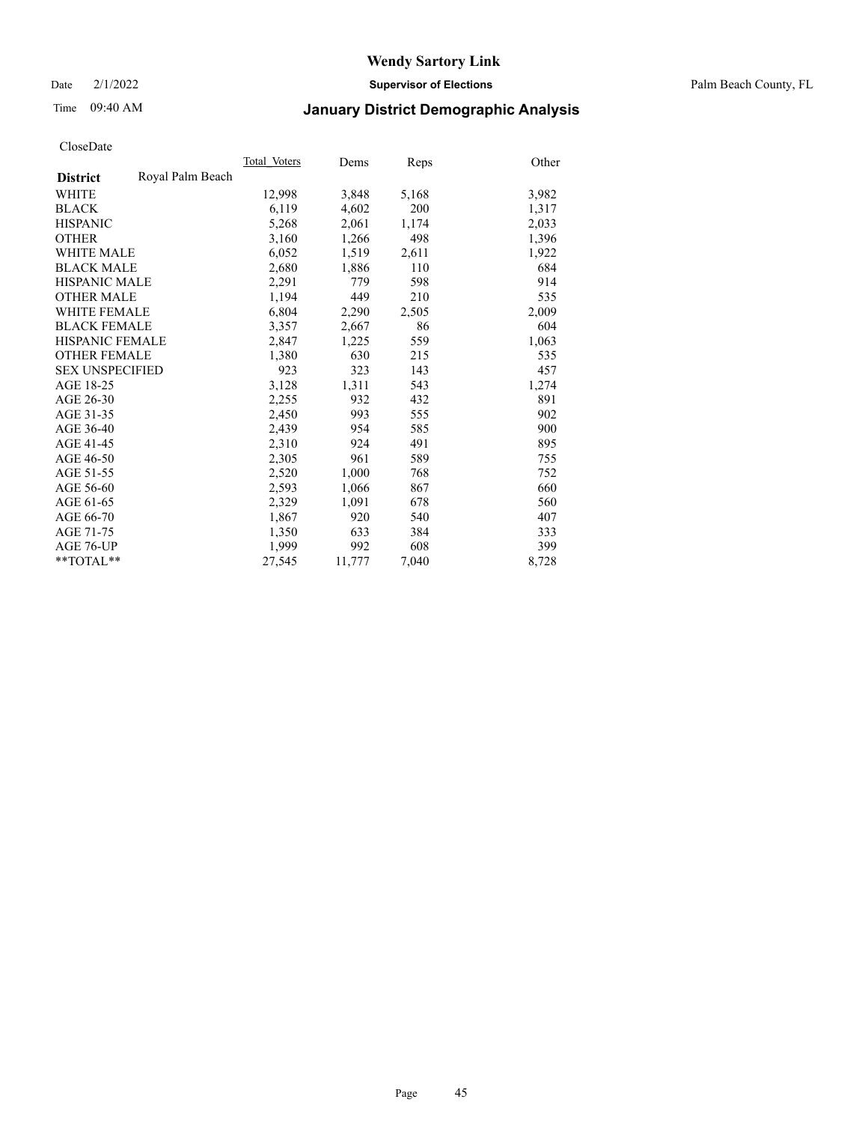Date 2/1/2022 **Supervisor of Elections** Palm Beach County, FL

## Time 09:40 AM **January District Demographic Analysis**

|                        |                  | Total Voters | Dems   | <b>Reps</b> | Other |
|------------------------|------------------|--------------|--------|-------------|-------|
| <b>District</b>        | Royal Palm Beach |              |        |             |       |
| WHITE                  |                  | 12,998       | 3,848  | 5,168       | 3,982 |
| <b>BLACK</b>           |                  | 6,119        | 4,602  | 200         | 1,317 |
| <b>HISPANIC</b>        |                  | 5,268        | 2,061  | 1,174       | 2,033 |
| <b>OTHER</b>           |                  | 3,160        | 1,266  | 498         | 1,396 |
| WHITE MALE             |                  | 6,052        | 1,519  | 2,611       | 1,922 |
| <b>BLACK MALE</b>      |                  | 2,680        | 1,886  | 110         | 684   |
| <b>HISPANIC MALE</b>   |                  | 2,291        | 779    | 598         | 914   |
| <b>OTHER MALE</b>      |                  | 1,194        | 449    | 210         | 535   |
| <b>WHITE FEMALE</b>    |                  | 6,804        | 2,290  | 2,505       | 2,009 |
| <b>BLACK FEMALE</b>    |                  | 3,357        | 2,667  | 86          | 604   |
| <b>HISPANIC FEMALE</b> |                  | 2,847        | 1,225  | 559         | 1,063 |
| <b>OTHER FEMALE</b>    |                  | 1,380        | 630    | 215         | 535   |
| <b>SEX UNSPECIFIED</b> |                  | 923          | 323    | 143         | 457   |
| AGE 18-25              |                  | 3,128        | 1,311  | 543         | 1,274 |
| AGE 26-30              |                  | 2,255        | 932    | 432         | 891   |
| AGE 31-35              |                  | 2,450        | 993    | 555         | 902   |
| AGE 36-40              |                  | 2,439        | 954    | 585         | 900   |
| AGE 41-45              |                  | 2,310        | 924    | 491         | 895   |
| AGE 46-50              |                  | 2,305        | 961    | 589         | 755   |
| AGE 51-55              |                  | 2,520        | 1,000  | 768         | 752   |
| AGE 56-60              |                  | 2,593        | 1,066  | 867         | 660   |
| AGE 61-65              |                  | 2,329        | 1,091  | 678         | 560   |
| AGE 66-70              |                  | 1,867        | 920    | 540         | 407   |
| AGE 71-75              |                  | 1,350        | 633    | 384         | 333   |
| AGE 76-UP              |                  | 1.999        | 992    | 608         | 399   |
| $*$ $TOTAL**$          |                  | 27,545       | 11,777 | 7,040       | 8,728 |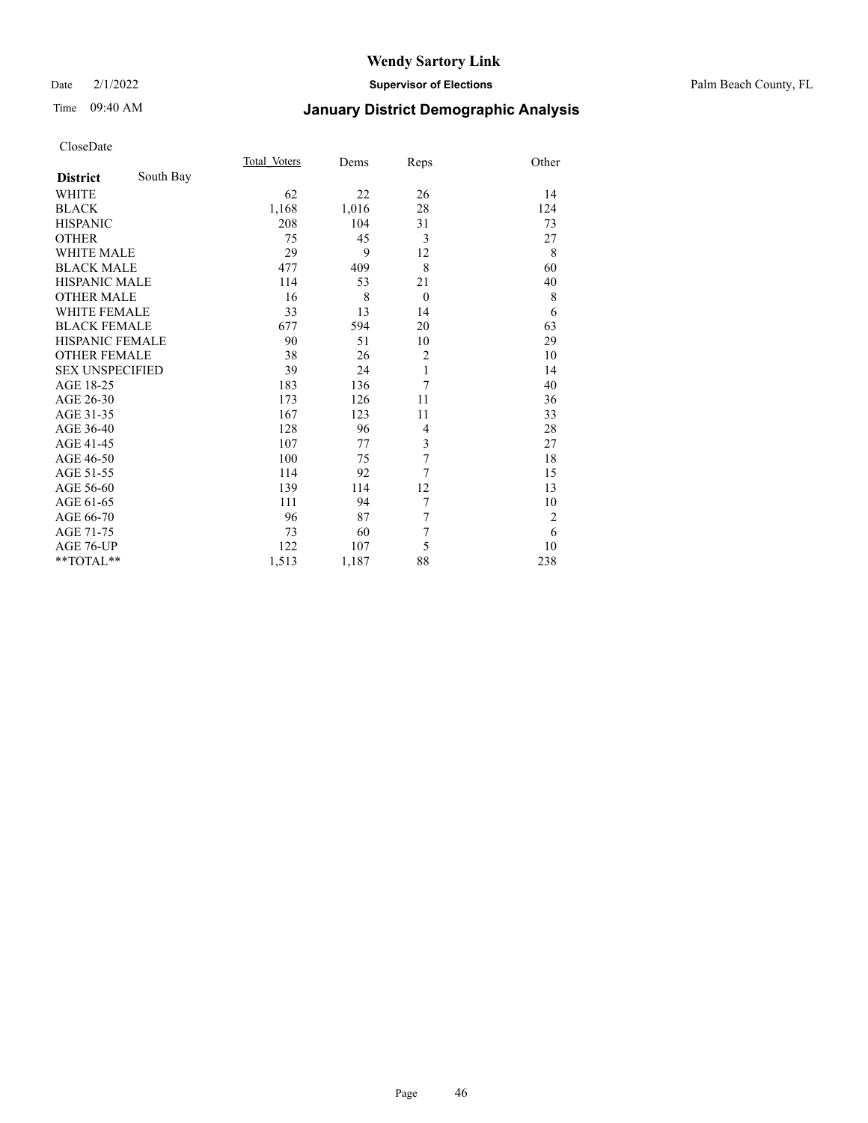Date 2/1/2022 **Supervisor of Elections** Palm Beach County, FL

## Time 09:40 AM **January District Demographic Analysis**

|                        |           | Total Voters | Dems  | Reps           | Other          |
|------------------------|-----------|--------------|-------|----------------|----------------|
| <b>District</b>        | South Bay |              |       |                |                |
| WHITE                  |           | 62           | 22    | 26             | 14             |
| <b>BLACK</b>           |           | 1,168        | 1,016 | 28             | 124            |
| <b>HISPANIC</b>        |           | 208          | 104   | 31             | 73             |
| <b>OTHER</b>           |           | 75           | 45    | 3              | 27             |
| <b>WHITE MALE</b>      |           | 29           | 9     | 12             | 8              |
| <b>BLACK MALE</b>      |           | 477          | 409   | 8              | 60             |
| <b>HISPANIC MALE</b>   |           | 114          | 53    | 21             | 40             |
| <b>OTHER MALE</b>      |           | 16           | 8     | $\theta$       | 8              |
| <b>WHITE FEMALE</b>    |           | 33           | 13    | 14             | 6              |
| <b>BLACK FEMALE</b>    |           | 677          | 594   | 20             | 63             |
| HISPANIC FEMALE        |           | 90           | 51    | 10             | 29             |
| <b>OTHER FEMALE</b>    |           | 38           | 26    | $\overline{2}$ | 10             |
| <b>SEX UNSPECIFIED</b> |           | 39           | 24    | $\mathbf{1}$   | 14             |
| AGE 18-25              |           | 183          | 136   | 7              | 40             |
| AGE 26-30              |           | 173          | 126   | 11             | 36             |
| AGE 31-35              |           | 167          | 123   | 11             | 33             |
| AGE 36-40              |           | 128          | 96    | $\overline{4}$ | 28             |
| AGE 41-45              |           | 107          | 77    | 3              | 27             |
| AGE 46-50              |           | 100          | 75    | 7              | 18             |
| AGE 51-55              |           | 114          | 92    | 7              | 15             |
| AGE 56-60              |           | 139          | 114   | 12             | 13             |
| AGE 61-65              |           | 111          | 94    | $\overline{7}$ | 10             |
| AGE 66-70              |           | 96           | 87    | 7              | $\overline{2}$ |
| AGE 71-75              |           | 73           | 60    | 7              | 6              |
| AGE 76-UP              |           | 122          | 107   | 5              | 10             |
| **TOTAL**              |           | 1,513        | 1,187 | 88             | 238            |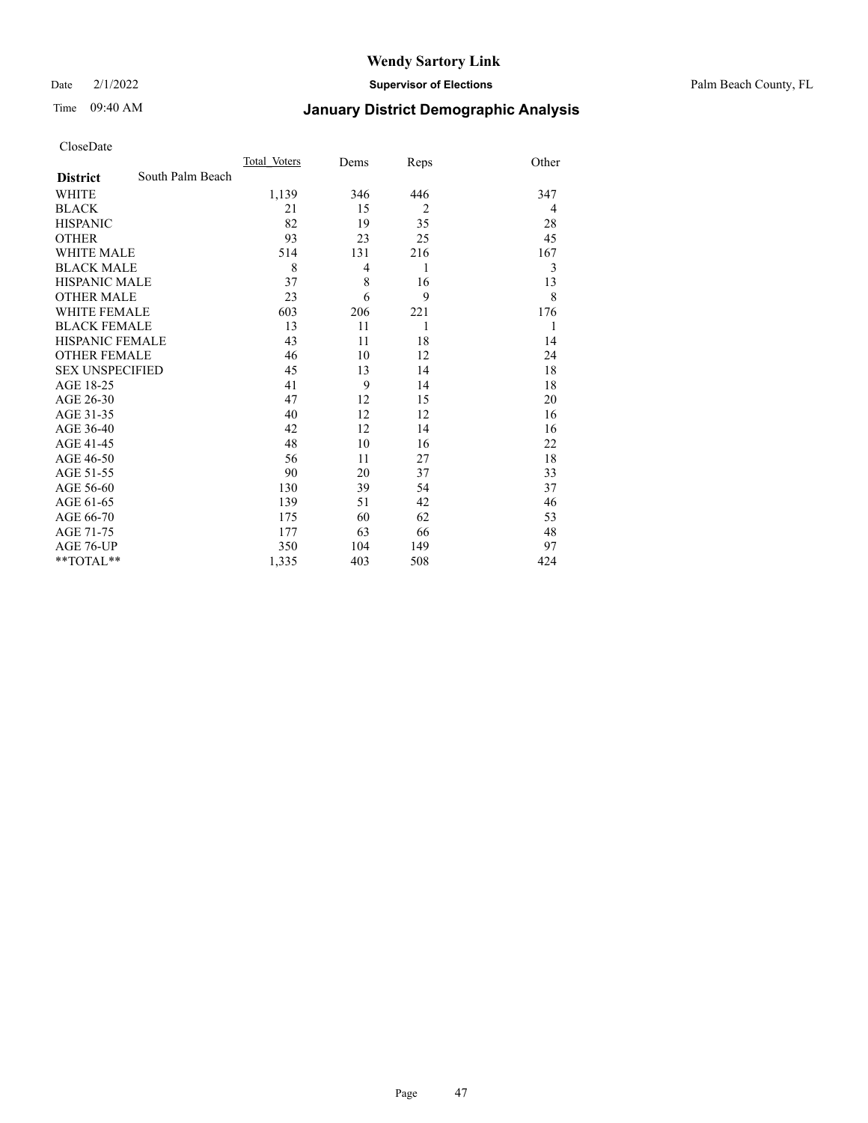Date 2/1/2022 **Supervisor of Elections** Palm Beach County, FL

## Time 09:40 AM **January District Demographic Analysis**

|                        |                  | Total Voters | Dems | Reps           | Other |
|------------------------|------------------|--------------|------|----------------|-------|
| <b>District</b>        | South Palm Beach |              |      |                |       |
| <b>WHITE</b>           |                  | 1,139        | 346  | 446            | 347   |
| <b>BLACK</b>           |                  | 21           | 15   | $\overline{2}$ | 4     |
| <b>HISPANIC</b>        |                  | 82           | 19   | 35             | 28    |
| <b>OTHER</b>           |                  | 93           | 23   | 25             | 45    |
| <b>WHITE MALE</b>      |                  | 514          | 131  | 216            | 167   |
| <b>BLACK MALE</b>      |                  | 8            | 4    | 1              | 3     |
| <b>HISPANIC MALE</b>   |                  | 37           | 8    | 16             | 13    |
| <b>OTHER MALE</b>      |                  | 23           | 6    | 9              | 8     |
| <b>WHITE FEMALE</b>    |                  | 603          | 206  | 221            | 176   |
| <b>BLACK FEMALE</b>    |                  | 13           | 11   | 1              | 1     |
| <b>HISPANIC FEMALE</b> |                  | 43           | 11   | 18             | 14    |
| <b>OTHER FEMALE</b>    |                  | 46           | 10   | 12             | 24    |
| <b>SEX UNSPECIFIED</b> |                  | 45           | 13   | 14             | 18    |
| AGE 18-25              |                  | 41           | 9    | 14             | 18    |
| AGE 26-30              |                  | 47           | 12   | 15             | 20    |
| AGE 31-35              |                  | 40           | 12   | 12             | 16    |
| AGE 36-40              |                  | 42           | 12   | 14             | 16    |
| AGE 41-45              |                  | 48           | 10   | 16             | 22    |
| AGE 46-50              |                  | 56           | 11   | 27             | 18    |
| AGE 51-55              |                  | 90           | 20   | 37             | 33    |
| AGE 56-60              |                  | 130          | 39   | 54             | 37    |
| AGE 61-65              |                  | 139          | 51   | 42             | 46    |
| AGE 66-70              |                  | 175          | 60   | 62             | 53    |
| AGE 71-75              |                  | 177          | 63   | 66             | 48    |
| AGE 76-UP              |                  | 350          | 104  | 149            | 97    |
| **TOTAL**              |                  | 1,335        | 403  | 508            | 424   |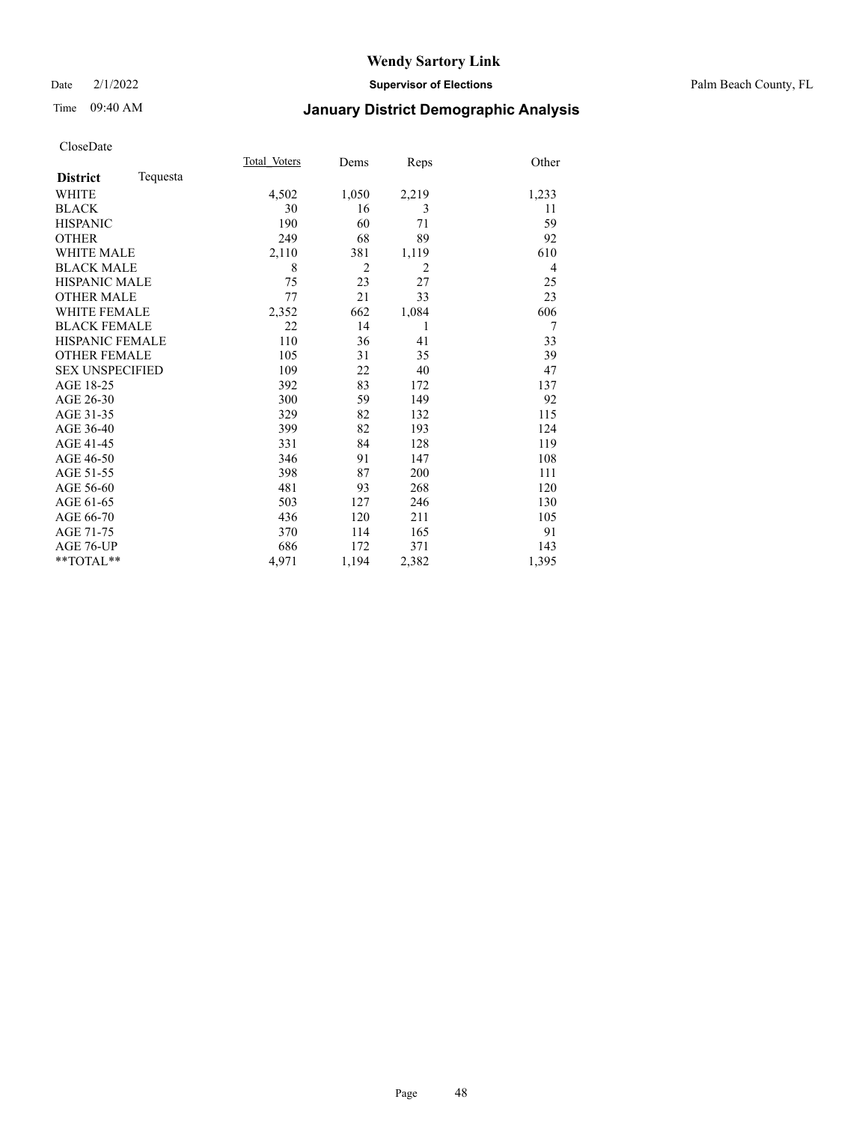Date 2/1/2022 **Supervisor of Elections** Palm Beach County, FL

## Time 09:40 AM **January District Demographic Analysis**

|                        |          | Total Voters | Dems           | Reps           | Other          |
|------------------------|----------|--------------|----------------|----------------|----------------|
| <b>District</b>        | Tequesta |              |                |                |                |
| WHITE                  |          | 4,502        | 1,050          | 2,219          | 1,233          |
| <b>BLACK</b>           |          | 30           | 16             | 3              | 11             |
| <b>HISPANIC</b>        |          | 190          | 60             | 71             | 59             |
| <b>OTHER</b>           |          | 249          | 68             | 89             | 92             |
| <b>WHITE MALE</b>      |          | 2,110        | 381            | 1,119          | 610            |
| <b>BLACK MALE</b>      |          | 8            | $\overline{2}$ | $\overline{2}$ | $\overline{4}$ |
| <b>HISPANIC MALE</b>   |          | 75           | 23             | 27             | 25             |
| <b>OTHER MALE</b>      |          | 77           | 21             | 33             | 23             |
| <b>WHITE FEMALE</b>    |          | 2,352        | 662            | 1,084          | 606            |
| <b>BLACK FEMALE</b>    |          | 22           | 14             | 1              | 7              |
| <b>HISPANIC FEMALE</b> |          | 110          | 36             | 41             | 33             |
| <b>OTHER FEMALE</b>    |          | 105          | 31             | 35             | 39             |
| <b>SEX UNSPECIFIED</b> |          | 109          | 22             | 40             | 47             |
| AGE 18-25              |          | 392          | 83             | 172            | 137            |
| AGE 26-30              |          | 300          | 59             | 149            | 92             |
| AGE 31-35              |          | 329          | 82             | 132            | 115            |
| AGE 36-40              |          | 399          | 82             | 193            | 124            |
| AGE 41-45              |          | 331          | 84             | 128            | 119            |
| AGE 46-50              |          | 346          | 91             | 147            | 108            |
| AGE 51-55              |          | 398          | 87             | 200            | 111            |
| AGE 56-60              |          | 481          | 93             | 268            | 120            |
| AGE 61-65              |          | 503          | 127            | 246            | 130            |
| AGE 66-70              |          | 436          | 120            | 211            | 105            |
| AGE 71-75              |          | 370          | 114            | 165            | 91             |
| AGE 76-UP              |          | 686          | 172            | 371            | 143            |
| $*$ $TOTAL**$          |          | 4,971        | 1,194          | 2,382          | 1,395          |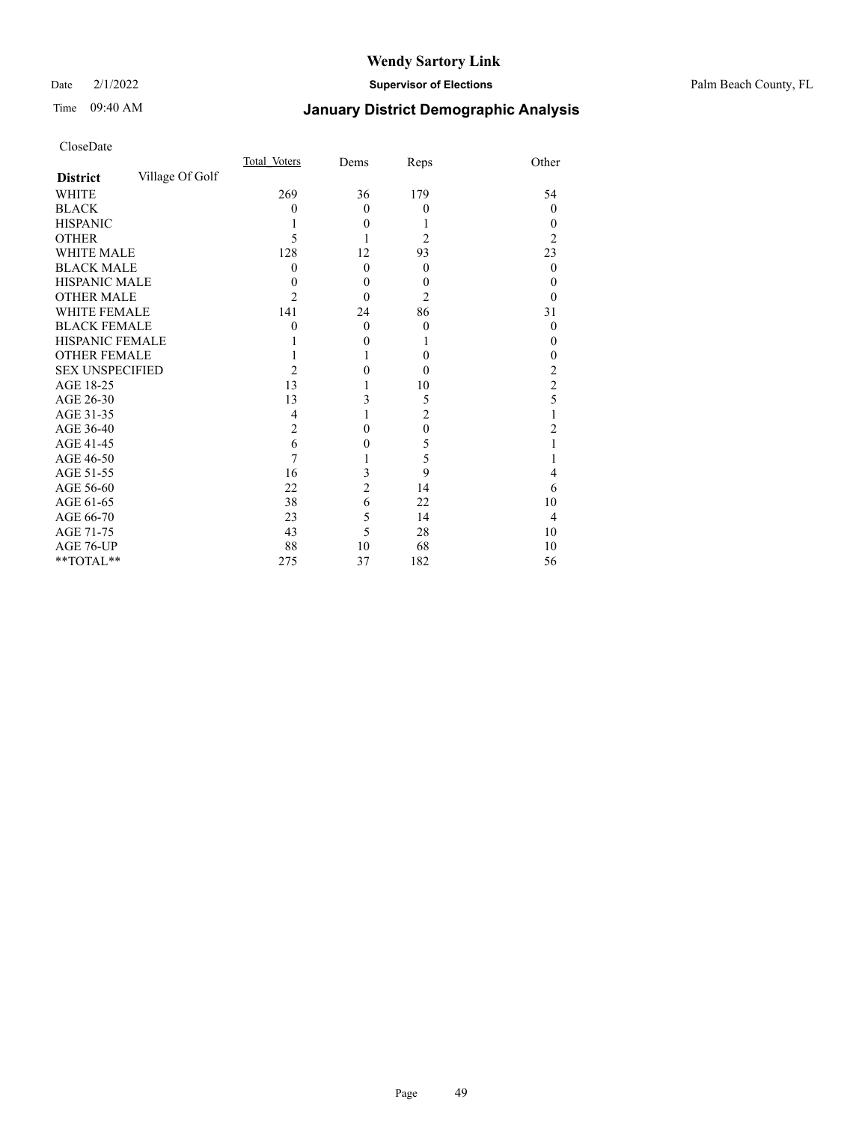Date 2/1/2022 **Supervisor of Elections** Palm Beach County, FL

## Time 09:40 AM **January District Demographic Analysis**

|                        |                 | Total Voters   | Dems           | Reps           | Other          |
|------------------------|-----------------|----------------|----------------|----------------|----------------|
| <b>District</b>        | Village Of Golf |                |                |                |                |
| WHITE                  |                 | 269            | 36             | 179            | 54             |
| <b>BLACK</b>           |                 | 0              | $\theta$       | $\theta$       | $\theta$       |
| <b>HISPANIC</b>        |                 |                | $\theta$       |                | 0              |
| <b>OTHER</b>           |                 | 5              |                | 2              | 2              |
| <b>WHITE MALE</b>      |                 | 128            | 12             | 93             | 23             |
| <b>BLACK MALE</b>      |                 | 0              | $\theta$       | $\theta$       | $\theta$       |
| <b>HISPANIC MALE</b>   |                 | 0              | $\theta$       | $\overline{0}$ | 0              |
| <b>OTHER MALE</b>      |                 | 2              | $\theta$       | 2              | 0              |
| WHITE FEMALE           |                 | 141            | 24             | 86             | 31             |
| <b>BLACK FEMALE</b>    |                 | 0              | $\theta$       | $\theta$       | 0              |
| HISPANIC FEMALE        |                 |                | 0              |                | 0              |
| <b>OTHER FEMALE</b>    |                 |                |                | $\theta$       | 0              |
| <b>SEX UNSPECIFIED</b> |                 | $\mathfrak{D}$ | 0              | $\theta$       | 2              |
| AGE 18-25              |                 | 13             |                | 10             | $\overline{c}$ |
| AGE 26-30              |                 | 13             | 3              | 5              | 5              |
| AGE 31-35              |                 | 4              |                | $\overline{2}$ |                |
| AGE 36-40              |                 | $\overline{2}$ | 0              | $\mathbf{0}$   | 2              |
| AGE 41-45              |                 | 6              | 0              | 5              |                |
| AGE 46-50              |                 | 7              |                | 5              |                |
| AGE 51-55              |                 | 16             | 3              | 9              | 4              |
| AGE 56-60              |                 | 22             | $\overline{c}$ | 14             | 6              |
| AGE 61-65              |                 | 38             | 6              | 22             | 10             |
| AGE 66-70              |                 | 23             | 5              | 14             | 4              |
| AGE 71-75              |                 | 43             | 5              | 28             | 10             |
| AGE 76-UP              |                 | 88             | 10             | 68             | 10             |
| **TOTAL**              |                 | 275            | 37             | 182            | 56             |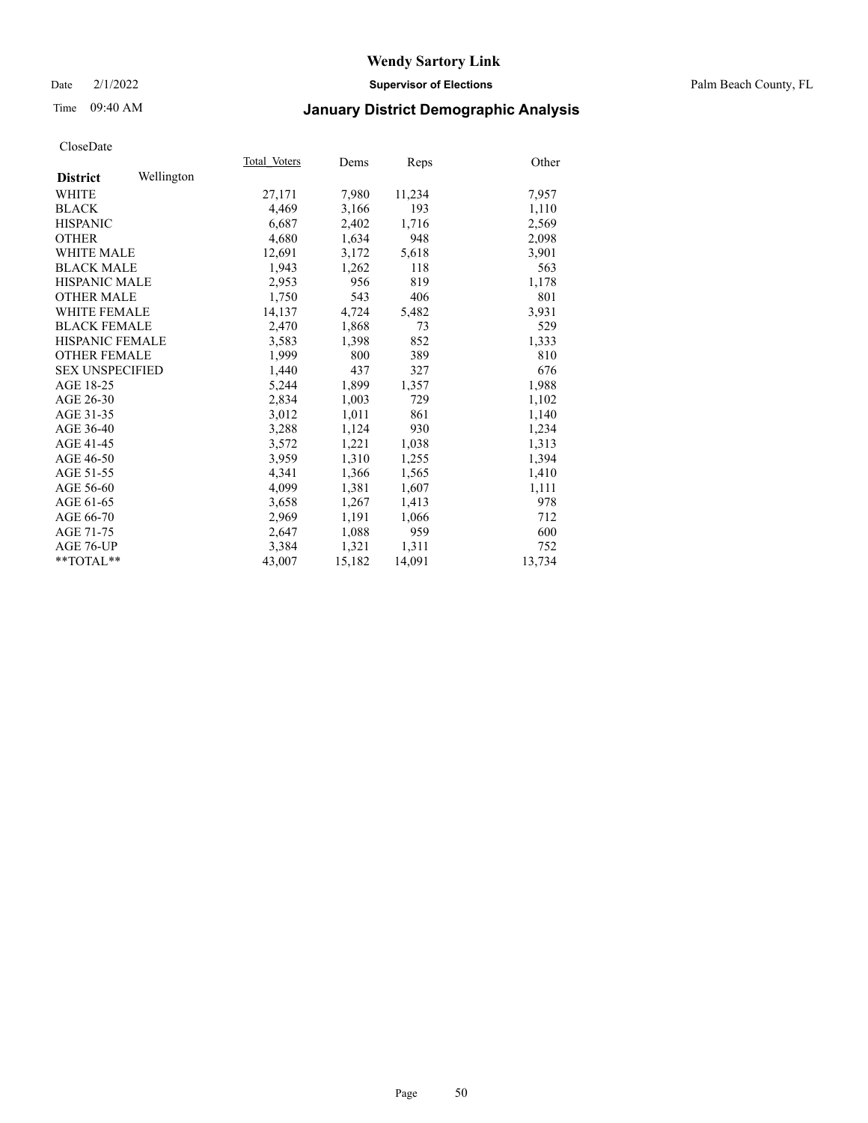Date 2/1/2022 **Supervisor of Elections** Palm Beach County, FL

## Time 09:40 AM **January District Demographic Analysis**

|                        |            | Total Voters | Dems   | Reps   | Other  |
|------------------------|------------|--------------|--------|--------|--------|
| <b>District</b>        | Wellington |              |        |        |        |
| WHITE                  |            | 27,171       | 7,980  | 11,234 | 7,957  |
| <b>BLACK</b>           |            | 4,469        | 3,166  | 193    | 1,110  |
| <b>HISPANIC</b>        |            | 6,687        | 2,402  | 1,716  | 2,569  |
| <b>OTHER</b>           |            | 4,680        | 1,634  | 948    | 2,098  |
| <b>WHITE MALE</b>      |            | 12,691       | 3,172  | 5,618  | 3,901  |
| <b>BLACK MALE</b>      |            | 1,943        | 1,262  | 118    | 563    |
| <b>HISPANIC MALE</b>   |            | 2,953        | 956    | 819    | 1,178  |
| <b>OTHER MALE</b>      |            | 1,750        | 543    | 406    | 801    |
| <b>WHITE FEMALE</b>    |            | 14,137       | 4,724  | 5,482  | 3,931  |
| <b>BLACK FEMALE</b>    |            | 2.470        | 1,868  | 73     | 529    |
| HISPANIC FEMALE        |            | 3,583        | 1,398  | 852    | 1,333  |
| <b>OTHER FEMALE</b>    |            | 1,999        | 800    | 389    | 810    |
| <b>SEX UNSPECIFIED</b> |            | 1.440        | 437    | 327    | 676    |
| AGE 18-25              |            | 5,244        | 1,899  | 1,357  | 1,988  |
| AGE 26-30              |            | 2,834        | 1,003  | 729    | 1,102  |
| AGE 31-35              |            | 3,012        | 1,011  | 861    | 1,140  |
| AGE 36-40              |            | 3,288        | 1,124  | 930    | 1,234  |
| AGE 41-45              |            | 3,572        | 1,221  | 1,038  | 1,313  |
| AGE 46-50              |            | 3,959        | 1,310  | 1,255  | 1,394  |
| AGE 51-55              |            | 4.341        | 1,366  | 1,565  | 1,410  |
| AGE 56-60              |            | 4,099        | 1,381  | 1,607  | 1,111  |
| AGE 61-65              |            | 3,658        | 1,267  | 1,413  | 978    |
| AGE 66-70              |            | 2,969        | 1,191  | 1,066  | 712    |
| AGE 71-75              |            | 2,647        | 1,088  | 959    | 600    |
| AGE 76-UP              |            | 3,384        | 1,321  | 1,311  | 752    |
| $*$ $TOTAL**$          |            | 43,007       | 15,182 | 14,091 | 13,734 |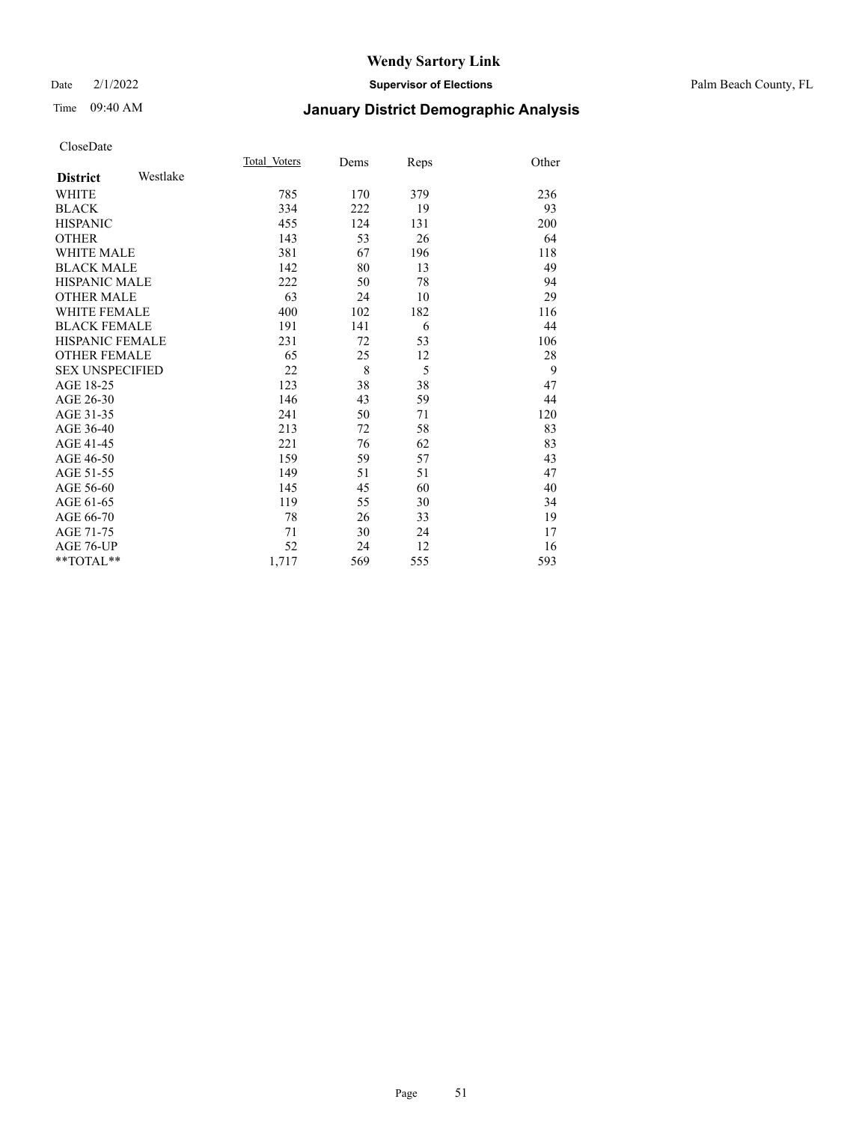#### Date 2/1/2022 **Supervisor of Elections** Palm Beach County, FL

## Time 09:40 AM **January District Demographic Analysis**

|                        |          | Total Voters | Dems | Reps | Other |
|------------------------|----------|--------------|------|------|-------|
| <b>District</b>        | Westlake |              |      |      |       |
| <b>WHITE</b>           |          | 785          | 170  | 379  | 236   |
| <b>BLACK</b>           |          | 334          | 222  | 19   | 93    |
| <b>HISPANIC</b>        |          | 455          | 124  | 131  | 200   |
| <b>OTHER</b>           |          | 143          | 53   | 26   | 64    |
| <b>WHITE MALE</b>      |          | 381          | 67   | 196  | 118   |
| <b>BLACK MALE</b>      |          | 142          | 80   | 13   | 49    |
| <b>HISPANIC MALE</b>   |          | 222          | 50   | 78   | 94    |
| <b>OTHER MALE</b>      |          | 63           | 24   | 10   | 29    |
| <b>WHITE FEMALE</b>    |          | 400          | 102  | 182  | 116   |
| <b>BLACK FEMALE</b>    |          | 191          | 141  | 6    | 44    |
| <b>HISPANIC FEMALE</b> |          | 231          | 72   | 53   | 106   |
| <b>OTHER FEMALE</b>    |          | 65           | 25   | 12   | 28    |
| <b>SEX UNSPECIFIED</b> |          | 22           | 8    | 5    | 9     |
| AGE 18-25              |          | 123          | 38   | 38   | 47    |
| AGE 26-30              |          | 146          | 43   | 59   | 44    |
| AGE 31-35              |          | 241          | 50   | 71   | 120   |
| AGE 36-40              |          | 213          | 72   | 58   | 83    |
| AGE 41-45              |          | 221          | 76   | 62   | 83    |
| AGE 46-50              |          | 159          | 59   | 57   | 43    |
| AGE 51-55              |          | 149          | 51   | 51   | 47    |
| AGE 56-60              |          | 145          | 45   | 60   | 40    |
| AGE 61-65              |          | 119          | 55   | 30   | 34    |
| AGE 66-70              |          | 78           | 26   | 33   | 19    |
| AGE 71-75              |          | 71           | 30   | 24   | 17    |
| AGE 76-UP              |          | 52           | 24   | 12   | 16    |
| $*$ $TOTAL**$          |          | 1,717        | 569  | 555  | 593   |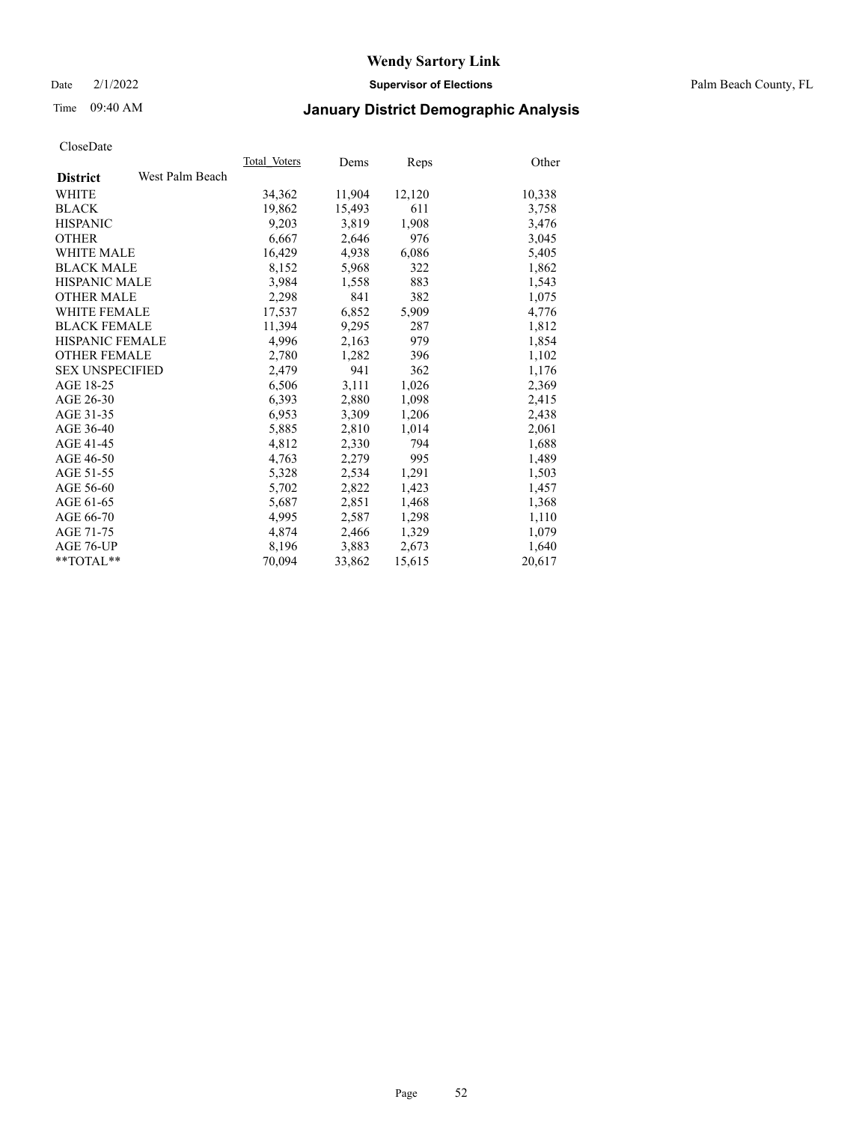Date 2/1/2022 **Supervisor of Elections** Palm Beach County, FL

## Time 09:40 AM **January District Demographic Analysis**

|                        |                 | Total Voters | Dems   | <b>Reps</b> | Other  |
|------------------------|-----------------|--------------|--------|-------------|--------|
| <b>District</b>        | West Palm Beach |              |        |             |        |
| <b>WHITE</b>           |                 | 34,362       | 11,904 | 12,120      | 10,338 |
| <b>BLACK</b>           |                 | 19,862       | 15,493 | 611         | 3,758  |
| <b>HISPANIC</b>        |                 | 9,203        | 3,819  | 1,908       | 3,476  |
| <b>OTHER</b>           |                 | 6,667        | 2,646  | 976         | 3,045  |
| <b>WHITE MALE</b>      |                 | 16,429       | 4,938  | 6,086       | 5,405  |
| <b>BLACK MALE</b>      |                 | 8,152        | 5,968  | 322         | 1,862  |
| <b>HISPANIC MALE</b>   |                 | 3,984        | 1,558  | 883         | 1,543  |
| <b>OTHER MALE</b>      |                 | 2,298        | 841    | 382         | 1,075  |
| <b>WHITE FEMALE</b>    |                 | 17,537       | 6,852  | 5,909       | 4,776  |
| <b>BLACK FEMALE</b>    |                 | 11,394       | 9,295  | 287         | 1,812  |
| <b>HISPANIC FEMALE</b> |                 | 4,996        | 2,163  | 979         | 1,854  |
| <b>OTHER FEMALE</b>    |                 | 2,780        | 1,282  | 396         | 1,102  |
| <b>SEX UNSPECIFIED</b> |                 | 2,479        | 941    | 362         | 1,176  |
| AGE 18-25              |                 | 6,506        | 3,111  | 1,026       | 2,369  |
| AGE 26-30              |                 | 6,393        | 2,880  | 1,098       | 2,415  |
| AGE 31-35              |                 | 6,953        | 3,309  | 1,206       | 2,438  |
| AGE 36-40              |                 | 5,885        | 2,810  | 1,014       | 2,061  |
| AGE 41-45              |                 | 4,812        | 2,330  | 794         | 1,688  |
| AGE 46-50              |                 | 4,763        | 2,279  | 995         | 1,489  |
| AGE 51-55              |                 | 5,328        | 2,534  | 1,291       | 1,503  |
| AGE 56-60              |                 | 5,702        | 2,822  | 1,423       | 1,457  |
| AGE 61-65              |                 | 5,687        | 2,851  | 1,468       | 1,368  |
| AGE 66-70              |                 | 4,995        | 2,587  | 1,298       | 1,110  |
| AGE 71-75              |                 | 4,874        | 2,466  | 1,329       | 1,079  |
| AGE 76-UP              |                 | 8,196        | 3,883  | 2,673       | 1,640  |
| $*$ $TOTAL**$          |                 | 70,094       | 33,862 | 15,615      | 20,617 |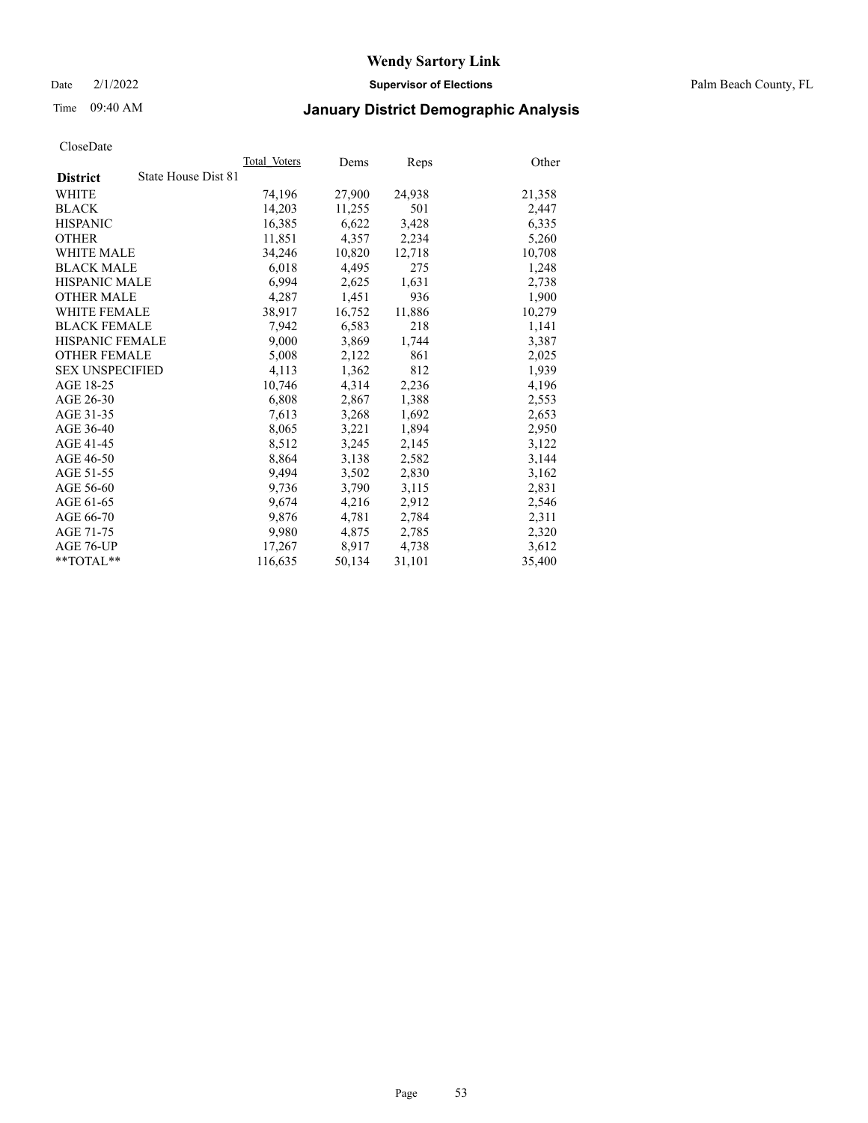Date 2/1/2022 **Supervisor of Elections** Palm Beach County, FL

## Time 09:40 AM **January District Demographic Analysis**

|                        |                     | Total Voters | Dems   | <b>Reps</b> | Other  |
|------------------------|---------------------|--------------|--------|-------------|--------|
| <b>District</b>        | State House Dist 81 |              |        |             |        |
| <b>WHITE</b>           |                     | 74,196       | 27,900 | 24,938      | 21,358 |
| <b>BLACK</b>           |                     | 14,203       | 11,255 | 501         | 2,447  |
| <b>HISPANIC</b>        |                     | 16,385       | 6,622  | 3,428       | 6,335  |
| <b>OTHER</b>           |                     | 11,851       | 4,357  | 2,234       | 5,260  |
| <b>WHITE MALE</b>      |                     | 34,246       | 10,820 | 12,718      | 10,708 |
| <b>BLACK MALE</b>      |                     | 6,018        | 4,495  | 275         | 1,248  |
| <b>HISPANIC MALE</b>   |                     | 6,994        | 2,625  | 1,631       | 2,738  |
| <b>OTHER MALE</b>      |                     | 4,287        | 1,451  | 936         | 1,900  |
| <b>WHITE FEMALE</b>    |                     | 38,917       | 16,752 | 11,886      | 10,279 |
| <b>BLACK FEMALE</b>    |                     | 7,942        | 6,583  | 218         | 1,141  |
| <b>HISPANIC FEMALE</b> |                     | 9,000        | 3,869  | 1,744       | 3,387  |
| <b>OTHER FEMALE</b>    |                     | 5,008        | 2,122  | 861         | 2,025  |
| <b>SEX UNSPECIFIED</b> |                     | 4,113        | 1,362  | 812         | 1,939  |
| AGE 18-25              |                     | 10,746       | 4,314  | 2,236       | 4,196  |
| AGE 26-30              |                     | 6,808        | 2,867  | 1,388       | 2,553  |
| AGE 31-35              |                     | 7,613        | 3,268  | 1,692       | 2,653  |
| AGE 36-40              |                     | 8,065        | 3,221  | 1,894       | 2,950  |
| AGE 41-45              |                     | 8,512        | 3,245  | 2,145       | 3,122  |
| AGE 46-50              |                     | 8,864        | 3,138  | 2,582       | 3,144  |
| AGE 51-55              |                     | 9,494        | 3,502  | 2,830       | 3,162  |
| AGE 56-60              |                     | 9,736        | 3,790  | 3,115       | 2,831  |
| AGE 61-65              |                     | 9,674        | 4,216  | 2,912       | 2,546  |
| AGE 66-70              |                     | 9,876        | 4,781  | 2,784       | 2,311  |
| AGE 71-75              |                     | 9,980        | 4,875  | 2,785       | 2,320  |
| AGE 76-UP              |                     | 17,267       | 8,917  | 4,738       | 3,612  |
| $*$ $TOTAL**$          |                     | 116,635      | 50,134 | 31,101      | 35,400 |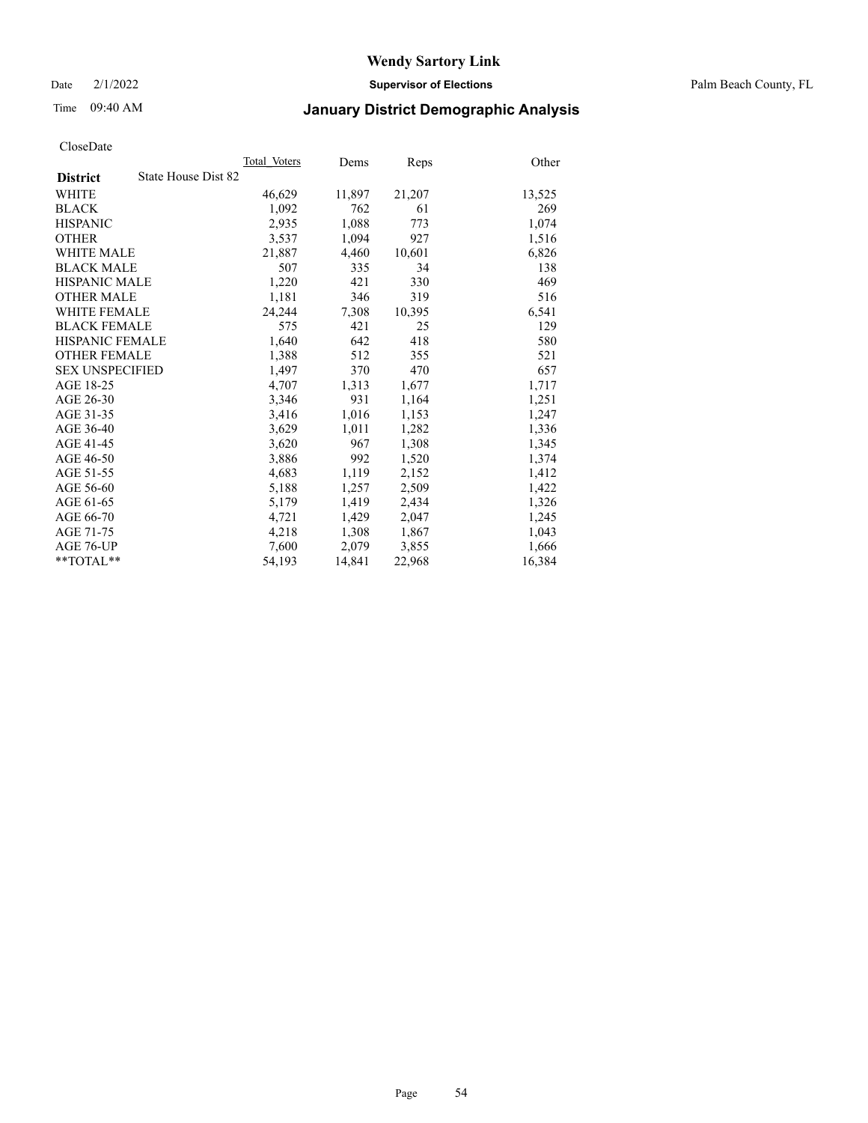Date 2/1/2022 **Supervisor of Elections** Palm Beach County, FL

## Time 09:40 AM **January District Demographic Analysis**

|                                        | Total Voters | Dems   | Reps   | Other  |
|----------------------------------------|--------------|--------|--------|--------|
| State House Dist 82<br><b>District</b> |              |        |        |        |
| WHITE                                  | 46,629       | 11,897 | 21,207 | 13,525 |
| <b>BLACK</b>                           | 1,092        | 762    | 61     | 269    |
| <b>HISPANIC</b>                        | 2,935        | 1,088  | 773    | 1,074  |
| <b>OTHER</b>                           | 3,537        | 1,094  | 927    | 1,516  |
| WHITE MALE                             | 21,887       | 4,460  | 10,601 | 6,826  |
| <b>BLACK MALE</b>                      | 507          | 335    | 34     | 138    |
| <b>HISPANIC MALE</b>                   | 1,220        | 421    | 330    | 469    |
| <b>OTHER MALE</b>                      | 1,181        | 346    | 319    | 516    |
| WHITE FEMALE                           | 24,244       | 7,308  | 10,395 | 6,541  |
| <b>BLACK FEMALE</b>                    | 575          | 421    | 25     | 129    |
| HISPANIC FEMALE                        | 1,640        | 642    | 418    | 580    |
| <b>OTHER FEMALE</b>                    | 1,388        | 512    | 355    | 521    |
| <b>SEX UNSPECIFIED</b>                 | 1,497        | 370    | 470    | 657    |
| AGE 18-25                              | 4,707        | 1,313  | 1,677  | 1,717  |
| AGE 26-30                              | 3,346        | 931    | 1,164  | 1,251  |
| AGE 31-35                              | 3,416        | 1,016  | 1,153  | 1,247  |
| AGE 36-40                              | 3,629        | 1,011  | 1,282  | 1,336  |
| AGE 41-45                              | 3,620        | 967    | 1,308  | 1,345  |
| AGE 46-50                              | 3,886        | 992    | 1,520  | 1,374  |
| AGE 51-55                              | 4,683        | 1,119  | 2,152  | 1,412  |
| AGE 56-60                              | 5,188        | 1,257  | 2,509  | 1,422  |
| AGE 61-65                              | 5,179        | 1,419  | 2,434  | 1,326  |
| AGE 66-70                              | 4,721        | 1,429  | 2,047  | 1,245  |
| AGE 71-75                              | 4,218        | 1,308  | 1,867  | 1,043  |
| AGE 76-UP                              | 7,600        | 2,079  | 3,855  | 1,666  |
| $*$ $TOTAL**$                          | 54,193       | 14,841 | 22,968 | 16,384 |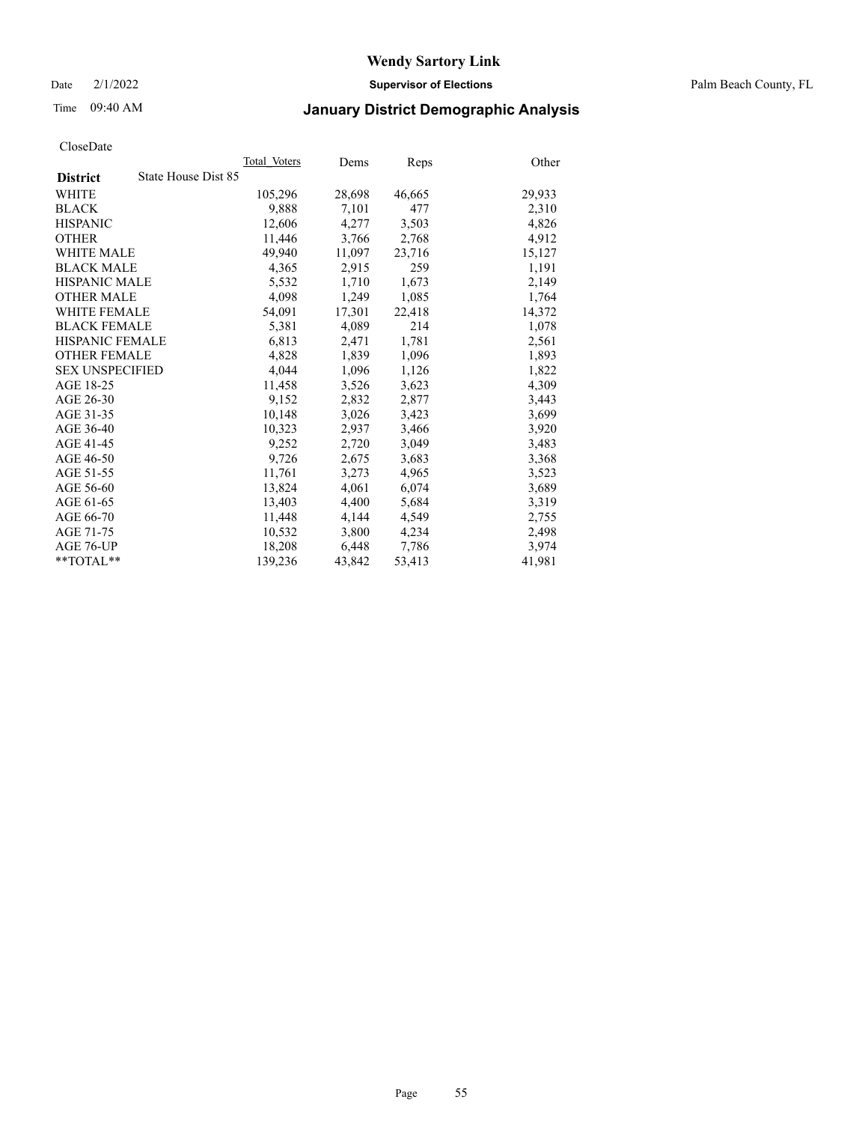Date 2/1/2022 **Supervisor of Elections** Palm Beach County, FL

## Time 09:40 AM **January District Demographic Analysis**

|                                        | Total Voters | Dems   | Reps   | Other  |
|----------------------------------------|--------------|--------|--------|--------|
| State House Dist 85<br><b>District</b> |              |        |        |        |
| WHITE                                  | 105,296      | 28,698 | 46,665 | 29,933 |
| <b>BLACK</b>                           | 9,888        | 7,101  | 477    | 2,310  |
| <b>HISPANIC</b>                        | 12.606       | 4,277  | 3,503  | 4,826  |
| <b>OTHER</b>                           | 11,446       | 3,766  | 2,768  | 4,912  |
| <b>WHITE MALE</b>                      | 49,940       | 11,097 | 23,716 | 15,127 |
| <b>BLACK MALE</b>                      | 4,365        | 2,915  | 259    | 1,191  |
| <b>HISPANIC MALE</b>                   | 5,532        | 1,710  | 1,673  | 2,149  |
| <b>OTHER MALE</b>                      | 4.098        | 1,249  | 1,085  | 1,764  |
| <b>WHITE FEMALE</b>                    | 54,091       | 17,301 | 22,418 | 14,372 |
| <b>BLACK FEMALE</b>                    | 5,381        | 4,089  | 214    | 1,078  |
| <b>HISPANIC FEMALE</b>                 | 6,813        | 2,471  | 1,781  | 2,561  |
| <b>OTHER FEMALE</b>                    | 4,828        | 1,839  | 1,096  | 1,893  |
| <b>SEX UNSPECIFIED</b>                 | 4,044        | 1,096  | 1,126  | 1,822  |
| AGE 18-25                              | 11,458       | 3,526  | 3,623  | 4,309  |
| AGE 26-30                              | 9,152        | 2,832  | 2,877  | 3,443  |
| AGE 31-35                              | 10,148       | 3,026  | 3,423  | 3,699  |
| AGE 36-40                              | 10,323       | 2,937  | 3,466  | 3,920  |
| AGE 41-45                              | 9,252        | 2,720  | 3,049  | 3,483  |
| AGE 46-50                              | 9,726        | 2,675  | 3,683  | 3,368  |
| AGE 51-55                              | 11,761       | 3,273  | 4,965  | 3,523  |
| AGE 56-60                              | 13,824       | 4,061  | 6,074  | 3,689  |
| AGE 61-65                              | 13,403       | 4,400  | 5,684  | 3,319  |
| AGE 66-70                              | 11,448       | 4,144  | 4,549  | 2,755  |
| AGE 71-75                              | 10,532       | 3,800  | 4,234  | 2,498  |
| AGE 76-UP                              | 18,208       | 6,448  | 7,786  | 3,974  |
| $*$ $TOTAL**$                          | 139,236      | 43,842 | 53,413 | 41,981 |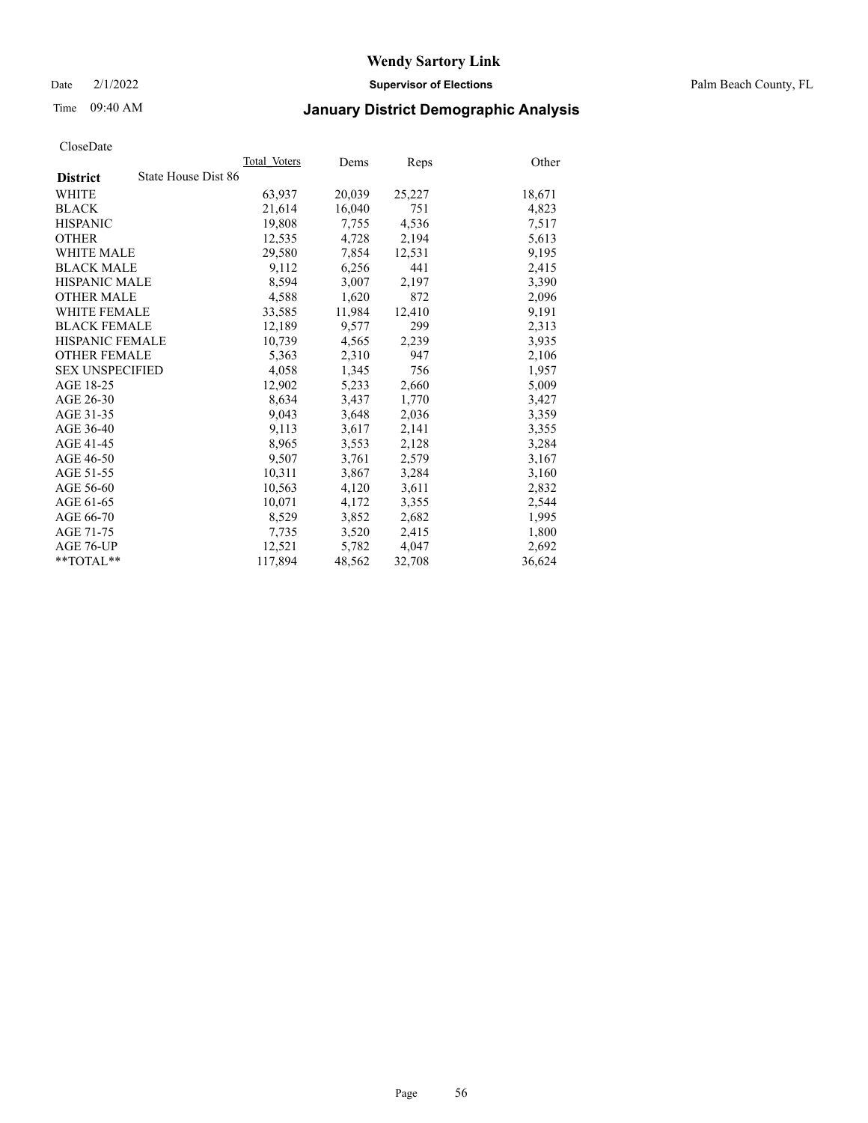Date 2/1/2022 **Supervisor of Elections** Palm Beach County, FL

## Time 09:40 AM **January District Demographic Analysis**

|                        | Total Voters        | Dems   | <b>Reps</b> | Other  |
|------------------------|---------------------|--------|-------------|--------|
| <b>District</b>        | State House Dist 86 |        |             |        |
| <b>WHITE</b>           | 63,937              | 20,039 | 25,227      | 18,671 |
| <b>BLACK</b>           | 21,614              | 16,040 | 751         | 4,823  |
| <b>HISPANIC</b>        | 19,808              | 7,755  | 4,536       | 7,517  |
| <b>OTHER</b>           | 12,535              | 4,728  | 2,194       | 5,613  |
| <b>WHITE MALE</b>      | 29,580              | 7,854  | 12,531      | 9,195  |
| <b>BLACK MALE</b>      | 9,112               | 6,256  | 441         | 2,415  |
| <b>HISPANIC MALE</b>   | 8,594               | 3,007  | 2,197       | 3,390  |
| <b>OTHER MALE</b>      | 4,588               | 1,620  | 872         | 2,096  |
| <b>WHITE FEMALE</b>    | 33,585              | 11,984 | 12,410      | 9,191  |
| <b>BLACK FEMALE</b>    | 12,189              | 9,577  | 299         | 2,313  |
| <b>HISPANIC FEMALE</b> | 10,739              | 4,565  | 2,239       | 3,935  |
| <b>OTHER FEMALE</b>    | 5,363               | 2,310  | 947         | 2,106  |
| <b>SEX UNSPECIFIED</b> | 4,058               | 1,345  | 756         | 1,957  |
| AGE 18-25              | 12,902              | 5,233  | 2,660       | 5,009  |
| AGE 26-30              | 8,634               | 3,437  | 1,770       | 3,427  |
| AGE 31-35              | 9,043               | 3,648  | 2,036       | 3,359  |
| AGE 36-40              | 9,113               | 3,617  | 2,141       | 3,355  |
| AGE 41-45              | 8,965               | 3,553  | 2,128       | 3,284  |
| AGE 46-50              | 9,507               | 3,761  | 2,579       | 3,167  |
| AGE 51-55              | 10,311              | 3,867  | 3,284       | 3,160  |
| AGE 56-60              | 10,563              | 4,120  | 3,611       | 2,832  |
| AGE 61-65              | 10,071              | 4,172  | 3,355       | 2,544  |
| AGE 66-70              | 8,529               | 3,852  | 2,682       | 1,995  |
| AGE 71-75              | 7,735               | 3,520  | 2,415       | 1,800  |
| AGE 76-UP              | 12,521              | 5,782  | 4,047       | 2,692  |
| $*$ $TOTAL**$          | 117,894             | 48,562 | 32,708      | 36,624 |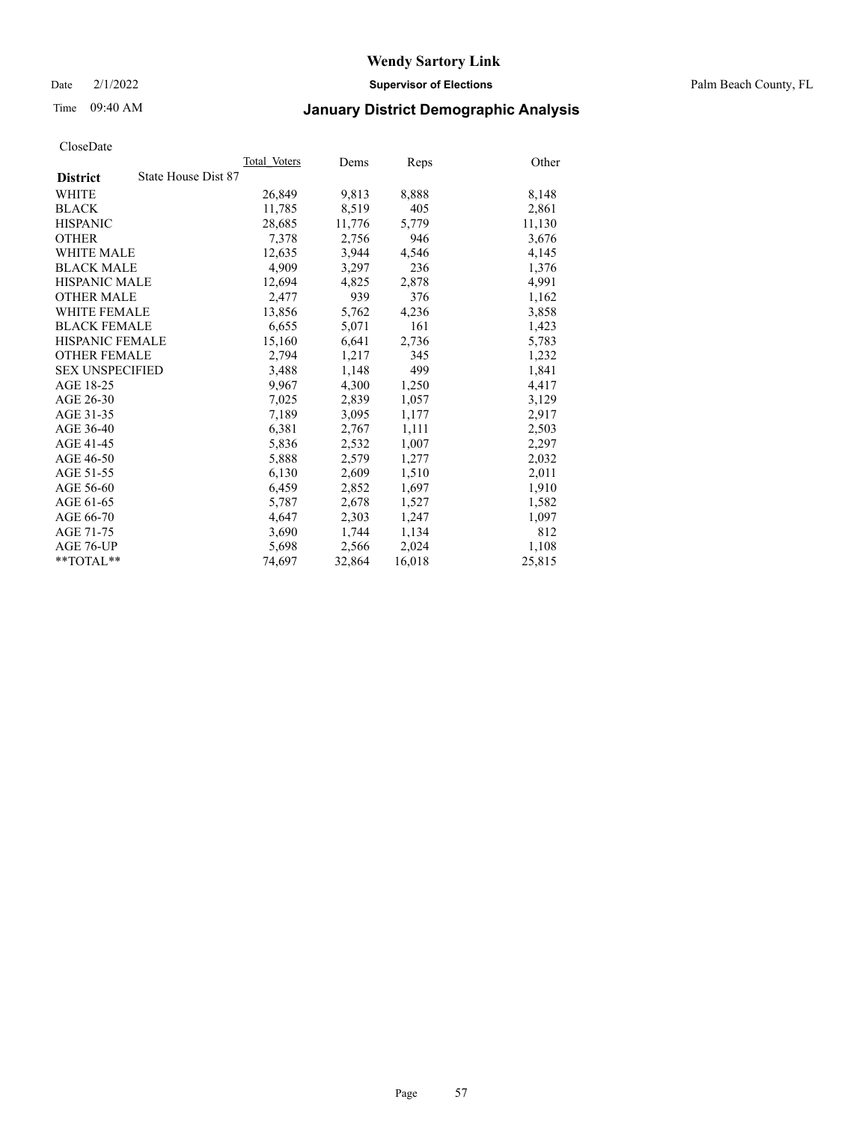Date 2/1/2022 **Supervisor of Elections** Palm Beach County, FL

## Time 09:40 AM **January District Demographic Analysis**

|                        | Total Voters        | Dems   | <b>Reps</b> | Other  |
|------------------------|---------------------|--------|-------------|--------|
| <b>District</b>        | State House Dist 87 |        |             |        |
| WHITE                  | 26,849              | 9,813  | 8,888       | 8,148  |
| <b>BLACK</b>           | 11,785              | 8,519  | 405         | 2,861  |
| <b>HISPANIC</b>        | 28,685              | 11,776 | 5,779       | 11,130 |
| <b>OTHER</b>           | 7,378               | 2,756  | 946         | 3,676  |
| <b>WHITE MALE</b>      | 12.635              | 3,944  | 4,546       | 4,145  |
| <b>BLACK MALE</b>      | 4,909               | 3,297  | 236         | 1,376  |
| <b>HISPANIC MALE</b>   | 12,694              | 4,825  | 2,878       | 4,991  |
| <b>OTHER MALE</b>      | 2,477               | 939    | 376         | 1,162  |
| <b>WHITE FEMALE</b>    | 13,856              | 5,762  | 4,236       | 3,858  |
| <b>BLACK FEMALE</b>    | 6,655               | 5,071  | 161         | 1,423  |
| <b>HISPANIC FEMALE</b> | 15,160              | 6,641  | 2,736       | 5,783  |
| <b>OTHER FEMALE</b>    | 2,794               | 1,217  | 345         | 1,232  |
| <b>SEX UNSPECIFIED</b> | 3,488               | 1,148  | 499         | 1,841  |
| AGE 18-25              | 9,967               | 4,300  | 1,250       | 4,417  |
| AGE 26-30              | 7,025               | 2,839  | 1,057       | 3,129  |
| AGE 31-35              | 7,189               | 3,095  | 1,177       | 2,917  |
| AGE 36-40              | 6,381               | 2,767  | 1,111       | 2,503  |
| AGE 41-45              | 5,836               | 2,532  | 1,007       | 2,297  |
| AGE 46-50              | 5,888               | 2,579  | 1,277       | 2,032  |
| AGE 51-55              | 6,130               | 2,609  | 1,510       | 2,011  |
| AGE 56-60              | 6,459               | 2,852  | 1,697       | 1,910  |
| AGE 61-65              | 5,787               | 2,678  | 1,527       | 1,582  |
| AGE 66-70              | 4,647               | 2,303  | 1,247       | 1,097  |
| AGE 71-75              | 3,690               | 1,744  | 1,134       | 812    |
| AGE 76-UP              | 5,698               | 2,566  | 2,024       | 1,108  |
| $*$ TOTAL $*$          | 74,697              | 32,864 | 16,018      | 25,815 |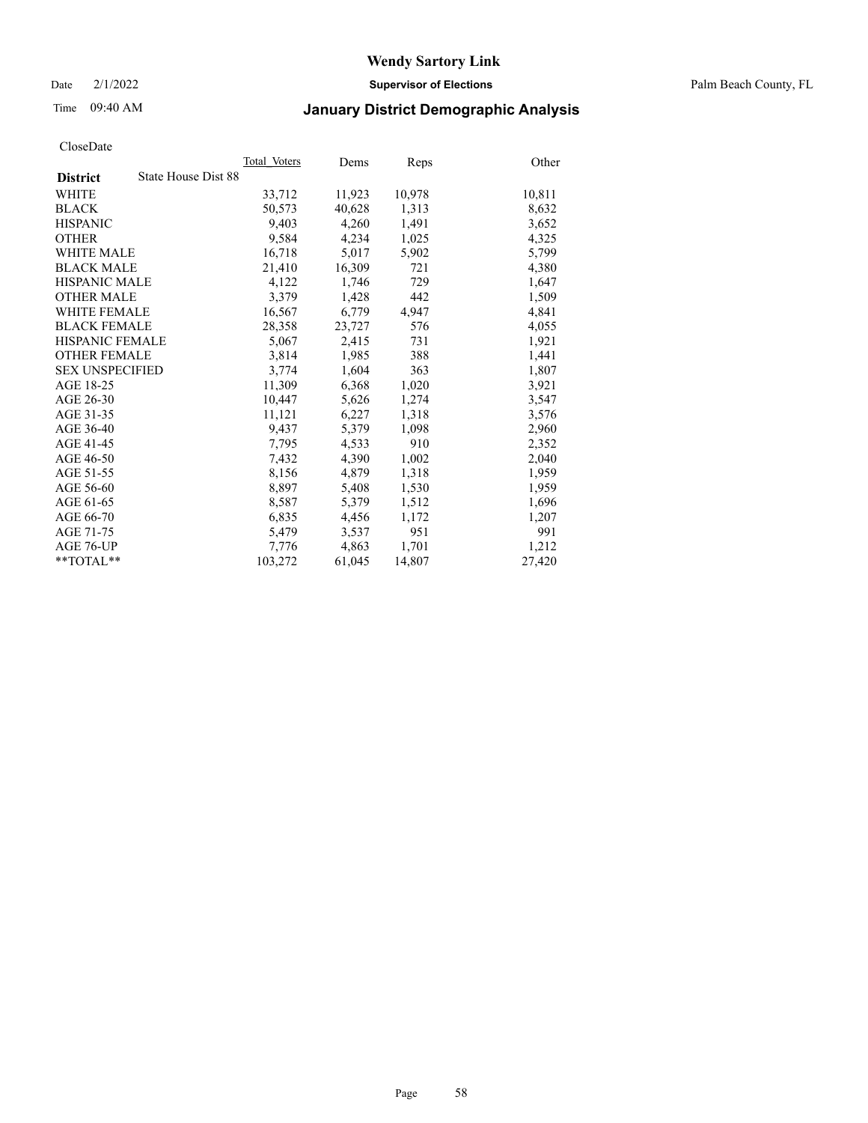Date 2/1/2022 **Supervisor of Elections** Palm Beach County, FL

## Time 09:40 AM **January District Demographic Analysis**

|                        |                     | Total Voters | Dems   | <b>Reps</b> | Other  |
|------------------------|---------------------|--------------|--------|-------------|--------|
| <b>District</b>        | State House Dist 88 |              |        |             |        |
| <b>WHITE</b>           |                     | 33,712       | 11,923 | 10,978      | 10,811 |
| <b>BLACK</b>           |                     | 50,573       | 40,628 | 1,313       | 8,632  |
| <b>HISPANIC</b>        |                     | 9,403        | 4,260  | 1,491       | 3,652  |
| <b>OTHER</b>           |                     | 9,584        | 4,234  | 1,025       | 4,325  |
| <b>WHITE MALE</b>      |                     | 16,718       | 5,017  | 5,902       | 5,799  |
| <b>BLACK MALE</b>      |                     | 21,410       | 16,309 | 721         | 4,380  |
| <b>HISPANIC MALE</b>   |                     | 4,122        | 1,746  | 729         | 1,647  |
| <b>OTHER MALE</b>      |                     | 3,379        | 1,428  | 442         | 1,509  |
| <b>WHITE FEMALE</b>    |                     | 16,567       | 6,779  | 4,947       | 4,841  |
| <b>BLACK FEMALE</b>    |                     | 28,358       | 23,727 | 576         | 4,055  |
| HISPANIC FEMALE        |                     | 5,067        | 2,415  | 731         | 1,921  |
| <b>OTHER FEMALE</b>    |                     | 3,814        | 1,985  | 388         | 1,441  |
| <b>SEX UNSPECIFIED</b> |                     | 3,774        | 1,604  | 363         | 1,807  |
| AGE 18-25              |                     | 11,309       | 6,368  | 1,020       | 3,921  |
| AGE 26-30              |                     | 10,447       | 5,626  | 1,274       | 3,547  |
| AGE 31-35              |                     | 11,121       | 6,227  | 1,318       | 3,576  |
| AGE 36-40              |                     | 9,437        | 5,379  | 1,098       | 2,960  |
| AGE 41-45              |                     | 7,795        | 4,533  | 910         | 2,352  |
| AGE 46-50              |                     | 7,432        | 4,390  | 1,002       | 2,040  |
| AGE 51-55              |                     | 8,156        | 4,879  | 1,318       | 1,959  |
| AGE 56-60              |                     | 8,897        | 5,408  | 1,530       | 1,959  |
| AGE 61-65              |                     | 8,587        | 5,379  | 1,512       | 1,696  |
| AGE 66-70              |                     | 6,835        | 4,456  | 1,172       | 1,207  |
| AGE 71-75              |                     | 5,479        | 3,537  | 951         | 991    |
| AGE 76-UP              |                     | 7,776        | 4,863  | 1,701       | 1,212  |
| $*$ $TOTAL**$          |                     | 103,272      | 61,045 | 14,807      | 27,420 |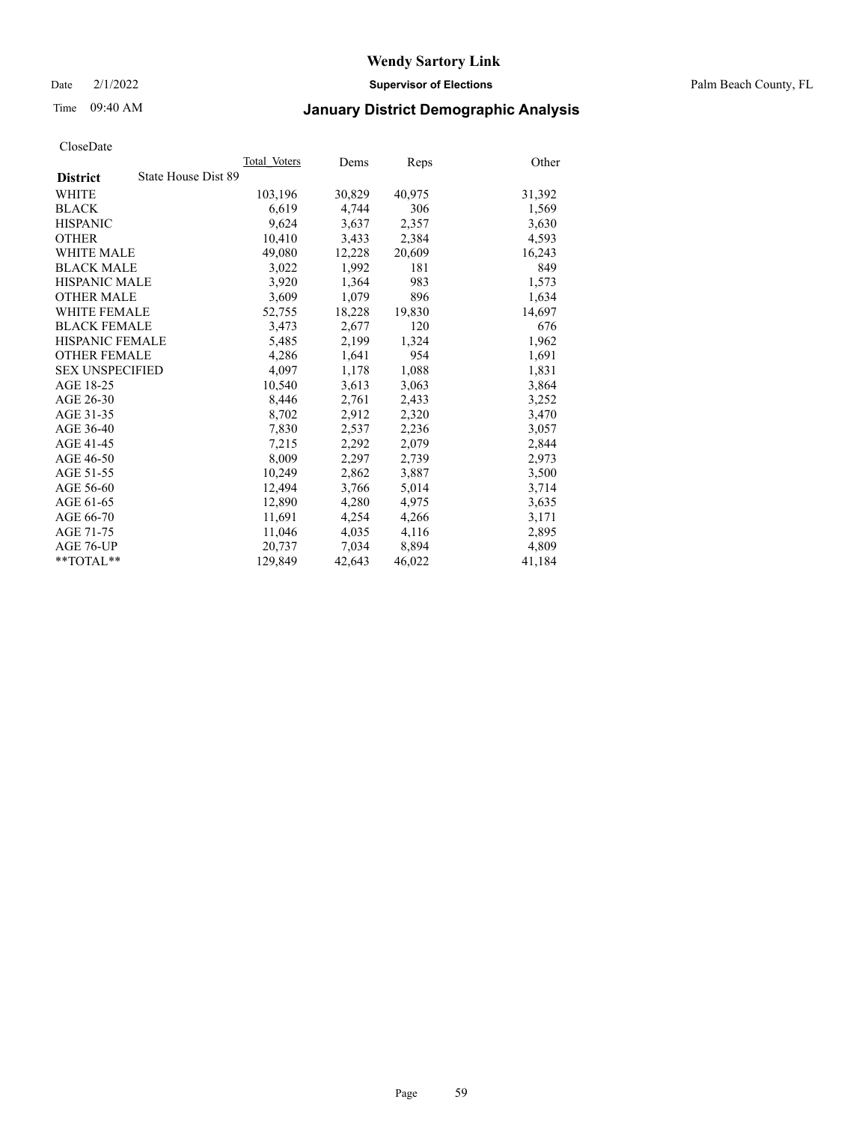Date 2/1/2022 **Supervisor of Elections** Palm Beach County, FL

## Time 09:40 AM **January District Demographic Analysis**

|                                        | Total Voters | Dems   | Reps   | Other  |
|----------------------------------------|--------------|--------|--------|--------|
| State House Dist 89<br><b>District</b> |              |        |        |        |
| WHITE                                  | 103,196      | 30,829 | 40,975 | 31,392 |
| <b>BLACK</b>                           | 6,619        | 4,744  | 306    | 1,569  |
| <b>HISPANIC</b>                        | 9.624        | 3,637  | 2,357  | 3,630  |
| <b>OTHER</b>                           | 10,410       | 3,433  | 2,384  | 4,593  |
| <b>WHITE MALE</b>                      | 49,080       | 12,228 | 20,609 | 16,243 |
| <b>BLACK MALE</b>                      | 3,022        | 1,992  | 181    | 849    |
| <b>HISPANIC MALE</b>                   | 3,920        | 1,364  | 983    | 1,573  |
| <b>OTHER MALE</b>                      | 3,609        | 1,079  | 896    | 1,634  |
| <b>WHITE FEMALE</b>                    | 52,755       | 18,228 | 19,830 | 14,697 |
| <b>BLACK FEMALE</b>                    | 3,473        | 2,677  | 120    | 676    |
| HISPANIC FEMALE                        | 5,485        | 2,199  | 1,324  | 1,962  |
| <b>OTHER FEMALE</b>                    | 4,286        | 1,641  | 954    | 1,691  |
| <b>SEX UNSPECIFIED</b>                 | 4,097        | 1,178  | 1,088  | 1,831  |
| AGE 18-25                              | 10,540       | 3,613  | 3,063  | 3,864  |
| AGE 26-30                              | 8,446        | 2,761  | 2,433  | 3,252  |
| AGE 31-35                              | 8,702        | 2,912  | 2,320  | 3,470  |
| AGE 36-40                              | 7,830        | 2,537  | 2,236  | 3,057  |
| AGE 41-45                              | 7,215        | 2,292  | 2,079  | 2,844  |
| AGE 46-50                              | 8,009        | 2,297  | 2,739  | 2,973  |
| AGE 51-55                              | 10,249       | 2,862  | 3,887  | 3,500  |
| AGE 56-60                              | 12,494       | 3,766  | 5,014  | 3,714  |
| AGE 61-65                              | 12.890       | 4,280  | 4,975  | 3,635  |
| AGE 66-70                              | 11,691       | 4,254  | 4,266  | 3,171  |
| AGE 71-75                              | 11,046       | 4,035  | 4,116  | 2,895  |
| AGE 76-UP                              | 20.737       | 7,034  | 8,894  | 4,809  |
| $*$ $TOTAL**$                          | 129,849      | 42,643 | 46,022 | 41,184 |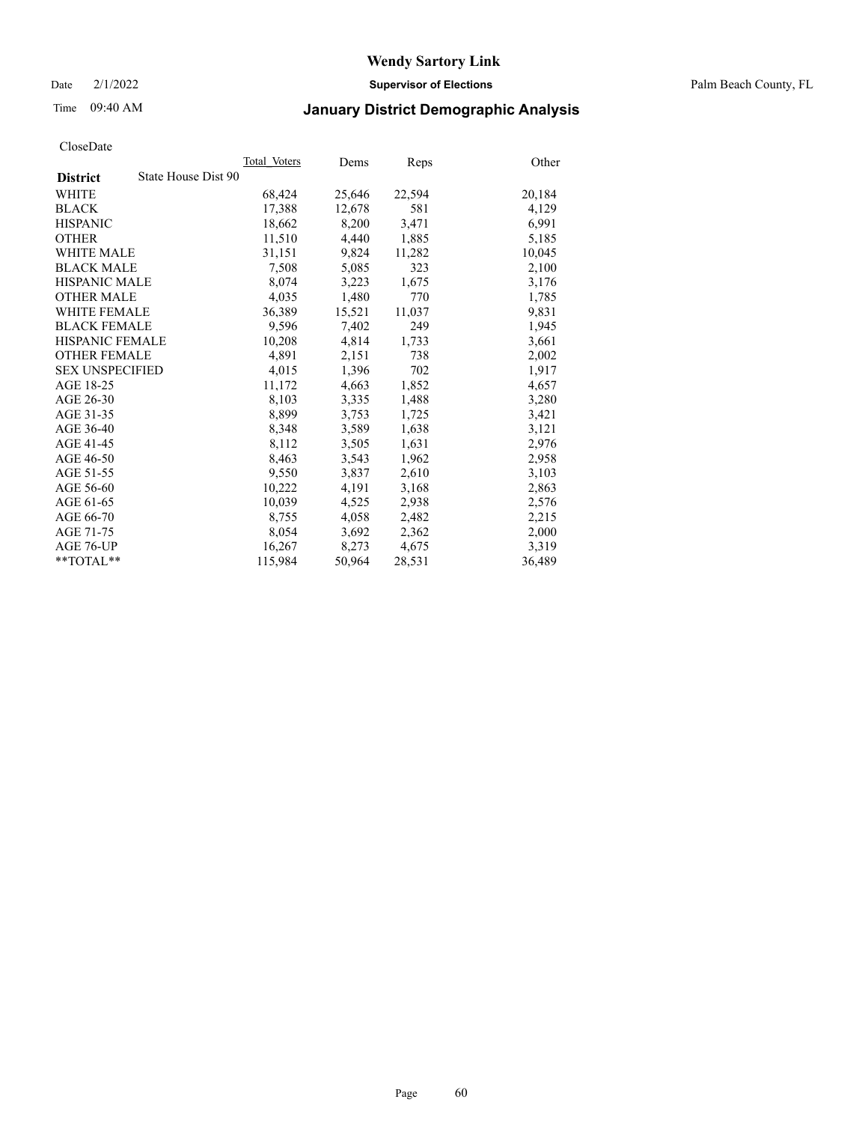Date 2/1/2022 **Supervisor of Elections** Palm Beach County, FL

## Time 09:40 AM **January District Demographic Analysis**

|                                        | Total Voters | Dems   | <b>Reps</b> | Other  |
|----------------------------------------|--------------|--------|-------------|--------|
| State House Dist 90<br><b>District</b> |              |        |             |        |
| WHITE                                  | 68,424       | 25,646 | 22,594      | 20,184 |
| <b>BLACK</b>                           | 17,388       | 12,678 | 581         | 4,129  |
| <b>HISPANIC</b>                        | 18,662       | 8,200  | 3,471       | 6,991  |
| <b>OTHER</b>                           | 11,510       | 4,440  | 1,885       | 5,185  |
| <b>WHITE MALE</b>                      | 31,151       | 9,824  | 11,282      | 10,045 |
| <b>BLACK MALE</b>                      | 7,508        | 5,085  | 323         | 2,100  |
| <b>HISPANIC MALE</b>                   | 8,074        | 3,223  | 1,675       | 3,176  |
| <b>OTHER MALE</b>                      | 4,035        | 1,480  | 770         | 1,785  |
| <b>WHITE FEMALE</b>                    | 36,389       | 15,521 | 11,037      | 9,831  |
| <b>BLACK FEMALE</b>                    | 9,596        | 7,402  | 249         | 1,945  |
| <b>HISPANIC FEMALE</b>                 | 10,208       | 4,814  | 1,733       | 3,661  |
| <b>OTHER FEMALE</b>                    | 4,891        | 2,151  | 738         | 2,002  |
| <b>SEX UNSPECIFIED</b>                 | 4,015        | 1,396  | 702         | 1,917  |
| AGE 18-25                              | 11,172       | 4,663  | 1,852       | 4,657  |
| AGE 26-30                              | 8,103        | 3,335  | 1,488       | 3,280  |
| AGE 31-35                              | 8,899        | 3,753  | 1,725       | 3,421  |
| AGE 36-40                              | 8,348        | 3,589  | 1,638       | 3,121  |
| AGE 41-45                              | 8,112        | 3,505  | 1,631       | 2,976  |
| AGE 46-50                              | 8,463        | 3,543  | 1,962       | 2,958  |
| AGE 51-55                              | 9,550        | 3,837  | 2,610       | 3,103  |
| AGE 56-60                              | 10,222       | 4,191  | 3,168       | 2,863  |
| AGE 61-65                              | 10,039       | 4,525  | 2,938       | 2,576  |
| AGE 66-70                              | 8,755        | 4,058  | 2,482       | 2,215  |
| AGE 71-75                              | 8,054        | 3,692  | 2,362       | 2,000  |
| AGE 76-UP                              | 16,267       | 8,273  | 4,675       | 3,319  |
| **TOTAL**                              | 115,984      | 50,964 | 28,531      | 36,489 |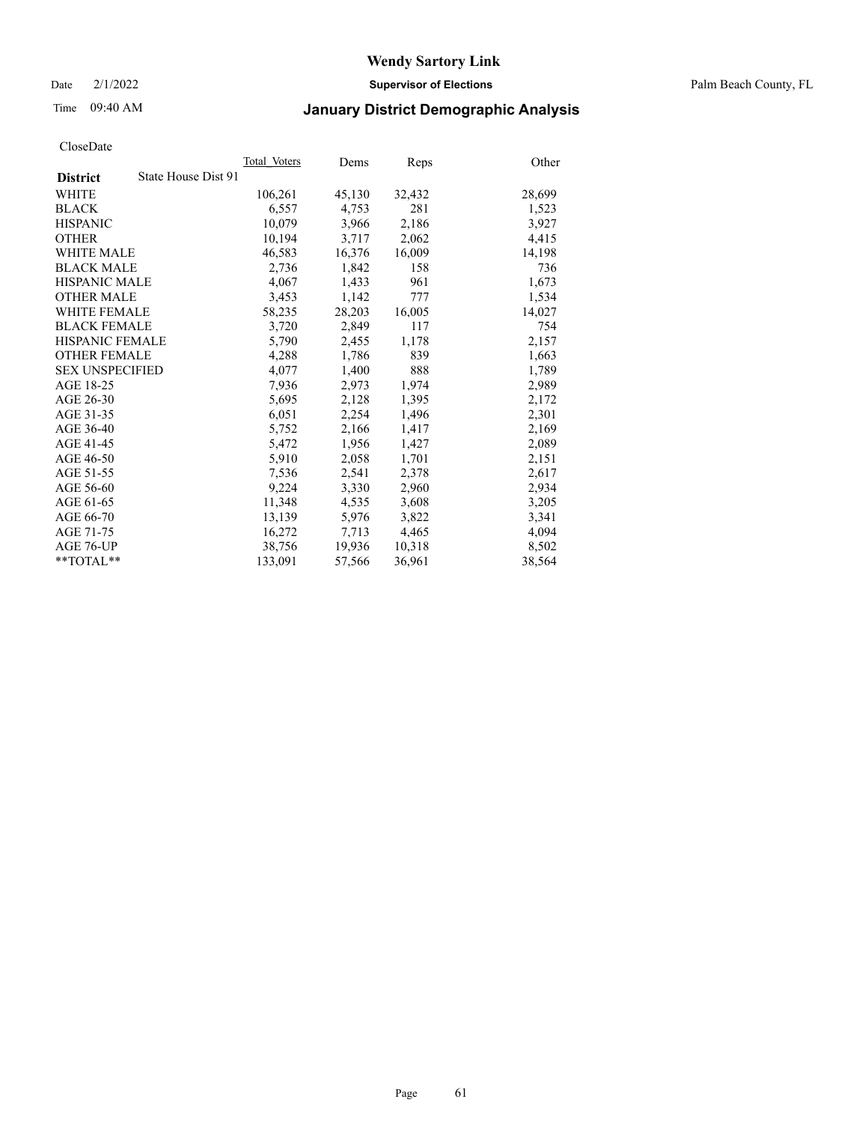Date 2/1/2022 **Supervisor of Elections** Palm Beach County, FL

## Time 09:40 AM **January District Demographic Analysis**

|                                        | Total Voters | Dems   | Reps   | Other  |
|----------------------------------------|--------------|--------|--------|--------|
| State House Dist 91<br><b>District</b> |              |        |        |        |
| WHITE                                  | 106,261      | 45,130 | 32,432 | 28,699 |
| <b>BLACK</b>                           | 6,557        | 4,753  | 281    | 1,523  |
| <b>HISPANIC</b>                        | 10.079       | 3,966  | 2,186  | 3,927  |
| <b>OTHER</b>                           | 10,194       | 3,717  | 2,062  | 4,415  |
| <b>WHITE MALE</b>                      | 46,583       | 16,376 | 16,009 | 14,198 |
| <b>BLACK MALE</b>                      | 2,736        | 1,842  | 158    | 736    |
| <b>HISPANIC MALE</b>                   | 4,067        | 1,433  | 961    | 1,673  |
| <b>OTHER MALE</b>                      | 3,453        | 1,142  | 777    | 1,534  |
| <b>WHITE FEMALE</b>                    | 58,235       | 28,203 | 16,005 | 14,027 |
| <b>BLACK FEMALE</b>                    | 3,720        | 2,849  | 117    | 754    |
| HISPANIC FEMALE                        | 5,790        | 2,455  | 1,178  | 2,157  |
| <b>OTHER FEMALE</b>                    | 4,288        | 1,786  | 839    | 1,663  |
| <b>SEX UNSPECIFIED</b>                 | 4,077        | 1,400  | 888    | 1,789  |
| AGE 18-25                              | 7,936        | 2,973  | 1,974  | 2,989  |
| AGE 26-30                              | 5,695        | 2,128  | 1,395  | 2,172  |
| AGE 31-35                              | 6,051        | 2,254  | 1,496  | 2,301  |
| AGE 36-40                              | 5,752        | 2,166  | 1,417  | 2,169  |
| AGE 41-45                              | 5,472        | 1,956  | 1,427  | 2,089  |
| AGE 46-50                              | 5,910        | 2,058  | 1,701  | 2,151  |
| AGE 51-55                              | 7,536        | 2,541  | 2,378  | 2,617  |
| AGE 56-60                              | 9,224        | 3,330  | 2,960  | 2,934  |
| AGE 61-65                              | 11,348       | 4,535  | 3,608  | 3,205  |
| AGE 66-70                              | 13,139       | 5,976  | 3,822  | 3,341  |
| AGE 71-75                              | 16,272       | 7,713  | 4,465  | 4,094  |
| AGE 76-UP                              | 38,756       | 19,936 | 10,318 | 8,502  |
| $*$ $TOTAL**$                          | 133,091      | 57,566 | 36,961 | 38,564 |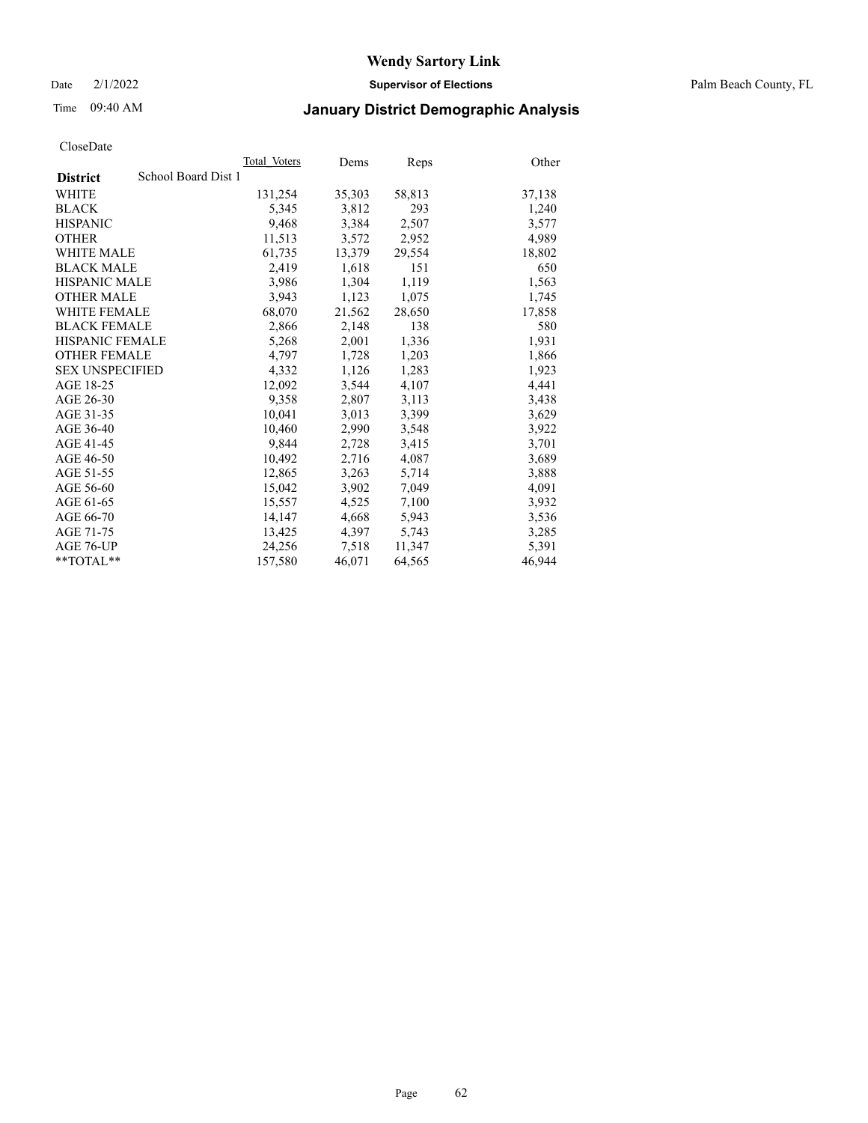Date 2/1/2022 **Supervisor of Elections** Palm Beach County, FL

## Time 09:40 AM **January District Demographic Analysis**

|                                        | Total Voters | Dems   | Reps   | Other  |
|----------------------------------------|--------------|--------|--------|--------|
| School Board Dist 1<br><b>District</b> |              |        |        |        |
| WHITE                                  | 131,254      | 35,303 | 58,813 | 37,138 |
| <b>BLACK</b>                           | 5,345        | 3,812  | 293    | 1,240  |
| <b>HISPANIC</b>                        | 9,468        | 3,384  | 2,507  | 3,577  |
| <b>OTHER</b>                           | 11,513       | 3,572  | 2,952  | 4,989  |
| <b>WHITE MALE</b>                      | 61,735       | 13,379 | 29,554 | 18,802 |
| <b>BLACK MALE</b>                      | 2,419        | 1,618  | 151    | 650    |
| <b>HISPANIC MALE</b>                   | 3,986        | 1,304  | 1,119  | 1,563  |
| <b>OTHER MALE</b>                      | 3,943        | 1,123  | 1,075  | 1,745  |
| <b>WHITE FEMALE</b>                    | 68,070       | 21,562 | 28,650 | 17,858 |
| <b>BLACK FEMALE</b>                    | 2,866        | 2,148  | 138    | 580    |
| HISPANIC FEMALE                        | 5,268        | 2,001  | 1,336  | 1,931  |
| <b>OTHER FEMALE</b>                    | 4,797        | 1,728  | 1,203  | 1,866  |
| <b>SEX UNSPECIFIED</b>                 | 4,332        | 1,126  | 1,283  | 1,923  |
| AGE 18-25                              | 12,092       | 3,544  | 4,107  | 4,441  |
| AGE 26-30                              | 9,358        | 2,807  | 3,113  | 3,438  |
| AGE 31-35                              | 10,041       | 3,013  | 3,399  | 3,629  |
| AGE 36-40                              | 10,460       | 2,990  | 3,548  | 3,922  |
| AGE 41-45                              | 9,844        | 2,728  | 3,415  | 3,701  |
| AGE 46-50                              | 10,492       | 2,716  | 4,087  | 3,689  |
| AGE 51-55                              | 12,865       | 3,263  | 5,714  | 3,888  |
| AGE 56-60                              | 15,042       | 3,902  | 7,049  | 4,091  |
| AGE 61-65                              | 15,557       | 4,525  | 7,100  | 3,932  |
| AGE 66-70                              | 14,147       | 4,668  | 5,943  | 3,536  |
| AGE 71-75                              | 13,425       | 4,397  | 5,743  | 3,285  |
| AGE 76-UP                              | 24,256       | 7,518  | 11,347 | 5,391  |
| $*$ $TOTAL**$                          | 157,580      | 46,071 | 64,565 | 46,944 |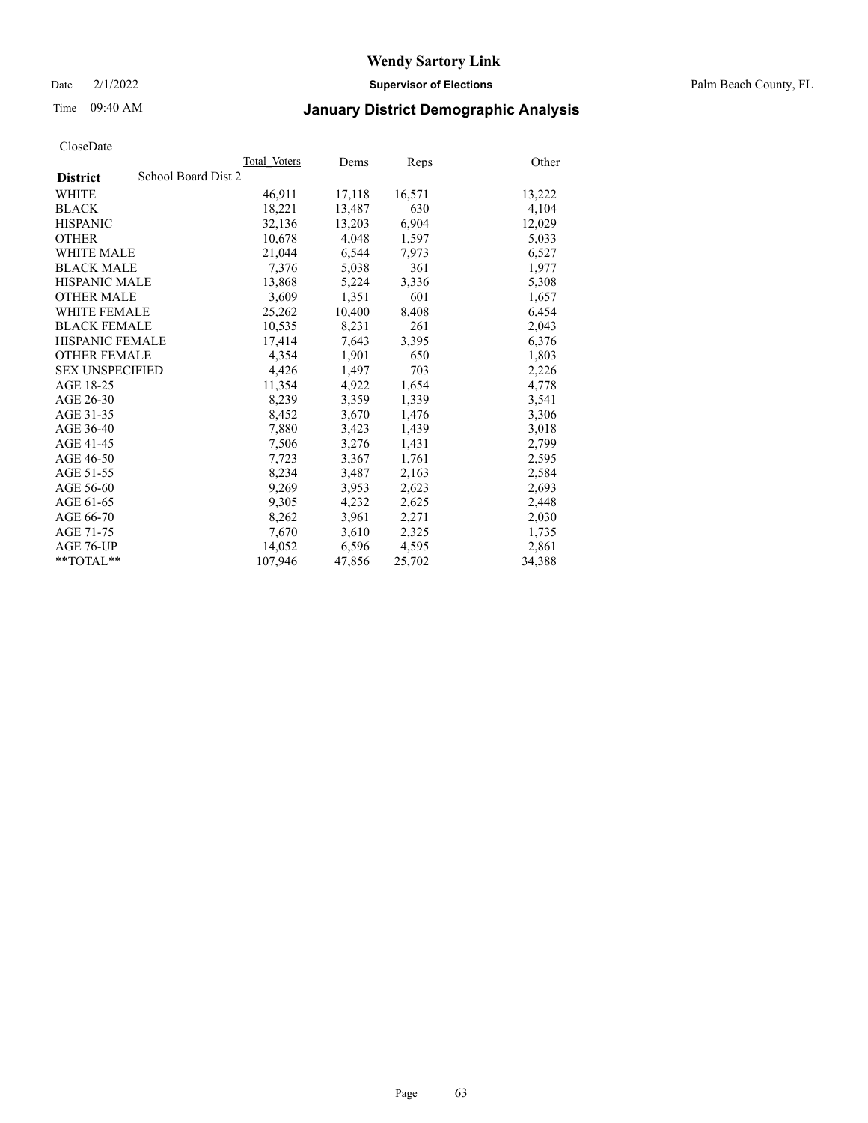Date 2/1/2022 **Supervisor of Elections** Palm Beach County, FL

## Time 09:40 AM **January District Demographic Analysis**

|                        | Total Voters        | Dems   | <b>Reps</b> | Other  |
|------------------------|---------------------|--------|-------------|--------|
| <b>District</b>        | School Board Dist 2 |        |             |        |
| <b>WHITE</b>           | 46,911              | 17,118 | 16,571      | 13,222 |
| <b>BLACK</b>           | 18,221              | 13,487 | 630         | 4,104  |
| <b>HISPANIC</b>        | 32,136              | 13,203 | 6,904       | 12,029 |
| <b>OTHER</b>           | 10,678              | 4,048  | 1,597       | 5,033  |
| <b>WHITE MALE</b>      | 21,044              | 6,544  | 7,973       | 6,527  |
| <b>BLACK MALE</b>      | 7,376               | 5,038  | 361         | 1,977  |
| <b>HISPANIC MALE</b>   | 13,868              | 5,224  | 3,336       | 5,308  |
| <b>OTHER MALE</b>      | 3,609               | 1,351  | 601         | 1,657  |
| <b>WHITE FEMALE</b>    | 25,262              | 10,400 | 8,408       | 6,454  |
| <b>BLACK FEMALE</b>    | 10.535              | 8,231  | 261         | 2,043  |
| <b>HISPANIC FEMALE</b> | 17,414              | 7,643  | 3,395       | 6,376  |
| <b>OTHER FEMALE</b>    | 4,354               | 1,901  | 650         | 1,803  |
| <b>SEX UNSPECIFIED</b> | 4,426               | 1,497  | 703         | 2,226  |
| AGE 18-25              | 11,354              | 4,922  | 1,654       | 4,778  |
| AGE 26-30              | 8,239               | 3,359  | 1,339       | 3,541  |
| AGE 31-35              | 8,452               | 3,670  | 1,476       | 3,306  |
| AGE 36-40              | 7,880               | 3,423  | 1,439       | 3,018  |
| AGE 41-45              | 7,506               | 3,276  | 1,431       | 2,799  |
| AGE 46-50              | 7,723               | 3,367  | 1,761       | 2,595  |
| AGE 51-55              | 8,234               | 3,487  | 2,163       | 2,584  |
| AGE 56-60              | 9,269               | 3,953  | 2,623       | 2,693  |
| AGE 61-65              | 9,305               | 4,232  | 2,625       | 2,448  |
| AGE 66-70              | 8,262               | 3,961  | 2,271       | 2,030  |
| AGE 71-75              | 7,670               | 3,610  | 2,325       | 1,735  |
| AGE 76-UP              | 14,052              | 6,596  | 4,595       | 2,861  |
| $*$ $TOTAL**$          | 107,946             | 47,856 | 25,702      | 34,388 |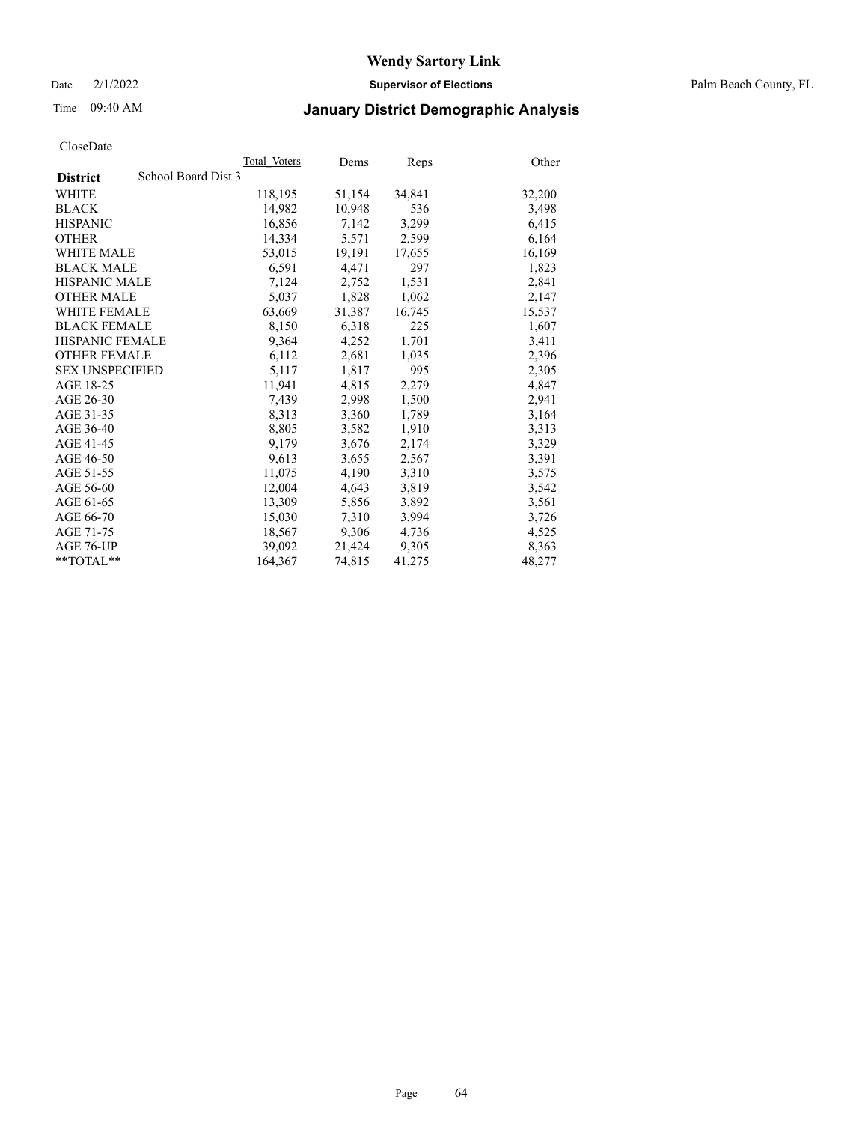Date 2/1/2022 **Supervisor of Elections** Palm Beach County, FL

## Time 09:40 AM **January District Demographic Analysis**

|                                        | Total Voters | Dems   | Reps   | Other  |
|----------------------------------------|--------------|--------|--------|--------|
| School Board Dist 3<br><b>District</b> |              |        |        |        |
| WHITE                                  | 118,195      | 51,154 | 34,841 | 32,200 |
| <b>BLACK</b>                           | 14,982       | 10,948 | 536    | 3,498  |
| <b>HISPANIC</b>                        | 16,856       | 7,142  | 3,299  | 6,415  |
| <b>OTHER</b>                           | 14,334       | 5,571  | 2,599  | 6,164  |
| <b>WHITE MALE</b>                      | 53,015       | 19,191 | 17,655 | 16,169 |
| <b>BLACK MALE</b>                      | 6,591        | 4,471  | 297    | 1,823  |
| <b>HISPANIC MALE</b>                   | 7,124        | 2,752  | 1,531  | 2,841  |
| <b>OTHER MALE</b>                      | 5,037        | 1,828  | 1,062  | 2,147  |
| <b>WHITE FEMALE</b>                    | 63,669       | 31,387 | 16,745 | 15,537 |
| <b>BLACK FEMALE</b>                    | 8,150        | 6.318  | 225    | 1,607  |
| <b>HISPANIC FEMALE</b>                 | 9,364        | 4,252  | 1,701  | 3,411  |
| <b>OTHER FEMALE</b>                    | 6,112        | 2,681  | 1,035  | 2,396  |
| <b>SEX UNSPECIFIED</b>                 | 5,117        | 1,817  | 995    | 2,305  |
| AGE 18-25                              | 11,941       | 4,815  | 2,279  | 4,847  |
| AGE 26-30                              | 7,439        | 2,998  | 1,500  | 2,941  |
| AGE 31-35                              | 8,313        | 3,360  | 1,789  | 3,164  |
| AGE 36-40                              | 8,805        | 3,582  | 1,910  | 3,313  |
| AGE 41-45                              | 9,179        | 3,676  | 2,174  | 3,329  |
| AGE 46-50                              | 9,613        | 3,655  | 2,567  | 3,391  |
| AGE 51-55                              | 11,075       | 4,190  | 3,310  | 3,575  |
| AGE 56-60                              | 12,004       | 4,643  | 3,819  | 3,542  |
| AGE 61-65                              | 13,309       | 5,856  | 3,892  | 3,561  |
| AGE 66-70                              | 15,030       | 7,310  | 3,994  | 3,726  |
| AGE 71-75                              | 18,567       | 9,306  | 4,736  | 4,525  |
| AGE 76-UP                              | 39,092       | 21,424 | 9,305  | 8,363  |
| $*$ $TOTAL**$                          | 164,367      | 74,815 | 41,275 | 48,277 |
|                                        |              |        |        |        |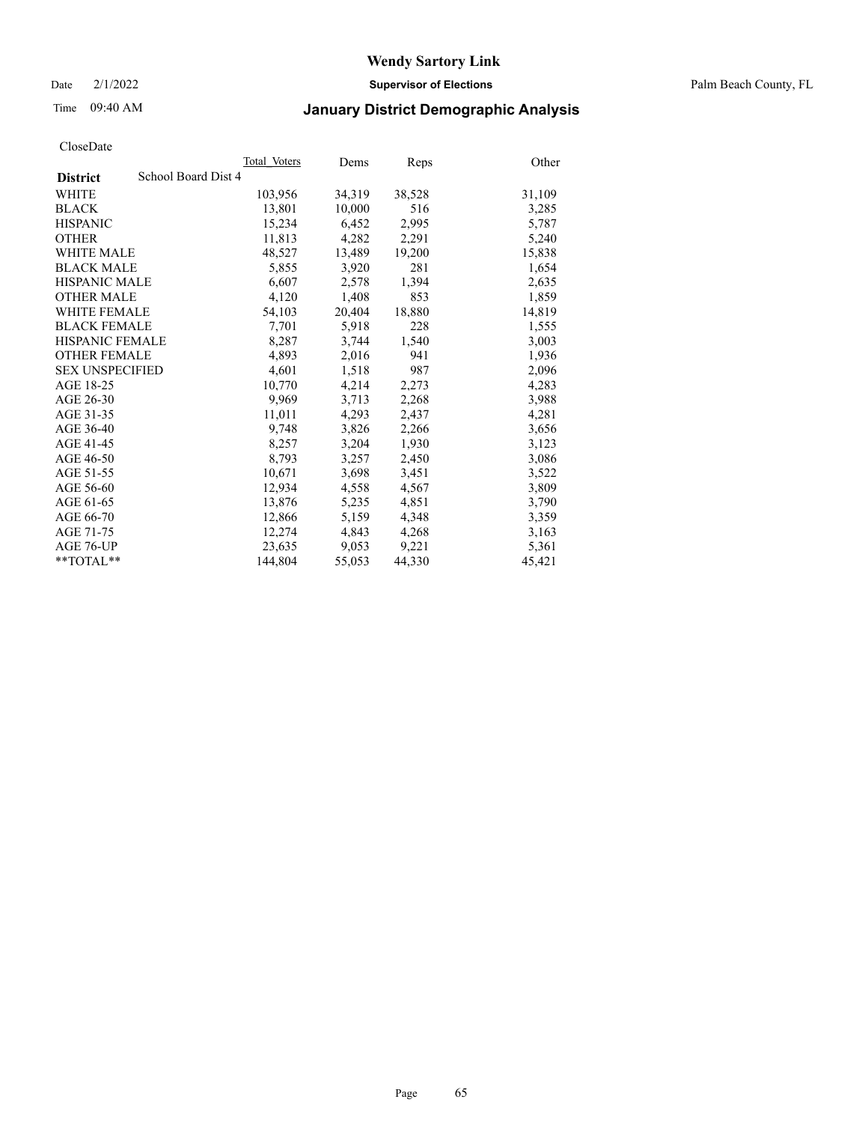Date 2/1/2022 **Supervisor of Elections** Palm Beach County, FL

## Time 09:40 AM **January District Demographic Analysis**

|                        | Total Voters        | Dems   | <b>Reps</b> | Other  |
|------------------------|---------------------|--------|-------------|--------|
| <b>District</b>        | School Board Dist 4 |        |             |        |
| <b>WHITE</b>           | 103,956             | 34,319 | 38,528      | 31,109 |
| <b>BLACK</b>           | 13,801              | 10,000 | 516         | 3,285  |
| <b>HISPANIC</b>        | 15,234              | 6,452  | 2,995       | 5,787  |
| <b>OTHER</b>           | 11,813              | 4,282  | 2,291       | 5,240  |
| <b>WHITE MALE</b>      | 48,527              | 13,489 | 19,200      | 15,838 |
| <b>BLACK MALE</b>      | 5,855               | 3,920  | 281         | 1,654  |
| <b>HISPANIC MALE</b>   | 6,607               | 2,578  | 1,394       | 2,635  |
| <b>OTHER MALE</b>      | 4,120               | 1,408  | 853         | 1,859  |
| <b>WHITE FEMALE</b>    | 54,103              | 20,404 | 18,880      | 14,819 |
| <b>BLACK FEMALE</b>    | 7,701               | 5,918  | 228         | 1,555  |
| <b>HISPANIC FEMALE</b> | 8,287               | 3,744  | 1,540       | 3,003  |
| <b>OTHER FEMALE</b>    | 4,893               | 2,016  | 941         | 1,936  |
| <b>SEX UNSPECIFIED</b> | 4,601               | 1,518  | 987         | 2,096  |
| AGE 18-25              | 10,770              | 4,214  | 2,273       | 4,283  |
| AGE 26-30              | 9,969               | 3,713  | 2,268       | 3,988  |
| AGE 31-35              | 11,011              | 4,293  | 2,437       | 4,281  |
| AGE 36-40              | 9,748               | 3,826  | 2,266       | 3,656  |
| AGE 41-45              | 8,257               | 3,204  | 1,930       | 3,123  |
| AGE 46-50              | 8,793               | 3,257  | 2,450       | 3,086  |
| AGE 51-55              | 10,671              | 3,698  | 3,451       | 3,522  |
| AGE 56-60              | 12,934              | 4,558  | 4,567       | 3,809  |
| AGE 61-65              | 13,876              | 5,235  | 4,851       | 3,790  |
| AGE 66-70              | 12,866              | 5,159  | 4,348       | 3,359  |
| AGE 71-75              | 12,274              | 4,843  | 4,268       | 3,163  |
| AGE 76-UP              | 23,635              | 9,053  | 9,221       | 5,361  |
| $*$ $TOTAL**$          | 144,804             | 55,053 | 44,330      | 45,421 |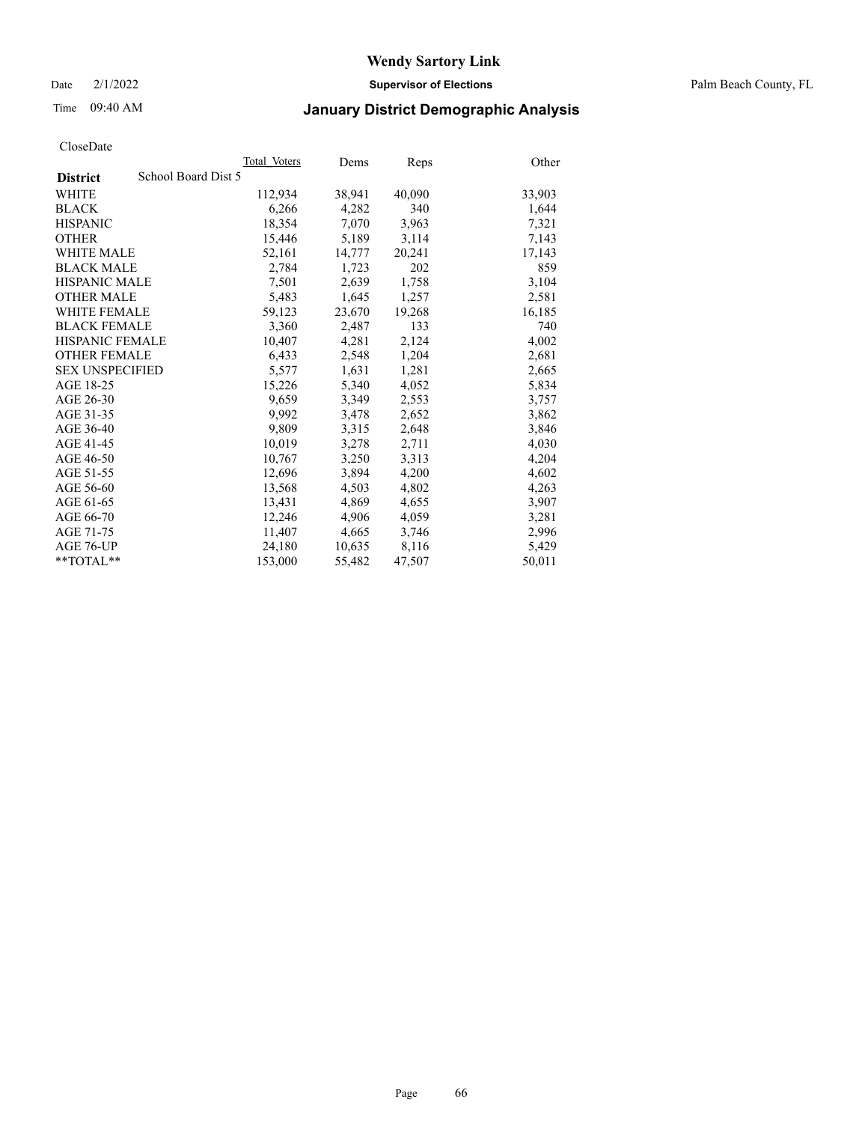Date 2/1/2022 **Supervisor of Elections** Palm Beach County, FL

## Time 09:40 AM **January District Demographic Analysis**

|                                        | Total Voters | Dems   | Reps   | Other  |
|----------------------------------------|--------------|--------|--------|--------|
| School Board Dist 5<br><b>District</b> |              |        |        |        |
| WHITE                                  | 112,934      | 38,941 | 40,090 | 33,903 |
| <b>BLACK</b>                           | 6,266        | 4,282  | 340    | 1,644  |
| <b>HISPANIC</b>                        | 18,354       | 7,070  | 3,963  | 7,321  |
| <b>OTHER</b>                           | 15,446       | 5,189  | 3,114  | 7,143  |
| <b>WHITE MALE</b>                      | 52,161       | 14,777 | 20,241 | 17,143 |
| <b>BLACK MALE</b>                      | 2,784        | 1,723  | 202    | 859    |
| <b>HISPANIC MALE</b>                   | 7,501        | 2,639  | 1,758  | 3,104  |
| <b>OTHER MALE</b>                      | 5,483        | 1,645  | 1,257  | 2,581  |
| <b>WHITE FEMALE</b>                    | 59,123       | 23,670 | 19,268 | 16,185 |
| <b>BLACK FEMALE</b>                    | 3.360        | 2.487  | 133    | 740    |
| <b>HISPANIC FEMALE</b>                 | 10,407       | 4,281  | 2,124  | 4,002  |
| <b>OTHER FEMALE</b>                    | 6,433        | 2,548  | 1,204  | 2,681  |
| <b>SEX UNSPECIFIED</b>                 | 5,577        | 1,631  | 1,281  | 2,665  |
| AGE 18-25                              | 15,226       | 5,340  | 4,052  | 5,834  |
| AGE 26-30                              | 9,659        | 3,349  | 2,553  | 3,757  |
| AGE 31-35                              | 9,992        | 3,478  | 2,652  | 3,862  |
| AGE 36-40                              | 9,809        | 3,315  | 2,648  | 3,846  |
| AGE 41-45                              | 10,019       | 3,278  | 2,711  | 4,030  |
| AGE 46-50                              | 10,767       | 3,250  | 3,313  | 4,204  |
| AGE 51-55                              | 12,696       | 3,894  | 4,200  | 4,602  |
| AGE 56-60                              | 13,568       | 4,503  | 4,802  | 4,263  |
| AGE 61-65                              | 13,431       | 4,869  | 4,655  | 3,907  |
| AGE 66-70                              | 12,246       | 4,906  | 4,059  | 3,281  |
| AGE 71-75                              | 11,407       | 4,665  | 3,746  | 2,996  |
| AGE 76-UP                              | 24,180       | 10,635 | 8,116  | 5,429  |
| $*$ $TOTAL**$                          | 153,000      | 55,482 | 47,507 | 50,011 |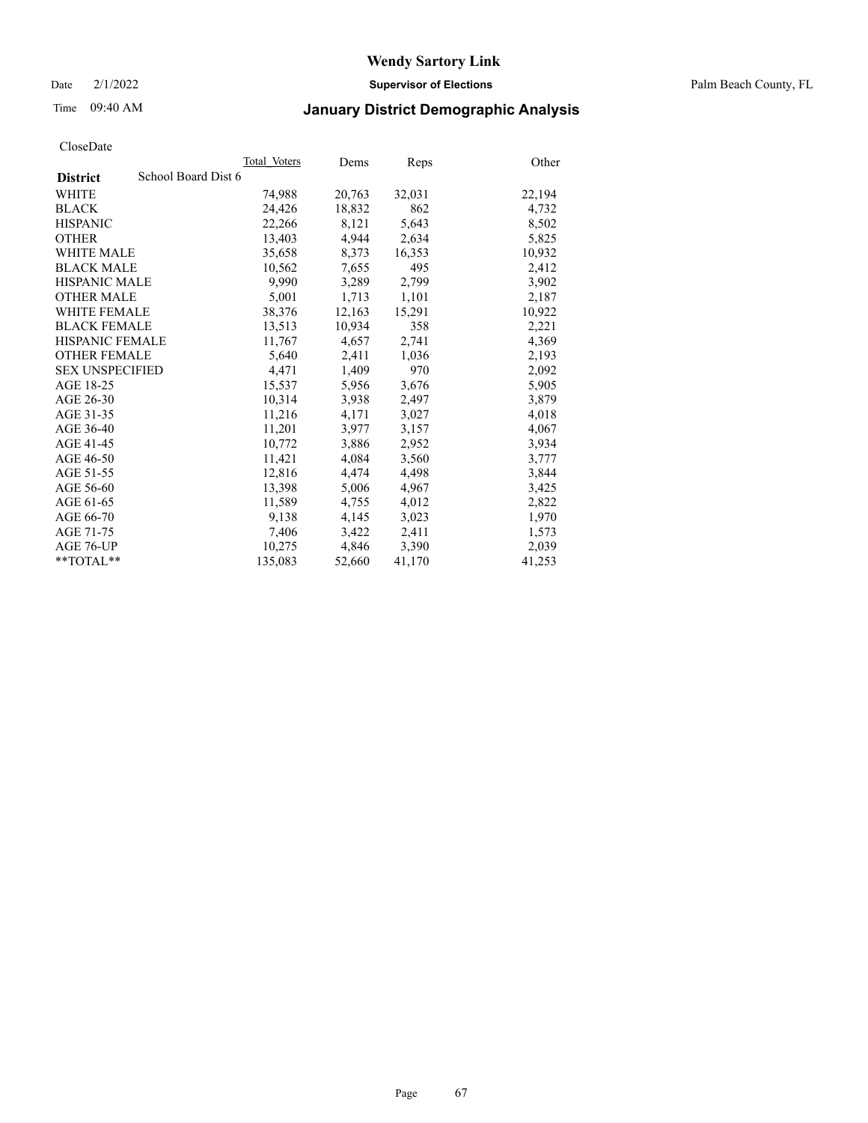Date 2/1/2022 **Supervisor of Elections** Palm Beach County, FL

## Time 09:40 AM **January District Demographic Analysis**

|                        | Total Voters        | Dems   | <b>Reps</b> | Other  |
|------------------------|---------------------|--------|-------------|--------|
| <b>District</b>        | School Board Dist 6 |        |             |        |
| WHITE                  | 74,988              | 20,763 | 32,031      | 22,194 |
| <b>BLACK</b>           | 24,426              | 18,832 | 862         | 4,732  |
| <b>HISPANIC</b>        | 22,266              | 8,121  | 5,643       | 8,502  |
| <b>OTHER</b>           | 13,403              | 4,944  | 2,634       | 5,825  |
| <b>WHITE MALE</b>      | 35,658              | 8,373  | 16,353      | 10,932 |
| <b>BLACK MALE</b>      | 10,562              | 7,655  | 495         | 2,412  |
| <b>HISPANIC MALE</b>   | 9,990               | 3,289  | 2,799       | 3,902  |
| <b>OTHER MALE</b>      | 5,001               | 1,713  | 1,101       | 2,187  |
| <b>WHITE FEMALE</b>    | 38,376              | 12,163 | 15,291      | 10,922 |
| <b>BLACK FEMALE</b>    | 13,513              | 10,934 | 358         | 2,221  |
| <b>HISPANIC FEMALE</b> | 11,767              | 4,657  | 2,741       | 4,369  |
| <b>OTHER FEMALE</b>    | 5,640               | 2,411  | 1,036       | 2,193  |
| <b>SEX UNSPECIFIED</b> | 4,471               | 1,409  | 970         | 2,092  |
| AGE 18-25              | 15,537              | 5,956  | 3,676       | 5,905  |
| AGE 26-30              | 10,314              | 3,938  | 2,497       | 3,879  |
| AGE 31-35              | 11,216              | 4,171  | 3,027       | 4,018  |
| AGE 36-40              | 11,201              | 3,977  | 3,157       | 4,067  |
| AGE 41-45              | 10,772              | 3,886  | 2,952       | 3,934  |
| AGE 46-50              | 11,421              | 4,084  | 3,560       | 3,777  |
| AGE 51-55              | 12,816              | 4,474  | 4,498       | 3,844  |
| AGE 56-60              | 13,398              | 5,006  | 4,967       | 3,425  |
| AGE 61-65              | 11,589              | 4,755  | 4,012       | 2,822  |
| AGE 66-70              | 9,138               | 4,145  | 3,023       | 1,970  |
| AGE 71-75              | 7,406               | 3,422  | 2,411       | 1,573  |
| AGE 76-UP              | 10,275              | 4,846  | 3,390       | 2,039  |
| **TOTAL**              | 135,083             | 52,660 | 41,170      | 41,253 |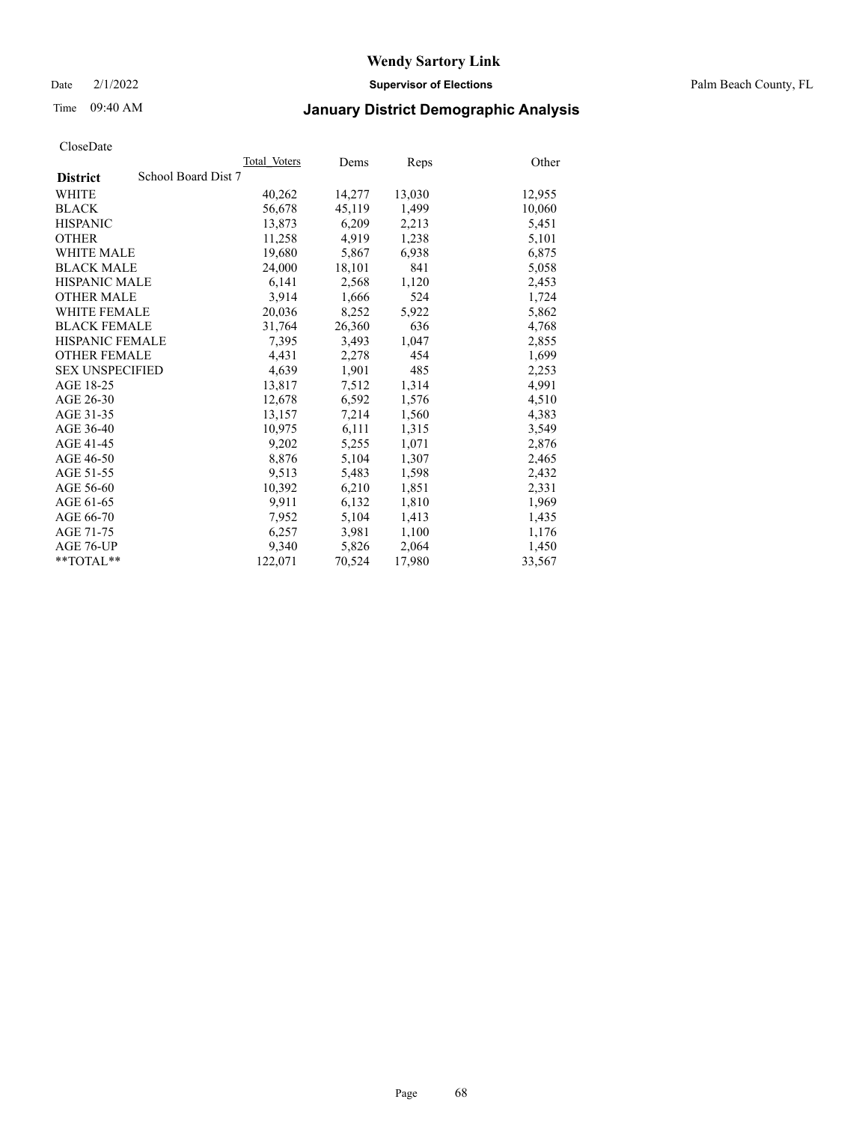Date 2/1/2022 **Supervisor of Elections** Palm Beach County, FL

## Time 09:40 AM **January District Demographic Analysis**

|                                        | Total Voters | Dems   | Reps   | Other  |
|----------------------------------------|--------------|--------|--------|--------|
| School Board Dist 7<br><b>District</b> |              |        |        |        |
| WHITE                                  | 40,262       | 14,277 | 13,030 | 12,955 |
| <b>BLACK</b>                           | 56,678       | 45,119 | 1,499  | 10,060 |
| <b>HISPANIC</b>                        | 13.873       | 6,209  | 2,213  | 5,451  |
| <b>OTHER</b>                           | 11,258       | 4,919  | 1,238  | 5,101  |
| <b>WHITE MALE</b>                      | 19,680       | 5,867  | 6,938  | 6,875  |
| <b>BLACK MALE</b>                      | 24,000       | 18,101 | 841    | 5,058  |
| <b>HISPANIC MALE</b>                   | 6,141        | 2,568  | 1,120  | 2,453  |
| <b>OTHER MALE</b>                      | 3.914        | 1,666  | 524    | 1,724  |
| <b>WHITE FEMALE</b>                    | 20,036       | 8,252  | 5,922  | 5,862  |
| <b>BLACK FEMALE</b>                    | 31,764       | 26,360 | 636    | 4,768  |
| <b>HISPANIC FEMALE</b>                 | 7,395        | 3,493  | 1,047  | 2,855  |
| <b>OTHER FEMALE</b>                    | 4,431        | 2,278  | 454    | 1,699  |
| <b>SEX UNSPECIFIED</b>                 | 4,639        | 1,901  | 485    | 2,253  |
| AGE 18-25                              | 13,817       | 7,512  | 1,314  | 4,991  |
| AGE 26-30                              | 12,678       | 6,592  | 1,576  | 4,510  |
| AGE 31-35                              | 13,157       | 7,214  | 1,560  | 4,383  |
| AGE 36-40                              | 10.975       | 6,111  | 1,315  | 3,549  |
| AGE 41-45                              | 9,202        | 5,255  | 1,071  | 2,876  |
| AGE 46-50                              | 8,876        | 5,104  | 1,307  | 2,465  |
| AGE 51-55                              | 9,513        | 5,483  | 1,598  | 2,432  |
| AGE 56-60                              | 10,392       | 6,210  | 1,851  | 2,331  |
| AGE 61-65                              | 9,911        | 6,132  | 1,810  | 1,969  |
| AGE 66-70                              | 7,952        | 5,104  | 1,413  | 1,435  |
| AGE 71-75                              | 6,257        | 3,981  | 1,100  | 1,176  |
| AGE 76-UP                              | 9.340        | 5,826  | 2,064  | 1,450  |
| $*$ $TOTAL**$                          | 122,071      | 70,524 | 17,980 | 33,567 |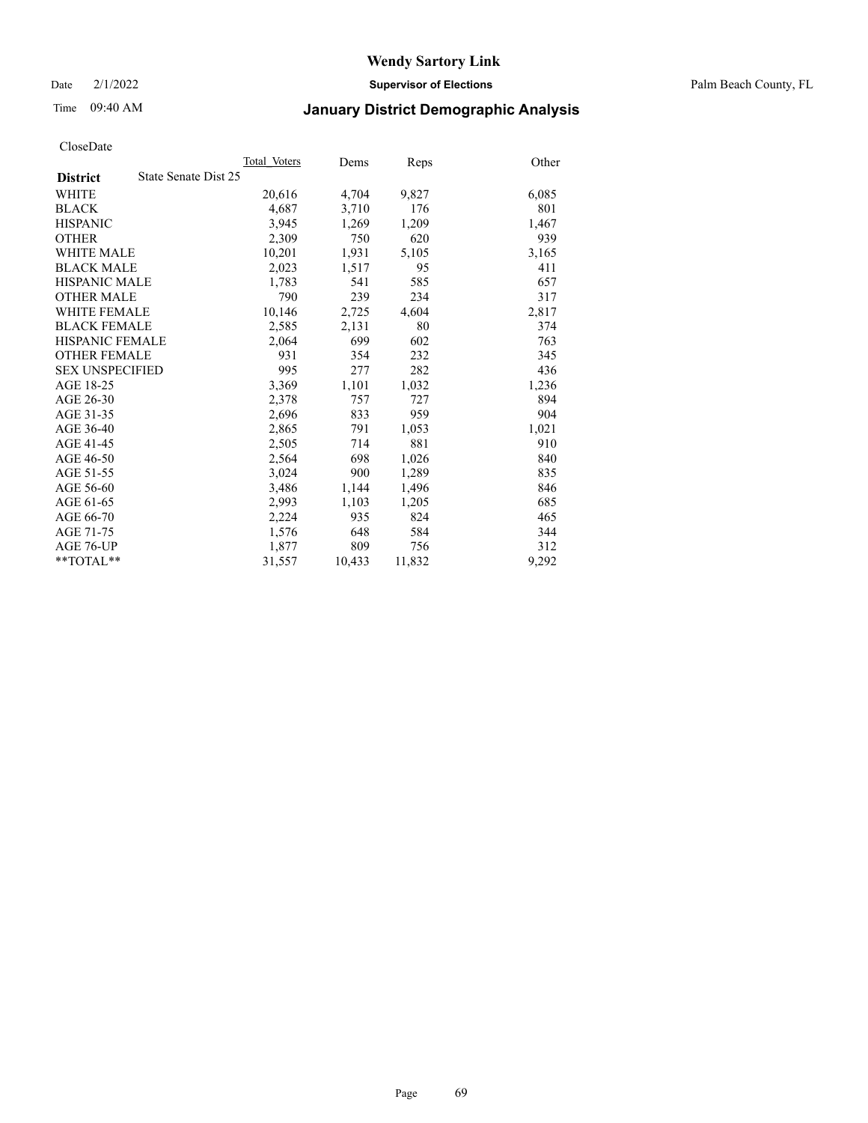Date 2/1/2022 **Supervisor of Elections** Palm Beach County, FL

## Time 09:40 AM **January District Demographic Analysis**

|                        |                      | Total Voters | Dems   | Reps   | Other |
|------------------------|----------------------|--------------|--------|--------|-------|
| <b>District</b>        | State Senate Dist 25 |              |        |        |       |
| WHITE                  |                      | 20,616       | 4,704  | 9,827  | 6,085 |
| <b>BLACK</b>           |                      | 4,687        | 3,710  | 176    | 801   |
| <b>HISPANIC</b>        |                      | 3.945        | 1,269  | 1,209  | 1,467 |
| <b>OTHER</b>           |                      | 2,309        | 750    | 620    | 939   |
| <b>WHITE MALE</b>      |                      | 10,201       | 1,931  | 5,105  | 3,165 |
| <b>BLACK MALE</b>      |                      | 2,023        | 1,517  | 95     | 411   |
| <b>HISPANIC MALE</b>   |                      | 1,783        | 541    | 585    | 657   |
| <b>OTHER MALE</b>      |                      | 790          | 239    | 234    | 317   |
| <b>WHITE FEMALE</b>    |                      | 10,146       | 2,725  | 4,604  | 2,817 |
| <b>BLACK FEMALE</b>    |                      | 2,585        | 2,131  | 80     | 374   |
| <b>HISPANIC FEMALE</b> |                      | 2,064        | 699    | 602    | 763   |
| <b>OTHER FEMALE</b>    |                      | 931          | 354    | 232    | 345   |
| <b>SEX UNSPECIFIED</b> |                      | 995          | 277    | 282    | 436   |
| AGE 18-25              |                      | 3,369        | 1,101  | 1,032  | 1,236 |
| AGE 26-30              |                      | 2,378        | 757    | 727    | 894   |
| AGE 31-35              |                      | 2,696        | 833    | 959    | 904   |
| AGE 36-40              |                      | 2,865        | 791    | 1,053  | 1,021 |
| AGE 41-45              |                      | 2,505        | 714    | 881    | 910   |
| AGE 46-50              |                      | 2,564        | 698    | 1,026  | 840   |
| AGE 51-55              |                      | 3,024        | 900    | 1,289  | 835   |
| AGE 56-60              |                      | 3,486        | 1,144  | 1,496  | 846   |
| AGE 61-65              |                      | 2,993        | 1,103  | 1,205  | 685   |
| AGE 66-70              |                      | 2,224        | 935    | 824    | 465   |
| AGE 71-75              |                      | 1,576        | 648    | 584    | 344   |
| AGE 76-UP              |                      | 1,877        | 809    | 756    | 312   |
| **TOTAL**              |                      | 31,557       | 10,433 | 11,832 | 9,292 |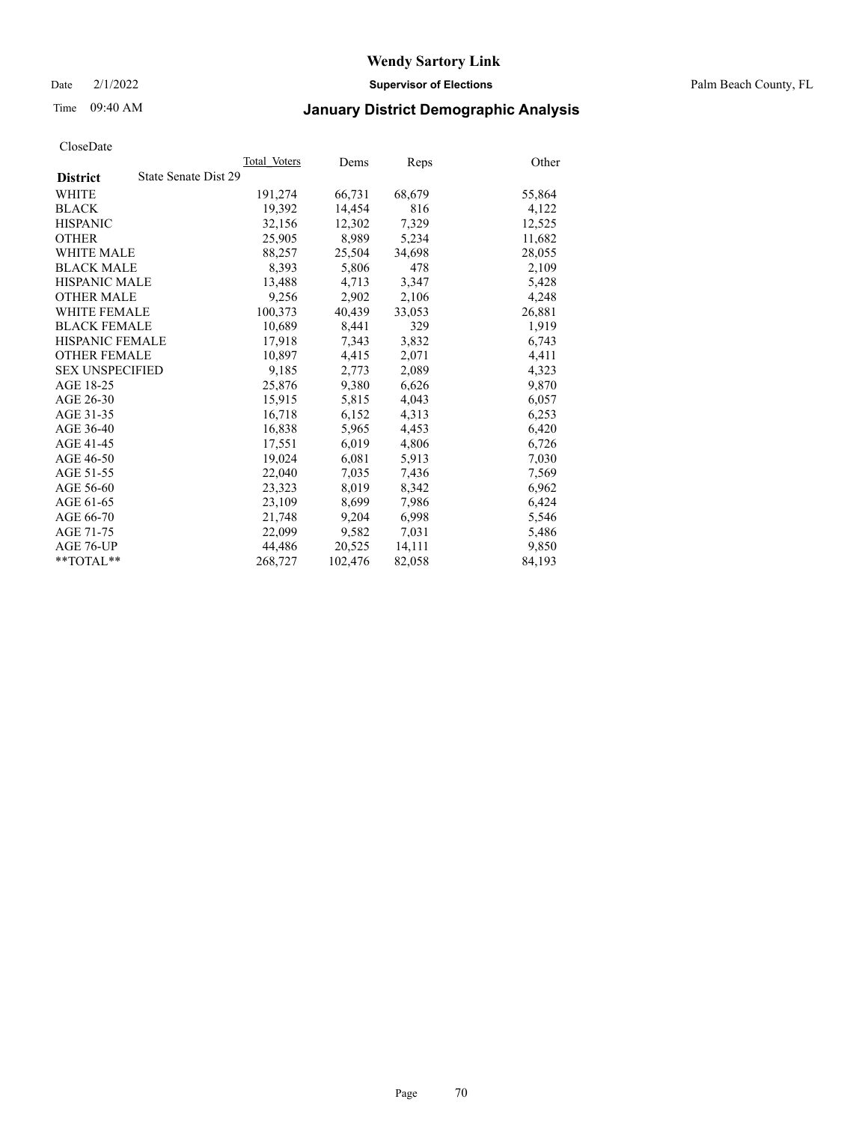Date 2/1/2022 **Supervisor of Elections** Palm Beach County, FL

## Time 09:40 AM **January District Demographic Analysis**

|                                         | Total Voters | Dems    | Reps   | Other  |
|-----------------------------------------|--------------|---------|--------|--------|
| State Senate Dist 29<br><b>District</b> |              |         |        |        |
| WHITE                                   | 191,274      | 66,731  | 68,679 | 55,864 |
| <b>BLACK</b>                            | 19,392       | 14,454  | 816    | 4,122  |
| <b>HISPANIC</b>                         | 32.156       | 12.302  | 7,329  | 12,525 |
| <b>OTHER</b>                            | 25,905       | 8,989   | 5,234  | 11,682 |
| <b>WHITE MALE</b>                       | 88,257       | 25,504  | 34,698 | 28,055 |
| <b>BLACK MALE</b>                       | 8,393        | 5,806   | 478    | 2,109  |
| <b>HISPANIC MALE</b>                    | 13,488       | 4,713   | 3,347  | 5,428  |
| <b>OTHER MALE</b>                       | 9,256        | 2,902   | 2,106  | 4,248  |
| <b>WHITE FEMALE</b>                     | 100.373      | 40,439  | 33,053 | 26,881 |
| <b>BLACK FEMALE</b>                     | 10,689       | 8,441   | 329    | 1,919  |
| HISPANIC FEMALE                         | 17,918       | 7,343   | 3,832  | 6,743  |
| <b>OTHER FEMALE</b>                     | 10,897       | 4,415   | 2,071  | 4,411  |
| <b>SEX UNSPECIFIED</b>                  | 9,185        | 2,773   | 2,089  | 4,323  |
| AGE 18-25                               | 25,876       | 9,380   | 6,626  | 9,870  |
| AGE 26-30                               | 15,915       | 5,815   | 4,043  | 6,057  |
| AGE 31-35                               | 16,718       | 6,152   | 4,313  | 6,253  |
| AGE 36-40                               | 16,838       | 5,965   | 4,453  | 6,420  |
| AGE 41-45                               | 17,551       | 6,019   | 4,806  | 6,726  |
| AGE 46-50                               | 19,024       | 6,081   | 5,913  | 7,030  |
| AGE 51-55                               | 22,040       | 7,035   | 7,436  | 7,569  |
| AGE 56-60                               | 23,323       | 8,019   | 8,342  | 6,962  |
| AGE 61-65                               | 23,109       | 8,699   | 7,986  | 6,424  |
| AGE 66-70                               | 21,748       | 9,204   | 6,998  | 5,546  |
| AGE 71-75                               | 22,099       | 9,582   | 7,031  | 5,486  |
| AGE 76-UP                               | 44.486       | 20,525  | 14,111 | 9,850  |
| $*$ $TOTAL**$                           | 268,727      | 102,476 | 82,058 | 84,193 |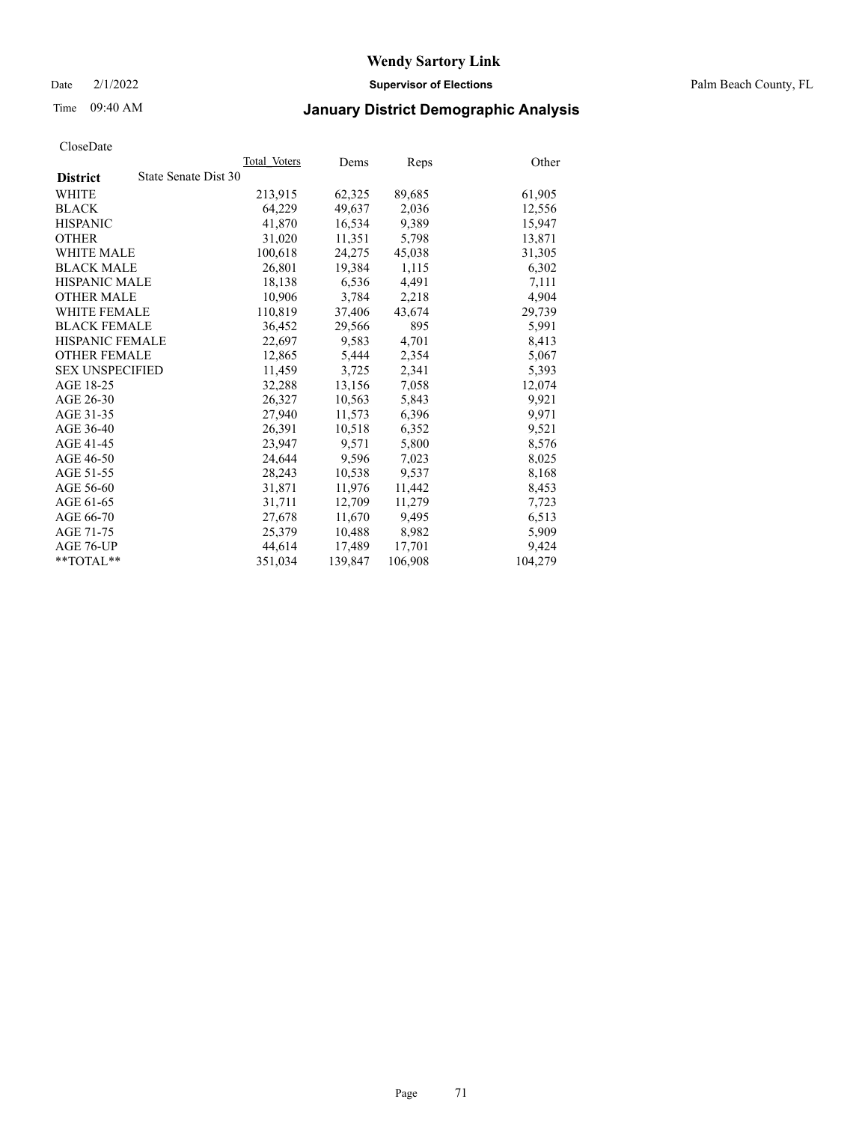Date 2/1/2022 **Supervisor of Elections** Palm Beach County, FL

## Time 09:40 AM **January District Demographic Analysis**

|                        | Total Voters         | Dems    | Reps    | Other   |
|------------------------|----------------------|---------|---------|---------|
| <b>District</b>        | State Senate Dist 30 |         |         |         |
| WHITE                  | 213,915              | 62,325  | 89,685  | 61,905  |
| <b>BLACK</b>           | 64,229               | 49,637  | 2,036   | 12,556  |
| <b>HISPANIC</b>        | 41,870               | 16,534  | 9,389   | 15,947  |
| <b>OTHER</b>           | 31,020               | 11,351  | 5,798   | 13,871  |
| <b>WHITE MALE</b>      | 100,618              | 24,275  | 45,038  | 31,305  |
| <b>BLACK MALE</b>      | 26,801               | 19,384  | 1,115   | 6,302   |
| <b>HISPANIC MALE</b>   | 18,138               | 6,536   | 4,491   | 7,111   |
| <b>OTHER MALE</b>      | 10,906               | 3,784   | 2,218   | 4,904   |
| <b>WHITE FEMALE</b>    | 110,819              | 37,406  | 43,674  | 29,739  |
| <b>BLACK FEMALE</b>    | 36,452               | 29,566  | 895     | 5,991   |
| HISPANIC FEMALE        | 22,697               | 9,583   | 4,701   | 8,413   |
| <b>OTHER FEMALE</b>    | 12,865               | 5,444   | 2,354   | 5,067   |
| <b>SEX UNSPECIFIED</b> | 11,459               | 3,725   | 2,341   | 5,393   |
| AGE 18-25              | 32,288               | 13,156  | 7,058   | 12,074  |
| AGE 26-30              | 26,327               | 10,563  | 5,843   | 9,921   |
| AGE 31-35              | 27,940               | 11,573  | 6,396   | 9,971   |
| AGE 36-40              | 26,391               | 10,518  | 6,352   | 9,521   |
| AGE 41-45              | 23.947               | 9,571   | 5,800   | 8,576   |
| AGE 46-50              | 24,644               | 9,596   | 7,023   | 8,025   |
| AGE 51-55              | 28,243               | 10,538  | 9,537   | 8,168   |
| AGE 56-60              | 31,871               | 11,976  | 11,442  | 8,453   |
| AGE 61-65              | 31,711               | 12,709  | 11,279  | 7,723   |
| AGE 66-70              | 27,678               | 11,670  | 9,495   | 6,513   |
| AGE 71-75              | 25,379               | 10,488  | 8,982   | 5,909   |
| AGE 76-UP              | 44,614               | 17,489  | 17,701  | 9,424   |
| $*$ $TOTAL**$          | 351,034              | 139,847 | 106,908 | 104,279 |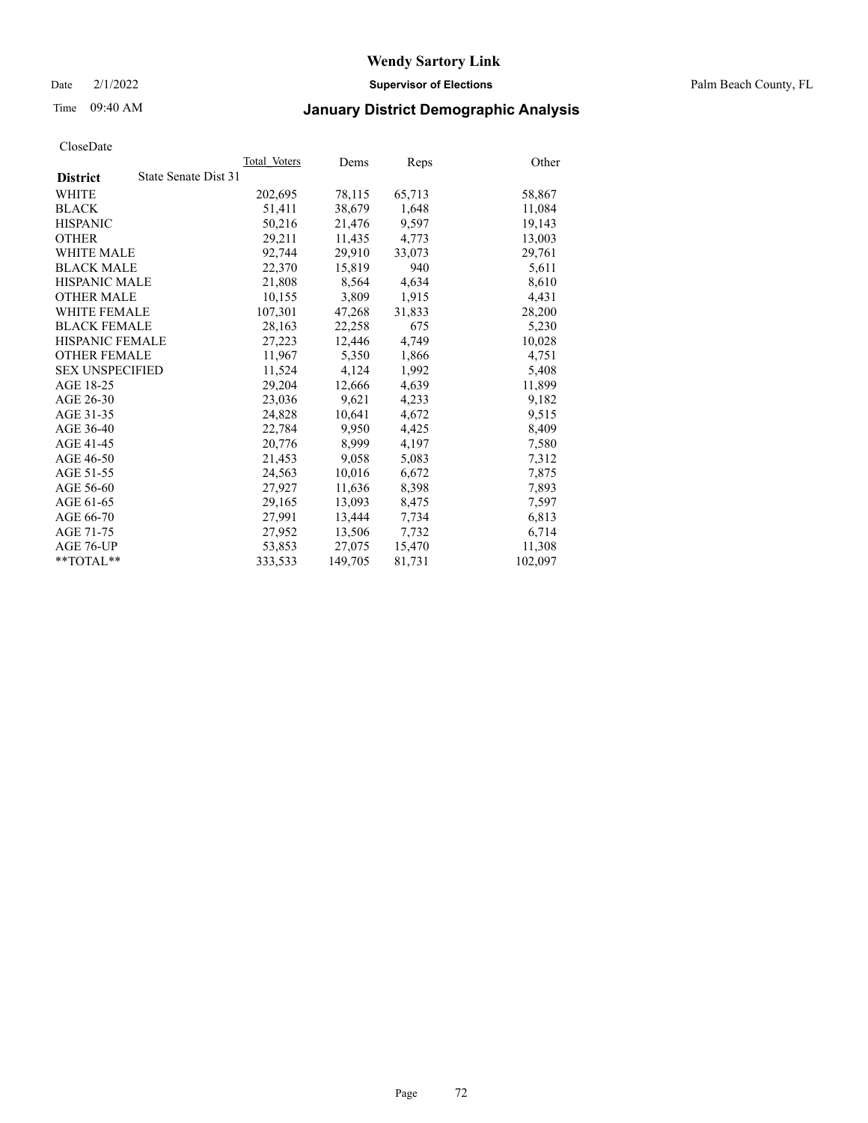Date 2/1/2022 **Supervisor of Elections** Palm Beach County, FL

## Time 09:40 AM **January District Demographic Analysis**

|                        | Total Voters         | Dems    | Reps   | Other   |
|------------------------|----------------------|---------|--------|---------|
| <b>District</b>        | State Senate Dist 31 |         |        |         |
| WHITE                  | 202,695              | 78,115  | 65,713 | 58,867  |
| <b>BLACK</b>           | 51,411               | 38,679  | 1,648  | 11,084  |
| <b>HISPANIC</b>        | 50,216               | 21,476  | 9,597  | 19,143  |
| <b>OTHER</b>           | 29,211               | 11,435  | 4,773  | 13,003  |
| <b>WHITE MALE</b>      | 92,744               | 29,910  | 33,073 | 29,761  |
| <b>BLACK MALE</b>      | 22,370               | 15,819  | 940    | 5,611   |
| <b>HISPANIC MALE</b>   | 21,808               | 8,564   | 4,634  | 8,610   |
| <b>OTHER MALE</b>      | 10,155               | 3,809   | 1,915  | 4,431   |
| <b>WHITE FEMALE</b>    | 107,301              | 47,268  | 31,833 | 28,200  |
| <b>BLACK FEMALE</b>    | 28,163               | 22,258  | 675    | 5,230   |
| HISPANIC FEMALE        | 27,223               | 12,446  | 4,749  | 10,028  |
| <b>OTHER FEMALE</b>    | 11,967               | 5,350   | 1,866  | 4,751   |
| <b>SEX UNSPECIFIED</b> | 11,524               | 4,124   | 1,992  | 5,408   |
| AGE 18-25              | 29,204               | 12,666  | 4,639  | 11,899  |
| AGE 26-30              | 23,036               | 9,621   | 4,233  | 9,182   |
| AGE 31-35              | 24,828               | 10,641  | 4,672  | 9,515   |
| AGE 36-40              | 22,784               | 9,950   | 4,425  | 8,409   |
| AGE 41-45              | 20,776               | 8,999   | 4,197  | 7,580   |
| AGE 46-50              | 21,453               | 9,058   | 5,083  | 7,312   |
| AGE 51-55              | 24,563               | 10,016  | 6,672  | 7,875   |
| AGE 56-60              | 27,927               | 11,636  | 8,398  | 7,893   |
| AGE 61-65              | 29,165               | 13,093  | 8,475  | 7,597   |
| AGE 66-70              | 27,991               | 13,444  | 7,734  | 6,813   |
| AGE 71-75              | 27,952               | 13,506  | 7,732  | 6,714   |
| AGE 76-UP              | 53,853               | 27,075  | 15,470 | 11,308  |
| $*$ $TOTAL**$          | 333,533              | 149,705 | 81,731 | 102,097 |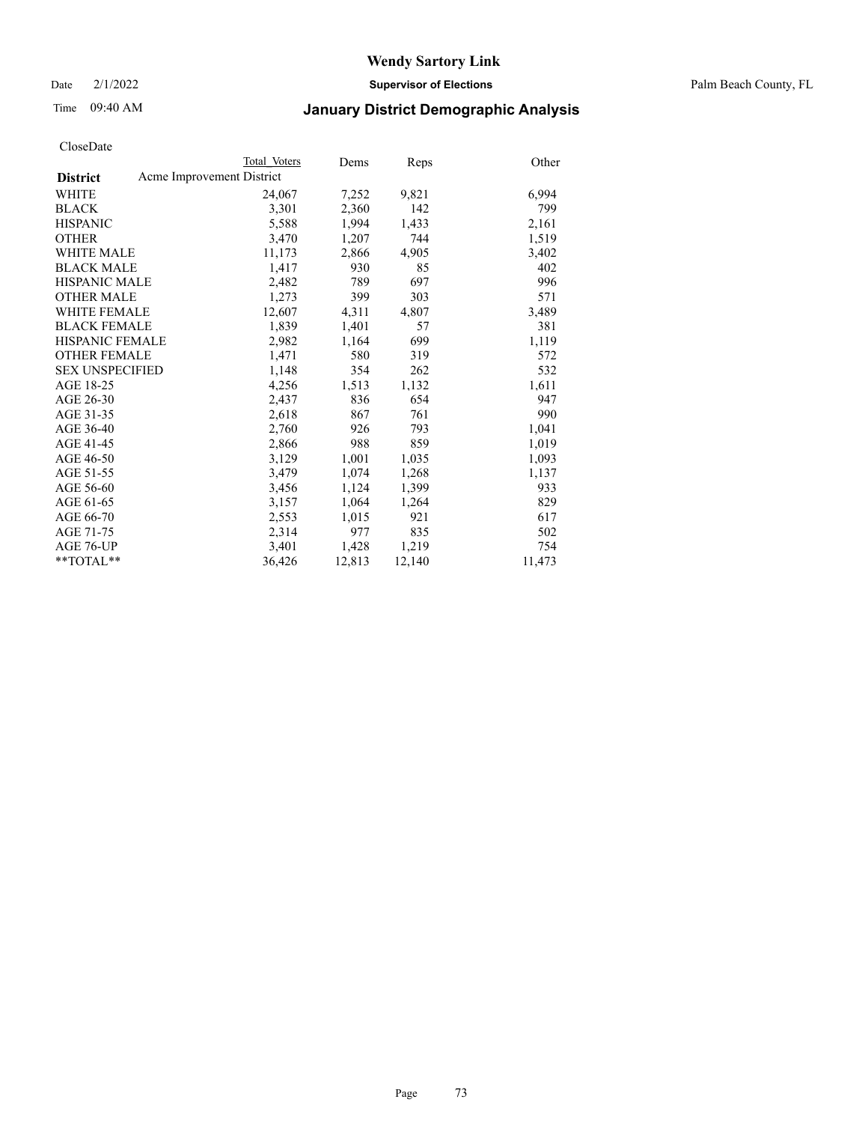Date 2/1/2022 **Supervisor of Elections** Palm Beach County, FL

# Time 09:40 AM **January District Demographic Analysis**

|                        | Total Voters              | Dems   | <b>Reps</b> | Other  |
|------------------------|---------------------------|--------|-------------|--------|
| <b>District</b>        | Acme Improvement District |        |             |        |
| WHITE                  | 24,067                    | 7,252  | 9,821       | 6,994  |
| <b>BLACK</b>           | 3,301                     | 2,360  | 142         | 799    |
| <b>HISPANIC</b>        | 5,588                     | 1,994  | 1,433       | 2,161  |
| <b>OTHER</b>           | 3,470                     | 1,207  | 744         | 1,519  |
| <b>WHITE MALE</b>      | 11,173                    | 2,866  | 4,905       | 3,402  |
| <b>BLACK MALE</b>      | 1,417                     | 930    | 85          | 402    |
| <b>HISPANIC MALE</b>   | 2,482                     | 789    | 697         | 996    |
| <b>OTHER MALE</b>      | 1,273                     | 399    | 303         | 571    |
| <b>WHITE FEMALE</b>    | 12,607                    | 4,311  | 4,807       | 3,489  |
| <b>BLACK FEMALE</b>    | 1,839                     | 1,401  | 57          | 381    |
| <b>HISPANIC FEMALE</b> | 2,982                     | 1,164  | 699         | 1,119  |
| <b>OTHER FEMALE</b>    | 1,471                     | 580    | 319         | 572    |
| <b>SEX UNSPECIFIED</b> | 1,148                     | 354    | 262         | 532    |
| AGE 18-25              | 4,256                     | 1,513  | 1,132       | 1,611  |
| AGE 26-30              | 2,437                     | 836    | 654         | 947    |
| AGE 31-35              | 2,618                     | 867    | 761         | 990    |
| AGE 36-40              | 2,760                     | 926    | 793         | 1,041  |
| AGE 41-45              | 2,866                     | 988    | 859         | 1,019  |
| AGE 46-50              | 3,129                     | 1,001  | 1,035       | 1,093  |
| AGE 51-55              | 3,479                     | 1,074  | 1,268       | 1,137  |
| AGE 56-60              | 3,456                     | 1,124  | 1,399       | 933    |
| AGE 61-65              | 3,157                     | 1,064  | 1,264       | 829    |
| AGE 66-70              | 2,553                     | 1,015  | 921         | 617    |
| AGE 71-75              | 2,314                     | 977    | 835         | 502    |
| AGE 76-UP              | 3,401                     | 1,428  | 1,219       | 754    |
| $*$ $TOTAL**$          | 36,426                    | 12,813 | 12,140      | 11,473 |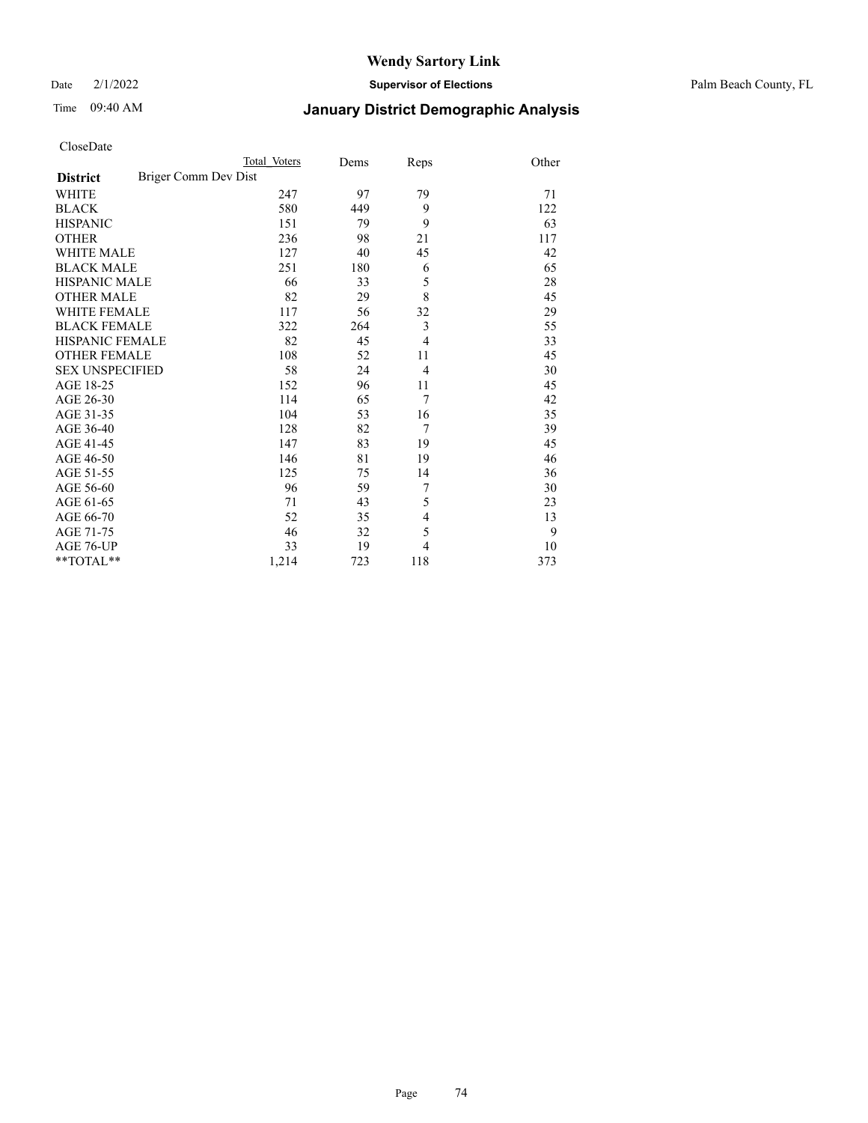Date 2/1/2022 **Supervisor of Elections** Palm Beach County, FL

# Time 09:40 AM **January District Demographic Analysis**

|                                         | Total Voters | Dems | Reps           | Other |
|-----------------------------------------|--------------|------|----------------|-------|
| Briger Comm Dev Dist<br><b>District</b> |              |      |                |       |
| <b>WHITE</b>                            | 247          | 97   | 79             | 71    |
| <b>BLACK</b>                            | 580          | 449  | 9              | 122   |
| <b>HISPANIC</b>                         | 151          | 79   | 9              | 63    |
| <b>OTHER</b>                            | 236          | 98   | 21             | 117   |
| <b>WHITE MALE</b>                       | 127          | 40   | 45             | 42    |
| <b>BLACK MALE</b>                       | 251          | 180  | 6              | 65    |
| <b>HISPANIC MALE</b>                    | 66           | 33   | 5              | 28    |
| <b>OTHER MALE</b>                       | 82           | 29   | 8              | 45    |
| WHITE FEMALE                            | 117          | 56   | 32             | 29    |
| <b>BLACK FEMALE</b>                     | 322          | 264  | 3              | 55    |
| <b>HISPANIC FEMALE</b>                  | 82           | 45   | $\overline{4}$ | 33    |
| <b>OTHER FEMALE</b>                     | 108          | 52   | 11             | 45    |
| <b>SEX UNSPECIFIED</b>                  | 58           | 24   | 4              | 30    |
| AGE 18-25                               | 152          | 96   | 11             | 45    |
| AGE 26-30                               | 114          | 65   | 7              | 42    |
| AGE 31-35                               | 104          | 53   | 16             | 35    |
| AGE 36-40                               | 128          | 82   | 7              | 39    |
| AGE 41-45                               | 147          | 83   | 19             | 45    |
| AGE 46-50                               | 146          | 81   | 19             | 46    |
| AGE 51-55                               | 125          | 75   | 14             | 36    |
| AGE 56-60                               | 96           | 59   | 7              | 30    |
| AGE 61-65                               | 71           | 43   | 5              | 23    |
| AGE 66-70                               | 52           | 35   | 4              | 13    |
| AGE 71-75                               | 46           | 32   | 5              | 9     |
| AGE 76-UP                               | 33           | 19   | 4              | 10    |
| **TOTAL**                               | 1,214        | 723  | 118            | 373   |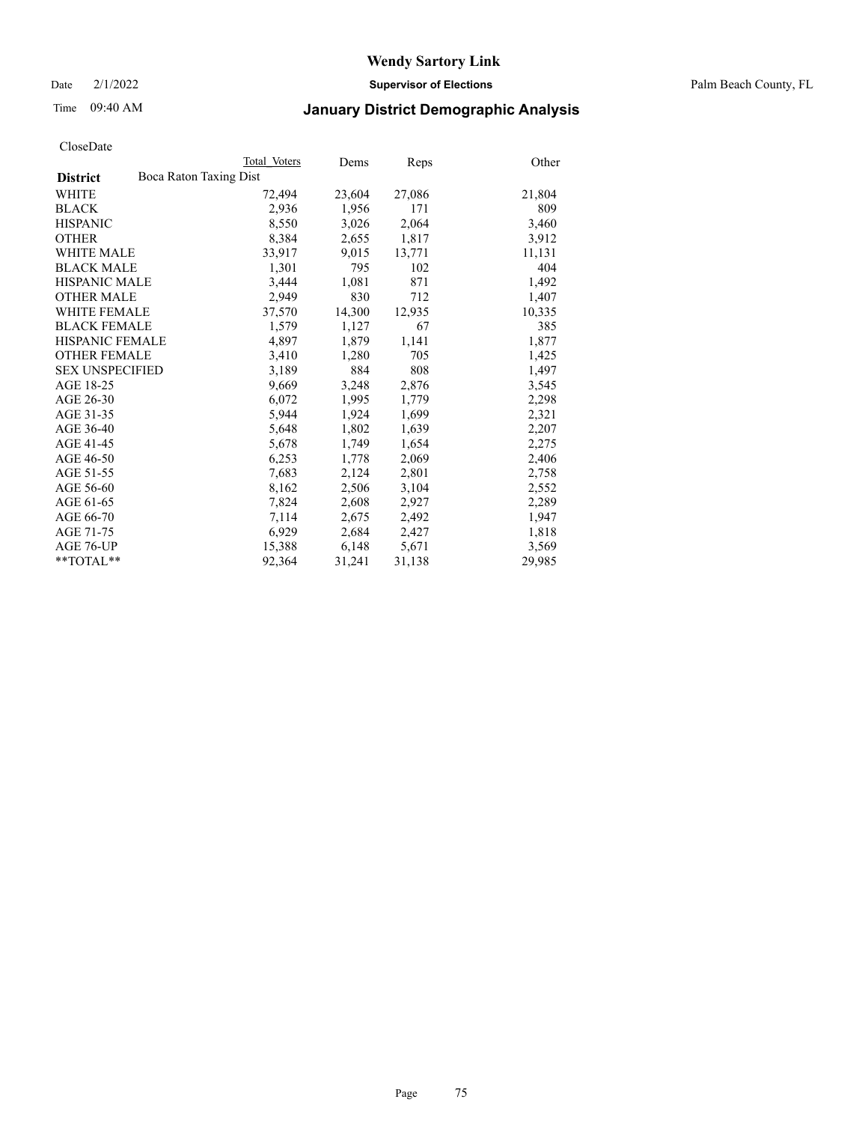Date 2/1/2022 **Supervisor of Elections** Palm Beach County, FL

# Time 09:40 AM **January District Demographic Analysis**

|                                           | Total Voters | Dems   | <b>Reps</b> | Other  |
|-------------------------------------------|--------------|--------|-------------|--------|
| Boca Raton Taxing Dist<br><b>District</b> |              |        |             |        |
| WHITE                                     | 72,494       | 23,604 | 27,086      | 21,804 |
| <b>BLACK</b>                              | 2,936        | 1,956  | 171         | 809    |
| <b>HISPANIC</b>                           | 8,550        | 3,026  | 2,064       | 3,460  |
| <b>OTHER</b>                              | 8,384        | 2,655  | 1,817       | 3,912  |
| <b>WHITE MALE</b>                         | 33,917       | 9,015  | 13,771      | 11,131 |
| <b>BLACK MALE</b>                         | 1,301        | 795    | 102         | 404    |
| <b>HISPANIC MALE</b>                      | 3,444        | 1,081  | 871         | 1,492  |
| <b>OTHER MALE</b>                         | 2,949        | 830    | 712         | 1,407  |
| <b>WHITE FEMALE</b>                       | 37,570       | 14,300 | 12,935      | 10,335 |
| <b>BLACK FEMALE</b>                       | 1,579        | 1,127  | 67          | 385    |
| <b>HISPANIC FEMALE</b>                    | 4,897        | 1,879  | 1,141       | 1,877  |
| <b>OTHER FEMALE</b>                       | 3,410        | 1,280  | 705         | 1,425  |
| <b>SEX UNSPECIFIED</b>                    | 3,189        | 884    | 808         | 1,497  |
| AGE 18-25                                 | 9,669        | 3,248  | 2,876       | 3,545  |
| AGE 26-30                                 | 6,072        | 1,995  | 1,779       | 2,298  |
| AGE 31-35                                 | 5,944        | 1,924  | 1,699       | 2,321  |
| AGE 36-40                                 | 5,648        | 1,802  | 1,639       | 2,207  |
| AGE 41-45                                 | 5,678        | 1,749  | 1,654       | 2,275  |
| AGE 46-50                                 | 6,253        | 1,778  | 2,069       | 2,406  |
| AGE 51-55                                 | 7,683        | 2,124  | 2,801       | 2,758  |
| AGE 56-60                                 | 8,162        | 2,506  | 3,104       | 2,552  |
| AGE 61-65                                 | 7,824        | 2,608  | 2,927       | 2,289  |
| AGE 66-70                                 | 7,114        | 2,675  | 2,492       | 1,947  |
| AGE 71-75                                 | 6,929        | 2,684  | 2,427       | 1,818  |
| AGE 76-UP                                 | 15,388       | 6,148  | 5,671       | 3,569  |
| **TOTAL**                                 | 92,364       | 31,241 | 31,138      | 29,985 |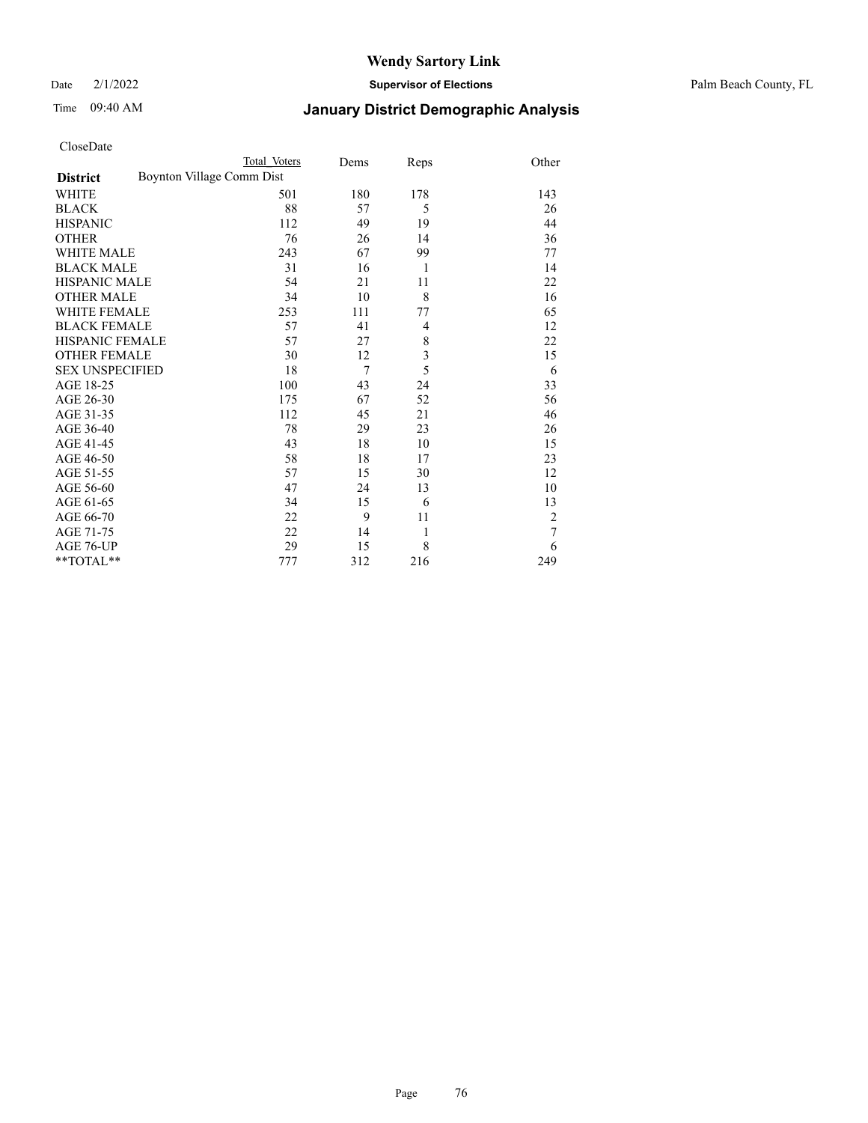Date 2/1/2022 **Supervisor of Elections** Palm Beach County, FL

# Time 09:40 AM **January District Demographic Analysis**

| CloseDate |  |
|-----------|--|
|-----------|--|

\*\*TOTAL\*\*

| CloseDate              |                           |              |      |                |       |
|------------------------|---------------------------|--------------|------|----------------|-------|
|                        |                           | Total Voters | Dems | Reps           | Other |
| <b>District</b>        | Boynton Village Comm Dist |              |      |                |       |
| WHITE                  |                           | 501          | 180  | 178            | 143   |
| <b>BLACK</b>           |                           | 88           | 57   | 5              | 26    |
| <b>HISPANIC</b>        |                           | 112          | 49   | 19             | 44    |
| <b>OTHER</b>           |                           | 76           | 26   | 14             | 36    |
| <b>WHITE MALE</b>      |                           | 243          | 67   | 99             | 77    |
| <b>BLACK MALE</b>      |                           | 31           | 16   | 1              | 14    |
| <b>HISPANIC MALE</b>   |                           | 54           | 21   | 11             | 22    |
| <b>OTHER MALE</b>      |                           | 34           | 10   | 8              | 16    |
| <b>WHITE FEMALE</b>    |                           | 253          | 111  | 77             | 65    |
| <b>BLACK FEMALE</b>    |                           | 57           | 41   | $\overline{4}$ | 12    |
| <b>HISPANIC FEMALE</b> |                           | 57           | 27   | 8              | 22    |
| <b>OTHER FEMALE</b>    |                           | 30           | 12   | 3              | 15    |
| <b>SEX UNSPECIFIED</b> |                           | 18           | 7    | 5              | 6     |
| AGE 18-25              |                           | 100          | 43   | 24             | 33    |
| AGE 26-30              |                           | 175          | 67   | 52             | 56    |
| AGE 31-35              |                           | 112          | 45   | 21             | 46    |
| AGE 36-40              |                           | 78           | 29   | 23             | 26    |
| AGE 41-45              |                           | 43           | 18   | 10             | 15    |
| AGE 46-50              |                           | 58           | 18   | 17             | 23    |
| AGE 51-55              |                           | 57           | 15   | 30             | 12    |
| AGE 56-60              |                           | 47           | 24   | 13             | 10    |

AGE 56-60  $47$  24 13 10<br>AGE 61-65 34 15 6 13

AGE 66-70 22 9 11 2<br>AGE 71-75 22 14 1 7 AGE 71-75 22 14 1 7<br>AGE 76-UP 29 15 8 6 AGE 76-UP 29 15 8 6<br>
\*\*TOTAL\*\* 277 312 216 249

AGE 61-65 34 15 6<br>AGE 66-70 22 9 11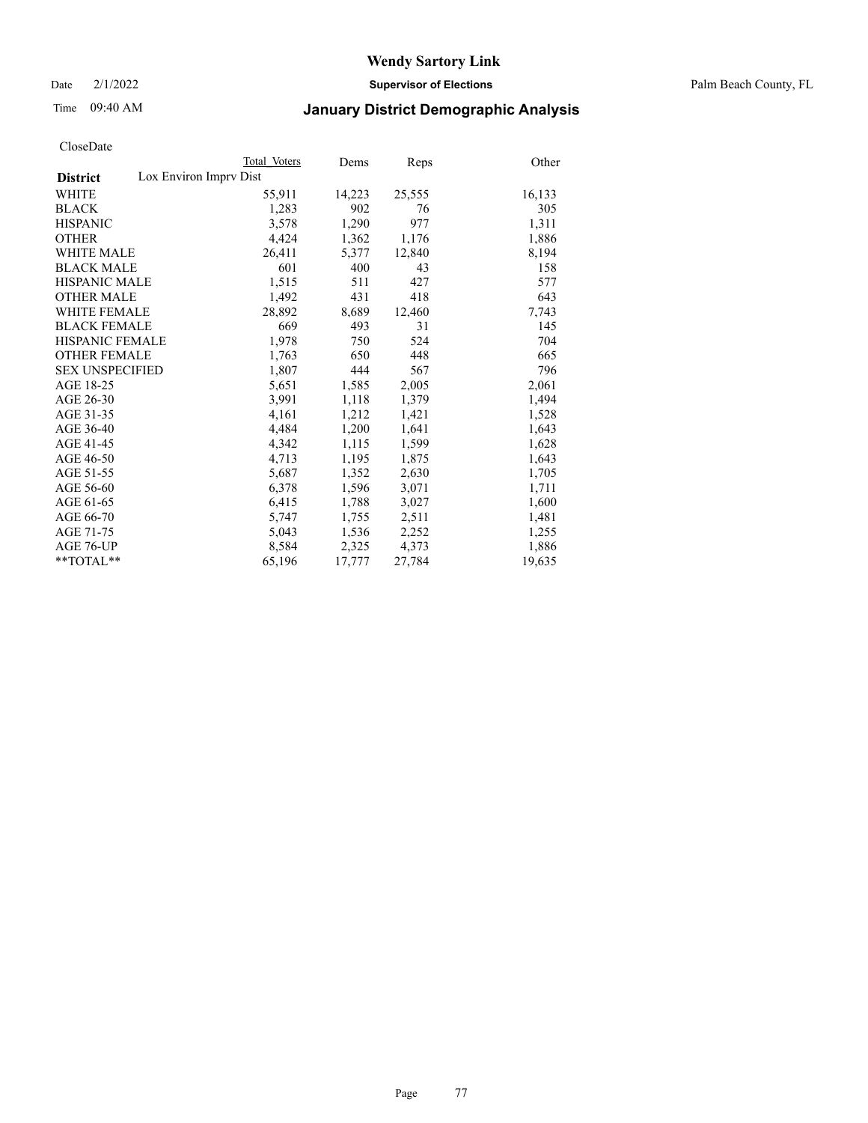Date 2/1/2022 **Supervisor of Elections** Palm Beach County, FL

# Time 09:40 AM **January District Demographic Analysis**

|                        | Total Voters           | Dems   | Reps   | Other  |
|------------------------|------------------------|--------|--------|--------|
| <b>District</b>        | Lox Environ Imprv Dist |        |        |        |
| <b>WHITE</b>           | 55,911                 | 14,223 | 25,555 | 16,133 |
| <b>BLACK</b>           | 1,283                  | 902    | 76     | 305    |
| <b>HISPANIC</b>        | 3,578                  | 1,290  | 977    | 1,311  |
| <b>OTHER</b>           | 4,424                  | 1,362  | 1,176  | 1,886  |
| WHITE MALE             | 26,411                 | 5,377  | 12,840 | 8,194  |
| <b>BLACK MALE</b>      | 601                    | 400    | 43     | 158    |
| <b>HISPANIC MALE</b>   | 1,515                  | 511    | 427    | 577    |
| <b>OTHER MALE</b>      | 1,492                  | 431    | 418    | 643    |
| WHITE FEMALE           | 28,892                 | 8,689  | 12,460 | 7,743  |
| <b>BLACK FEMALE</b>    | 669                    | 493    | 31     | 145    |
| HISPANIC FEMALE        | 1,978                  | 750    | 524    | 704    |
| <b>OTHER FEMALE</b>    | 1,763                  | 650    | 448    | 665    |
| <b>SEX UNSPECIFIED</b> | 1,807                  | 444    | 567    | 796    |
| AGE 18-25              | 5,651                  | 1,585  | 2,005  | 2,061  |
| AGE 26-30              | 3,991                  | 1,118  | 1,379  | 1,494  |
| AGE 31-35              | 4,161                  | 1,212  | 1,421  | 1,528  |
| AGE 36-40              | 4,484                  | 1,200  | 1,641  | 1,643  |
| AGE 41-45              | 4,342                  | 1,115  | 1,599  | 1,628  |
| AGE 46-50              | 4,713                  | 1,195  | 1,875  | 1,643  |
| AGE 51-55              | 5,687                  | 1,352  | 2,630  | 1,705  |
| AGE 56-60              | 6,378                  | 1,596  | 3,071  | 1,711  |
| AGE 61-65              | 6,415                  | 1,788  | 3,027  | 1,600  |
| AGE 66-70              | 5,747                  | 1,755  | 2,511  | 1,481  |
| AGE 71-75              | 5,043                  | 1,536  | 2,252  | 1,255  |
| AGE 76-UP              | 8,584                  | 2,325  | 4,373  | 1,886  |
| $*$ $TOTAL**$          | 65,196                 | 17,777 | 27,784 | 19,635 |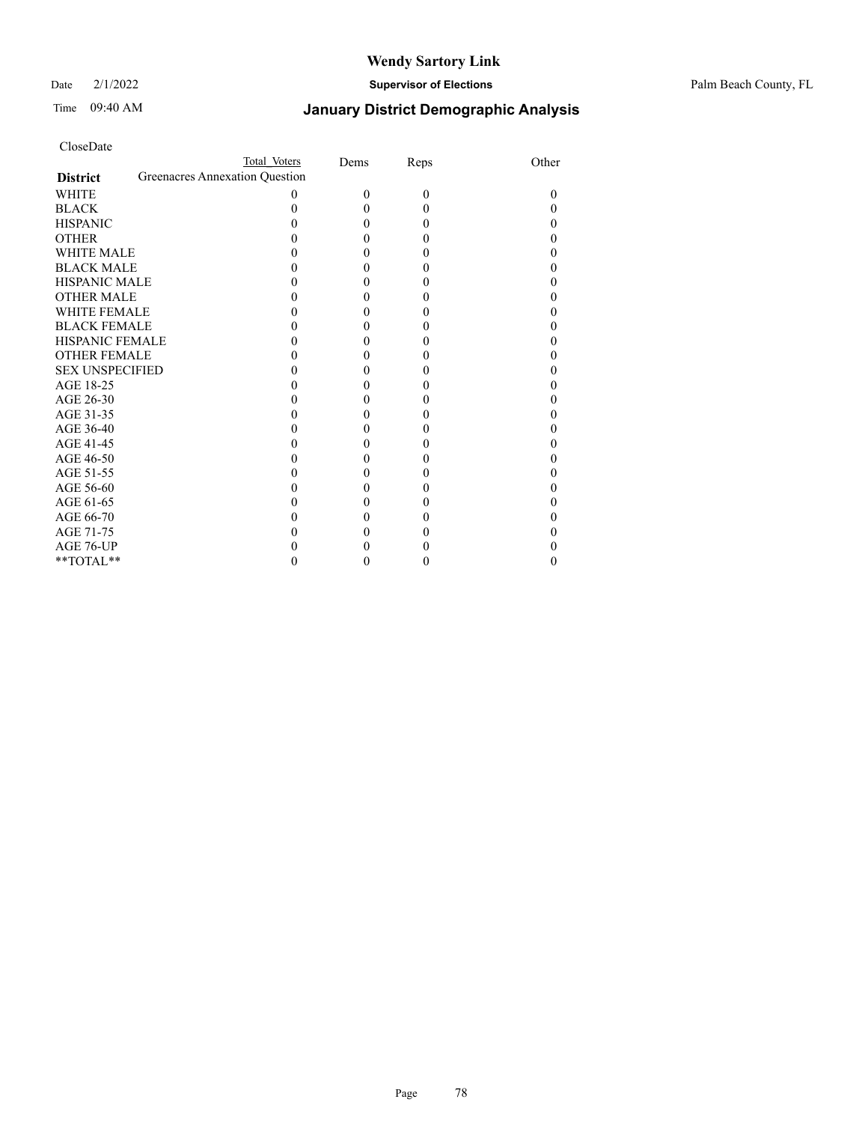Date 2/1/2022 **Supervisor of Elections** Palm Beach County, FL

| CloseDate |
|-----------|
|-----------|

|                        | Total Voters                   | Dems     | Reps     | Other |
|------------------------|--------------------------------|----------|----------|-------|
| <b>District</b>        | Greenacres Annexation Question |          |          |       |
| WHITE                  | 0                              | $\Omega$ | $\theta$ |       |
| <b>BLACK</b>           |                                |          | 0        |       |
| <b>HISPANIC</b>        |                                |          | 0        |       |
| OTHER                  |                                |          | 0        |       |
| <b>WHITE MALE</b>      |                                |          |          |       |
| <b>BLACK MALE</b>      |                                |          | 0        |       |
| HISPANIC MALE          |                                |          | 0        |       |
| <b>OTHER MALE</b>      |                                |          |          |       |
| WHITE FEMALE           |                                |          | 0        |       |
| <b>BLACK FEMALE</b>    |                                |          | 0        |       |
| HISPANIC FEMALE        |                                |          | 0        |       |
| OTHER FEMALE           |                                |          |          |       |
| <b>SEX UNSPECIFIED</b> |                                |          | 0        |       |
| AGE 18-25              |                                |          | 0        |       |
| AGE 26-30              |                                |          |          |       |
| AGE 31-35              |                                |          | 0        |       |
| AGE 36-40              |                                |          | 0        |       |
| AGE 41-45              |                                |          |          |       |
| AGE 46-50              |                                |          | 0        |       |
| AGE 51-55              |                                |          |          |       |
| AGE 56-60              |                                |          |          |       |
| AGE 61-65              |                                |          | 0        |       |
| AGE 66-70              |                                |          |          |       |
| AGE 71-75              |                                |          |          |       |
| AGE 76-UP              |                                |          |          |       |
| $*$ $TOTAL**$          |                                |          |          |       |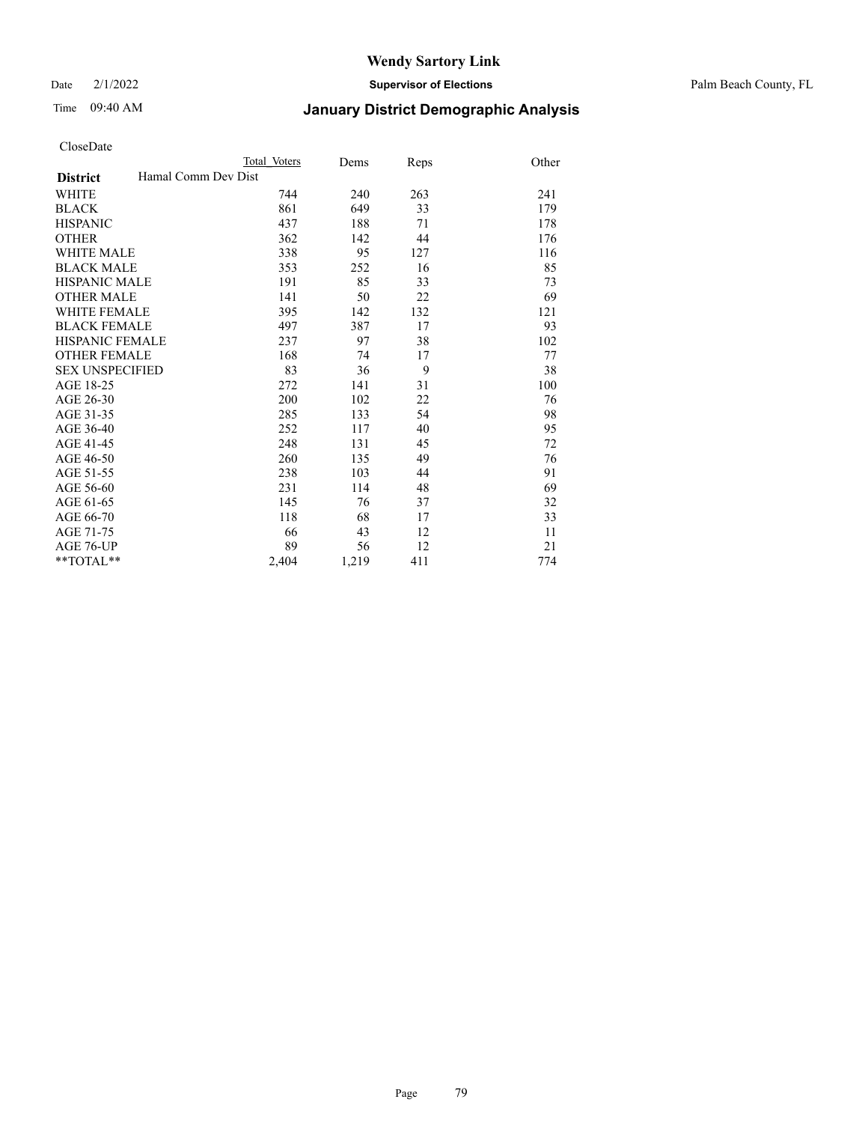Date 2/1/2022 **Supervisor of Elections** Palm Beach County, FL

# Time 09:40 AM **January District Demographic Analysis**

|                                        | Total Voters | Dems  | Reps | Other |
|----------------------------------------|--------------|-------|------|-------|
| Hamal Comm Dev Dist<br><b>District</b> |              |       |      |       |
| <b>WHITE</b>                           | 744          | 240   | 263  | 241   |
| <b>BLACK</b>                           | 861          | 649   | 33   | 179   |
| <b>HISPANIC</b>                        | 437          | 188   | 71   | 178   |
| <b>OTHER</b>                           | 362          | 142   | 44   | 176   |
| <b>WHITE MALE</b>                      | 338          | 95    | 127  | 116   |
| <b>BLACK MALE</b>                      | 353          | 252   | 16   | 85    |
| <b>HISPANIC MALE</b>                   | 191          | 85    | 33   | 73    |
| <b>OTHER MALE</b>                      | 141          | 50    | 22   | 69    |
| WHITE FEMALE                           | 395          | 142   | 132  | 121   |
| <b>BLACK FEMALE</b>                    | 497          | 387   | 17   | 93    |
| <b>HISPANIC FEMALE</b>                 | 237          | 97    | 38   | 102   |
| <b>OTHER FEMALE</b>                    | 168          | 74    | 17   | 77    |
| <b>SEX UNSPECIFIED</b>                 | 83           | 36    | 9    | 38    |
| AGE 18-25                              | 272          | 141   | 31   | 100   |
| AGE 26-30                              | 200          | 102   | 22   | 76    |
| AGE 31-35                              | 285          | 133   | 54   | 98    |
| AGE 36-40                              | 252          | 117   | 40   | 95    |
| AGE 41-45                              | 248          | 131   | 45   | 72    |
| AGE 46-50                              | 260          | 135   | 49   | 76    |
| AGE 51-55                              | 238          | 103   | 44   | 91    |
| AGE 56-60                              | 231          | 114   | 48   | 69    |
| AGE 61-65                              | 145          | 76    | 37   | 32    |
| AGE 66-70                              | 118          | 68    | 17   | 33    |
| AGE 71-75                              | 66           | 43    | 12   | 11    |
| AGE 76-UP                              | 89           | 56    | 12   | 21    |
| $*$ $TOTAL**$                          | 2,404        | 1,219 | 411  | 774   |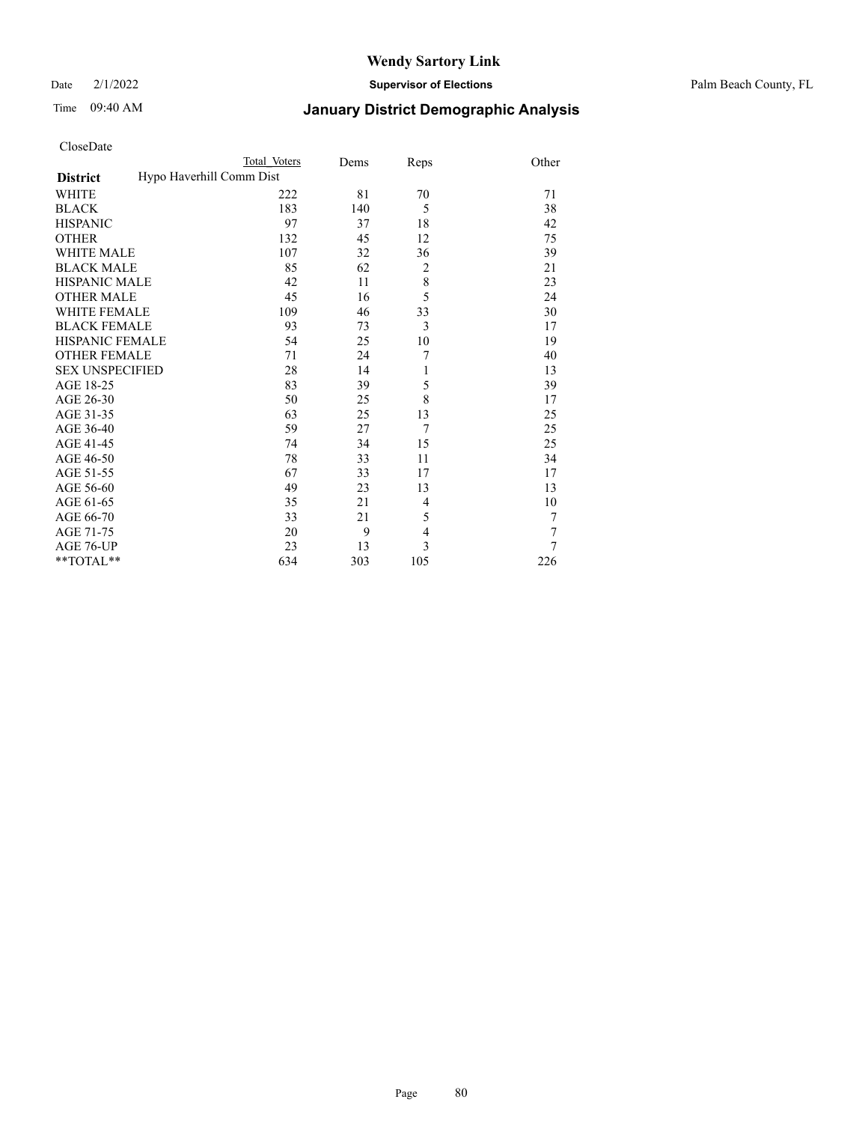Date 2/1/2022 **Supervisor of Elections** Palm Beach County, FL

# Time 09:40 AM **January District Demographic Analysis**

| CloseDate |  |
|-----------|--|
|-----------|--|

|                                             | Total Voters | Dems | Reps           | Other  |
|---------------------------------------------|--------------|------|----------------|--------|
| Hypo Haverhill Comm Dist<br><b>District</b> |              |      |                |        |
| WHITE                                       | 222          | 81   | 70             | 71     |
| BLACK                                       | 183          | 140  | 5              | 38     |
| <b>HISPANIC</b>                             | 97           | 37   | 18             | 42     |
| OTHER                                       | 132          | 45   | 12             | 75     |
| <b>WHITE MALE</b>                           | 107          | 32   | 36             | 39     |
| <b>BLACK MALE</b>                           | 85           | 62   | $\overline{2}$ | 21     |
| HISPANIC MALE                               | 42           | 11   | 8              | 23     |
| <b>OTHER MALE</b>                           | 45           | 16   | 5              | 24     |
| WHITE FEMALE                                | 109          | 46   | 33             | 30     |
| <b>BLACK FEMALE</b>                         | 93           | 73   | 3              | 17     |
| HISPANIC FEMALE                             | 54           | 25   | 10             | 19     |
| <b>OTHER FEMALE</b>                         | 71           | 24   | 7              | 40     |
| SEX UNSPECIFIED                             | 28           | 14   | 1              | 13     |
| AGE 18-25                                   | 83           | 39   | 5              | 39     |
| AGE 26-30                                   | 50           | 25   | 8              | 17     |
| AGE 31-35                                   | 63           | 25   | 13             | 25     |
| AGE 36-40                                   | 59           | 27   | 7              | 25     |
| AGE 41-45                                   | 74           | 34   | 15             | 25     |
| AGE 46-50                                   | 78           | 33   | 11             | 34     |
| AGE 51-55                                   | 67           | 33   | 17             | 17     |
| AGE 56-60                                   | 49           | 23   | 13             | 13     |
| AGE 61-65                                   | 35           | 21   | $\overline{4}$ | 10     |
| AGE 66-70                                   | 33           | 21   | 5              | $\tau$ |
| AGE 71-75                                   | 20           | 9    | $\overline{4}$ | 7      |
| AGE 76-UP                                   | 23           | 13   | 3              | $\tau$ |
| **TOTAL**                                   | 634          | 303  | 105            | 226    |

Page 80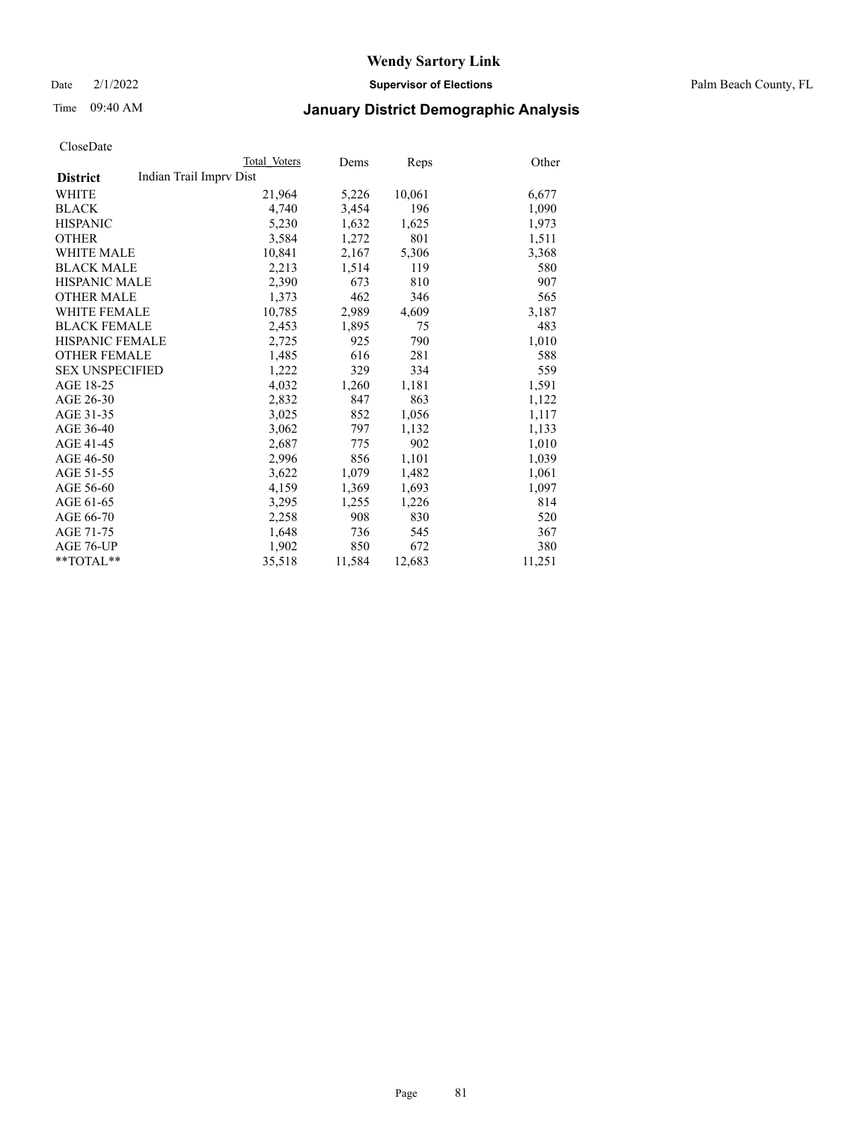Date 2/1/2022 **Supervisor of Elections** Palm Beach County, FL

# Time 09:40 AM **January District Demographic Analysis**

|                        | Total Voters            | Dems   | Reps   | Other  |
|------------------------|-------------------------|--------|--------|--------|
| <b>District</b>        | Indian Trail Imprv Dist |        |        |        |
| WHITE                  | 21,964                  | 5,226  | 10,061 | 6,677  |
| <b>BLACK</b>           | 4.740                   | 3,454  | 196    | 1,090  |
| <b>HISPANIC</b>        | 5,230                   | 1,632  | 1,625  | 1,973  |
| <b>OTHER</b>           | 3,584                   | 1,272  | 801    | 1,511  |
| <b>WHITE MALE</b>      | 10,841                  | 2,167  | 5,306  | 3,368  |
| <b>BLACK MALE</b>      | 2,213                   | 1,514  | 119    | 580    |
| <b>HISPANIC MALE</b>   | 2,390                   | 673    | 810    | 907    |
| <b>OTHER MALE</b>      | 1,373                   | 462    | 346    | 565    |
| <b>WHITE FEMALE</b>    | 10,785                  | 2,989  | 4,609  | 3,187  |
| <b>BLACK FEMALE</b>    | 2,453                   | 1,895  | 75     | 483    |
| HISPANIC FEMALE        | 2,725                   | 925    | 790    | 1,010  |
| <b>OTHER FEMALE</b>    | 1,485                   | 616    | 281    | 588    |
| <b>SEX UNSPECIFIED</b> | 1,222                   | 329    | 334    | 559    |
| AGE 18-25              | 4,032                   | 1,260  | 1,181  | 1,591  |
| AGE 26-30              | 2,832                   | 847    | 863    | 1,122  |
| AGE 31-35              | 3,025                   | 852    | 1,056  | 1,117  |
| AGE 36-40              | 3,062                   | 797    | 1,132  | 1,133  |
| AGE 41-45              | 2,687                   | 775    | 902    | 1,010  |
| AGE 46-50              | 2,996                   | 856    | 1,101  | 1,039  |
| AGE 51-55              | 3,622                   | 1,079  | 1,482  | 1,061  |
| AGE 56-60              | 4,159                   | 1,369  | 1,693  | 1,097  |
| AGE 61-65              | 3,295                   | 1,255  | 1,226  | 814    |
| AGE 66-70              | 2,258                   | 908    | 830    | 520    |
| AGE 71-75              | 1,648                   | 736    | 545    | 367    |
| AGE 76-UP              | 1,902                   | 850    | 672    | 380    |
| $*$ $TOTAL**$          | 35,518                  | 11,584 | 12,683 | 11,251 |
|                        |                         |        |        |        |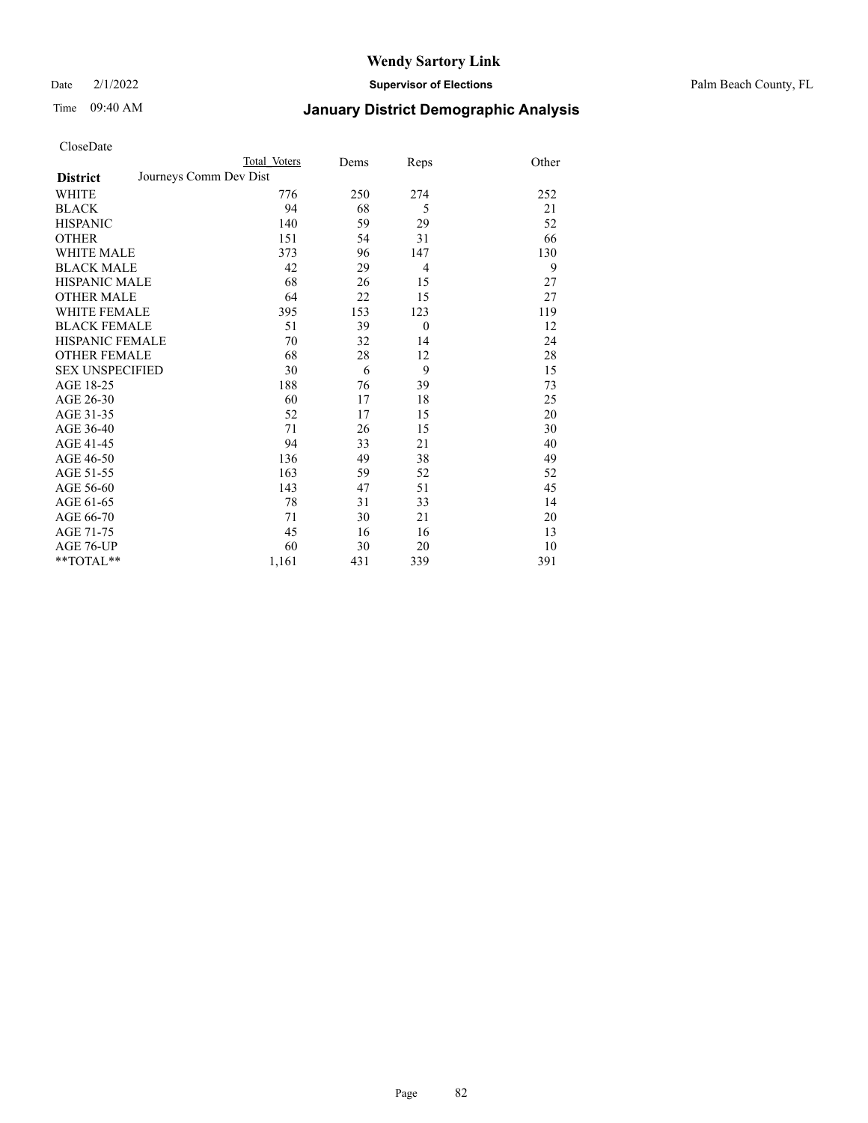Date 2/1/2022 **Supervisor of Elections** Palm Beach County, FL

# Time 09:40 AM **January District Demographic Analysis**

|                        | Total Voters           | Dems | Reps     | Other |
|------------------------|------------------------|------|----------|-------|
| <b>District</b>        | Journeys Comm Dev Dist |      |          |       |
| <b>WHITE</b>           | 776                    | 250  | 274      | 252   |
| <b>BLACK</b>           | 94                     | 68   | 5        | 21    |
| <b>HISPANIC</b>        | 140                    | 59   | 29       | 52    |
| <b>OTHER</b>           | 151                    | 54   | 31       | 66    |
| <b>WHITE MALE</b>      | 373                    | 96   | 147      | 130   |
| <b>BLACK MALE</b>      | 42                     | 29   | 4        | 9     |
| <b>HISPANIC MALE</b>   | 68                     | 26   | 15       | 27    |
| <b>OTHER MALE</b>      | 64                     | 22   | 15       | 27    |
| <b>WHITE FEMALE</b>    | 395                    | 153  | 123      | 119   |
| <b>BLACK FEMALE</b>    | 51                     | 39   | $\theta$ | 12    |
| <b>HISPANIC FEMALE</b> | 70                     | 32   | 14       | 24    |
| <b>OTHER FEMALE</b>    | 68                     | 28   | 12       | 28    |
| <b>SEX UNSPECIFIED</b> | 30                     | 6    | 9        | 15    |
| AGE 18-25              | 188                    | 76   | 39       | 73    |
| AGE 26-30              | 60                     | 17   | 18       | 25    |
| AGE 31-35              | 52                     | 17   | 15       | 20    |
| AGE 36-40              | 71                     | 26   | 15       | 30    |
| AGE 41-45              | 94                     | 33   | 21       | 40    |
| AGE 46-50              | 136                    | 49   | 38       | 49    |
| AGE 51-55              | 163                    | 59   | 52       | 52    |
| AGE 56-60              | 143                    | 47   | 51       | 45    |
| AGE 61-65              | 78                     | 31   | 33       | 14    |
| AGE 66-70              | 71                     | 30   | 21       | 20    |
| AGE 71-75              | 45                     | 16   | 16       | 13    |
| AGE 76-UP              | 60                     | 30   | 20       | 10    |
| $*$ $TOTAL**$          | 1,161                  | 431  | 339      | 391   |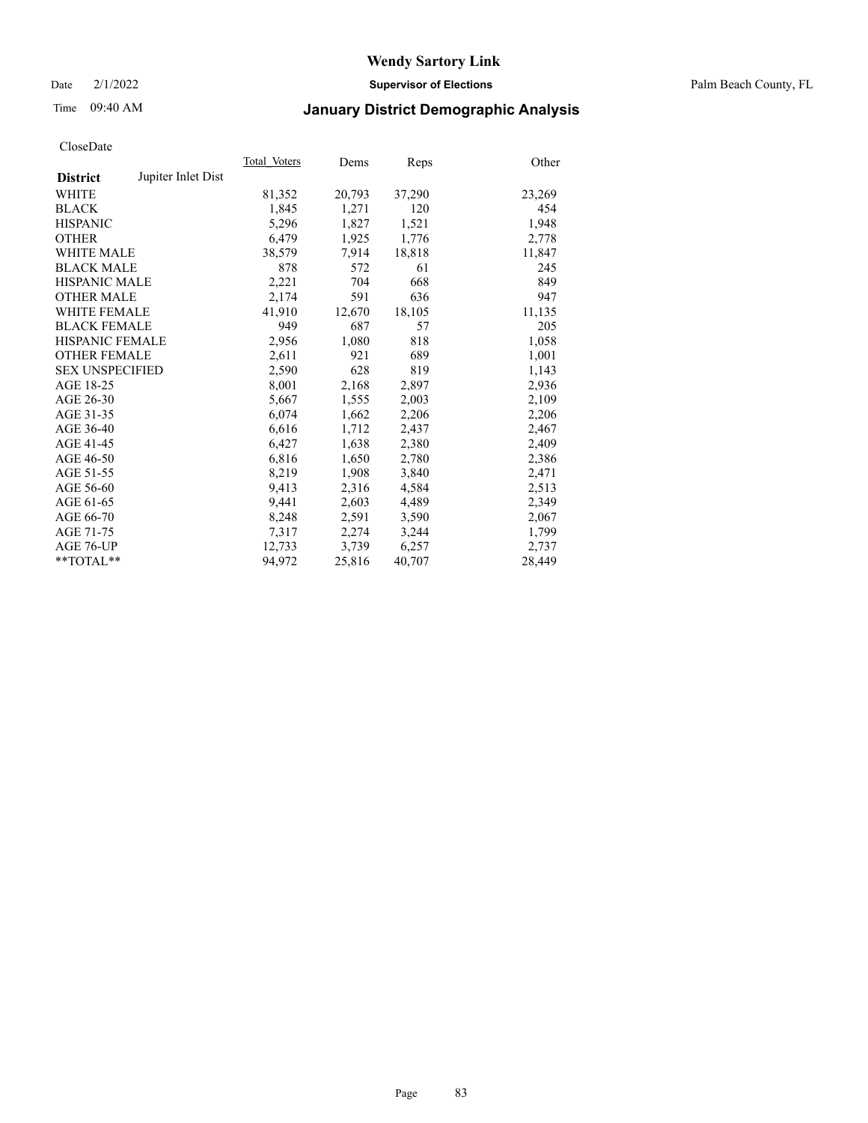Date 2/1/2022 **Supervisor of Elections** Palm Beach County, FL

# Time 09:40 AM **January District Demographic Analysis**

|                        |                    | Total Voters | Dems   | Reps   | Other  |
|------------------------|--------------------|--------------|--------|--------|--------|
| <b>District</b>        | Jupiter Inlet Dist |              |        |        |        |
| <b>WHITE</b>           |                    | 81,352       | 20,793 | 37,290 | 23,269 |
| <b>BLACK</b>           |                    | 1,845        | 1,271  | 120    | 454    |
| <b>HISPANIC</b>        |                    | 5,296        | 1,827  | 1,521  | 1,948  |
| <b>OTHER</b>           |                    | 6,479        | 1,925  | 1,776  | 2,778  |
| <b>WHITE MALE</b>      |                    | 38,579       | 7,914  | 18,818 | 11,847 |
| <b>BLACK MALE</b>      |                    | 878          | 572    | 61     | 245    |
| <b>HISPANIC MALE</b>   |                    | 2,221        | 704    | 668    | 849    |
| <b>OTHER MALE</b>      |                    | 2.174        | 591    | 636    | 947    |
| <b>WHITE FEMALE</b>    |                    | 41.910       | 12,670 | 18,105 | 11,135 |
| <b>BLACK FEMALE</b>    |                    | 949          | 687    | 57     | 205    |
| <b>HISPANIC FEMALE</b> |                    | 2,956        | 1,080  | 818    | 1,058  |
| <b>OTHER FEMALE</b>    |                    | 2,611        | 921    | 689    | 1,001  |
| <b>SEX UNSPECIFIED</b> |                    | 2,590        | 628    | 819    | 1,143  |
| AGE 18-25              |                    | 8,001        | 2,168  | 2,897  | 2,936  |
| AGE 26-30              |                    | 5,667        | 1,555  | 2,003  | 2,109  |
| AGE 31-35              |                    | 6,074        | 1,662  | 2,206  | 2,206  |
| AGE 36-40              |                    | 6,616        | 1,712  | 2,437  | 2,467  |
| AGE 41-45              |                    | 6,427        | 1,638  | 2,380  | 2,409  |
| AGE 46-50              |                    | 6,816        | 1,650  | 2,780  | 2,386  |
| AGE 51-55              |                    | 8,219        | 1,908  | 3,840  | 2,471  |
| AGE 56-60              |                    | 9,413        | 2,316  | 4,584  | 2,513  |
| AGE 61-65              |                    | 9,441        | 2,603  | 4,489  | 2,349  |
| AGE 66-70              |                    | 8,248        | 2,591  | 3,590  | 2,067  |
| AGE 71-75              |                    | 7,317        | 2,274  | 3,244  | 1,799  |
| AGE 76-UP              |                    | 12.733       | 3,739  | 6,257  | 2,737  |
| $*$ $TOTAL**$          |                    | 94.972       | 25,816 | 40,707 | 28,449 |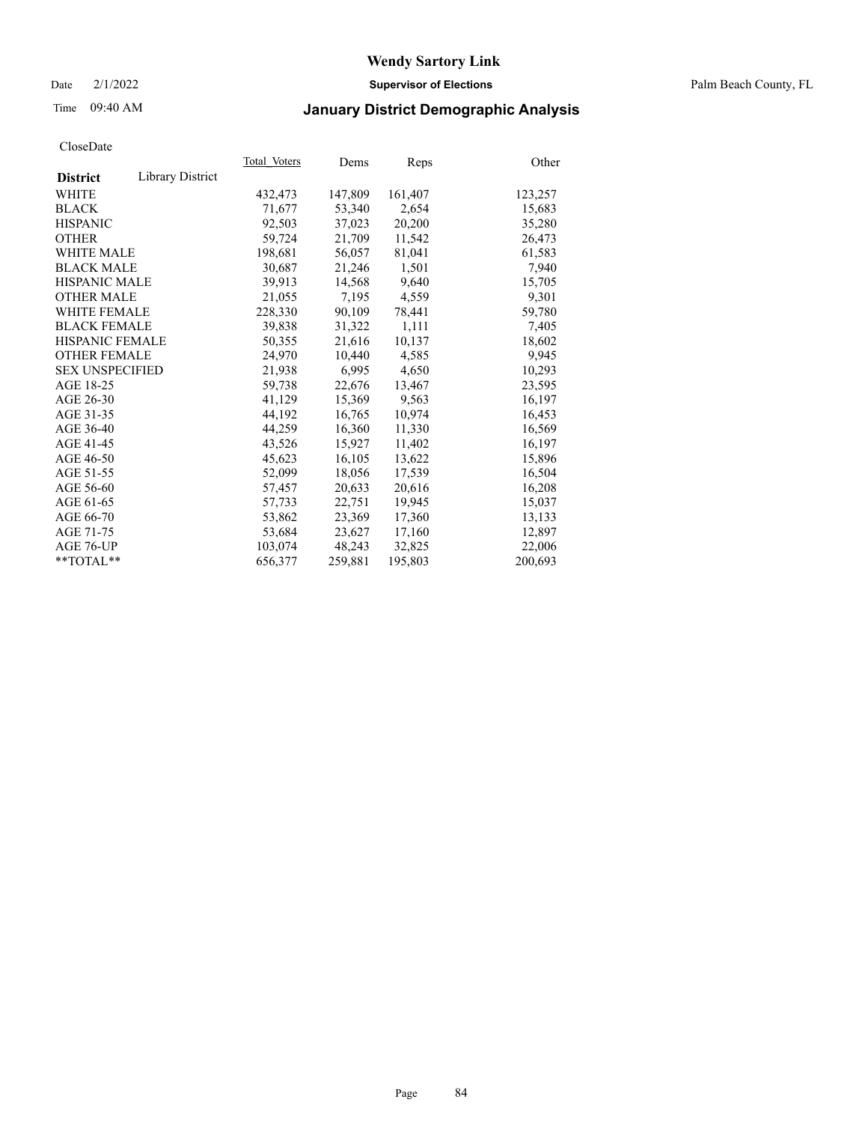Date 2/1/2022 **Supervisor of Elections** Palm Beach County, FL

# Time 09:40 AM **January District Demographic Analysis**

|                        |                  | Total Voters | Dems    | Reps    | Other   |
|------------------------|------------------|--------------|---------|---------|---------|
| <b>District</b>        | Library District |              |         |         |         |
| WHITE                  |                  | 432,473      | 147,809 | 161,407 | 123,257 |
| <b>BLACK</b>           |                  | 71,677       | 53,340  | 2,654   | 15,683  |
| <b>HISPANIC</b>        |                  | 92,503       | 37,023  | 20,200  | 35,280  |
| <b>OTHER</b>           |                  | 59,724       | 21,709  | 11,542  | 26,473  |
| <b>WHITE MALE</b>      |                  | 198,681      | 56,057  | 81,041  | 61,583  |
| <b>BLACK MALE</b>      |                  | 30,687       | 21,246  | 1,501   | 7,940   |
| <b>HISPANIC MALE</b>   |                  | 39,913       | 14,568  | 9,640   | 15,705  |
| <b>OTHER MALE</b>      |                  | 21,055       | 7,195   | 4,559   | 9,301   |
| <b>WHITE FEMALE</b>    |                  | 228,330      | 90,109  | 78,441  | 59,780  |
| <b>BLACK FEMALE</b>    |                  | 39.838       | 31.322  | 1,111   | 7,405   |
| <b>HISPANIC FEMALE</b> |                  | 50,355       | 21,616  | 10,137  | 18,602  |
| <b>OTHER FEMALE</b>    |                  | 24,970       | 10,440  | 4,585   | 9,945   |
| <b>SEX UNSPECIFIED</b> |                  | 21.938       | 6,995   | 4,650   | 10,293  |
| AGE 18-25              |                  | 59,738       | 22,676  | 13,467  | 23,595  |
| AGE 26-30              |                  | 41,129       | 15,369  | 9,563   | 16,197  |
| AGE 31-35              |                  | 44,192       | 16,765  | 10,974  | 16,453  |
| AGE 36-40              |                  | 44,259       | 16,360  | 11,330  | 16,569  |
| AGE 41-45              |                  | 43,526       | 15,927  | 11,402  | 16,197  |
| AGE 46-50              |                  | 45,623       | 16,105  | 13,622  | 15,896  |
| AGE 51-55              |                  | 52,099       | 18,056  | 17,539  | 16,504  |
| AGE 56-60              |                  | 57,457       | 20,633  | 20,616  | 16,208  |
| AGE 61-65              |                  | 57,733       | 22,751  | 19,945  | 15,037  |
| AGE 66-70              |                  | 53,862       | 23,369  | 17,360  | 13,133  |
| AGE 71-75              |                  | 53,684       | 23,627  | 17,160  | 12,897  |
| AGE 76-UP              |                  | 103,074      | 48,243  | 32,825  | 22,006  |
| $*$ $TOTAL**$          |                  | 656,377      | 259,881 | 195,803 | 200,693 |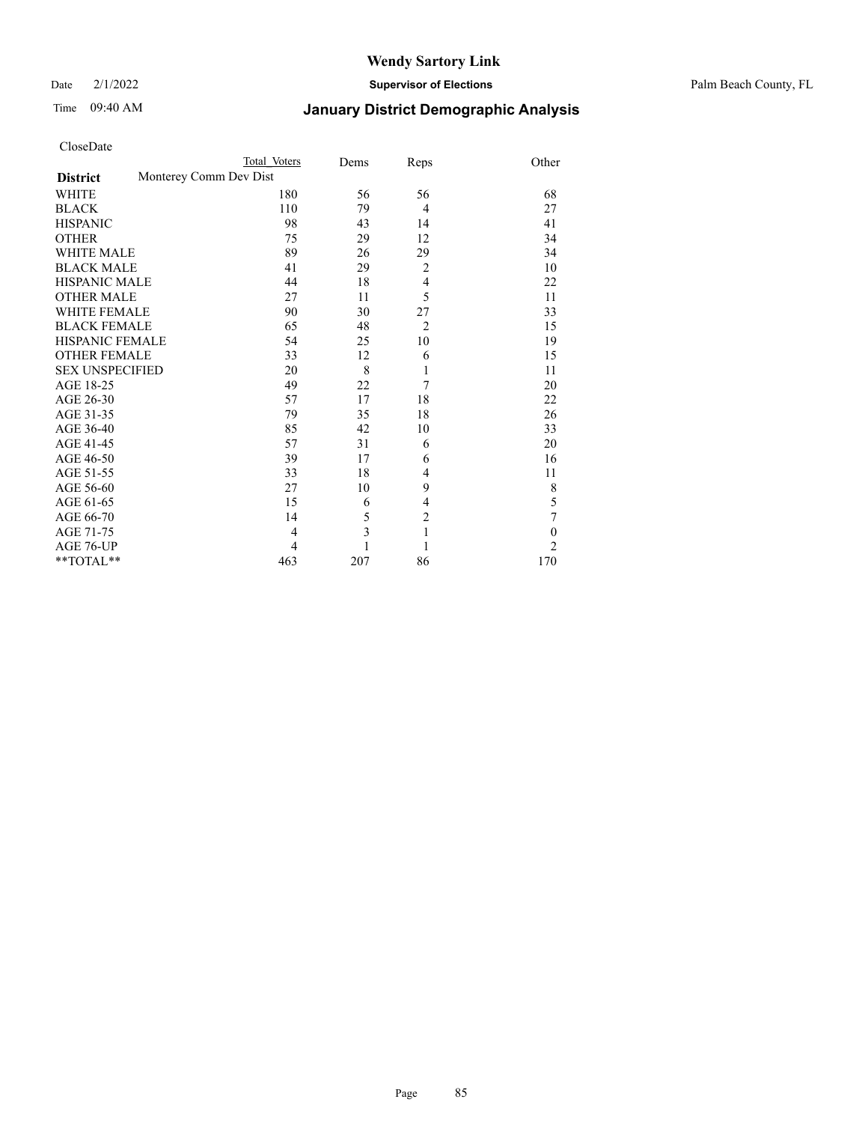Date 2/1/2022 **Supervisor of Elections** Palm Beach County, FL

# Time 09:40 AM **January District Demographic Analysis**

|                                           | Total Voters | Dems           | Reps           | Other          |
|-------------------------------------------|--------------|----------------|----------------|----------------|
| Monterey Comm Dev Dist<br><b>District</b> |              |                |                |                |
| WHITE                                     | 180          | 56             | 56             | 68             |
| <b>BLACK</b>                              | 110          | 79             | $\overline{4}$ | 27             |
| <b>HISPANIC</b>                           | 98           | 43             | 14             | 41             |
| <b>OTHER</b>                              | 75           | 29             | 12             | 34             |
| <b>WHITE MALE</b>                         | 89           | 26             | 29             | 34             |
| <b>BLACK MALE</b>                         | 41           | 29             | $\overline{2}$ | 10             |
| <b>HISPANIC MALE</b>                      | 44           | 18             | 4              | 22             |
| <b>OTHER MALE</b>                         | 27           | 11             | 5              | 11             |
| <b>WHITE FEMALE</b>                       | 90           | 30             | 27             | 33             |
| <b>BLACK FEMALE</b>                       | 65           | 48             | $\overline{2}$ | 15             |
| <b>HISPANIC FEMALE</b>                    | 54           | 25             | 10             | 19             |
| <b>OTHER FEMALE</b>                       | 33           | 12             | 6              | 15             |
| <b>SEX UNSPECIFIED</b>                    | 20           | 8              | 1              | 11             |
| AGE 18-25                                 | 49           | 22             | 7              | 20             |
| AGE 26-30                                 | 57           | 17             | 18             | 22             |
| AGE 31-35                                 | 79           | 35             | 18             | 26             |
| AGE 36-40                                 | 85           | 42             | 10             | 33             |
| AGE 41-45                                 | 57           | 31             | 6              | 20             |
| AGE 46-50                                 | 39           | 17             | 6              | 16             |
| AGE 51-55                                 | 33           | 18             | 4              | 11             |
| AGE 56-60                                 | 27           | 10             | 9              | 8              |
| AGE 61-65                                 | 15           | 6              | 4              | 5              |
| AGE 66-70                                 | 14           | 5              | $\overline{2}$ | 7              |
| AGE 71-75                                 | 4            | $\overline{3}$ | $\mathbf{1}$   | $\mathbf{0}$   |
| AGE 76-UP                                 | 4            | 1              | 1              | $\overline{2}$ |
| **TOTAL**                                 | 463          | 207            | 86             | 170            |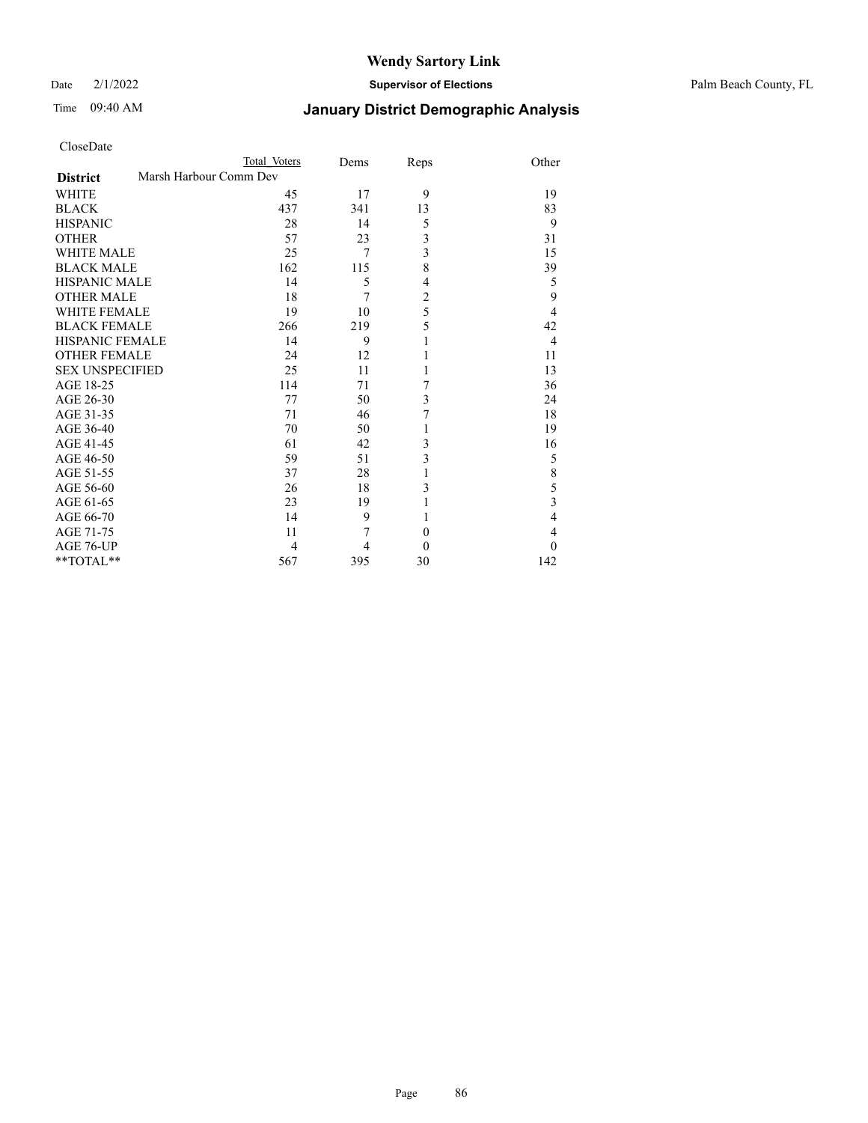Date 2/1/2022 **Supervisor of Elections** Palm Beach County, FL

| CloseDate |  |
|-----------|--|
|-----------|--|

|                        | Total Voters | Dems                   | Reps                    | Other                                                    |
|------------------------|--------------|------------------------|-------------------------|----------------------------------------------------------|
|                        |              |                        |                         |                                                          |
|                        | 45           | 17                     | 9                       | 19                                                       |
|                        | 437          | 341                    | 13                      | 83                                                       |
|                        | 28           | 14                     | 5                       | 9                                                        |
|                        | 57           | 23                     | $\overline{\mathbf{3}}$ | 31                                                       |
| <b>WHITE MALE</b>      | 25           | 7                      |                         | 15                                                       |
| <b>BLACK MALE</b>      | 162          | 115                    |                         | 39                                                       |
| <b>HISPANIC MALE</b>   | 14           | 5                      | $\overline{4}$          | 5                                                        |
| <b>OTHER MALE</b>      | 18           | 7                      | $\overline{c}$          | 9                                                        |
| <b>WHITE FEMALE</b>    | 19           | 10                     |                         | $\overline{4}$                                           |
| <b>BLACK FEMALE</b>    | 266          | 219                    |                         | 42                                                       |
| <b>HISPANIC FEMALE</b> | 14           | 9                      | 1                       | $\overline{4}$                                           |
| <b>OTHER FEMALE</b>    | 24           | 12                     |                         | 11                                                       |
| <b>SEX UNSPECIFIED</b> | 25           | 11                     | 1                       | 13                                                       |
|                        | 114          | 71                     | 7                       | 36                                                       |
|                        | 77           | 50                     | 3                       | 24                                                       |
|                        | 71           | 46                     | 7                       | 18                                                       |
|                        | 70           | 50                     | 1                       | 19                                                       |
|                        | 61           | 42                     | 3                       | 16                                                       |
|                        | 59           | 51                     |                         | 5                                                        |
|                        | 37           | 28                     |                         | 8                                                        |
|                        | 26           | 18                     | 3                       | 5                                                        |
|                        | 23           | 19                     | $\mathbf{1}$            | $\overline{\mathbf{3}}$                                  |
|                        | 14           | 9                      |                         | $\overline{4}$                                           |
|                        | 11           | 7                      | $\theta$                | $\overline{4}$                                           |
|                        | 4            | 4                      | $\theta$                | $\theta$                                                 |
|                        | 567          | 395                    | 30                      | 142                                                      |
|                        |              | Marsh Harbour Comm Dev |                         | $\overline{3}$<br>8<br>5<br>5<br>$\overline{\mathbf{3}}$ |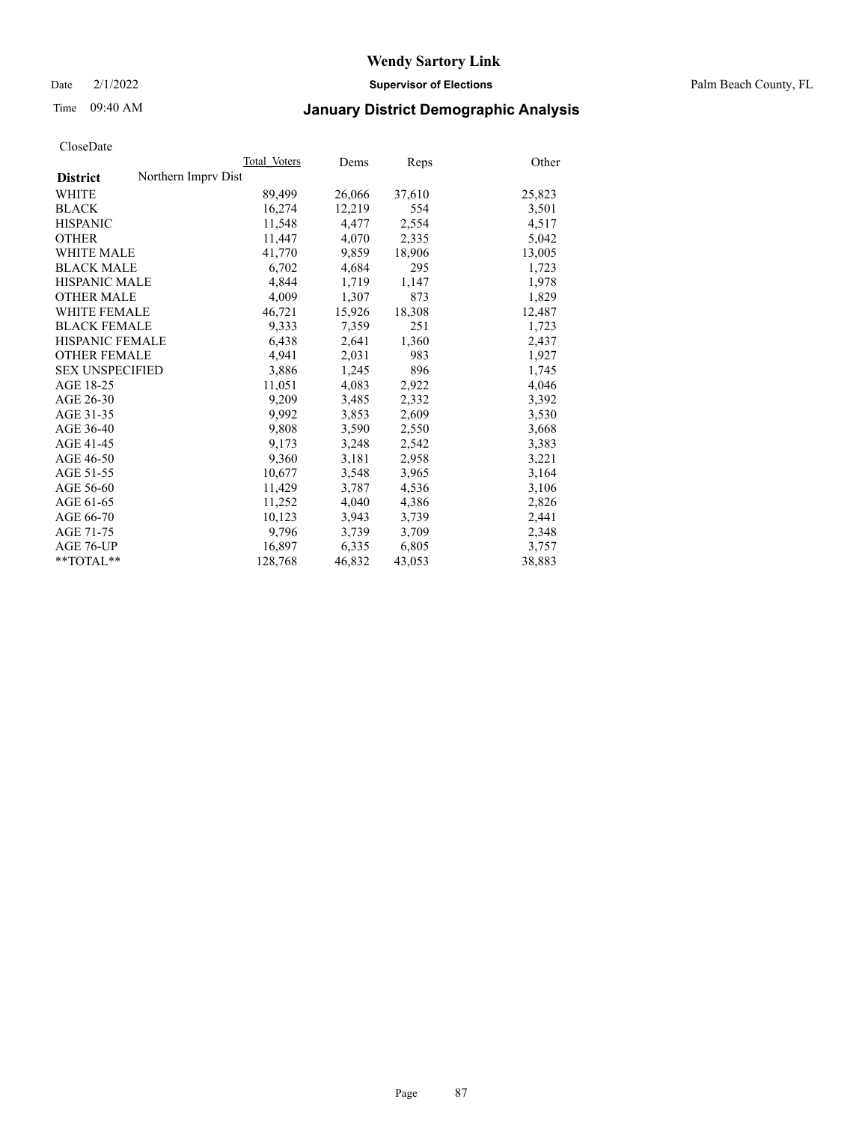Date 2/1/2022 **Supervisor of Elections** Palm Beach County, FL

# Time 09:40 AM **January District Demographic Analysis**

|                                        | Total Voters | Dems   | Reps   | Other  |
|----------------------------------------|--------------|--------|--------|--------|
| Northern Impry Dist<br><b>District</b> |              |        |        |        |
| <b>WHITE</b>                           | 89,499       | 26,066 | 37,610 | 25,823 |
| <b>BLACK</b>                           | 16,274       | 12,219 | 554    | 3,501  |
| <b>HISPANIC</b>                        | 11,548       | 4,477  | 2,554  | 4,517  |
| <b>OTHER</b>                           | 11,447       | 4,070  | 2,335  | 5,042  |
| <b>WHITE MALE</b>                      | 41,770       | 9,859  | 18,906 | 13,005 |
| <b>BLACK MALE</b>                      | 6,702        | 4,684  | 295    | 1,723  |
| <b>HISPANIC MALE</b>                   | 4,844        | 1,719  | 1,147  | 1,978  |
| <b>OTHER MALE</b>                      | 4.009        | 1,307  | 873    | 1,829  |
| <b>WHITE FEMALE</b>                    | 46,721       | 15,926 | 18,308 | 12,487 |
| <b>BLACK FEMALE</b>                    | 9,333        | 7,359  | 251    | 1,723  |
| <b>HISPANIC FEMALE</b>                 | 6,438        | 2,641  | 1,360  | 2,437  |
| <b>OTHER FEMALE</b>                    | 4,941        | 2,031  | 983    | 1,927  |
| <b>SEX UNSPECIFIED</b>                 | 3,886        | 1,245  | 896    | 1,745  |
| AGE 18-25                              | 11,051       | 4,083  | 2,922  | 4,046  |
| AGE 26-30                              | 9,209        | 3,485  | 2,332  | 3,392  |
| AGE 31-35                              | 9,992        | 3,853  | 2,609  | 3,530  |
| AGE 36-40                              | 9,808        | 3,590  | 2,550  | 3,668  |
| AGE 41-45                              | 9,173        | 3,248  | 2,542  | 3,383  |
| AGE 46-50                              | 9,360        | 3,181  | 2,958  | 3,221  |
| AGE 51-55                              | 10,677       | 3,548  | 3,965  | 3,164  |
| AGE 56-60                              | 11,429       | 3,787  | 4,536  | 3,106  |
| AGE 61-65                              | 11,252       | 4,040  | 4,386  | 2,826  |
| AGE 66-70                              | 10,123       | 3,943  | 3,739  | 2,441  |
| AGE 71-75                              | 9,796        | 3,739  | 3,709  | 2,348  |
| AGE 76-UP                              | 16,897       | 6,335  | 6,805  | 3,757  |
| $*$ $TOTAL**$                          | 128,768      | 46,832 | 43,053 | 38,883 |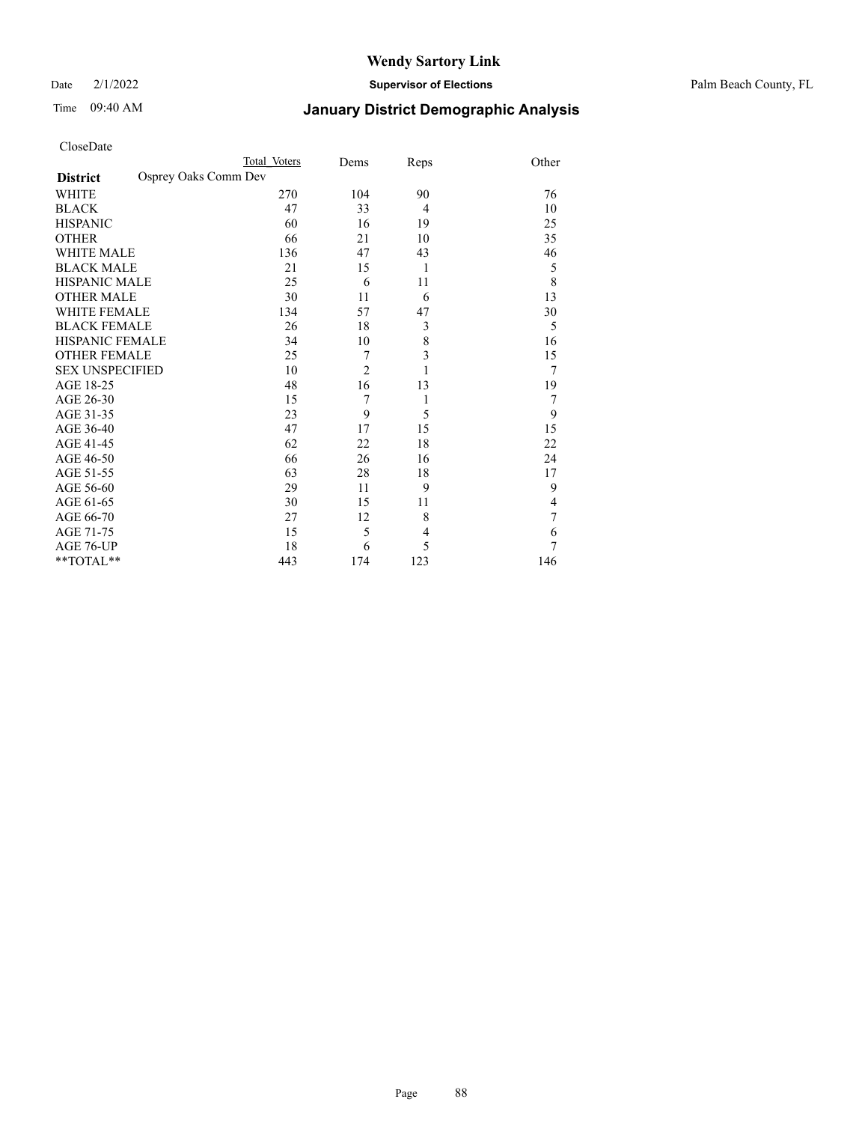| CloseDate |
|-----------|
|-----------|

|                                         | Total Voters | Dems           | Reps           | Other |
|-----------------------------------------|--------------|----------------|----------------|-------|
| Osprey Oaks Comm Dev<br><b>District</b> |              |                |                |       |
| WHITE                                   | 270          | 104            | 90             | 76    |
| <b>BLACK</b>                            | 47           | 33             | 4              | 10    |
| <b>HISPANIC</b>                         | 60           | 16             | 19             | 25    |
| <b>OTHER</b>                            | 66           | 21             | 10             | 35    |
| <b>WHITE MALE</b>                       | 136          | 47             | 43             | 46    |
| <b>BLACK MALE</b>                       | 21           | 15             | 1              | 5     |
| <b>HISPANIC MALE</b>                    | 25           | 6              | 11             | 8     |
| <b>OTHER MALE</b>                       | 30           | 11             | 6              | 13    |
| <b>WHITE FEMALE</b>                     | 134          | 57             | 47             | 30    |
| <b>BLACK FEMALE</b>                     | 26           | 18             | 3              | 5     |
| <b>HISPANIC FEMALE</b>                  | 34           | 10             | 8              | 16    |
| <b>OTHER FEMALE</b>                     | 25           | 7              | 3              | 15    |
| <b>SEX UNSPECIFIED</b>                  | 10           | $\overline{2}$ | 1              | 7     |
| AGE 18-25                               | 48           | 16             | 13             | 19    |
| AGE 26-30                               | 15           | 7              | 1              | 7     |
| AGE 31-35                               | 23           | 9              | 5              | 9     |
| AGE 36-40                               | 47           | 17             | 15             | 15    |
| AGE 41-45                               | 62           | 22             | 18             | 22    |
| AGE 46-50                               | 66           | 26             | 16             | 24    |
| AGE 51-55                               | 63           | 28             | 18             | 17    |
| AGE 56-60                               | 29           | 11             | 9              | 9     |
| AGE 61-65                               | 30           | 15             | 11             | 4     |
| AGE 66-70                               | 27           | 12             | 8              | 7     |
| AGE 71-75                               | 15           | 5              | $\overline{4}$ | 6     |
| AGE 76-UP                               | 18           | 6              | 5              | 7     |
| **TOTAL**                               | 443          | 174            | 123            | 146   |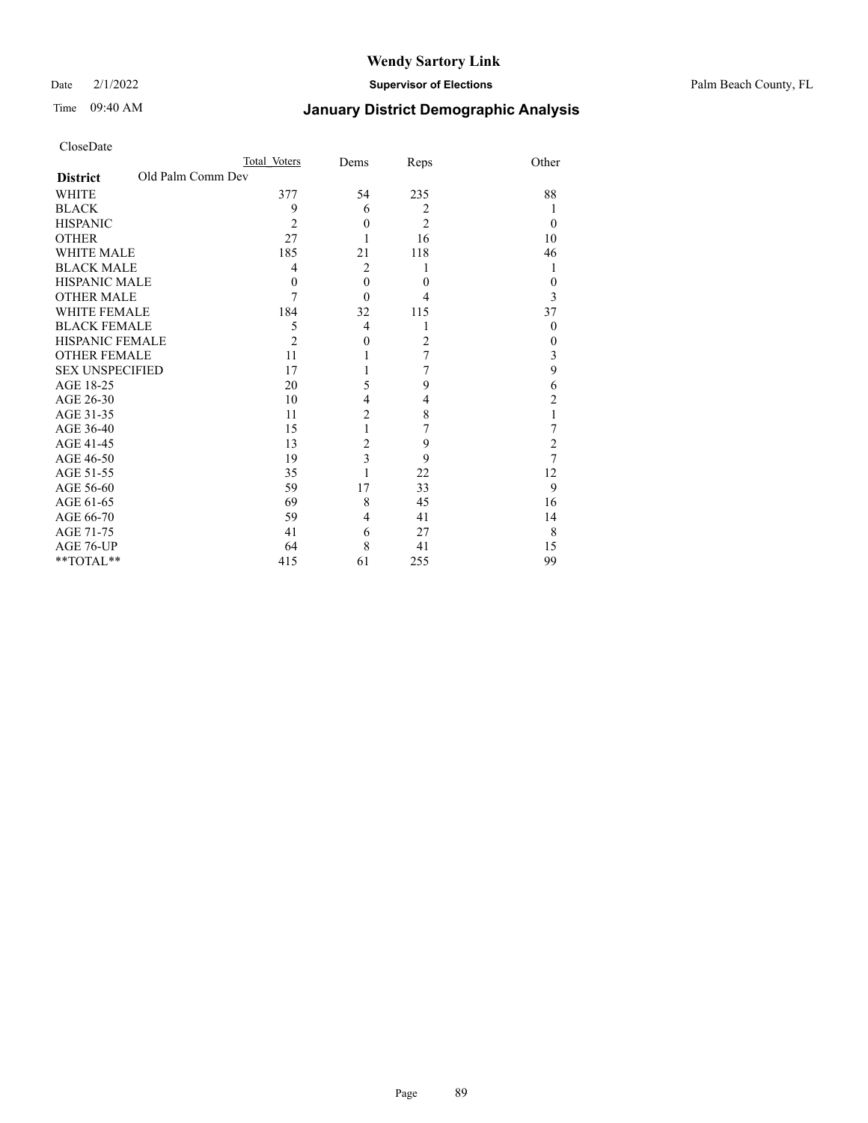Date 2/1/2022 **Supervisor of Elections** Palm Beach County, FL

| CloseDate |
|-----------|
|-----------|

|                        |                   | Total Voters   | Dems           | Reps           | Other          |
|------------------------|-------------------|----------------|----------------|----------------|----------------|
| <b>District</b>        | Old Palm Comm Dev |                |                |                |                |
| WHITE                  |                   | 377            | 54             | 235            | 88             |
| BLACK                  |                   | 9              | 6              | $\overline{2}$ | 1              |
| <b>HISPANIC</b>        |                   | $\overline{2}$ | $\theta$       | $\overline{2}$ | $\theta$       |
| OTHER                  |                   | 27             |                | 16             | 10             |
| WHITE MALE             |                   | 185            | 21             | 118            | 46             |
| <b>BLACK MALE</b>      |                   | 4              | $\overline{2}$ | 1              | 1              |
| HISPANIC MALE          |                   | $\Omega$       | $\theta$       | $\Omega$       | $\overline{0}$ |
| <b>OTHER MALE</b>      |                   | 7              | $\theta$       | 4              | 3              |
| WHITE FEMALE           |                   | 184            | 32             | 115            | 37             |
| BLACK FEMALE           |                   | 5              | 4              | 1              | $\theta$       |
| HISPANIC FEMALE        |                   | $\overline{2}$ | $\theta$       | $\overline{c}$ | $\theta$       |
| OTHER FEMALE           |                   | 11             |                | $\overline{7}$ | 3              |
| <b>SEX UNSPECIFIED</b> |                   | 17             |                | 7              | 9              |
| AGE 18-25              |                   | 20             | 5              | 9              | 6              |
| AGE 26-30              |                   | 10             | 4              | 4              | 2              |
| AGE 31-35              |                   | 11             | $\overline{c}$ | 8              | 1              |
| AGE 36-40              |                   | 15             |                | 7              | 7              |
| AGE 41-45              |                   | 13             | 2              | 9              | 2              |
| AGE 46-50              |                   | 19             | 3              | 9              | $\overline{7}$ |
| AGE 51-55              |                   | 35             |                | 22             | 12             |
| AGE 56-60              |                   | 59             | 17             | 33             | 9              |
| AGE 61-65              |                   | 69             | 8              | 45             | 16             |
| AGE 66-70              |                   | 59             | 4              | 41             | 14             |
| AGE 71-75              |                   | 41             | 6              | 27             | 8              |
| AGE 76-UP              |                   | 64             | 8              | 41             | 15             |
| $*$ $TOTAL**$          |                   | 415            | 61             | 255            | 99             |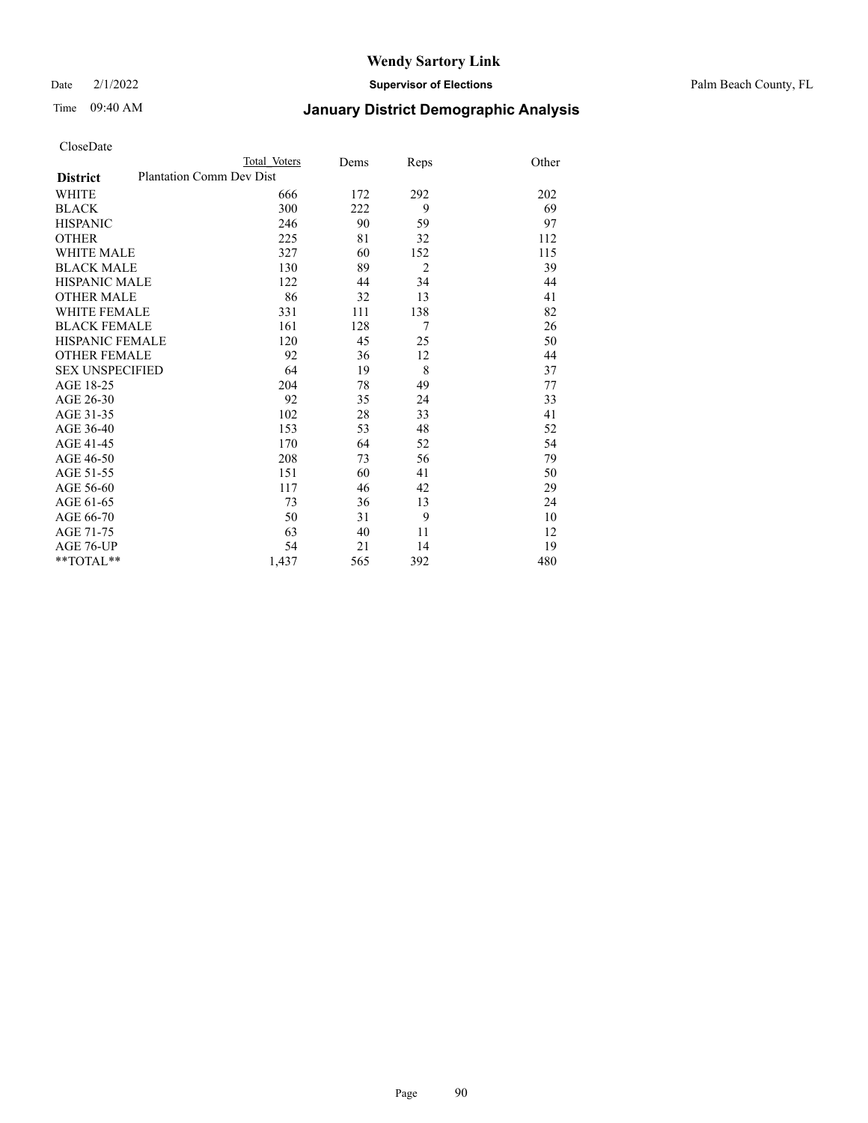Date 2/1/2022 **Supervisor of Elections** Palm Beach County, FL

| CloseDate |
|-----------|
|-----------|

|                        |                          | Total Voters | Dems | Reps           | Other |
|------------------------|--------------------------|--------------|------|----------------|-------|
| <b>District</b>        | Plantation Comm Dev Dist |              |      |                |       |
| WHITE                  |                          | 666          | 172  | 292            | 202   |
| BLACK                  |                          | 300          | 222  | 9              | 69    |
| <b>HISPANIC</b>        |                          | 246          | 90   | 59             | 97    |
| OTHER                  |                          | 225          | 81   | 32             | 112   |
| WHITE MALE             |                          | 327          | 60   | 152            | 115   |
| <b>BLACK MALE</b>      |                          | 130          | 89   | $\overline{2}$ | 39    |
| HISPANIC MALE          |                          | 122          | 44   | 34             | 44    |
| OTHER MALE             |                          | 86           | 32   | 13             | 41    |
| <b>WHITE FEMALE</b>    |                          | 331          | 111  | 138            | 82    |
| BLACK FEMALE           |                          | 161          | 128  | $\overline{7}$ | 26    |
| HISPANIC FEMALE        |                          | 120          | 45   | 25             | 50    |
| <b>OTHER FEMALE</b>    |                          | 92           | 36   | 12             | 44    |
| <b>SEX UNSPECIFIED</b> |                          | 64           | 19   | 8              | 37    |
| AGE 18-25              |                          | 204          | 78   | 49             | 77    |
| AGE 26-30              |                          | 92           | 35   | 24             | 33    |
| AGE 31-35              |                          | 102          | 28   | 33             | 41    |
| AGE 36-40              |                          | 153          | 53   | 48             | 52    |
| AGE 41-45              |                          | 170          | 64   | 52             | 54    |
| AGE 46-50              |                          | 208          | 73   | 56             | 79    |
| AGE 51-55              |                          | 151          | 60   | 41             | 50    |
| AGE 56-60              |                          | 117          | 46   | 42             | 29    |
| AGE 61-65              |                          | 73           | 36   | 13             | 24    |
| AGE 66-70              |                          | 50           | 31   | 9              | 10    |
| AGE 71-75              |                          | 63           | 40   | 11             | 12    |
| AGE 76-UP              |                          | 54           | 21   | 14             | 19    |
| $*$ $TOTAL**$          |                          | 1,437        | 565  | 392            | 480   |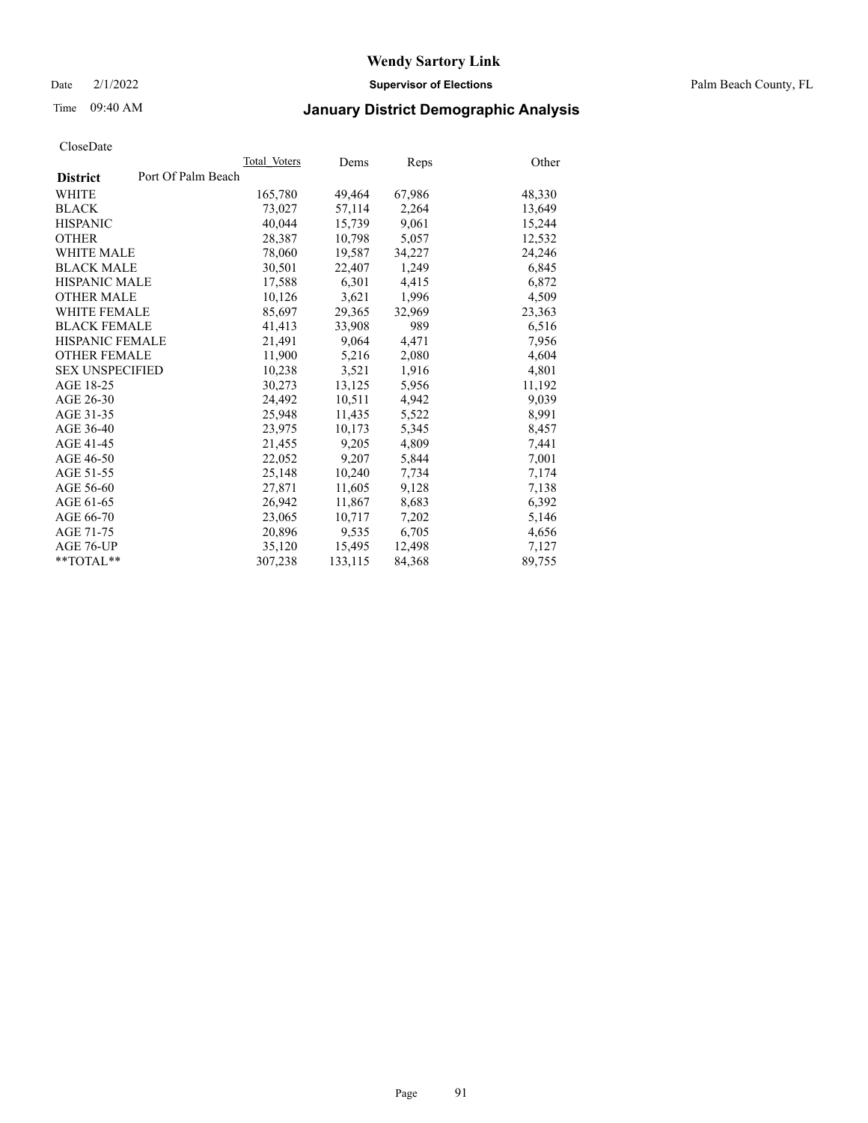Date 2/1/2022 **Supervisor of Elections** Palm Beach County, FL

# Time 09:40 AM **January District Demographic Analysis**

|                                       | Total Voters | Dems    | Reps   | Other  |
|---------------------------------------|--------------|---------|--------|--------|
| Port Of Palm Beach<br><b>District</b> |              |         |        |        |
| WHITE                                 | 165,780      | 49,464  | 67,986 | 48,330 |
| <b>BLACK</b>                          | 73,027       | 57,114  | 2,264  | 13,649 |
| <b>HISPANIC</b>                       | 40,044       | 15,739  | 9,061  | 15,244 |
| <b>OTHER</b>                          | 28,387       | 10,798  | 5,057  | 12,532 |
| <b>WHITE MALE</b>                     | 78,060       | 19,587  | 34,227 | 24,246 |
| <b>BLACK MALE</b>                     | 30,501       | 22,407  | 1,249  | 6,845  |
| <b>HISPANIC MALE</b>                  | 17,588       | 6,301   | 4,415  | 6,872  |
| <b>OTHER MALE</b>                     | 10,126       | 3,621   | 1,996  | 4,509  |
| <b>WHITE FEMALE</b>                   | 85,697       | 29,365  | 32.969 | 23,363 |
| <b>BLACK FEMALE</b>                   | 41,413       | 33,908  | 989    | 6,516  |
| <b>HISPANIC FEMALE</b>                | 21,491       | 9,064   | 4,471  | 7,956  |
| <b>OTHER FEMALE</b>                   | 11,900       | 5,216   | 2,080  | 4,604  |
| <b>SEX UNSPECIFIED</b>                | 10,238       | 3,521   | 1,916  | 4,801  |
| AGE 18-25                             | 30,273       | 13,125  | 5,956  | 11,192 |
| AGE 26-30                             | 24,492       | 10,511  | 4,942  | 9,039  |
| AGE 31-35                             | 25,948       | 11,435  | 5,522  | 8,991  |
| AGE 36-40                             | 23,975       | 10,173  | 5,345  | 8,457  |
| AGE 41-45                             | 21,455       | 9,205   | 4,809  | 7,441  |
| AGE 46-50                             | 22,052       | 9,207   | 5,844  | 7,001  |
| AGE 51-55                             | 25,148       | 10,240  | 7,734  | 7,174  |
| AGE 56-60                             | 27,871       | 11,605  | 9,128  | 7,138  |
| AGE 61-65                             | 26,942       | 11,867  | 8,683  | 6,392  |
| AGE 66-70                             | 23,065       | 10,717  | 7,202  | 5,146  |
| AGE 71-75                             | 20,896       | 9,535   | 6,705  | 4,656  |
| AGE 76-UP                             | 35,120       | 15,495  | 12,498 | 7,127  |
| **TOTAL**                             | 307,238      | 133,115 | 84,368 | 89,755 |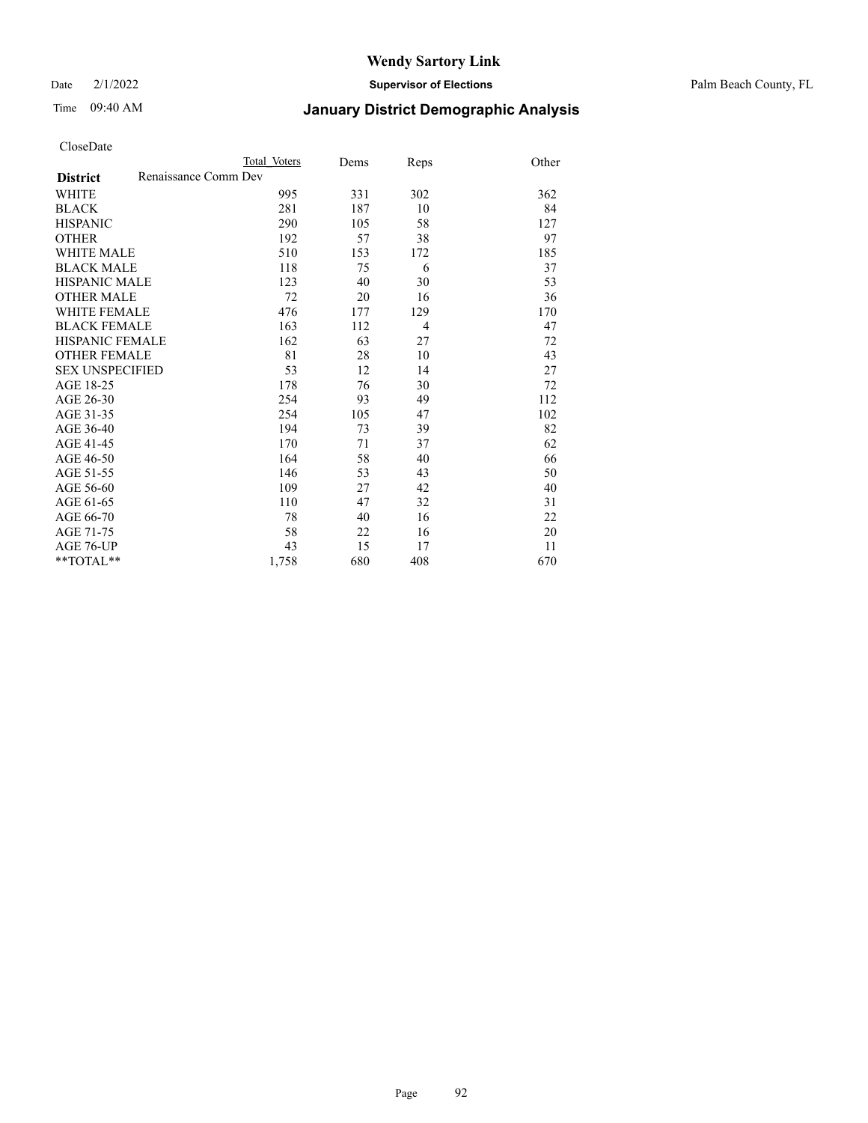Date 2/1/2022 **Supervisor of Elections** Palm Beach County, FL

# Time 09:40 AM **January District Demographic Analysis**

|                                         | Total Voters | Dems | Reps           | Other |
|-----------------------------------------|--------------|------|----------------|-------|
| Renaissance Comm Dev<br><b>District</b> |              |      |                |       |
| WHITE                                   | 995          | 331  | 302            | 362   |
| <b>BLACK</b>                            | 281          | 187  | 10             | 84    |
| <b>HISPANIC</b>                         | 290          | 105  | 58             | 127   |
| <b>OTHER</b>                            | 192          | 57   | 38             | 97    |
| <b>WHITE MALE</b>                       | 510          | 153  | 172            | 185   |
| <b>BLACK MALE</b>                       | 118          | 75   | 6              | 37    |
| <b>HISPANIC MALE</b>                    | 123          | 40   | 30             | 53    |
| <b>OTHER MALE</b>                       | 72           | 20   | 16             | 36    |
| WHITE FEMALE                            | 476          | 177  | 129            | 170   |
| <b>BLACK FEMALE</b>                     | 163          | 112  | $\overline{4}$ | 47    |
| HISPANIC FEMALE                         | 162          | 63   | 27             | 72    |
| <b>OTHER FEMALE</b>                     | 81           | 28   | 10             | 43    |
| <b>SEX UNSPECIFIED</b>                  | 53           | 12   | 14             | 27    |
| AGE 18-25                               | 178          | 76   | 30             | 72    |
| AGE 26-30                               | 254          | 93   | 49             | 112   |
| AGE 31-35                               | 254          | 105  | 47             | 102   |
| AGE 36-40                               | 194          | 73   | 39             | 82    |
| AGE 41-45                               | 170          | 71   | 37             | 62    |
| AGE 46-50                               | 164          | 58   | 40             | 66    |
| AGE 51-55                               | 146          | 53   | 43             | 50    |
| AGE 56-60                               | 109          | 27   | 42             | 40    |
| AGE 61-65                               | 110          | 47   | 32             | 31    |
| AGE 66-70                               | 78           | 40   | 16             | 22    |
| AGE 71-75                               | 58           | 22   | 16             | 20    |
| AGE 76-UP                               | 43           | 15   | 17             | 11    |
| $*$ $TOTAL**$                           | 1,758        | 680  | 408            | 670   |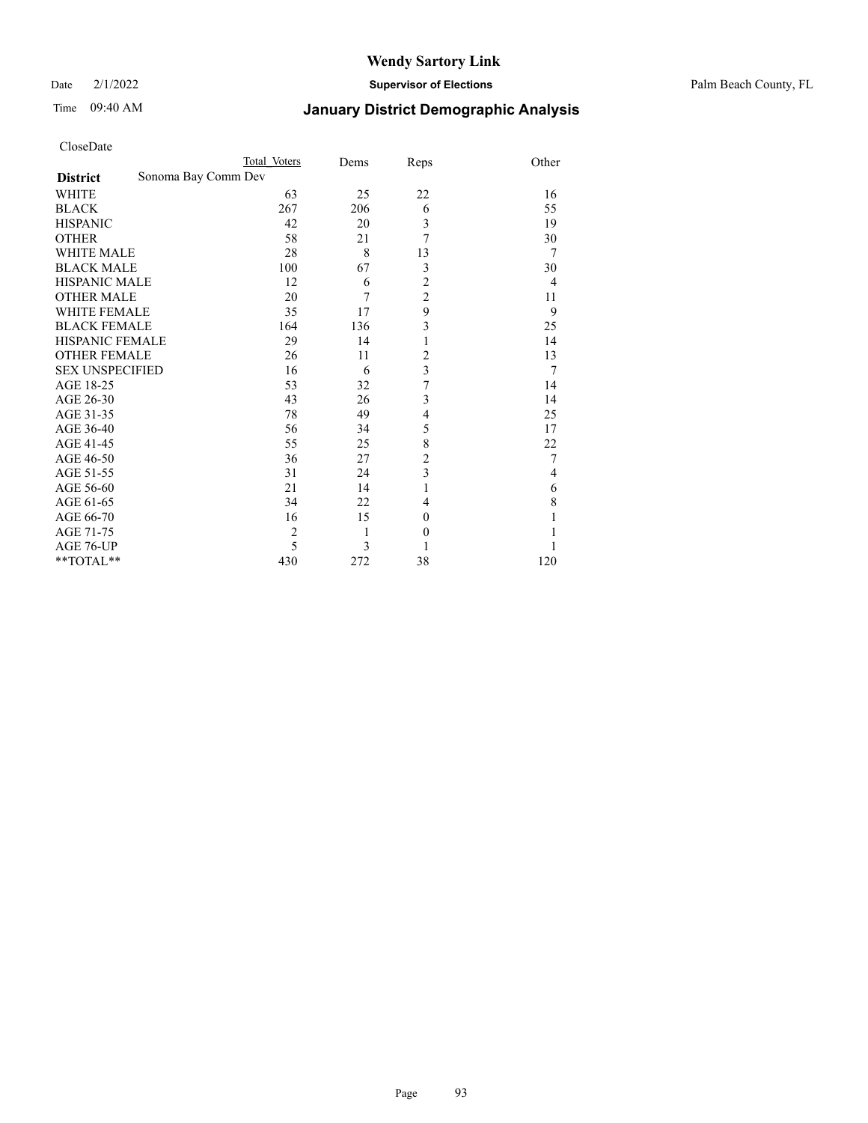Date 2/1/2022 **Supervisor of Elections** Palm Beach County, FL

# Time 09:40 AM **January District Demographic Analysis**

| Total Voters        | Dems | Reps             | Other                                                                                            |
|---------------------|------|------------------|--------------------------------------------------------------------------------------------------|
| Sonoma Bay Comm Dev |      |                  |                                                                                                  |
| 63                  | 25   | 22               | 16                                                                                               |
| 267                 | 206  | 6                | 55                                                                                               |
| 42                  | 20   | 3                | 19                                                                                               |
| 58                  | 21   | 7                | 30                                                                                               |
| 28                  | 8    | 13               | 7                                                                                                |
| 100                 | 67   | 3                | 30                                                                                               |
| 12                  | 6    | $\overline{c}$   | 4                                                                                                |
| 20                  | 7    |                  | 11                                                                                               |
| 35                  | 17   | 9                | 9                                                                                                |
| 164                 | 136  |                  | 25                                                                                               |
| 29                  | 14   | 1                | 14                                                                                               |
| 26                  | 11   | $\overline{2}$   | 13                                                                                               |
| 16                  | 6    |                  | 7                                                                                                |
| 53                  | 32   | 7                | 14                                                                                               |
| 43                  | 26   | 3                | 14                                                                                               |
| 78                  | 49   | $\overline{4}$   | 25                                                                                               |
| 56                  | 34   | 5                | 17                                                                                               |
| 55                  | 25   |                  | 22                                                                                               |
| 36                  | 27   |                  | 7                                                                                                |
| 31                  | 24   |                  | 4                                                                                                |
| 21                  | 14   | 1                | 6                                                                                                |
| 34                  | 22   | 4                | 8                                                                                                |
| 16                  | 15   | $\boldsymbol{0}$ |                                                                                                  |
| $\overline{c}$      | 1    | $\boldsymbol{0}$ |                                                                                                  |
| 5                   | 3    |                  |                                                                                                  |
| 430                 | 272  | 38               | 120                                                                                              |
|                     |      |                  | $\overline{c}$<br>3<br>$\overline{\mathbf{3}}$<br>8<br>$\overline{2}$<br>$\overline{\mathbf{3}}$ |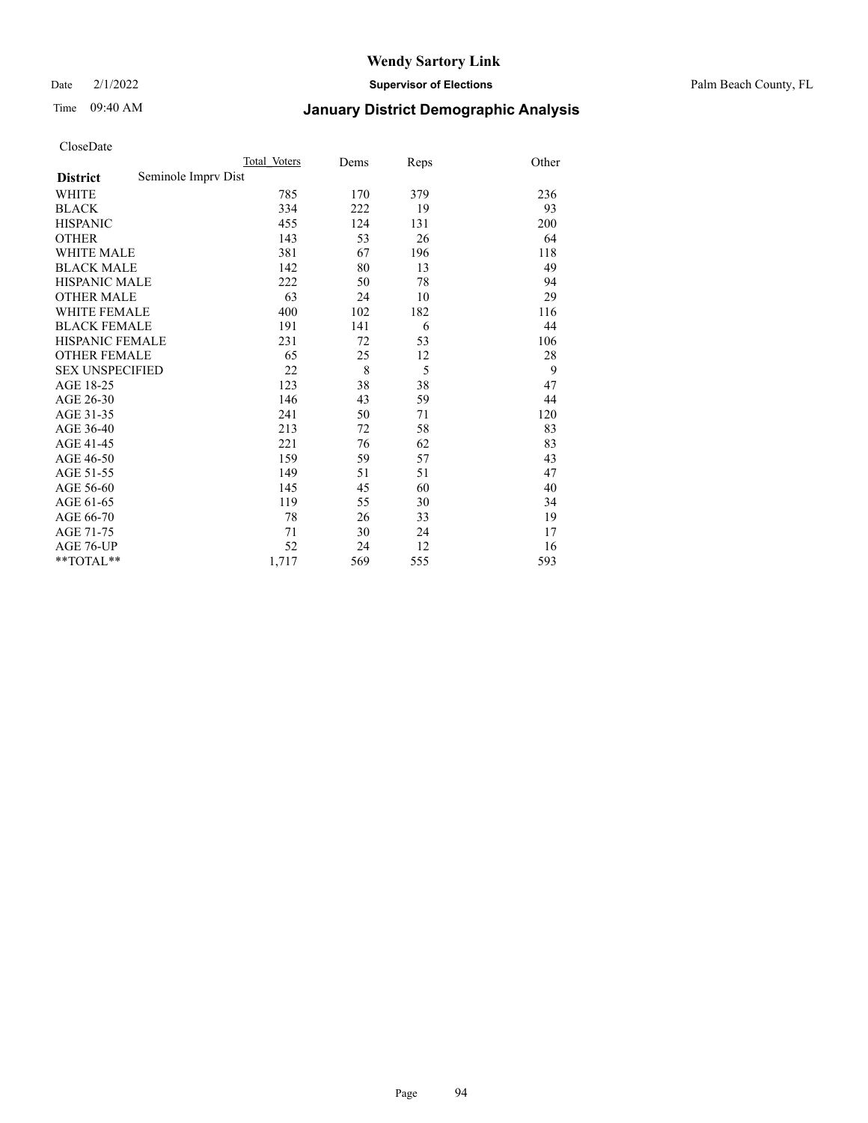Date 2/1/2022 **Supervisor of Elections** Palm Beach County, FL

# Time 09:40 AM **January District Demographic Analysis**

|                                        | Total Voters | Dems | Reps | Other |
|----------------------------------------|--------------|------|------|-------|
| Seminole Impry Dist<br><b>District</b> |              |      |      |       |
| WHITE                                  | 785          | 170  | 379  | 236   |
| <b>BLACK</b>                           | 334          | 222  | 19   | 93    |
| <b>HISPANIC</b>                        | 455          | 124  | 131  | 200   |
| <b>OTHER</b>                           | 143          | 53   | 26   | 64    |
| WHITE MALE                             | 381          | 67   | 196  | 118   |
| <b>BLACK MALE</b>                      | 142          | 80   | 13   | 49    |
| <b>HISPANIC MALE</b>                   | 222          | 50   | 78   | 94    |
| <b>OTHER MALE</b>                      | 63           | 24   | 10   | 29    |
| <b>WHITE FEMALE</b>                    | 400          | 102  | 182  | 116   |
| <b>BLACK FEMALE</b>                    | 191          | 141  | 6    | 44    |
| <b>HISPANIC FEMALE</b>                 | 231          | 72   | 53   | 106   |
| <b>OTHER FEMALE</b>                    | 65           | 25   | 12   | 28    |
| <b>SEX UNSPECIFIED</b>                 | 22           | 8    | 5    | 9     |
| AGE 18-25                              | 123          | 38   | 38   | 47    |
| AGE 26-30                              | 146          | 43   | 59   | 44    |
| AGE 31-35                              | 241          | 50   | 71   | 120   |
| AGE 36-40                              | 213          | 72   | 58   | 83    |
| AGE 41-45                              | 221          | 76   | 62   | 83    |
| AGE 46-50                              | 159          | 59   | 57   | 43    |
| AGE 51-55                              | 149          | 51   | 51   | 47    |
| AGE 56-60                              | 145          | 45   | 60   | 40    |
| AGE 61-65                              | 119          | 55   | 30   | 34    |
| AGE 66-70                              | 78           | 26   | 33   | 19    |
| AGE 71-75                              | 71           | 30   | 24   | 17    |
| AGE 76-UP                              | 52           | 24   | 12   | 16    |
| $*$ $TOTAL**$                          | 1,717        | 569  | 555  | 593   |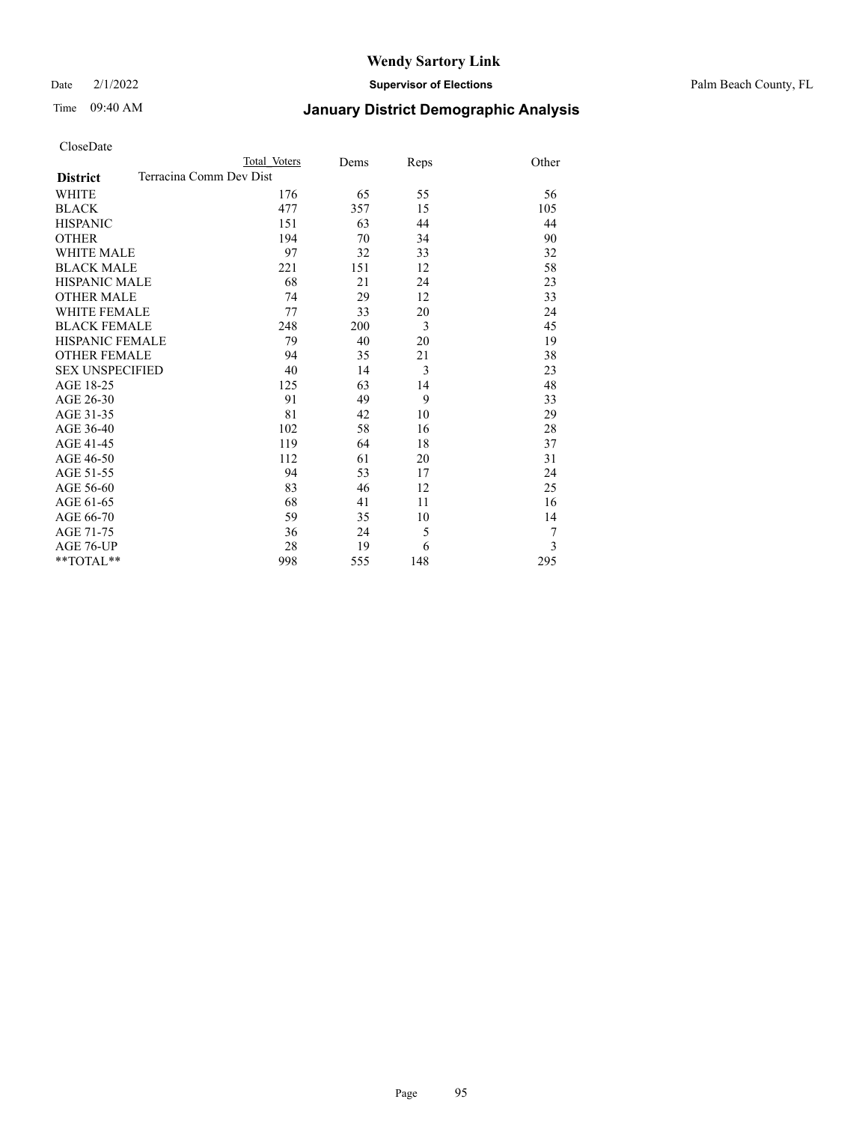Date 2/1/2022 **Supervisor of Elections** Palm Beach County, FL

# Time 09:40 AM **January District Demographic Analysis**

|                                            | Total Voters | Dems | Reps | Other |
|--------------------------------------------|--------------|------|------|-------|
| Terracina Comm Dev Dist<br><b>District</b> |              |      |      |       |
| WHITE                                      | 176          | 65   | 55   | 56    |
| <b>BLACK</b>                               | 477          | 357  | 15   | 105   |
| <b>HISPANIC</b>                            | 151          | 63   | 44   | 44    |
| <b>OTHER</b>                               | 194          | 70   | 34   | 90    |
| WHITE MALE                                 | 97           | 32   | 33   | 32    |
| <b>BLACK MALE</b>                          | 221          | 151  | 12   | 58    |
| <b>HISPANIC MALE</b>                       | 68           | 21   | 24   | 23    |
| <b>OTHER MALE</b>                          | 74           | 29   | 12   | 33    |
| WHITE FEMALE                               | 77           | 33   | 20   | 24    |
| <b>BLACK FEMALE</b>                        | 248          | 200  | 3    | 45    |
| <b>HISPANIC FEMALE</b>                     | 79           | 40   | 20   | 19    |
| <b>OTHER FEMALE</b>                        | 94           | 35   | 21   | 38    |
| <b>SEX UNSPECIFIED</b>                     | 40           | 14   | 3    | 23    |
| AGE 18-25                                  | 125          | 63   | 14   | 48    |
| AGE 26-30                                  | 91           | 49   | 9    | 33    |
| AGE 31-35                                  | 81           | 42   | 10   | 29    |
| AGE 36-40                                  | 102          | 58   | 16   | 28    |
| AGE 41-45                                  | 119          | 64   | 18   | 37    |
| AGE 46-50                                  | 112          | 61   | 20   | 31    |
| AGE 51-55                                  | 94           | 53   | 17   | 24    |
| AGE 56-60                                  | 83           | 46   | 12   | 25    |
| AGE 61-65                                  | 68           | 41   | 11   | 16    |
| AGE 66-70                                  | 59           | 35   | 10   | 14    |
| AGE 71-75                                  | 36           | 24   | 5    | 7     |
| AGE 76-UP                                  | 28           | 19   | 6    | 3     |
| **TOTAL**                                  | 998          | 555  | 148  | 295   |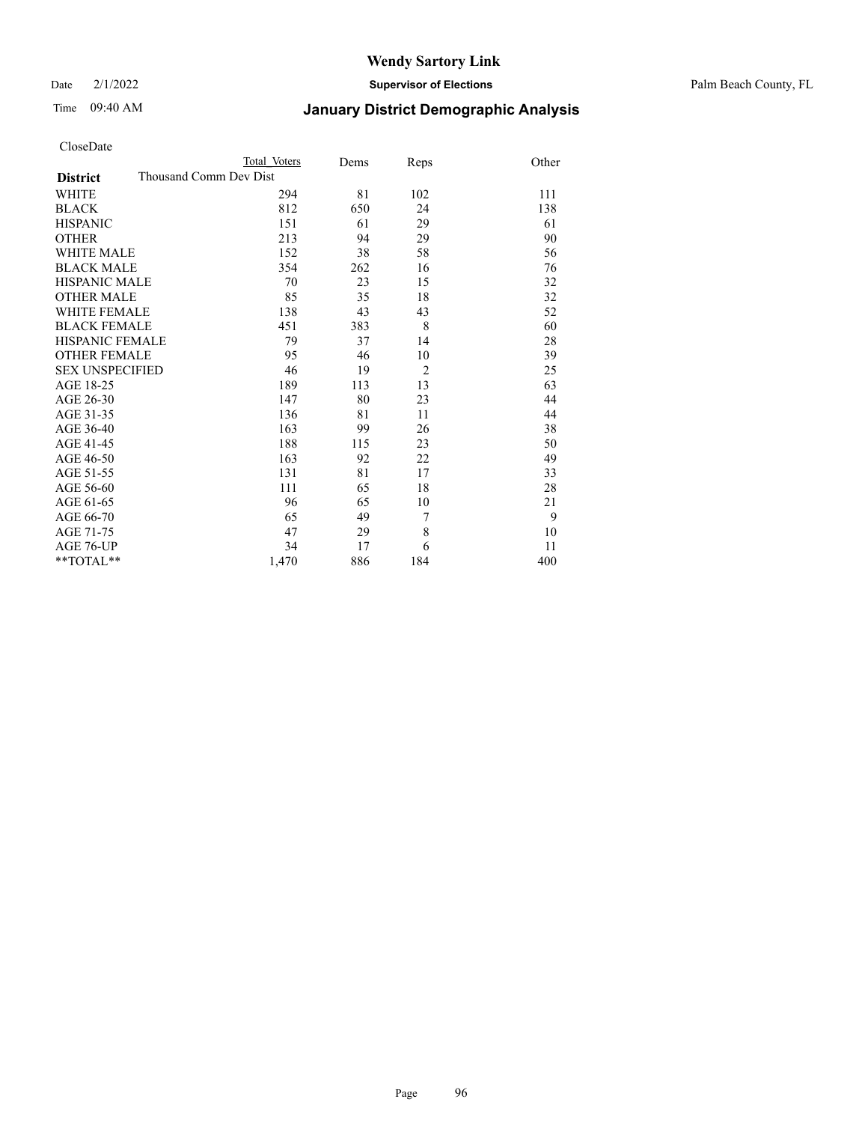Date 2/1/2022 **Supervisor of Elections** Palm Beach County, FL

# Time 09:40 AM **January District Demographic Analysis**

|                                           | Total Voters | Dems | Reps           | Other |
|-------------------------------------------|--------------|------|----------------|-------|
| Thousand Comm Dev Dist<br><b>District</b> |              |      |                |       |
| WHITE                                     | 294          | 81   | 102            | 111   |
| <b>BLACK</b>                              | 812          | 650  | 24             | 138   |
| <b>HISPANIC</b>                           | 151          | 61   | 29             | 61    |
| <b>OTHER</b>                              | 213          | 94   | 29             | 90    |
| <b>WHITE MALE</b>                         | 152          | 38   | 58             | 56    |
| <b>BLACK MALE</b>                         | 354          | 262  | 16             | 76    |
| <b>HISPANIC MALE</b>                      | 70           | 23   | 15             | 32    |
| <b>OTHER MALE</b>                         | 85           | 35   | 18             | 32    |
| WHITE FEMALE                              | 138          | 43   | 43             | 52    |
| <b>BLACK FEMALE</b>                       | 451          | 383  | 8              | 60    |
| HISPANIC FEMALE                           | 79           | 37   | 14             | 28    |
| <b>OTHER FEMALE</b>                       | 95           | 46   | 10             | 39    |
| <b>SEX UNSPECIFIED</b>                    | 46           | 19   | $\overline{2}$ | 25    |
| AGE 18-25                                 | 189          | 113  | 13             | 63    |
| AGE 26-30                                 | 147          | 80   | 23             | 44    |
| AGE 31-35                                 | 136          | 81   | 11             | 44    |
| AGE 36-40                                 | 163          | 99   | 26             | 38    |
| AGE 41-45                                 | 188          | 115  | 23             | 50    |
| AGE 46-50                                 | 163          | 92   | 22             | 49    |
| AGE 51-55                                 | 131          | 81   | 17             | 33    |
| AGE 56-60                                 | 111          | 65   | 18             | 28    |
| AGE 61-65                                 | 96           | 65   | 10             | 21    |
| AGE 66-70                                 | 65           | 49   | 7              | 9     |
| AGE 71-75                                 | 47           | 29   | 8              | 10    |
| <b>AGE 76-UP</b>                          | 34           | 17   | 6              | 11    |
| $*$ $TOTAL**$                             | 1,470        | 886  | 184            | 400   |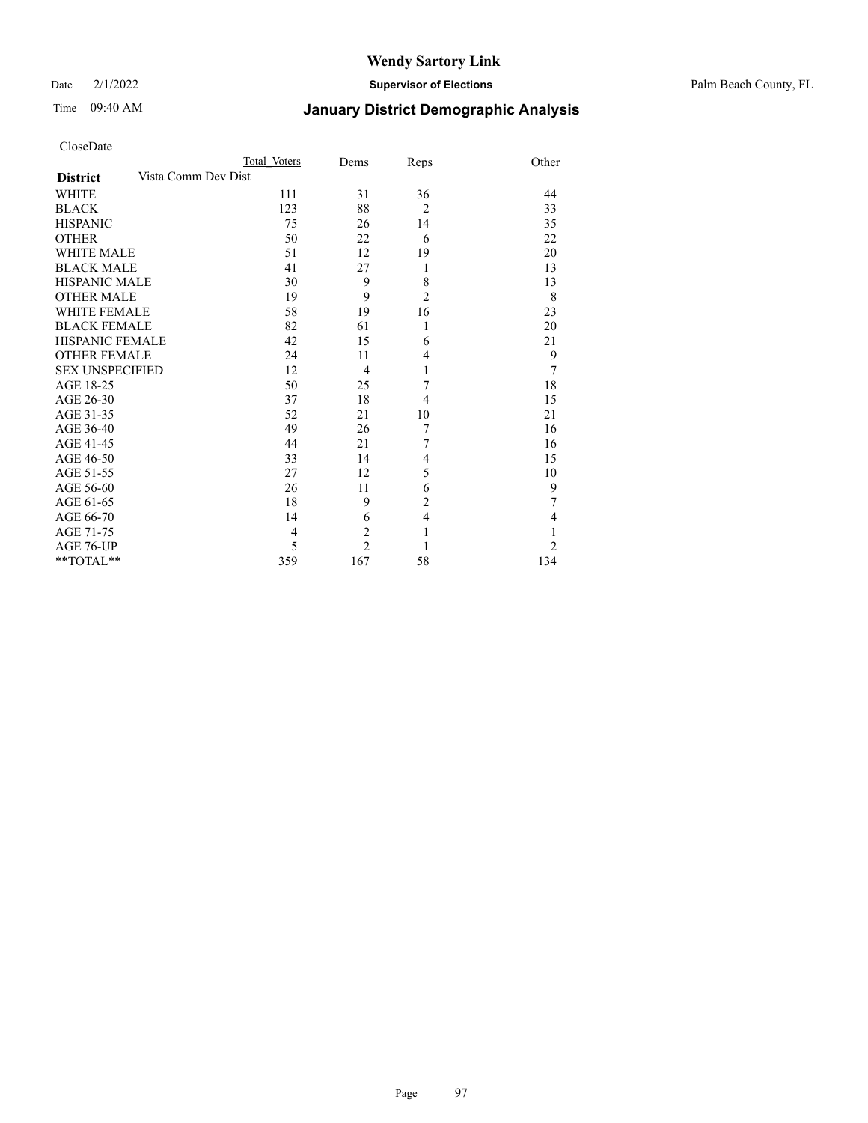Date 2/1/2022 **Supervisor of Elections** Palm Beach County, FL

# Time 09:40 AM **January District Demographic Analysis**

|                        |                     | Total Voters   | Dems           | Reps           | Other          |
|------------------------|---------------------|----------------|----------------|----------------|----------------|
| <b>District</b>        | Vista Comm Dev Dist |                |                |                |                |
| WHITE                  |                     | 111            | 31             | 36             | 44             |
| <b>BLACK</b>           |                     | 123            | 88             | $\overline{2}$ | 33             |
| <b>HISPANIC</b>        |                     | 75             | 26             | 14             | 35             |
| <b>OTHER</b>           |                     | 50             | 22             | 6              | 22             |
| <b>WHITE MALE</b>      |                     | 51             | 12             | 19             | 20             |
| <b>BLACK MALE</b>      |                     | 41             | 27             | 1              | 13             |
| HISPANIC MALE          |                     | 30             | 9              | 8              | 13             |
| <b>OTHER MALE</b>      |                     | 19             | 9              | $\overline{2}$ | 8              |
| <b>WHITE FEMALE</b>    |                     | 58             | 19             | 16             | 23             |
| <b>BLACK FEMALE</b>    |                     | 82             | 61             | 1              | 20             |
| <b>HISPANIC FEMALE</b> |                     | 42             | 15             | 6              | 21             |
| <b>OTHER FEMALE</b>    |                     | 24             | 11             | $\overline{4}$ | 9              |
| <b>SEX UNSPECIFIED</b> |                     | 12             | $\overline{4}$ | 1              | 7              |
| AGE 18-25              |                     | 50             | 25             | 7              | 18             |
| AGE 26-30              |                     | 37             | 18             | $\overline{4}$ | 15             |
| AGE 31-35              |                     | 52             | 21             | 10             | 21             |
| AGE 36-40              |                     | 49             | 26             | 7              | 16             |
| AGE 41-45              |                     | 44             | 21             | 7              | 16             |
| AGE 46-50              |                     | 33             | 14             | $\overline{4}$ | 15             |
| AGE 51-55              |                     | 27             | 12             | 5              | 10             |
| AGE 56-60              |                     | 26             | 11             | 6              | 9              |
| AGE 61-65              |                     | 18             | 9              | $\overline{c}$ | 7              |
| AGE 66-70              |                     | 14             | 6              | $\overline{4}$ | 4              |
| AGE 71-75              |                     | $\overline{4}$ | $\overline{2}$ | $\mathbf{1}$   |                |
| AGE 76-UP              |                     | 5              | $\overline{c}$ |                | $\overline{2}$ |
| **TOTAL**              |                     | 359            | 167            | 58             | 134            |
|                        |                     |                |                |                |                |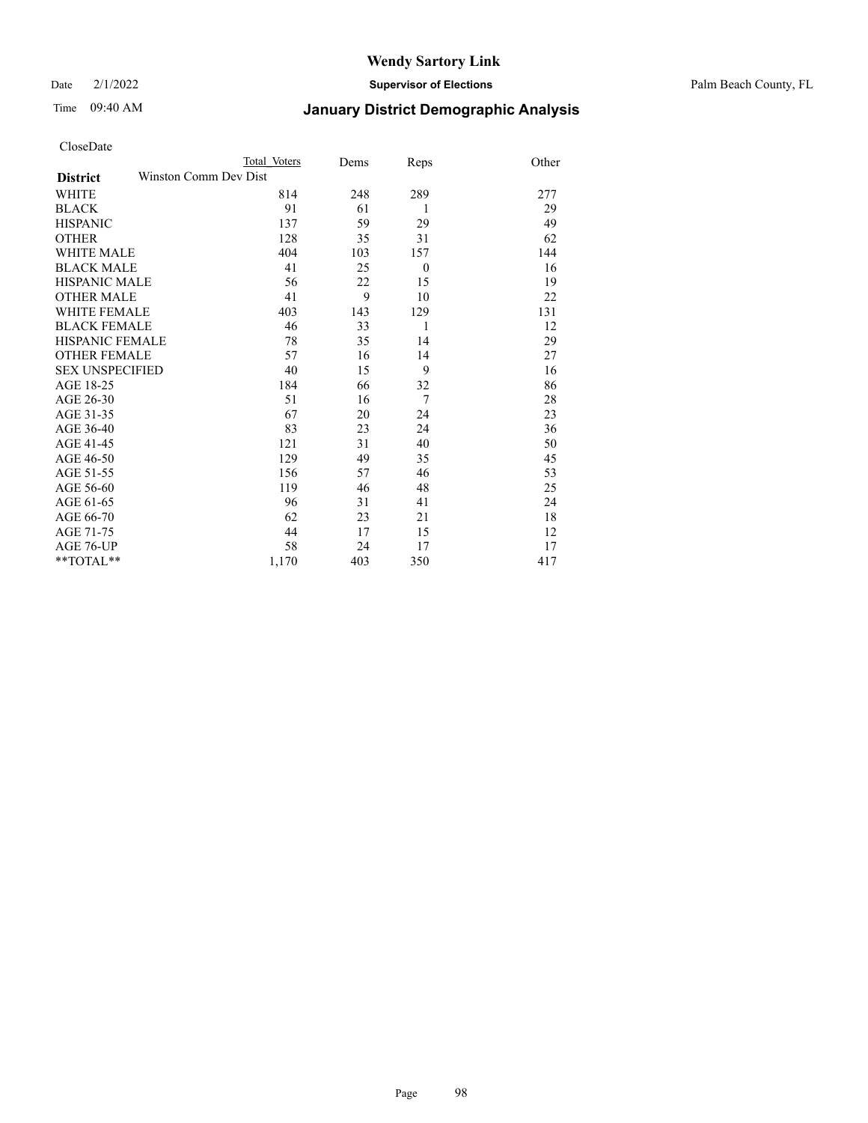Date 2/1/2022 **Supervisor of Elections** Palm Beach County, FL

| CloseDate |
|-----------|
|-----------|

|                        |                       | Total Voters | Dems | Reps           | Other |
|------------------------|-----------------------|--------------|------|----------------|-------|
| <b>District</b>        | Winston Comm Dev Dist |              |      |                |       |
| WHITE                  |                       | 814          | 248  | 289            | 277   |
| BLACK                  |                       | 91           | 61   | 1              | 29    |
| <b>HISPANIC</b>        |                       | 137          | 59   | 29             | 49    |
| OTHER                  |                       | 128          | 35   | 31             | 62    |
| WHITE MALE             |                       | 404          | 103  | 157            | 144   |
| BLACK MALE             |                       | 41           | 25   | $\overline{0}$ | 16    |
| HISPANIC MALE          |                       | 56           | 22   | 15             | 19    |
| <b>OTHER MALE</b>      |                       | 41           | 9    | 10             | 22    |
| WHITE FEMALE           |                       | 403          | 143  | 129            | 131   |
| BLACK FEMALE           |                       | 46           | 33   | 1              | 12    |
| HISPANIC FEMALE        |                       | 78           | 35   | 14             | 29    |
| <b>OTHER FEMALE</b>    |                       | 57           | 16   | 14             | 27    |
| <b>SEX UNSPECIFIED</b> |                       | 40           | 15   | 9              | 16    |
| AGE 18-25              |                       | 184          | 66   | 32             | 86    |
| AGE 26-30              |                       | 51           | 16   | 7              | 28    |
| AGE 31-35              |                       | 67           | 20   | 24             | 23    |
| AGE 36-40              |                       | 83           | 23   | 24             | 36    |
| AGE 41-45              |                       | 121          | 31   | 40             | 50    |
| AGE 46-50              |                       | 129          | 49   | 35             | 45    |
| AGE 51-55              |                       | 156          | 57   | 46             | 53    |
| AGE 56-60              |                       | 119          | 46   | 48             | 25    |
| AGE 61-65              |                       | 96           | 31   | 41             | 24    |
| AGE 66-70              |                       | 62           | 23   | 21             | 18    |
| AGE 71-75              |                       | 44           | 17   | 15             | 12    |
| AGE 76-UP              |                       | 58           | 24   | 17             | 17    |
| $*$ $TOTAL**$          |                       | 1,170        | 403  | 350            | 417   |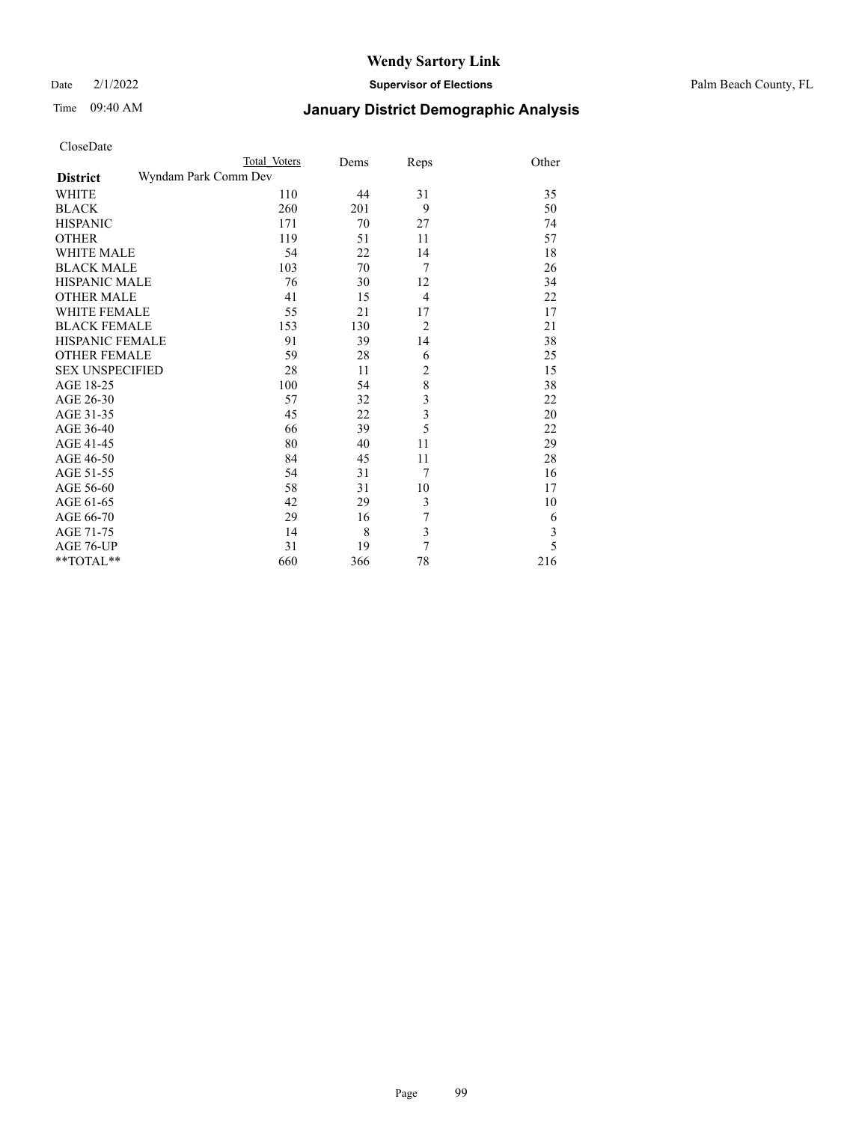Date 2/1/2022 **Supervisor of Elections** Palm Beach County, FL

| CloseDate |
|-----------|
|-----------|

|                        | Total Voters         | Dems | Reps           | Other |
|------------------------|----------------------|------|----------------|-------|
| <b>District</b>        | Wyndam Park Comm Dev |      |                |       |
| WHITE                  | 110                  | 44   | 31             | 35    |
| <b>BLACK</b>           | 260                  | 201  | 9              | 50    |
| <b>HISPANIC</b>        | 171                  | 70   | 27             | 74    |
| <b>OTHER</b>           | 119                  | 51   | 11             | 57    |
| <b>WHITE MALE</b>      | 54                   | 22   | 14             | 18    |
| <b>BLACK MALE</b>      | 103                  | 70   | 7              | 26    |
| <b>HISPANIC MALE</b>   | 76                   | 30   | 12             | 34    |
| <b>OTHER MALE</b>      | 41                   | 15   | $\overline{4}$ | 22    |
| <b>WHITE FEMALE</b>    | 55                   | 21   | 17             | 17    |
| <b>BLACK FEMALE</b>    | 153                  | 130  | $\overline{2}$ | 21    |
| <b>HISPANIC FEMALE</b> | 91                   | 39   | 14             | 38    |
| <b>OTHER FEMALE</b>    | 59                   | 28   | 6              | 25    |
| <b>SEX UNSPECIFIED</b> | 28                   | 11   | $\overline{c}$ | 15    |
| AGE 18-25              | 100                  | 54   | 8              | 38    |
| AGE 26-30              | 57                   | 32   | 3              | 22    |
| AGE 31-35              | 45                   | 22   | 3              | 20    |
| AGE 36-40              | 66                   | 39   | 5              | 22    |
| AGE 41-45              | 80                   | 40   | 11             | 29    |
| AGE 46-50              | 84                   | 45   | 11             | 28    |
| AGE 51-55              | 54                   | 31   | 7              | 16    |
| AGE 56-60              | 58                   | 31   | 10             | 17    |
| AGE 61-65              | 42                   | 29   | 3              | 10    |
| AGE 66-70              | 29                   | 16   | $\sqrt{ }$     | 6     |
| AGE 71-75              | 14                   | 8    | 3              | 3     |
| AGE 76-UP              | 31                   | 19   | $\overline{7}$ | 5     |
| **TOTAL**              | 660                  | 366  | 78             | 216   |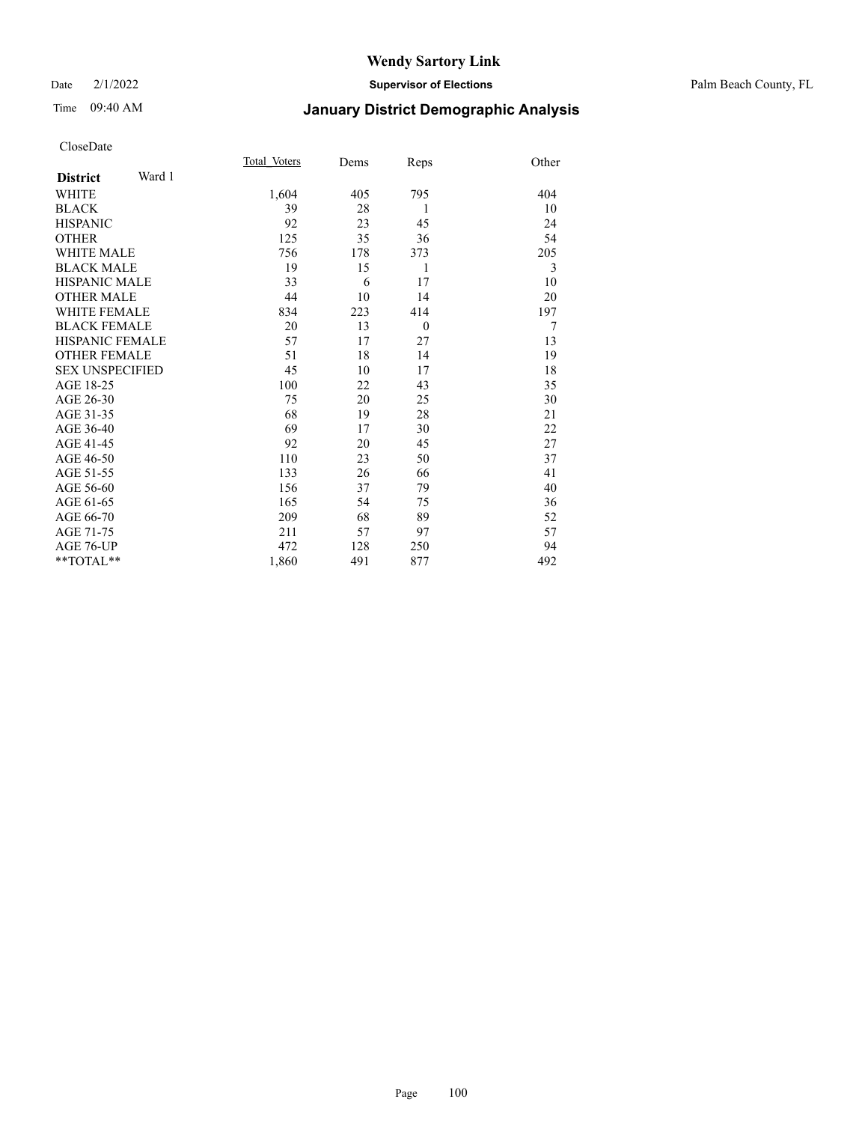### Date 2/1/2022 **Supervisor of Elections** Palm Beach County, FL

# Time 09:40 AM **January District Demographic Analysis**

|                           | Total Voters | Dems | Reps     | Other |
|---------------------------|--------------|------|----------|-------|
| Ward 1<br><b>District</b> |              |      |          |       |
| WHITE                     | 1,604        | 405  | 795      | 404   |
| <b>BLACK</b>              | 39           | 28   | 1        | 10    |
| <b>HISPANIC</b>           | 92           | 23   | 45       | 24    |
| <b>OTHER</b>              | 125          | 35   | 36       | 54    |
| <b>WHITE MALE</b>         | 756          | 178  | 373      | 205   |
| <b>BLACK MALE</b>         | 19           | 15   | 1        | 3     |
| <b>HISPANIC MALE</b>      | 33           | 6    | 17       | 10    |
| <b>OTHER MALE</b>         | 44           | 10   | 14       | 20    |
| <b>WHITE FEMALE</b>       | 834          | 223  | 414      | 197   |
| <b>BLACK FEMALE</b>       | 20           | 13   | $\theta$ | 7     |
| <b>HISPANIC FEMALE</b>    | 57           | 17   | 27       | 13    |
| <b>OTHER FEMALE</b>       | 51           | 18   | 14       | 19    |
| <b>SEX UNSPECIFIED</b>    | 45           | 10   | 17       | 18    |
| AGE 18-25                 | 100          | 22   | 43       | 35    |
| AGE 26-30                 | 75           | 20   | 25       | 30    |
| AGE 31-35                 | 68           | 19   | 28       | 21    |
| AGE 36-40                 | 69           | 17   | 30       | 22    |
| AGE 41-45                 | 92           | 20   | 45       | 27    |
| AGE 46-50                 | 110          | 23   | 50       | 37    |
| AGE 51-55                 | 133          | 26   | 66       | 41    |
| AGE 56-60                 | 156          | 37   | 79       | 40    |
| AGE 61-65                 | 165          | 54   | 75       | 36    |
| AGE 66-70                 | 209          | 68   | 89       | 52    |
| AGE 71-75                 | 211          | 57   | 97       | 57    |
| AGE 76-UP                 | 472          | 128  | 250      | 94    |
| $*$ $TOTAL**$             | 1,860        | 491  | 877      | 492   |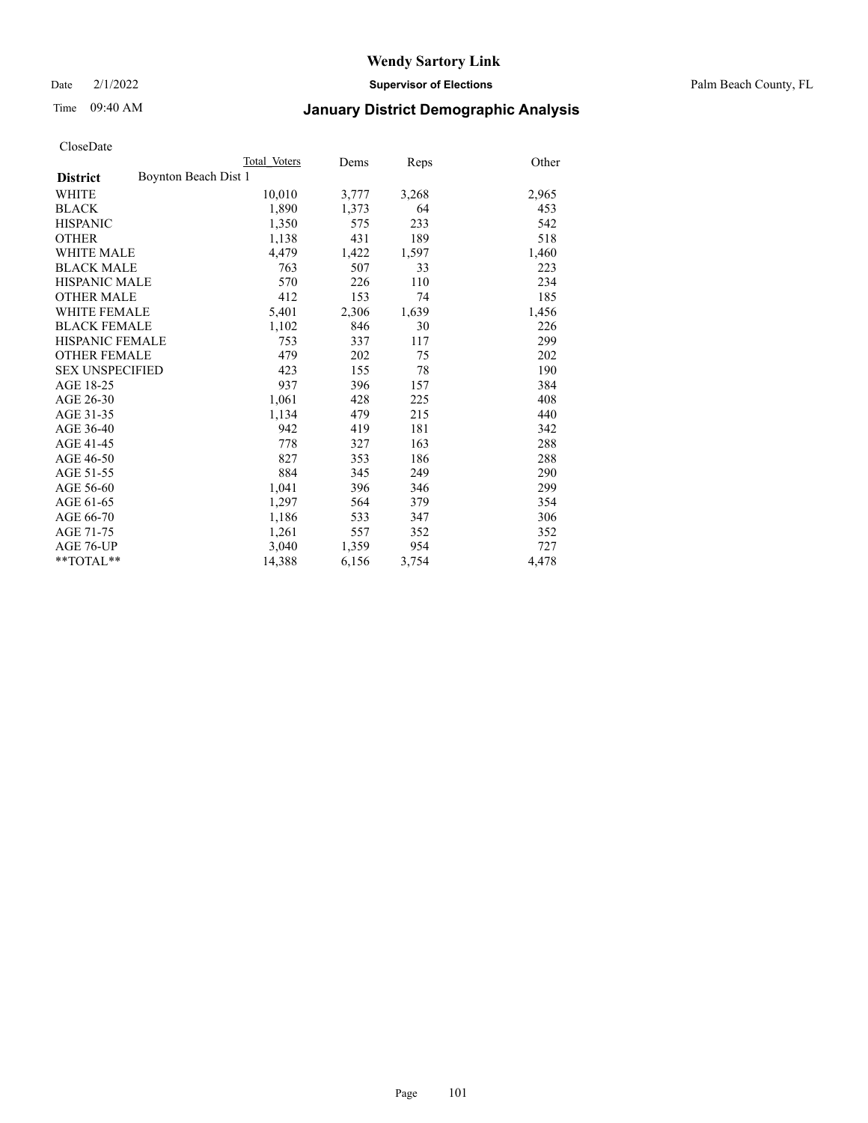Date 2/1/2022 **Supervisor of Elections** Palm Beach County, FL

# Time 09:40 AM **January District Demographic Analysis**

|                        | Total Voters         | Dems  | <b>Reps</b> | Other |
|------------------------|----------------------|-------|-------------|-------|
| <b>District</b>        | Boynton Beach Dist 1 |       |             |       |
| WHITE                  | 10,010               | 3,777 | 3,268       | 2,965 |
| <b>BLACK</b>           | 1,890                | 1,373 | 64          | 453   |
| <b>HISPANIC</b>        | 1,350                | 575   | 233         | 542   |
| <b>OTHER</b>           | 1,138                | 431   | 189         | 518   |
| <b>WHITE MALE</b>      | 4,479                | 1,422 | 1,597       | 1,460 |
| <b>BLACK MALE</b>      | 763                  | 507   | 33          | 223   |
| <b>HISPANIC MALE</b>   | 570                  | 226   | 110         | 234   |
| <b>OTHER MALE</b>      | 412                  | 153   | 74          | 185   |
| <b>WHITE FEMALE</b>    | 5,401                | 2,306 | 1,639       | 1,456 |
| <b>BLACK FEMALE</b>    | 1,102                | 846   | 30          | 226   |
| HISPANIC FEMALE        | 753                  | 337   | 117         | 299   |
| <b>OTHER FEMALE</b>    | 479                  | 202   | 75          | 202   |
| <b>SEX UNSPECIFIED</b> | 423                  | 155   | 78          | 190   |
| AGE 18-25              | 937                  | 396   | 157         | 384   |
| AGE 26-30              | 1,061                | 428   | 225         | 408   |
| AGE 31-35              | 1,134                | 479   | 215         | 440   |
| AGE 36-40              | 942                  | 419   | 181         | 342   |
| AGE 41-45              | 778                  | 327   | 163         | 288   |
| AGE 46-50              | 827                  | 353   | 186         | 288   |
| AGE 51-55              | 884                  | 345   | 249         | 290   |
| AGE 56-60              | 1,041                | 396   | 346         | 299   |
| AGE 61-65              | 1,297                | 564   | 379         | 354   |
| AGE 66-70              | 1,186                | 533   | 347         | 306   |
| AGE 71-75              | 1,261                | 557   | 352         | 352   |
| AGE 76-UP              | 3,040                | 1,359 | 954         | 727   |
| $*$ $TOTAL**$          | 14,388               | 6,156 | 3,754       | 4,478 |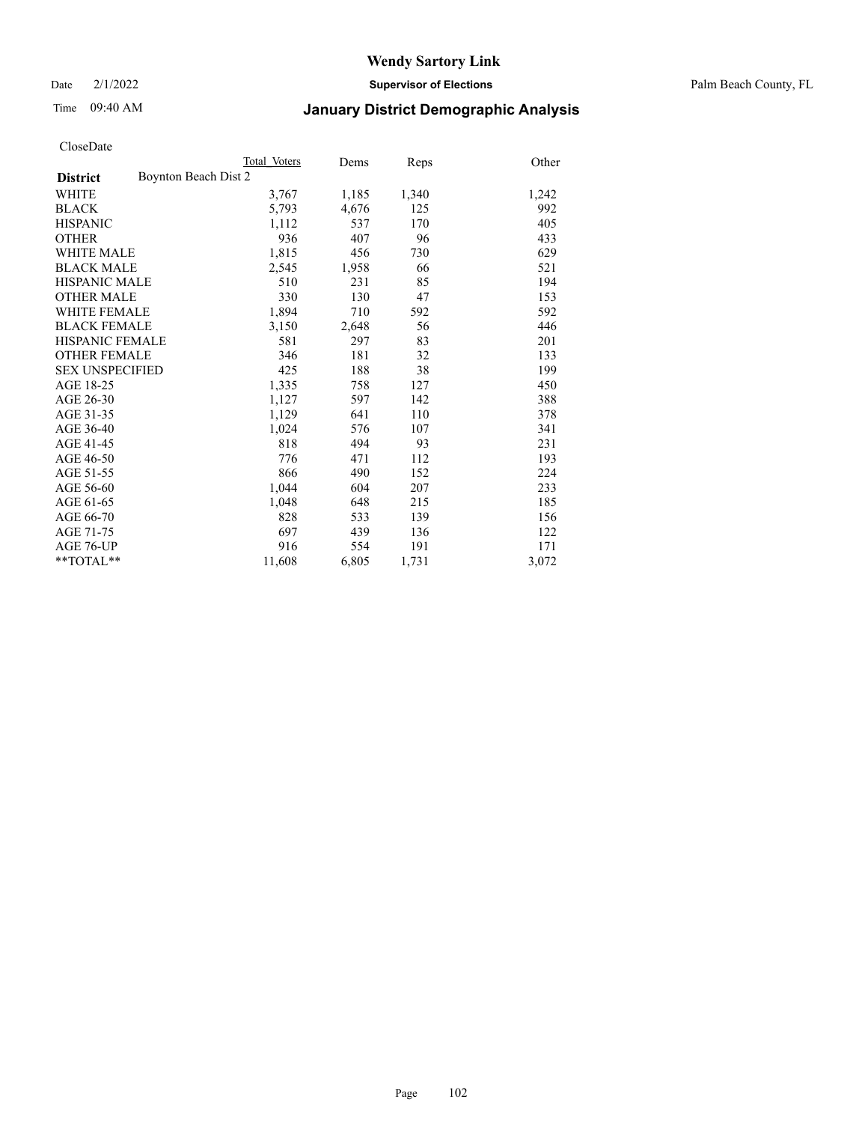Date 2/1/2022 **Supervisor of Elections** Palm Beach County, FL

# Time 09:40 AM **January District Demographic Analysis**

|                                         | Total Voters | Dems  | Reps  | Other |
|-----------------------------------------|--------------|-------|-------|-------|
| Boynton Beach Dist 2<br><b>District</b> |              |       |       |       |
| WHITE                                   | 3,767        | 1,185 | 1,340 | 1,242 |
| <b>BLACK</b>                            | 5,793        | 4,676 | 125   | 992   |
| <b>HISPANIC</b>                         | 1,112        | 537   | 170   | 405   |
| <b>OTHER</b>                            | 936          | 407   | 96    | 433   |
| <b>WHITE MALE</b>                       | 1,815        | 456   | 730   | 629   |
| <b>BLACK MALE</b>                       | 2,545        | 1,958 | 66    | 521   |
| <b>HISPANIC MALE</b>                    | 510          | 231   | 85    | 194   |
| <b>OTHER MALE</b>                       | 330          | 130   | 47    | 153   |
| WHITE FEMALE                            | 1,894        | 710   | 592   | 592   |
| <b>BLACK FEMALE</b>                     | 3,150        | 2,648 | 56    | 446   |
| <b>HISPANIC FEMALE</b>                  | 581          | 297   | 83    | 201   |
| <b>OTHER FEMALE</b>                     | 346          | 181   | 32    | 133   |
| <b>SEX UNSPECIFIED</b>                  | 425          | 188   | 38    | 199   |
| AGE 18-25                               | 1,335        | 758   | 127   | 450   |
| AGE 26-30                               | 1,127        | 597   | 142   | 388   |
| AGE 31-35                               | 1,129        | 641   | 110   | 378   |
| AGE 36-40                               | 1,024        | 576   | 107   | 341   |
| AGE 41-45                               | 818          | 494   | 93    | 231   |
| AGE 46-50                               | 776          | 471   | 112   | 193   |
| AGE 51-55                               | 866          | 490   | 152   | 224   |
| AGE 56-60                               | 1,044        | 604   | 207   | 233   |
| AGE 61-65                               | 1,048        | 648   | 215   | 185   |
| AGE 66-70                               | 828          | 533   | 139   | 156   |
| AGE 71-75                               | 697          | 439   | 136   | 122   |
| AGE 76-UP                               | 916          | 554   | 191   | 171   |
| $*$ $TOTAL**$                           | 11,608       | 6,805 | 1,731 | 3,072 |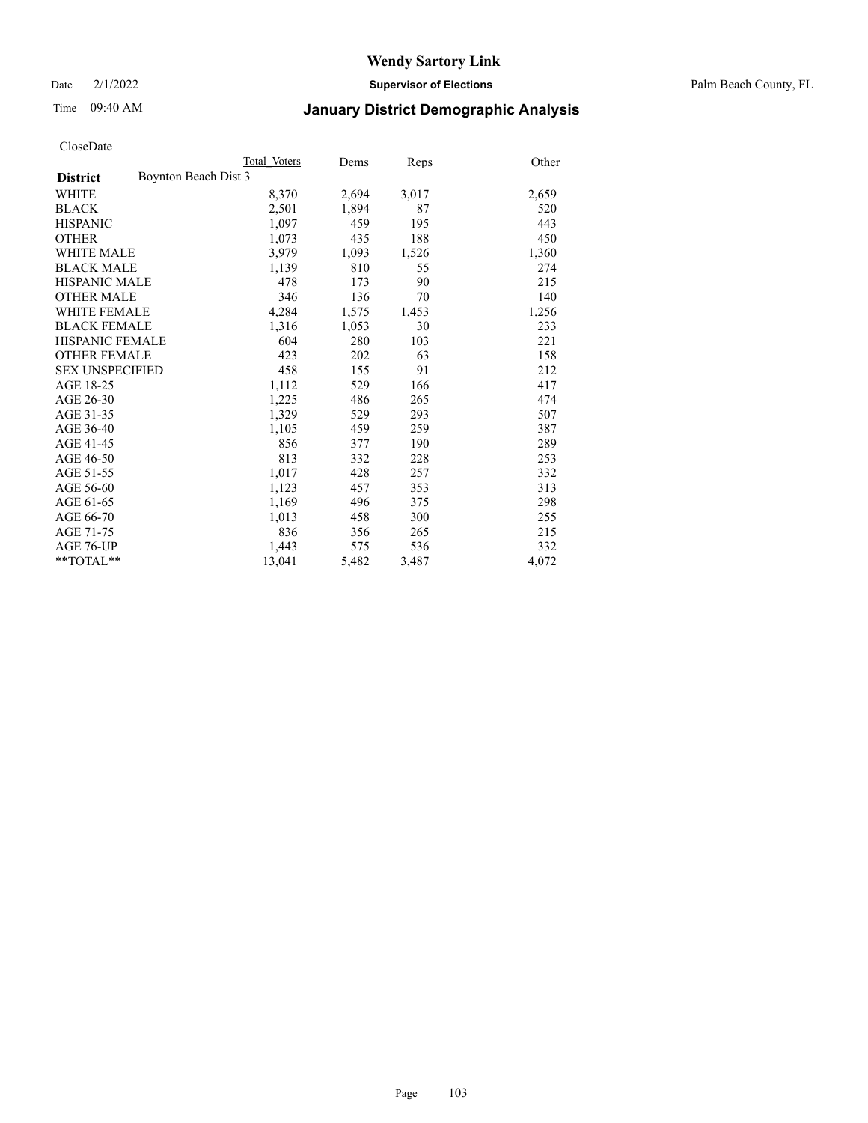Date 2/1/2022 **Supervisor of Elections** Palm Beach County, FL

# Time 09:40 AM **January District Demographic Analysis**

|                                         | Total Voters | Dems  | <b>Reps</b> | Other |
|-----------------------------------------|--------------|-------|-------------|-------|
| Boynton Beach Dist 3<br><b>District</b> |              |       |             |       |
| WHITE                                   | 8,370        | 2,694 | 3,017       | 2,659 |
| <b>BLACK</b>                            | 2,501        | 1,894 | 87          | 520   |
| <b>HISPANIC</b>                         | 1,097        | 459   | 195         | 443   |
| <b>OTHER</b>                            | 1,073        | 435   | 188         | 450   |
| <b>WHITE MALE</b>                       | 3,979        | 1,093 | 1,526       | 1,360 |
| <b>BLACK MALE</b>                       | 1,139        | 810   | 55          | 274   |
| <b>HISPANIC MALE</b>                    | 478          | 173   | 90          | 215   |
| <b>OTHER MALE</b>                       | 346          | 136   | 70          | 140   |
| WHITE FEMALE                            | 4,284        | 1,575 | 1,453       | 1,256 |
| <b>BLACK FEMALE</b>                     | 1,316        | 1,053 | 30          | 233   |
| <b>HISPANIC FEMALE</b>                  | 604          | 280   | 103         | 221   |
| <b>OTHER FEMALE</b>                     | 423          | 202   | 63          | 158   |
| <b>SEX UNSPECIFIED</b>                  | 458          | 155   | 91          | 212   |
| AGE 18-25                               | 1,112        | 529   | 166         | 417   |
| AGE 26-30                               | 1,225        | 486   | 265         | 474   |
| AGE 31-35                               | 1,329        | 529   | 293         | 507   |
| AGE 36-40                               | 1,105        | 459   | 259         | 387   |
| AGE 41-45                               | 856          | 377   | 190         | 289   |
| AGE 46-50                               | 813          | 332   | 228         | 253   |
| AGE 51-55                               | 1,017        | 428   | 257         | 332   |
| AGE 56-60                               | 1,123        | 457   | 353         | 313   |
| AGE 61-65                               | 1,169        | 496   | 375         | 298   |
| AGE 66-70                               | 1,013        | 458   | 300         | 255   |
| AGE 71-75                               | 836          | 356   | 265         | 215   |
| AGE 76-UP                               | 1,443        | 575   | 536         | 332   |
| $*$ $TOTAL**$                           | 13,041       | 5,482 | 3,487       | 4,072 |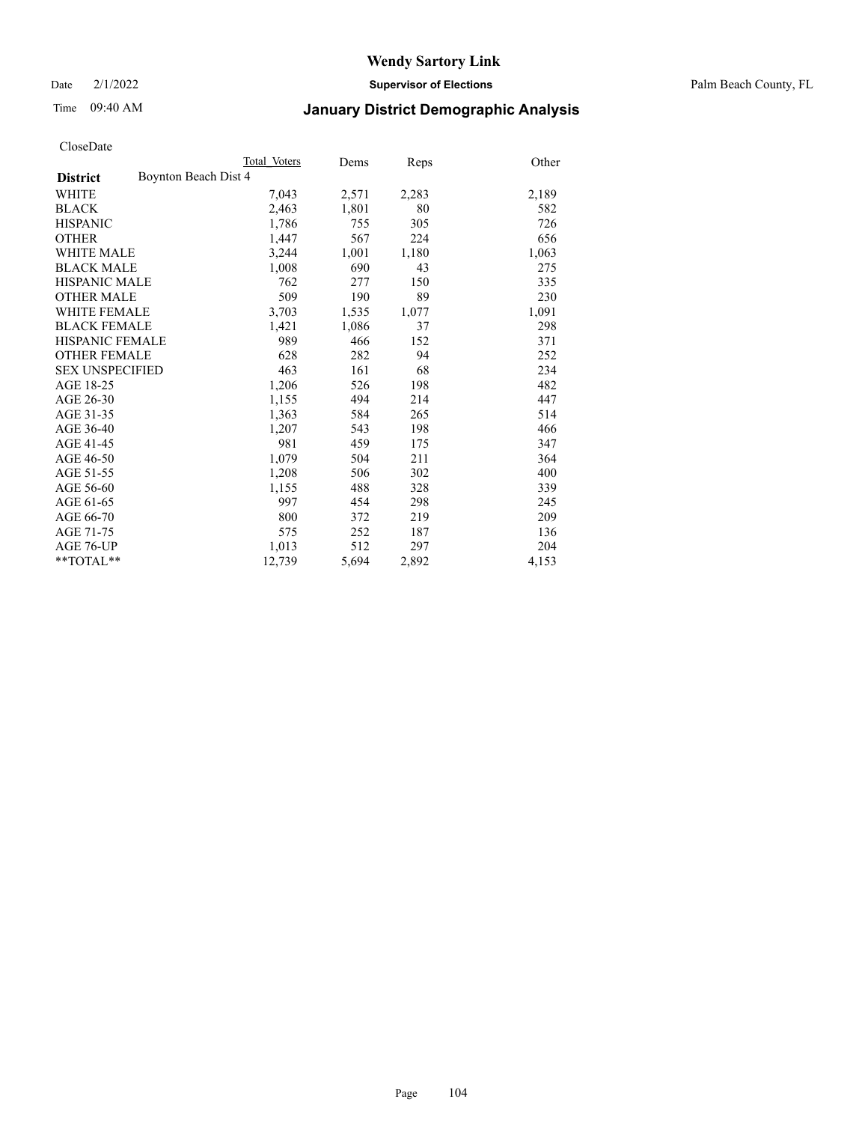Date 2/1/2022 **Supervisor of Elections** Palm Beach County, FL

# Time 09:40 AM **January District Demographic Analysis**

|                                         | Total Voters | Dems  | <b>Reps</b> | Other |
|-----------------------------------------|--------------|-------|-------------|-------|
| Boynton Beach Dist 4<br><b>District</b> |              |       |             |       |
| WHITE                                   | 7,043        | 2,571 | 2,283       | 2,189 |
| <b>BLACK</b>                            | 2,463        | 1,801 | 80          | 582   |
| <b>HISPANIC</b>                         | 1,786        | 755   | 305         | 726   |
| <b>OTHER</b>                            | 1,447        | 567   | 224         | 656   |
| <b>WHITE MALE</b>                       | 3,244        | 1,001 | 1,180       | 1,063 |
| <b>BLACK MALE</b>                       | 1,008        | 690   | 43          | 275   |
| <b>HISPANIC MALE</b>                    | 762          | 277   | 150         | 335   |
| <b>OTHER MALE</b>                       | 509          | 190   | 89          | 230   |
| WHITE FEMALE                            | 3,703        | 1,535 | 1,077       | 1,091 |
| <b>BLACK FEMALE</b>                     | 1,421        | 1,086 | 37          | 298   |
| <b>HISPANIC FEMALE</b>                  | 989          | 466   | 152         | 371   |
| <b>OTHER FEMALE</b>                     | 628          | 282   | 94          | 252   |
| <b>SEX UNSPECIFIED</b>                  | 463          | 161   | 68          | 234   |
| AGE 18-25                               | 1,206        | 526   | 198         | 482   |
| AGE 26-30                               | 1,155        | 494   | 214         | 447   |
| AGE 31-35                               | 1,363        | 584   | 265         | 514   |
| AGE 36-40                               | 1,207        | 543   | 198         | 466   |
| AGE 41-45                               | 981          | 459   | 175         | 347   |
| AGE 46-50                               | 1,079        | 504   | 211         | 364   |
| AGE 51-55                               | 1,208        | 506   | 302         | 400   |
| AGE 56-60                               | 1,155        | 488   | 328         | 339   |
| AGE 61-65                               | 997          | 454   | 298         | 245   |
| AGE 66-70                               | 800          | 372   | 219         | 209   |
| AGE 71-75                               | 575          | 252   | 187         | 136   |
| AGE 76-UP                               | 1,013        | 512   | 297         | 204   |
| $*$ $TOTAL**$                           | 12,739       | 5,694 | 2,892       | 4,153 |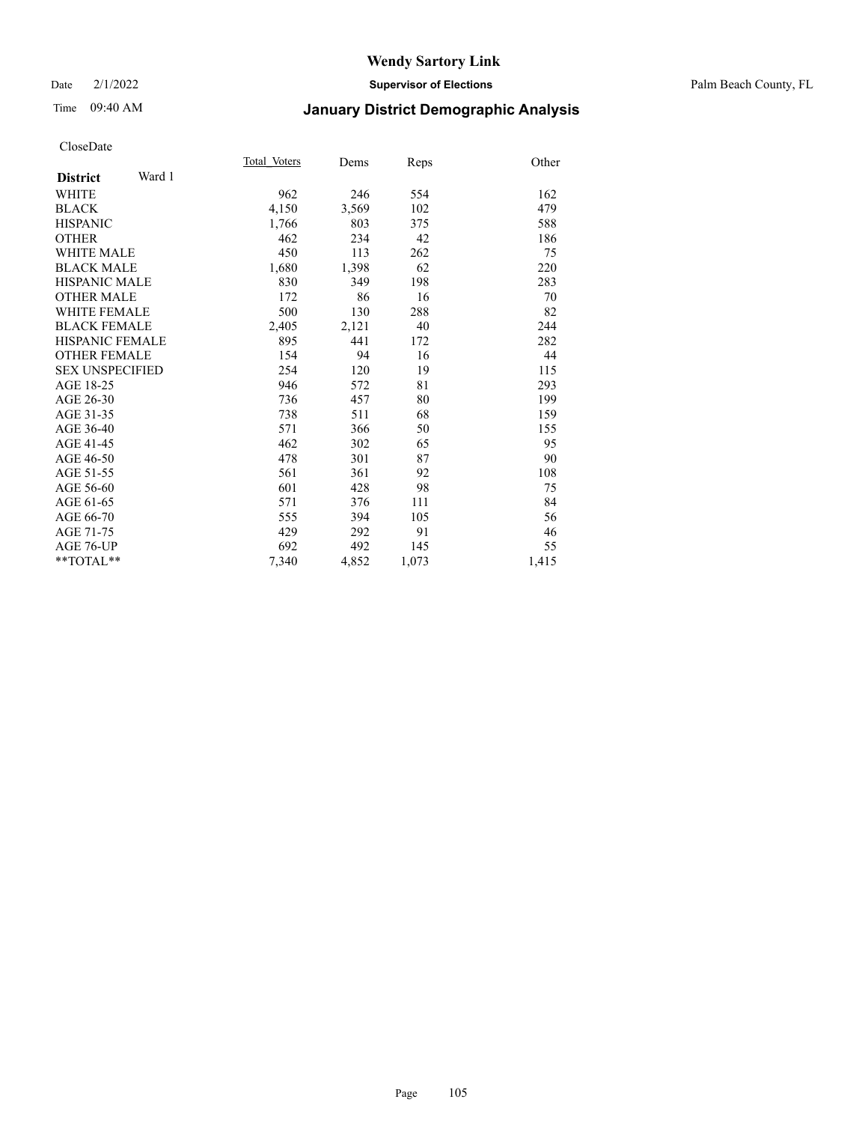### Date 2/1/2022 **Supervisor of Elections** Palm Beach County, FL

# Time 09:40 AM **January District Demographic Analysis**

|                           | Total Voters | Dems  | Reps  | Other |
|---------------------------|--------------|-------|-------|-------|
| Ward 1<br><b>District</b> |              |       |       |       |
| WHITE                     | 962          | 246   | 554   | 162   |
| <b>BLACK</b>              | 4,150        | 3,569 | 102   | 479   |
| <b>HISPANIC</b>           | 1,766        | 803   | 375   | 588   |
| <b>OTHER</b>              | 462          | 234   | 42    | 186   |
| <b>WHITE MALE</b>         | 450          | 113   | 262   | 75    |
| <b>BLACK MALE</b>         | 1,680        | 1,398 | 62    | 220   |
| <b>HISPANIC MALE</b>      | 830          | 349   | 198   | 283   |
| <b>OTHER MALE</b>         | 172          | 86    | 16    | 70    |
| <b>WHITE FEMALE</b>       | 500          | 130   | 288   | 82    |
| <b>BLACK FEMALE</b>       | 2,405        | 2,121 | 40    | 244   |
| <b>HISPANIC FEMALE</b>    | 895          | 441   | 172   | 282   |
| <b>OTHER FEMALE</b>       | 154          | 94    | 16    | 44    |
| <b>SEX UNSPECIFIED</b>    | 254          | 120   | 19    | 115   |
| AGE 18-25                 | 946          | 572   | 81    | 293   |
| AGE 26-30                 | 736          | 457   | 80    | 199   |
| AGE 31-35                 | 738          | 511   | 68    | 159   |
| AGE 36-40                 | 571          | 366   | 50    | 155   |
| AGE 41-45                 | 462          | 302   | 65    | 95    |
| AGE 46-50                 | 478          | 301   | 87    | 90    |
| AGE 51-55                 | 561          | 361   | 92    | 108   |
| AGE 56-60                 | 601          | 428   | 98    | 75    |
| AGE 61-65                 | 571          | 376   | 111   | 84    |
| AGE 66-70                 | 555          | 394   | 105   | 56    |
| AGE 71-75                 | 429          | 292   | 91    | 46    |
| AGE 76-UP                 | 692          | 492   | 145   | 55    |
| $*$ $TOTAL**$             | 7,340        | 4,852 | 1,073 | 1,415 |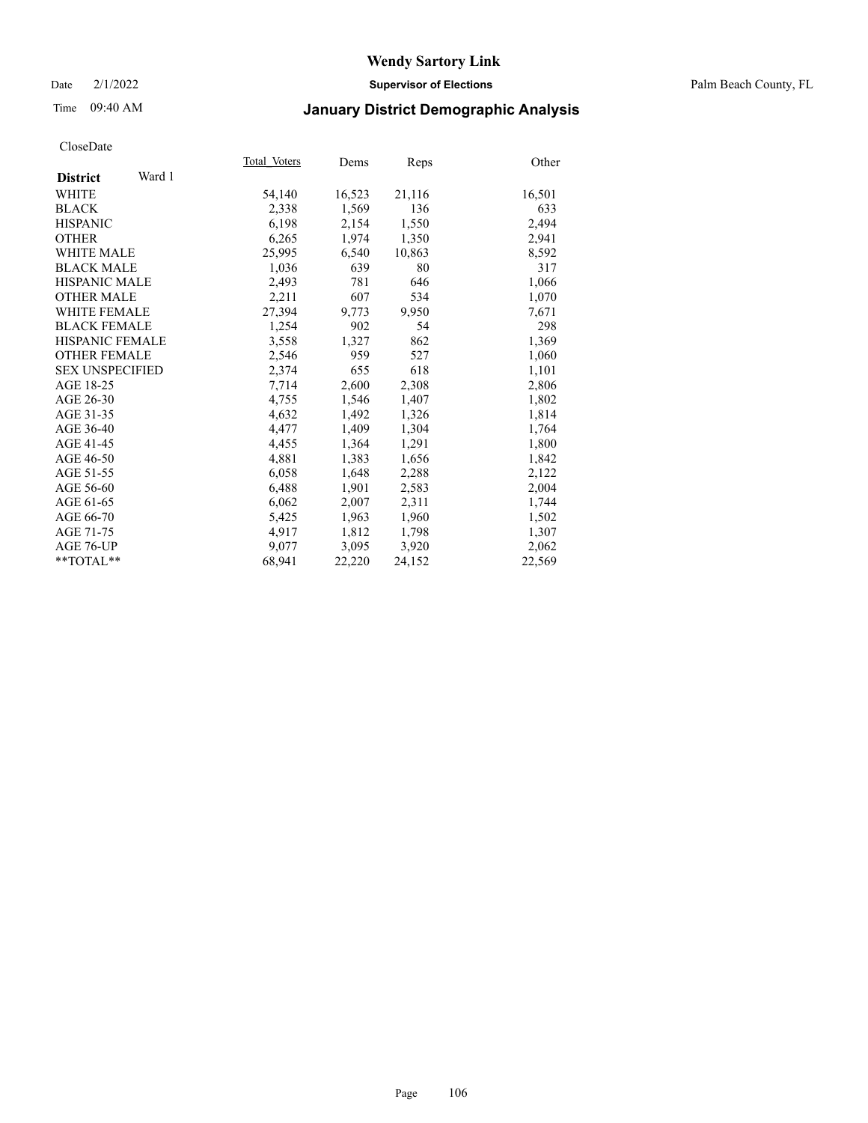### Date 2/1/2022 **Supervisor of Elections** Palm Beach County, FL

# Time 09:40 AM **January District Demographic Analysis**

|                           | Total Voters | Dems   | Reps   | Other  |
|---------------------------|--------------|--------|--------|--------|
| Ward 1<br><b>District</b> |              |        |        |        |
| WHITE                     | 54,140       | 16,523 | 21,116 | 16,501 |
| <b>BLACK</b>              | 2,338        | 1,569  | 136    | 633    |
| <b>HISPANIC</b>           | 6.198        | 2,154  | 1,550  | 2,494  |
| <b>OTHER</b>              | 6,265        | 1,974  | 1,350  | 2,941  |
| <b>WHITE MALE</b>         | 25,995       | 6,540  | 10,863 | 8,592  |
| <b>BLACK MALE</b>         | 1,036        | 639    | 80     | 317    |
| <b>HISPANIC MALE</b>      | 2,493        | 781    | 646    | 1,066  |
| <b>OTHER MALE</b>         | 2,211        | 607    | 534    | 1,070  |
| <b>WHITE FEMALE</b>       | 27,394       | 9,773  | 9.950  | 7,671  |
| <b>BLACK FEMALE</b>       | 1,254        | 902    | 54     | 298    |
| <b>HISPANIC FEMALE</b>    | 3,558        | 1,327  | 862    | 1,369  |
| <b>OTHER FEMALE</b>       | 2,546        | 959    | 527    | 1,060  |
| <b>SEX UNSPECIFIED</b>    | 2,374        | 655    | 618    | 1,101  |
| AGE 18-25                 | 7,714        | 2,600  | 2,308  | 2,806  |
| AGE 26-30                 | 4,755        | 1,546  | 1,407  | 1,802  |
| AGE 31-35                 | 4,632        | 1,492  | 1,326  | 1,814  |
| AGE 36-40                 | 4,477        | 1,409  | 1,304  | 1,764  |
| AGE 41-45                 | 4,455        | 1,364  | 1,291  | 1,800  |
| AGE 46-50                 | 4,881        | 1,383  | 1,656  | 1,842  |
| AGE 51-55                 | 6,058        | 1,648  | 2,288  | 2,122  |
| AGE 56-60                 | 6,488        | 1,901  | 2,583  | 2,004  |
| AGE 61-65                 | 6,062        | 2,007  | 2,311  | 1,744  |
| AGE 66-70                 | 5,425        | 1,963  | 1,960  | 1,502  |
| AGE 71-75                 | 4,917        | 1,812  | 1,798  | 1,307  |
| AGE 76-UP                 | 9.077        | 3,095  | 3,920  | 2,062  |
| $*$ $TOTAL**$             | 68,941       | 22,220 | 24,152 | 22,569 |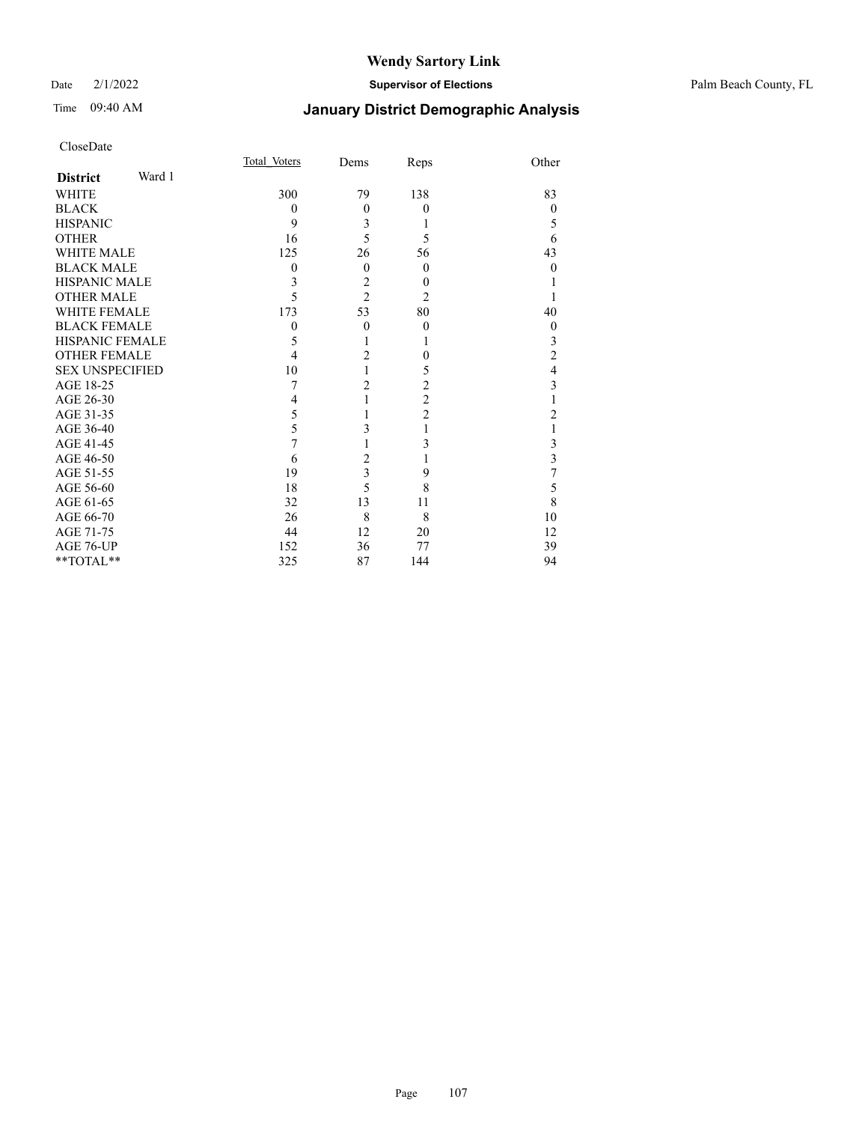# Time 09:40 AM **January District Demographic Analysis**

|                        |        | Total Voters | Dems                    | Reps                    | Other          |
|------------------------|--------|--------------|-------------------------|-------------------------|----------------|
| <b>District</b>        | Ward 1 |              |                         |                         |                |
| WHITE                  |        | 300          | 79                      | 138                     | 83             |
| <b>BLACK</b>           |        | $\theta$     | $\overline{0}$          | $\theta$                | $\overline{0}$ |
| <b>HISPANIC</b>        |        | 9            | 3                       | 1                       | 5              |
| <b>OTHER</b>           |        | 16           | 5                       | 5                       | 6              |
| <b>WHITE MALE</b>      |        | 125          | 26                      | 56                      | 43             |
| <b>BLACK MALE</b>      |        | $\theta$     | $\theta$                | $\Omega$                | $\theta$       |
| <b>HISPANIC MALE</b>   |        | 3            | $\overline{c}$          | $\theta$                |                |
| <b>OTHER MALE</b>      |        | 5            | $\overline{2}$          | 2                       |                |
| <b>WHITE FEMALE</b>    |        | 173          | 53                      | 80                      | 40             |
| <b>BLACK FEMALE</b>    |        | $\theta$     | $\theta$                | $\theta$                | $\theta$       |
| <b>HISPANIC FEMALE</b> |        | 5            | 1                       |                         | 3              |
| <b>OTHER FEMALE</b>    |        | 4            | $\overline{2}$          | 0                       | $\overline{c}$ |
| <b>SEX UNSPECIFIED</b> |        | 10           | $\mathbf{1}$            | 5                       | $\overline{4}$ |
| AGE 18-25              |        | 7            | $\overline{c}$          | $\overline{\mathbf{c}}$ | 3              |
| AGE 26-30              |        | 4            | 1                       | $\overline{c}$          |                |
| AGE 31-35              |        | 5            |                         | $\overline{c}$          | $\overline{2}$ |
| AGE 36-40              |        | 5            | 3                       | 1                       |                |
| AGE 41-45              |        | 7            | 1                       | 3                       | 3              |
| AGE 46-50              |        | 6            | $\overline{c}$          |                         | 3              |
| AGE 51-55              |        | 19           | $\overline{\mathbf{3}}$ | 9                       | 7              |
| AGE 56-60              |        | 18           | 5                       | 8                       | 5              |
| AGE 61-65              |        | 32           | 13                      | 11                      | 8              |
| AGE 66-70              |        | 26           | 8                       | 8                       | 10             |
| AGE 71-75              |        | 44           | 12                      | 20                      | 12             |
| AGE 76-UP              |        | 152          | 36                      | 77                      | 39             |
| **TOTAL**              |        | 325          | 87                      | 144                     | 94             |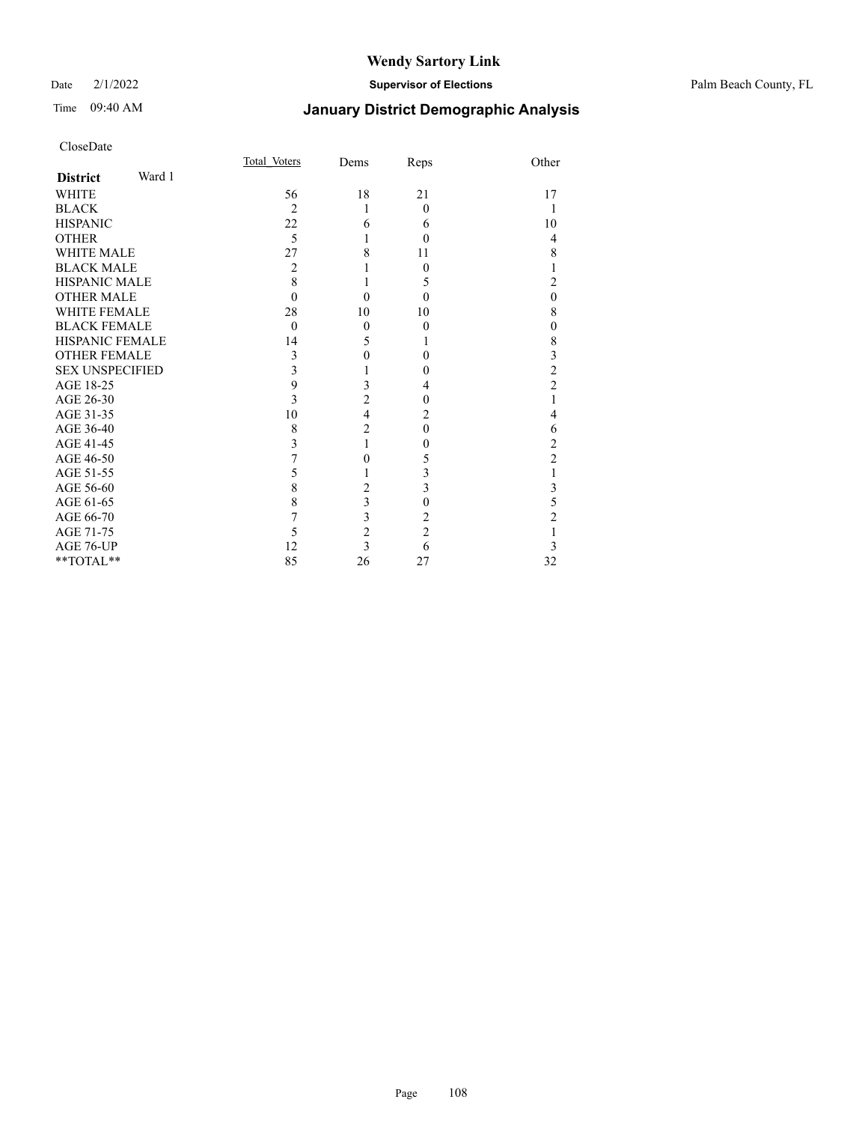CloseDate

### Date 2/1/2022 **Supervisor of Elections** Palm Beach County, FL

|                           | Total Voters   | Dems           | Reps           | Other          |
|---------------------------|----------------|----------------|----------------|----------------|
| Ward 1<br><b>District</b> |                |                |                |                |
| <b>WHITE</b>              | 56             | 18             | 21             | 17             |
| <b>BLACK</b>              | $\overline{2}$ | 1              | $\theta$       |                |
| <b>HISPANIC</b>           | 22             | 6              | 6              | 10             |
| <b>OTHER</b>              | 5              |                | $\Omega$       | $\overline{4}$ |
| <b>WHITE MALE</b>         | 27             | 8              | 11             | 8              |
| <b>BLACK MALE</b>         | 2              |                | 0              |                |
| <b>HISPANIC MALE</b>      | 8              | 1              | 5              | 2              |
| <b>OTHER MALE</b>         | $\theta$       | $\Omega$       | $\Omega$       | $\mathbf{0}$   |
| <b>WHITE FEMALE</b>       | 28             | 10             | 10             | 8              |
| <b>BLACK FEMALE</b>       | $\theta$       | $\theta$       | $\theta$       | $\mathbf{0}$   |
| HISPANIC FEMALE           | 14             | 5              |                | $\,$ $\,$      |
| <b>OTHER FEMALE</b>       | 3              | 0              | 0              | 3              |
| <b>SEX UNSPECIFIED</b>    | 3              |                | 0              | $\overline{c}$ |
| AGE 18-25                 | 9              | 3              | 4              | $\overline{2}$ |
| AGE 26-30                 | 3              | $\overline{c}$ | 0              |                |
| AGE 31-35                 | 10             | $\overline{4}$ | 2              | 4              |
| AGE 36-40                 | 8              | $\overline{2}$ | $\theta$       | 6              |
| AGE 41-45                 | 3              |                | 0              | $\overline{c}$ |
| AGE 46-50                 |                | 0              | 5              | $\overline{c}$ |
| AGE 51-55                 | 5              |                | 3              | 1              |
| AGE 56-60                 | 8              | $\overline{c}$ | 3              | 3              |
| AGE 61-65                 | 8              | $\overline{3}$ | $\theta$       | 5              |
| AGE 66-70                 | 7              | 3              | 2              | $\overline{c}$ |
| AGE 71-75                 | 5              | $\overline{c}$ | $\overline{c}$ |                |
| AGE 76-UP                 | 12             | 3              | 6              | 3              |
| **TOTAL**                 | 85             | 26             | 27             | 32             |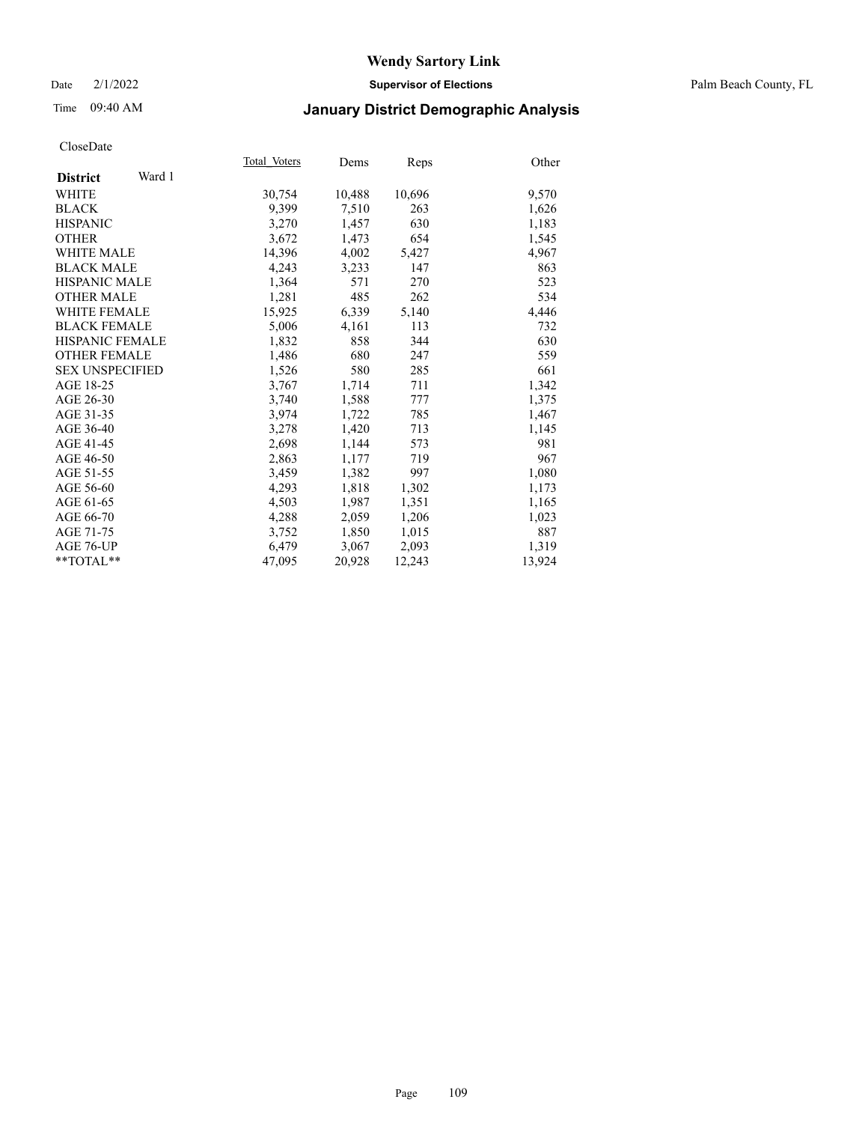## Date 2/1/2022 **Supervisor of Elections** Palm Beach County, FL

# Time 09:40 AM **January District Demographic Analysis**

|                           | Total Voters | Dems   | Reps   | Other  |
|---------------------------|--------------|--------|--------|--------|
| Ward 1<br><b>District</b> |              |        |        |        |
| WHITE                     | 30,754       | 10,488 | 10,696 | 9,570  |
| <b>BLACK</b>              | 9,399        | 7,510  | 263    | 1,626  |
| <b>HISPANIC</b>           | 3,270        | 1,457  | 630    | 1,183  |
| <b>OTHER</b>              | 3,672        | 1,473  | 654    | 1,545  |
| <b>WHITE MALE</b>         | 14,396       | 4,002  | 5,427  | 4,967  |
| <b>BLACK MALE</b>         | 4,243        | 3,233  | 147    | 863    |
| <b>HISPANIC MALE</b>      | 1,364        | 571    | 270    | 523    |
| <b>OTHER MALE</b>         | 1,281        | 485    | 262    | 534    |
| <b>WHITE FEMALE</b>       | 15,925       | 6,339  | 5,140  | 4,446  |
| <b>BLACK FEMALE</b>       | 5,006        | 4,161  | 113    | 732    |
| HISPANIC FEMALE           | 1,832        | 858    | 344    | 630    |
| <b>OTHER FEMALE</b>       | 1,486        | 680    | 247    | 559    |
| <b>SEX UNSPECIFIED</b>    | 1,526        | 580    | 285    | 661    |
| AGE 18-25                 | 3,767        | 1,714  | 711    | 1,342  |
| AGE 26-30                 | 3,740        | 1,588  | 777    | 1,375  |
| AGE 31-35                 | 3,974        | 1,722  | 785    | 1,467  |
| AGE 36-40                 | 3,278        | 1,420  | 713    | 1,145  |
| AGE 41-45                 | 2,698        | 1,144  | 573    | 981    |
| AGE 46-50                 | 2,863        | 1,177  | 719    | 967    |
| AGE 51-55                 | 3,459        | 1,382  | 997    | 1,080  |
| AGE 56-60                 | 4,293        | 1,818  | 1,302  | 1,173  |
| AGE 61-65                 | 4,503        | 1,987  | 1,351  | 1,165  |
| AGE 66-70                 | 4,288        | 2,059  | 1,206  | 1,023  |
| AGE 71-75                 | 3,752        | 1,850  | 1,015  | 887    |
| AGE 76-UP                 | 6,479        | 3,067  | 2,093  | 1,319  |
| $*$ TOTAL $*$             | 47,095       | 20,928 | 12,243 | 13,924 |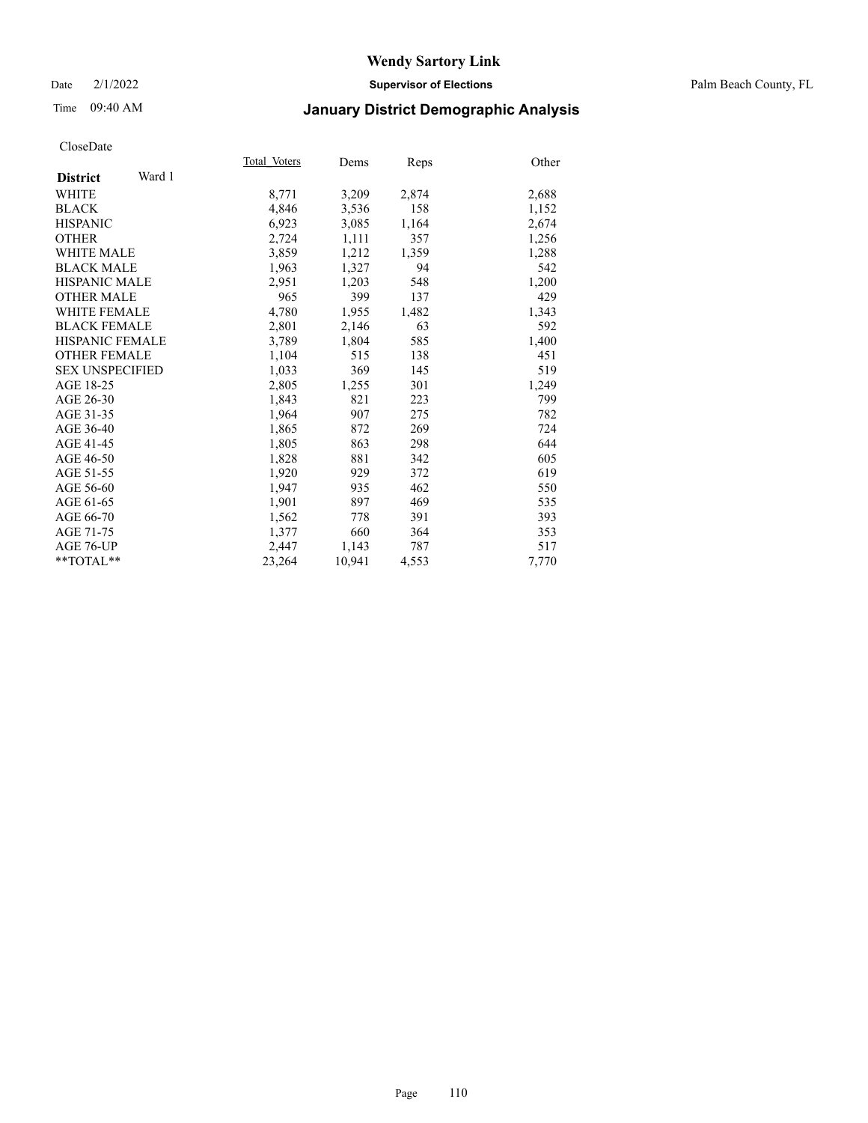## Date 2/1/2022 **Supervisor of Elections** Palm Beach County, FL

# Time 09:40 AM **January District Demographic Analysis**

|                           | Total Voters | Dems   | Reps  | Other |
|---------------------------|--------------|--------|-------|-------|
| Ward 1<br><b>District</b> |              |        |       |       |
| WHITE                     | 8,771        | 3,209  | 2,874 | 2,688 |
| <b>BLACK</b>              | 4,846        | 3,536  | 158   | 1,152 |
| <b>HISPANIC</b>           | 6,923        | 3,085  | 1,164 | 2,674 |
| <b>OTHER</b>              | 2,724        | 1,111  | 357   | 1,256 |
| <b>WHITE MALE</b>         | 3,859        | 1,212  | 1,359 | 1,288 |
| <b>BLACK MALE</b>         | 1,963        | 1,327  | 94    | 542   |
| HISPANIC MALE             | 2,951        | 1,203  | 548   | 1,200 |
| <b>OTHER MALE</b>         | 965          | 399    | 137   | 429   |
| <b>WHITE FEMALE</b>       | 4,780        | 1,955  | 1,482 | 1,343 |
| <b>BLACK FEMALE</b>       | 2,801        | 2,146  | 63    | 592   |
| <b>HISPANIC FEMALE</b>    | 3,789        | 1,804  | 585   | 1,400 |
| <b>OTHER FEMALE</b>       | 1,104        | 515    | 138   | 451   |
| <b>SEX UNSPECIFIED</b>    | 1,033        | 369    | 145   | 519   |
| AGE 18-25                 | 2,805        | 1,255  | 301   | 1,249 |
| AGE 26-30                 | 1,843        | 821    | 223   | 799   |
| AGE 31-35                 | 1,964        | 907    | 275   | 782   |
| AGE 36-40                 | 1,865        | 872    | 269   | 724   |
| AGE 41-45                 | 1,805        | 863    | 298   | 644   |
| AGE 46-50                 | 1,828        | 881    | 342   | 605   |
| AGE 51-55                 | 1,920        | 929    | 372   | 619   |
| AGE 56-60                 | 1,947        | 935    | 462   | 550   |
| AGE 61-65                 | 1,901        | 897    | 469   | 535   |
| AGE 66-70                 | 1,562        | 778    | 391   | 393   |
| AGE 71-75                 | 1,377        | 660    | 364   | 353   |
| AGE 76-UP                 | 2,447        | 1,143  | 787   | 517   |
| $*$ $TOTAL**$             | 23,264       | 10,941 | 4,553 | 7,770 |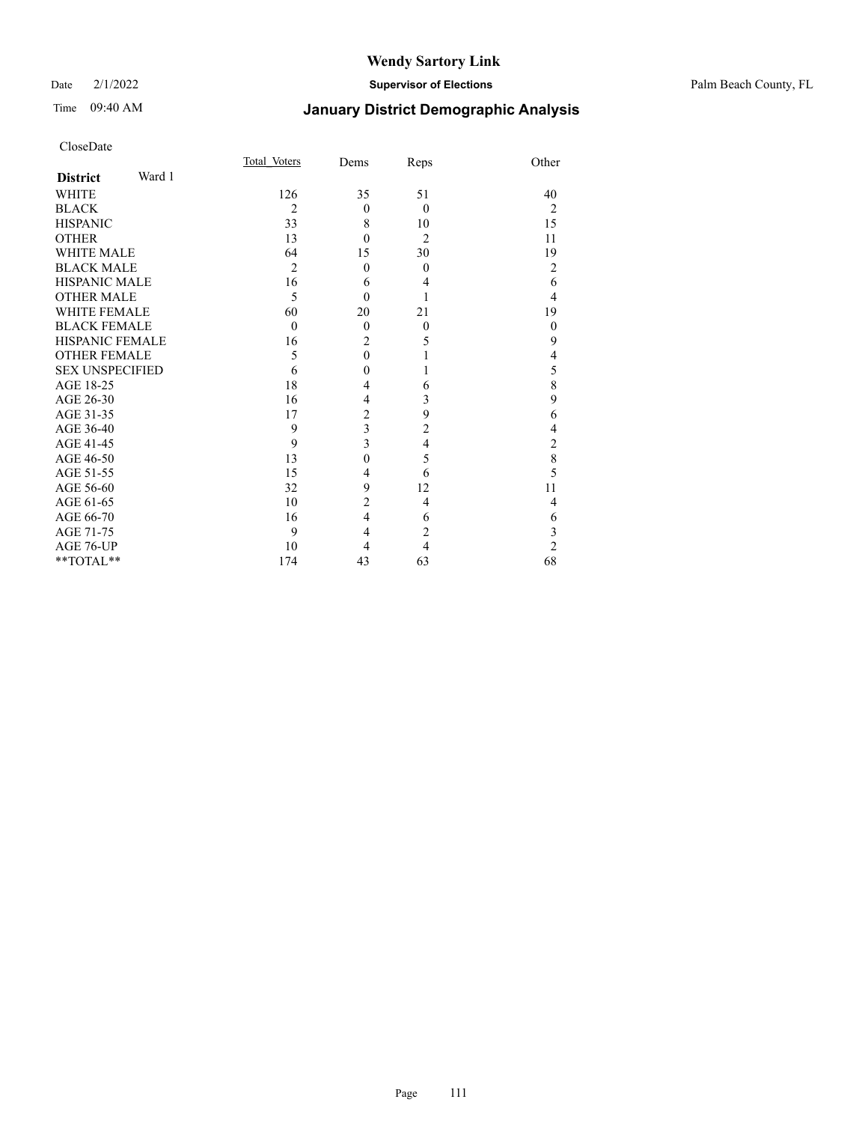## Date 2/1/2022 **Supervisor of Elections** Palm Beach County, FL

# Time 09:40 AM **January District Demographic Analysis**

| CloseDate              |        |                |                  |                |                                       |
|------------------------|--------|----------------|------------------|----------------|---------------------------------------|
|                        |        | Total Voters   | Dems             | Reps           | Other                                 |
| <b>District</b>        | Ward 1 |                |                  |                |                                       |
| <b>WHITE</b>           |        | 126            | 35               | 51             | 40                                    |
| <b>BLACK</b>           |        | $\overline{2}$ | $\theta$         | $\theta$       | $\overline{2}$                        |
| <b>HISPANIC</b>        |        | 33             | 8                | 10             | 15                                    |
| <b>OTHER</b>           |        | 13             | $\theta$         | $\overline{c}$ | 11                                    |
| <b>WHITE MALE</b>      |        | 64             | 15               | 30             | 19                                    |
| <b>BLACK MALE</b>      |        | $\overline{2}$ | $\theta$         | $\theta$       | $\overline{2}$                        |
| <b>HISPANIC MALE</b>   |        | 16             | 6                | 4              | 6                                     |
| <b>OTHER MALE</b>      |        | 5              | $\theta$         | 1              | $\overline{4}$                        |
| <b>WHITE FEMALE</b>    |        | 60             | 20               | 21             | 19                                    |
| <b>BLACK FEMALE</b>    |        | $\theta$       | $\overline{0}$   | $\theta$       | $\theta$                              |
| <b>HISPANIC FEMALE</b> |        | 16             | $\overline{2}$   | 5              | 9                                     |
| <b>OTHER FEMALE</b>    |        | 5              | $\boldsymbol{0}$ | l              | $\overline{4}$                        |
| <b>SEX UNSPECIFIED</b> |        | 6              | $\theta$         |                | 5                                     |
| AGE 18-25              |        | 18             | 4                | 6              | 8                                     |
| AGE 26-30              |        | 16             | $\overline{4}$   | 3              | 9                                     |
| AGE 31-35              |        | 17             | $\overline{c}$   | 9              | 6                                     |
| AGE 36-40              |        | 9              | 3                | $\overline{c}$ | $\overline{4}$                        |
| AGE 41-45              |        | 9              | 3                | 4              | $\begin{array}{c} 2 \\ 8 \end{array}$ |
| AGE 46-50              |        | 13             | $\boldsymbol{0}$ | 5              |                                       |
| AGE 51-55              |        | 15             | 4                | 6              | 5                                     |
| AGE 56-60              |        | 32             | 9                | 12             | 11                                    |
| AGE 61-65              |        | 10             | $\overline{c}$   | 4              | $\overline{4}$                        |
| AGE 66-70              |        | 16             | $\overline{4}$   | 6              | 6                                     |
| AGE 71-75              |        | 9              | $\overline{4}$   | $\overline{2}$ | 3                                     |
| AGE 76-UP              |        | 10             | 4                | $\overline{4}$ | $\overline{c}$                        |
| **TOTAL**              |        | 174            | 43               | 63             | 68                                    |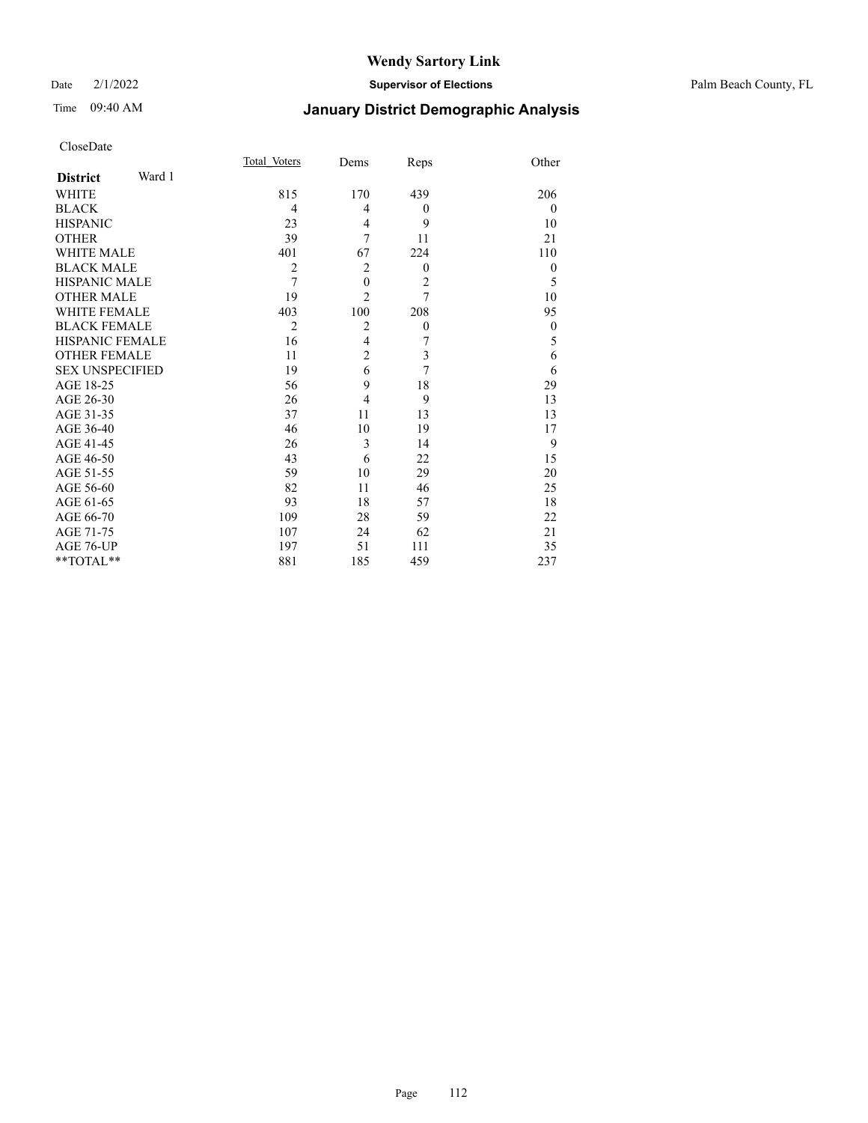## Date 2/1/2022 **Supervisor of Elections** Palm Beach County, FL

# Time 09:40 AM **January District Demographic Analysis**

|                           | Total Voters   | Dems             | Reps             | Other        |
|---------------------------|----------------|------------------|------------------|--------------|
| Ward 1<br><b>District</b> |                |                  |                  |              |
| WHITE                     | 815            | 170              | 439              | 206          |
| <b>BLACK</b>              | 4              | 4                | $\theta$         | $\mathbf{0}$ |
| <b>HISPANIC</b>           | 23             | 4                | 9                | 10           |
| <b>OTHER</b>              | 39             | 7                | 11               | 21           |
| <b>WHITE MALE</b>         | 401            | 67               | 224              | 110          |
| <b>BLACK MALE</b>         | $\overline{2}$ | $\overline{2}$   | $\theta$         | $\theta$     |
| <b>HISPANIC MALE</b>      | $\overline{7}$ | $\boldsymbol{0}$ | $\overline{c}$   | 5            |
| <b>OTHER MALE</b>         | 19             | $\overline{2}$   | $\overline{7}$   | 10           |
| <b>WHITE FEMALE</b>       | 403            | 100              | 208              | 95           |
| <b>BLACK FEMALE</b>       | $\overline{2}$ | $\overline{2}$   | $\boldsymbol{0}$ | $\mathbf{0}$ |
| <b>HISPANIC FEMALE</b>    | 16             | $\overline{4}$   | 7                | 5            |
| <b>OTHER FEMALE</b>       | 11             | $\overline{c}$   | 3                | 6            |
| <b>SEX UNSPECIFIED</b>    | 19             | 6                | 7                | 6            |
| AGE 18-25                 | 56             | 9                | 18               | 29           |
| AGE 26-30                 | 26             | $\overline{4}$   | 9                | 13           |
| AGE 31-35                 | 37             | 11               | 13               | 13           |
| AGE 36-40                 | 46             | 10               | 19               | 17           |
| AGE 41-45                 | 26             | 3                | 14               | 9            |
| AGE 46-50                 | 43             | 6                | 22               | 15           |
| AGE 51-55                 | 59             | 10               | 29               | 20           |
| AGE 56-60                 | 82             | 11               | 46               | 25           |
| AGE 61-65                 | 93             | 18               | 57               | 18           |
| AGE 66-70                 | 109            | 28               | 59               | 22           |
| AGE 71-75                 | 107            | 24               | 62               | 21           |
| AGE 76-UP                 | 197            | 51               | 111              | 35           |
| **TOTAL**                 | 881            | 185              | 459              | 237          |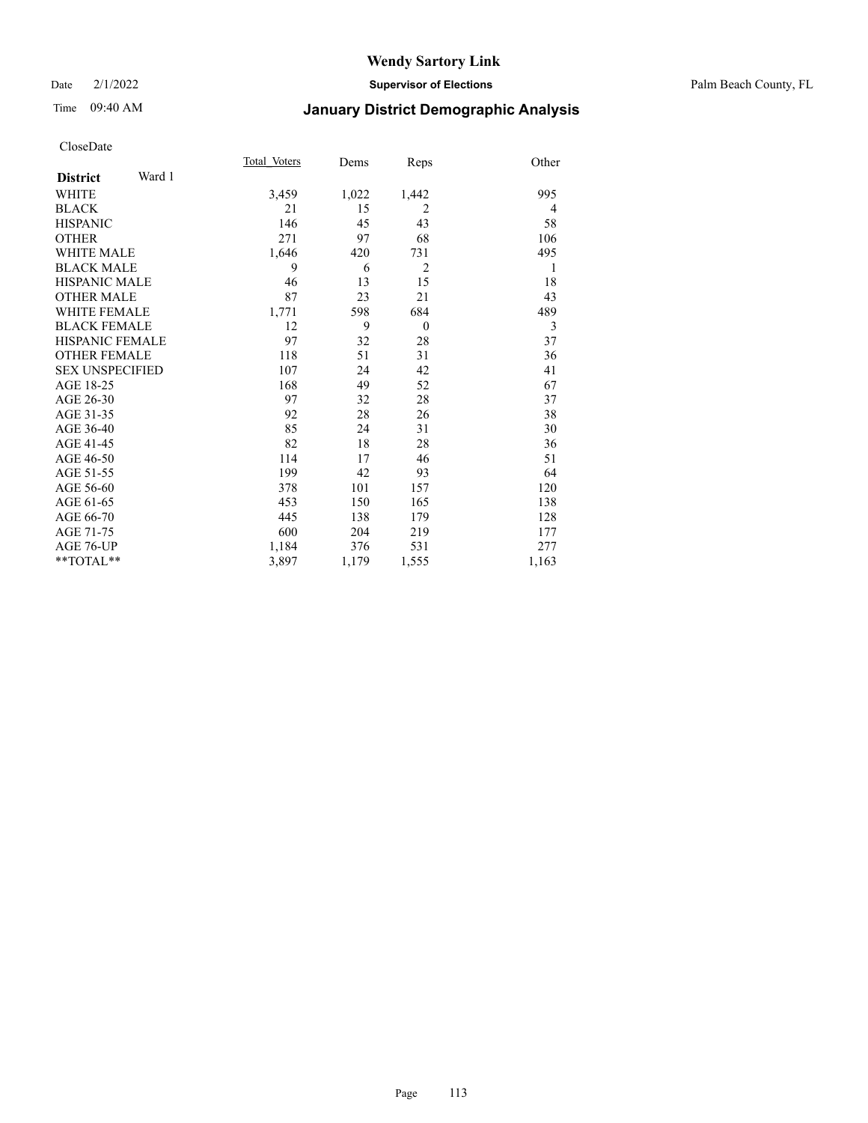# Time 09:40 AM **January District Demographic Analysis**

|                           | Total Voters | Dems  | Reps           | Other |
|---------------------------|--------------|-------|----------------|-------|
| Ward 1<br><b>District</b> |              |       |                |       |
| <b>WHITE</b>              | 3,459        | 1,022 | 1,442          | 995   |
| <b>BLACK</b>              | 21           | 15    | 2              | 4     |
| <b>HISPANIC</b>           | 146          | 45    | 43             | 58    |
| <b>OTHER</b>              | 271          | 97    | 68             | 106   |
| <b>WHITE MALE</b>         | 1,646        | 420   | 731            | 495   |
| <b>BLACK MALE</b>         | 9            | 6     | $\overline{2}$ | 1     |
| <b>HISPANIC MALE</b>      | 46           | 13    | 15             | 18    |
| <b>OTHER MALE</b>         | 87           | 23    | 21             | 43    |
| <b>WHITE FEMALE</b>       | 1,771        | 598   | 684            | 489   |
| <b>BLACK FEMALE</b>       | 12           | 9     | $\theta$       | 3     |
| HISPANIC FEMALE           | 97           | 32    | 28             | 37    |
| <b>OTHER FEMALE</b>       | 118          | 51    | 31             | 36    |
| <b>SEX UNSPECIFIED</b>    | 107          | 24    | 42             | 41    |
| AGE 18-25                 | 168          | 49    | 52             | 67    |
| AGE 26-30                 | 97           | 32    | 28             | 37    |
| AGE 31-35                 | 92           | 28    | 26             | 38    |
| AGE 36-40                 | 85           | 24    | 31             | 30    |
| AGE 41-45                 | 82           | 18    | 28             | 36    |
| AGE 46-50                 | 114          | 17    | 46             | 51    |
| AGE 51-55                 | 199          | 42    | 93             | 64    |
| AGE 56-60                 | 378          | 101   | 157            | 120   |
| AGE 61-65                 | 453          | 150   | 165            | 138   |
| AGE 66-70                 | 445          | 138   | 179            | 128   |
| AGE 71-75                 | 600          | 204   | 219            | 177   |
| AGE 76-UP                 | 1,184        | 376   | 531            | 277   |
| $*$ $TOTAL**$             | 3,897        | 1,179 | 1,555          | 1,163 |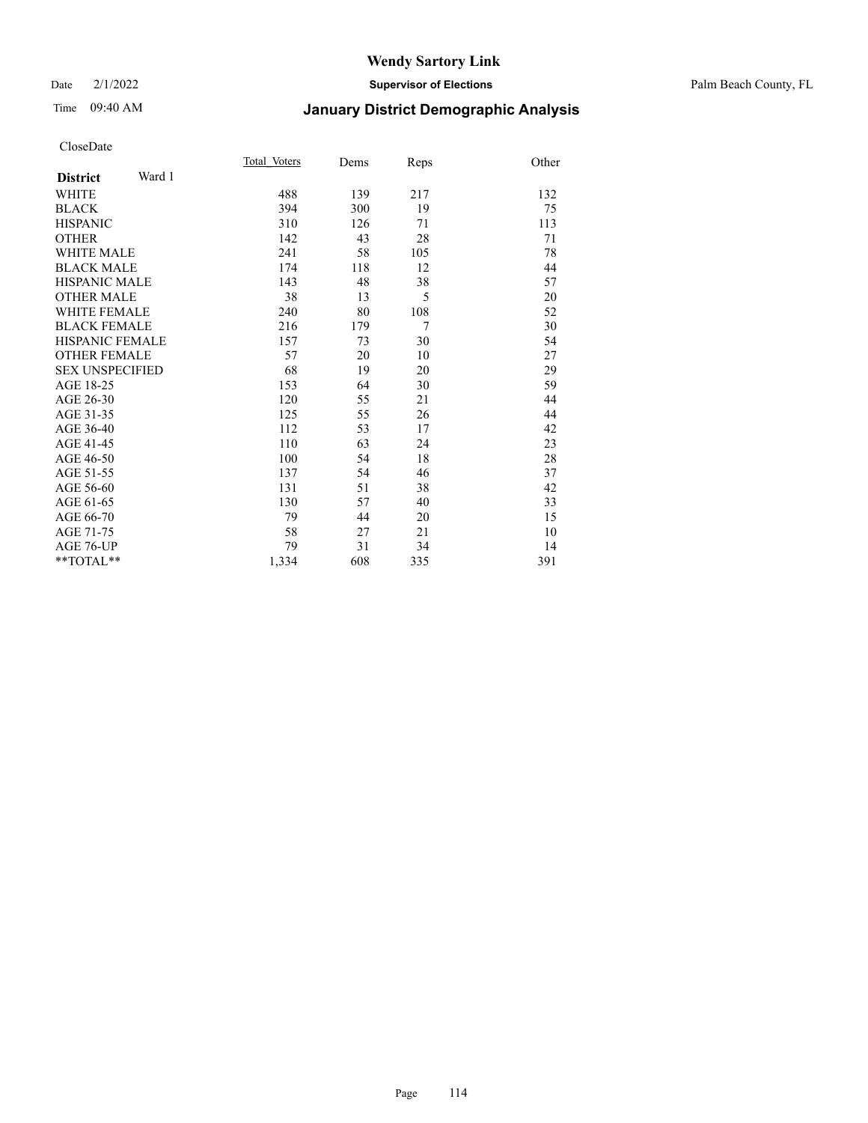## Date 2/1/2022 **Supervisor of Elections** Palm Beach County, FL

# Time 09:40 AM **January District Demographic Analysis**

|                           | Total Voters | Dems | Reps           | Other |
|---------------------------|--------------|------|----------------|-------|
| Ward 1<br><b>District</b> |              |      |                |       |
| WHITE                     | 488          | 139  | 217            | 132   |
| <b>BLACK</b>              | 394          | 300  | 19             | 75    |
| <b>HISPANIC</b>           | 310          | 126  | 71             | 113   |
| <b>OTHER</b>              | 142          | 43   | 28             | 71    |
| <b>WHITE MALE</b>         | 241          | 58   | 105            | 78    |
| <b>BLACK MALE</b>         | 174          | 118  | 12             | 44    |
| <b>HISPANIC MALE</b>      | 143          | 48   | 38             | 57    |
| <b>OTHER MALE</b>         | 38           | 13   | 5              | 20    |
| <b>WHITE FEMALE</b>       | 240          | 80   | 108            | 52    |
| <b>BLACK FEMALE</b>       | 216          | 179  | $\overline{7}$ | 30    |
| <b>HISPANIC FEMALE</b>    | 157          | 73   | 30             | 54    |
| <b>OTHER FEMALE</b>       | 57           | 20   | 10             | 27    |
| <b>SEX UNSPECIFIED</b>    | 68           | 19   | 20             | 29    |
| AGE 18-25                 | 153          | 64   | 30             | 59    |
| AGE 26-30                 | 120          | 55   | 21             | 44    |
| AGE 31-35                 | 125          | 55   | 26             | 44    |
| AGE 36-40                 | 112          | 53   | 17             | 42    |
| AGE 41-45                 | 110          | 63   | 24             | 23    |
| AGE 46-50                 | 100          | 54   | 18             | 28    |
| AGE 51-55                 | 137          | 54   | 46             | 37    |
| AGE 56-60                 | 131          | 51   | 38             | 42    |
| AGE 61-65                 | 130          | 57   | 40             | 33    |
| AGE 66-70                 | 79           | 44   | 20             | 15    |
| AGE 71-75                 | 58           | 27   | 21             | 10    |
| <b>AGE 76-UP</b>          | 79           | 31   | 34             | 14    |
| **TOTAL**                 | 1,334        | 608  | 335            | 391   |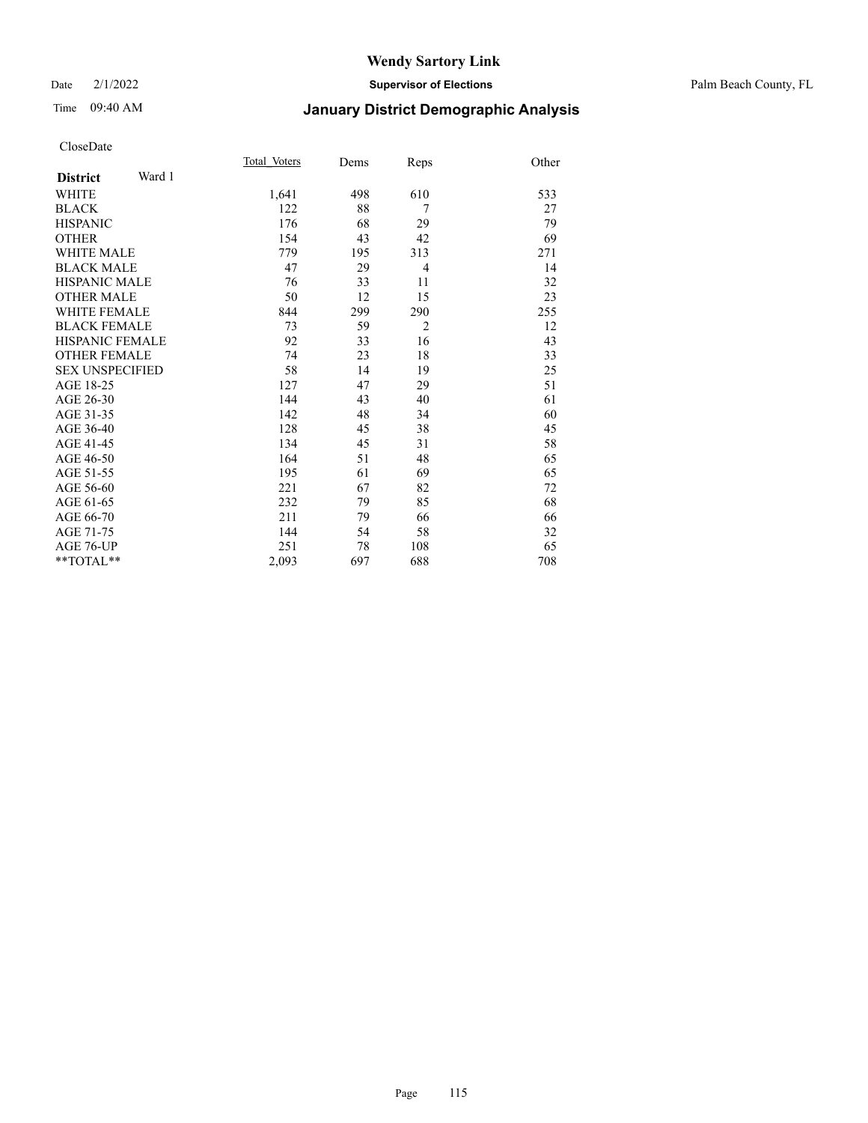## Date 2/1/2022 **Supervisor of Elections** Palm Beach County, FL

# Time 09:40 AM **January District Demographic Analysis**

|                           | Total Voters | Dems | Reps           | Other |
|---------------------------|--------------|------|----------------|-------|
| Ward 1<br><b>District</b> |              |      |                |       |
| WHITE                     | 1,641        | 498  | 610            | 533   |
| <b>BLACK</b>              | 122          | 88   | 7              | 27    |
| <b>HISPANIC</b>           | 176          | 68   | 29             | 79    |
| <b>OTHER</b>              | 154          | 43   | 42             | 69    |
| <b>WHITE MALE</b>         | 779          | 195  | 313            | 271   |
| <b>BLACK MALE</b>         | 47           | 29   | 4              | 14    |
| <b>HISPANIC MALE</b>      | 76           | 33   | 11             | 32    |
| <b>OTHER MALE</b>         | 50           | 12   | 15             | 23    |
| <b>WHITE FEMALE</b>       | 844          | 299  | 290            | 255   |
| <b>BLACK FEMALE</b>       | 73           | 59   | $\overline{2}$ | 12    |
| <b>HISPANIC FEMALE</b>    | 92           | 33   | 16             | 43    |
| <b>OTHER FEMALE</b>       | 74           | 23   | 18             | 33    |
| <b>SEX UNSPECIFIED</b>    | 58           | 14   | 19             | 25    |
| AGE 18-25                 | 127          | 47   | 29             | 51    |
| AGE 26-30                 | 144          | 43   | 40             | 61    |
| AGE 31-35                 | 142          | 48   | 34             | 60    |
| AGE 36-40                 | 128          | 45   | 38             | 45    |
| AGE 41-45                 | 134          | 45   | 31             | 58    |
| AGE 46-50                 | 164          | 51   | 48             | 65    |
| AGE 51-55                 | 195          | 61   | 69             | 65    |
| AGE 56-60                 | 221          | 67   | 82             | 72    |
| AGE 61-65                 | 232          | 79   | 85             | 68    |
| AGE 66-70                 | 211          | 79   | 66             | 66    |
| AGE 71-75                 | 144          | 54   | 58             | 32    |
| <b>AGE 76-UP</b>          | 251          | 78   | 108            | 65    |
| $*$ $TOTAL**$             | 2,093        | 697  | 688            | 708   |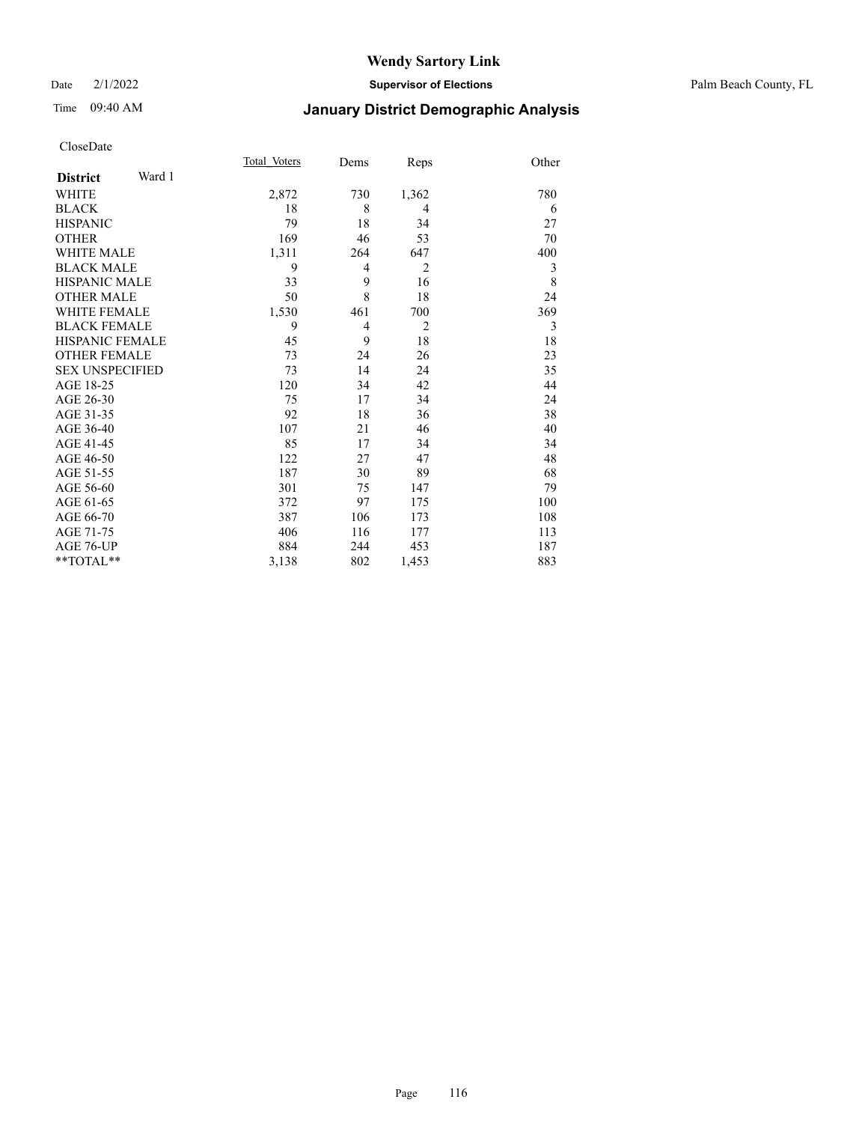## Date 2/1/2022 **Supervisor of Elections** Palm Beach County, FL

# Time 09:40 AM **January District Demographic Analysis**

|                           | Total Voters | Dems           | Reps           | Other |
|---------------------------|--------------|----------------|----------------|-------|
| Ward 1<br><b>District</b> |              |                |                |       |
| WHITE                     | 2,872        | 730            | 1,362          | 780   |
| <b>BLACK</b>              | 18           | 8              | $\overline{4}$ | 6     |
| <b>HISPANIC</b>           | 79           | 18             | 34             | 27    |
| <b>OTHER</b>              | 169          | 46             | 53             | 70    |
| <b>WHITE MALE</b>         | 1,311        | 264            | 647            | 400   |
| <b>BLACK MALE</b>         | 9            | $\overline{4}$ | $\overline{2}$ | 3     |
| HISPANIC MALE             | 33           | 9              | 16             | 8     |
| <b>OTHER MALE</b>         | 50           | 8              | 18             | 24    |
| <b>WHITE FEMALE</b>       | 1,530        | 461            | 700            | 369   |
| <b>BLACK FEMALE</b>       | 9            | $\overline{4}$ | $\overline{2}$ | 3     |
| <b>HISPANIC FEMALE</b>    | 45           | 9              | 18             | 18    |
| <b>OTHER FEMALE</b>       | 73           | 24             | 26             | 23    |
| <b>SEX UNSPECIFIED</b>    | 73           | 14             | 24             | 35    |
| AGE 18-25                 | 120          | 34             | 42             | 44    |
| AGE 26-30                 | 75           | 17             | 34             | 24    |
| AGE 31-35                 | 92           | 18             | 36             | 38    |
| AGE 36-40                 | 107          | 21             | 46             | 40    |
| AGE 41-45                 | 85           | 17             | 34             | 34    |
| AGE 46-50                 | 122          | 27             | 47             | 48    |
| AGE 51-55                 | 187          | 30             | 89             | 68    |
| AGE 56-60                 | 301          | 75             | 147            | 79    |
| AGE 61-65                 | 372          | 97             | 175            | 100   |
| AGE 66-70                 | 387          | 106            | 173            | 108   |
| AGE 71-75                 | 406          | 116            | 177            | 113   |
| AGE 76-UP                 | 884          | 244            | 453            | 187   |
| **TOTAL**                 | 3,138        | 802            | 1,453          | 883   |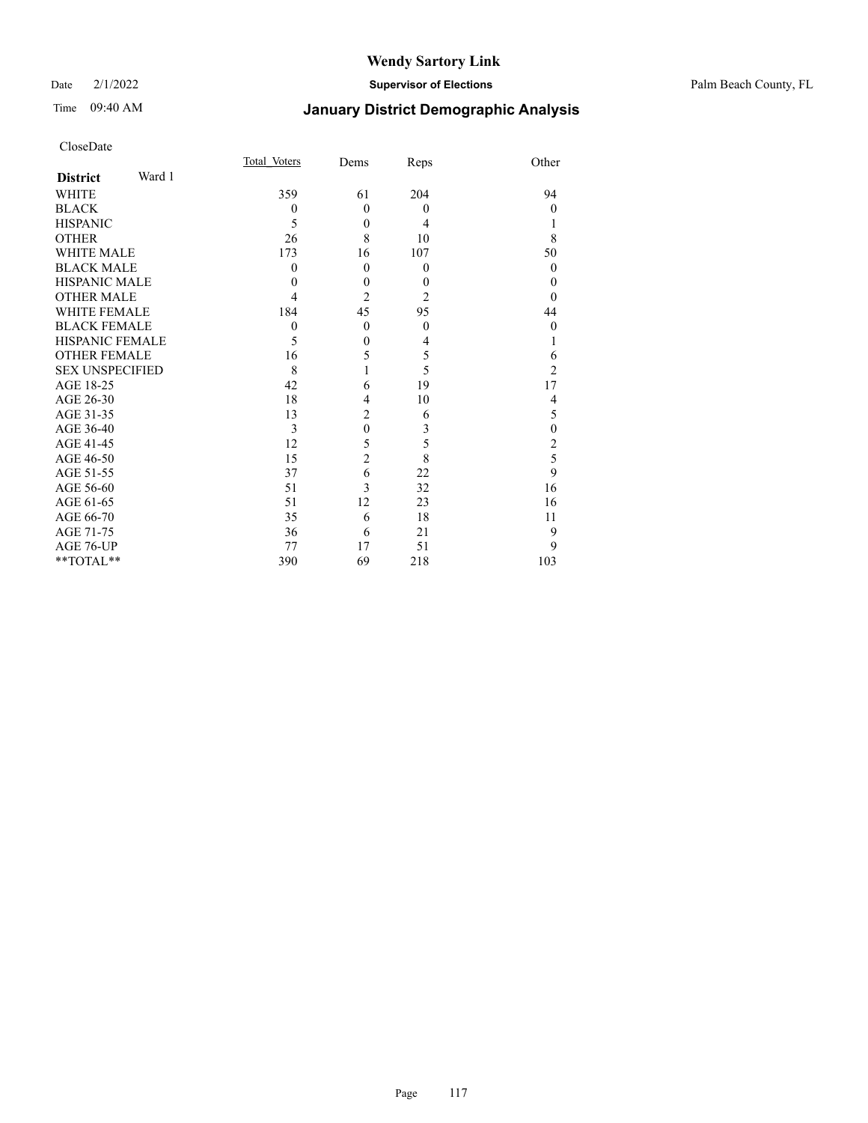## Date 2/1/2022 **Supervisor of Elections** Palm Beach County, FL

# Time 09:40 AM **January District Demographic Analysis**

| CloseDate |
|-----------|
|-----------|

|                        |        | Total Voters | Dems           | Reps           | Other          |
|------------------------|--------|--------------|----------------|----------------|----------------|
| <b>District</b>        | Ward 1 |              |                |                |                |
| WHITE                  |        | 359          | 61             | 204            | 94             |
| BLACK                  |        | $\theta$     | $\theta$       | $\theta$       | $\Omega$       |
| <b>HISPANIC</b>        |        | 5            | $\theta$       | 4              |                |
| OTHER                  |        | 26           | 8              | 10             | 8              |
| <b>WHITE MALE</b>      |        | 173          | 16             | 107            | 50             |
| BLACK MALE             |        | $\theta$     | $\theta$       | $\mathbf{0}$   | $\Omega$       |
| HISPANIC MALE          |        | $\theta$     | $\mathbf{0}$   | $\mathbf{0}$   | $\theta$       |
| <b>OTHER MALE</b>      |        | 4            | $\overline{2}$ | $\overline{2}$ | $\Omega$       |
| WHITE FEMALE           |        | 184          | 45             | 95             | 44             |
| <b>BLACK FEMALE</b>    |        | $\mathbf{0}$ | $\mathbf{0}$   | $\mathbf{0}$   | $\theta$       |
| HISPANIC FEMALE        |        | 5            | $\theta$       | 4              |                |
| <b>OTHER FEMALE</b>    |        | 16           | 5              | 5              | 6              |
| <b>SEX UNSPECIFIED</b> |        | 8            |                | 5              | $\mathfrak{D}$ |
| AGE 18-25              |        | 42           | 6              | 19             | 17             |
| AGE 26-30              |        | 18           | 4              | 10             | 4              |
| AGE 31-35              |        | 13           | 2              | 6              | 5              |
| AGE 36-40              |        | 3            | $\mathbf{0}$   | 3              | $\mathbf{0}$   |
| AGE 41-45              |        | 12           | 5              | 5              | $\overline{c}$ |
| AGE 46-50              |        | 15           | $\overline{2}$ | 8              | 5              |
| AGE 51-55              |        | 37           | 6              | 22             | 9              |
| AGE 56-60              |        | 51           | 3              | 32             | 16             |
| AGE 61-65              |        | 51           | 12             | 23             | 16             |
| AGE 66-70              |        | 35           | 6              | 18             | 11             |
| AGE 71-75              |        | 36           | 6              | 21             | 9              |
| AGE 76-UP              |        | 77           | 17             | 51             | 9              |
| $*$ TOTAL $**$         |        | 390          | 69             | 218            | 103            |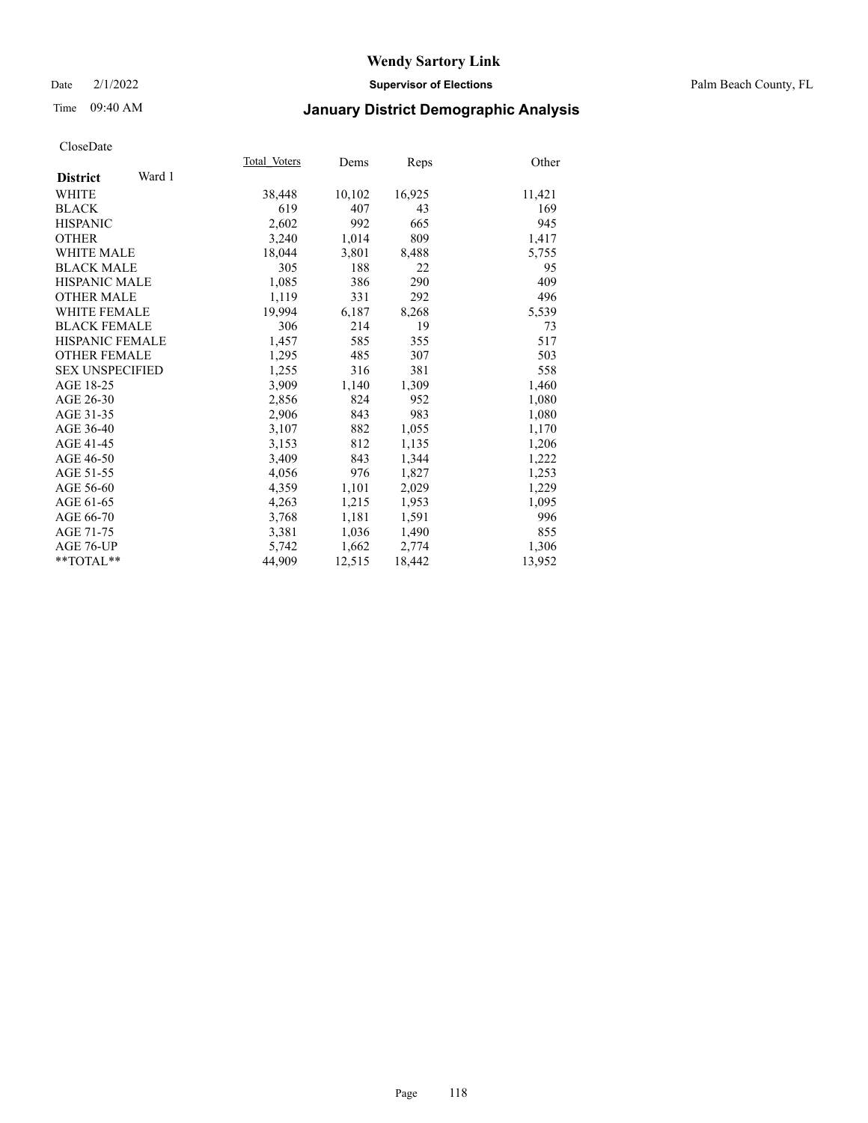## Date 2/1/2022 **Supervisor of Elections** Palm Beach County, FL

# Time 09:40 AM **January District Demographic Analysis**

|                           | Total Voters | Dems   | Reps   | Other  |
|---------------------------|--------------|--------|--------|--------|
| Ward 1<br><b>District</b> |              |        |        |        |
| <b>WHITE</b>              | 38,448       | 10,102 | 16,925 | 11,421 |
| <b>BLACK</b>              | 619          | 407    | 43     | 169    |
| <b>HISPANIC</b>           | 2,602        | 992    | 665    | 945    |
| <b>OTHER</b>              | 3,240        | 1,014  | 809    | 1,417  |
| <b>WHITE MALE</b>         | 18,044       | 3,801  | 8,488  | 5,755  |
| <b>BLACK MALE</b>         | 305          | 188    | 22     | 95     |
| <b>HISPANIC MALE</b>      | 1,085        | 386    | 290    | 409    |
| <b>OTHER MALE</b>         | 1,119        | 331    | 292    | 496    |
| <b>WHITE FEMALE</b>       | 19.994       | 6,187  | 8,268  | 5,539  |
| <b>BLACK FEMALE</b>       | 306          | 214    | 19     | 73     |
| HISPANIC FEMALE           | 1,457        | 585    | 355    | 517    |
| <b>OTHER FEMALE</b>       | 1,295        | 485    | 307    | 503    |
| <b>SEX UNSPECIFIED</b>    | 1,255        | 316    | 381    | 558    |
| AGE 18-25                 | 3,909        | 1,140  | 1,309  | 1,460  |
| AGE 26-30                 | 2,856        | 824    | 952    | 1,080  |
| AGE 31-35                 | 2,906        | 843    | 983    | 1,080  |
| AGE 36-40                 | 3,107        | 882    | 1,055  | 1,170  |
| AGE 41-45                 | 3,153        | 812    | 1,135  | 1,206  |
| AGE 46-50                 | 3,409        | 843    | 1,344  | 1,222  |
| AGE 51-55                 | 4,056        | 976    | 1,827  | 1,253  |
| AGE 56-60                 | 4,359        | 1,101  | 2,029  | 1,229  |
| AGE 61-65                 | 4,263        | 1,215  | 1,953  | 1,095  |
| AGE 66-70                 | 3,768        | 1,181  | 1,591  | 996    |
| AGE 71-75                 | 3,381        | 1,036  | 1,490  | 855    |
| AGE 76-UP                 | 5.742        | 1,662  | 2,774  | 1,306  |
| **TOTAL**                 | 44,909       | 12,515 | 18,442 | 13,952 |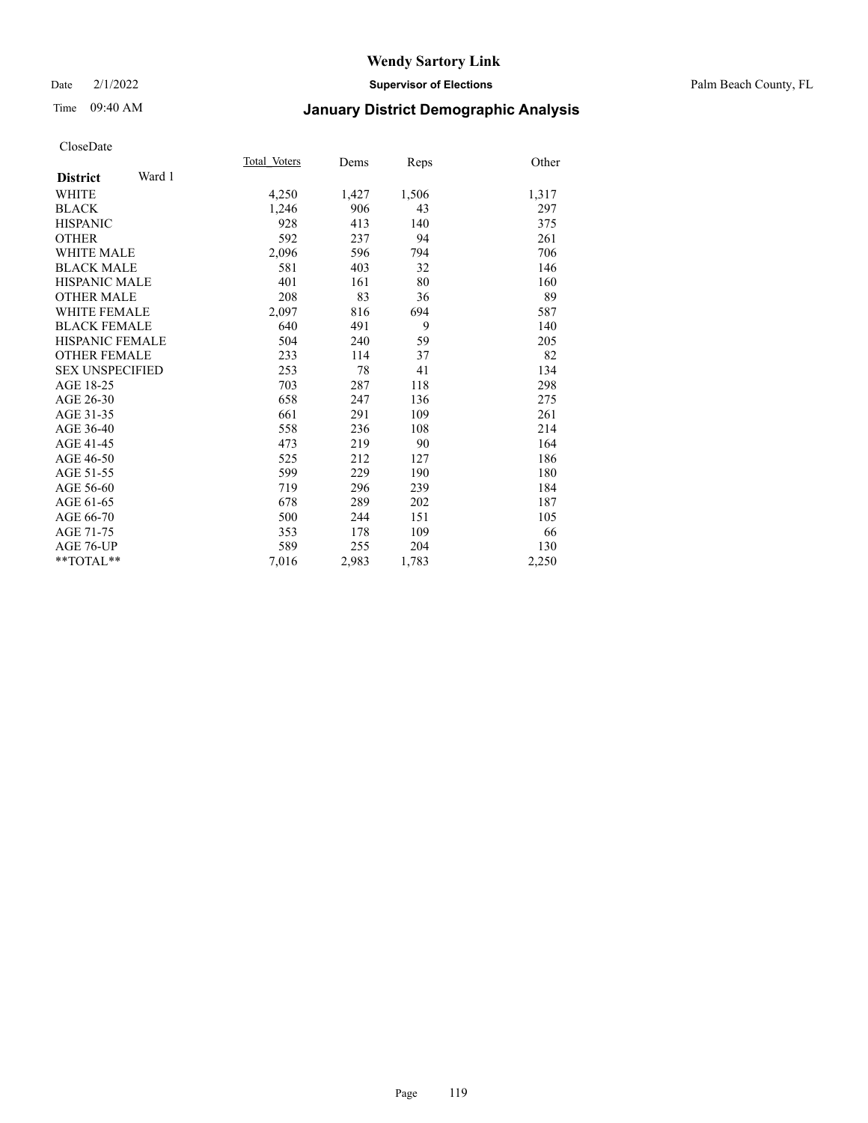## Date 2/1/2022 **Supervisor of Elections** Palm Beach County, FL

# Time 09:40 AM **January District Demographic Analysis**

|                           | Total Voters | Dems  | Reps  | Other |
|---------------------------|--------------|-------|-------|-------|
| Ward 1<br><b>District</b> |              |       |       |       |
| WHITE                     | 4,250        | 1,427 | 1,506 | 1,317 |
| <b>BLACK</b>              | 1,246        | 906   | 43    | 297   |
| <b>HISPANIC</b>           | 928          | 413   | 140   | 375   |
| <b>OTHER</b>              | 592          | 237   | 94    | 261   |
| <b>WHITE MALE</b>         | 2,096        | 596   | 794   | 706   |
| <b>BLACK MALE</b>         | 581          | 403   | 32    | 146   |
| <b>HISPANIC MALE</b>      | 401          | 161   | 80    | 160   |
| <b>OTHER MALE</b>         | 208          | 83    | 36    | 89    |
| <b>WHITE FEMALE</b>       | 2,097        | 816   | 694   | 587   |
| <b>BLACK FEMALE</b>       | 640          | 491   | 9     | 140   |
| <b>HISPANIC FEMALE</b>    | 504          | 240   | 59    | 205   |
| <b>OTHER FEMALE</b>       | 233          | 114   | 37    | 82    |
| <b>SEX UNSPECIFIED</b>    | 253          | 78    | 41    | 134   |
| AGE 18-25                 | 703          | 287   | 118   | 298   |
| AGE 26-30                 | 658          | 247   | 136   | 275   |
| AGE 31-35                 | 661          | 291   | 109   | 261   |
| AGE 36-40                 | 558          | 236   | 108   | 214   |
| AGE 41-45                 | 473          | 219   | 90    | 164   |
| AGE 46-50                 | 525          | 212   | 127   | 186   |
| AGE 51-55                 | 599          | 229   | 190   | 180   |
| AGE 56-60                 | 719          | 296   | 239   | 184   |
| AGE 61-65                 | 678          | 289   | 202   | 187   |
| AGE 66-70                 | 500          | 244   | 151   | 105   |
| AGE 71-75                 | 353          | 178   | 109   | 66    |
| <b>AGE 76-UP</b>          | 589          | 255   | 204   | 130   |
| $*$ $TOTAL**$             | 7,016        | 2,983 | 1,783 | 2,250 |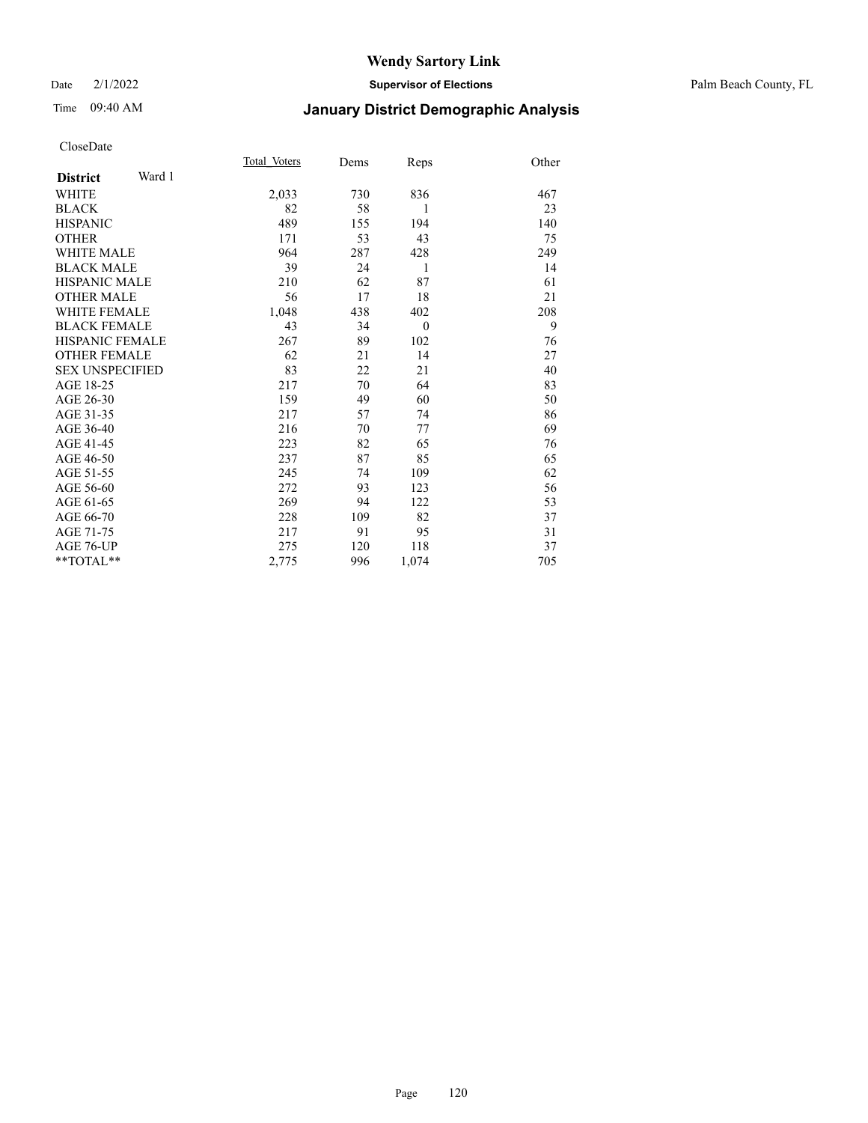## Date 2/1/2022 **Supervisor of Elections** Palm Beach County, FL

# Time 09:40 AM **January District Demographic Analysis**

|                        |        | Total Voters | Dems | Reps     | Other |
|------------------------|--------|--------------|------|----------|-------|
| <b>District</b>        | Ward 1 |              |      |          |       |
| WHITE                  |        | 2,033        | 730  | 836      | 467   |
| <b>BLACK</b>           |        | 82           | 58   | 1        | 23    |
| <b>HISPANIC</b>        |        | 489          | 155  | 194      | 140   |
| <b>OTHER</b>           |        | 171          | 53   | 43       | 75    |
| <b>WHITE MALE</b>      |        | 964          | 287  | 428      | 249   |
| <b>BLACK MALE</b>      |        | 39           | 24   | 1        | 14    |
| <b>HISPANIC MALE</b>   |        | 210          | 62   | 87       | 61    |
| <b>OTHER MALE</b>      |        | 56           | 17   | 18       | 21    |
| <b>WHITE FEMALE</b>    |        | 1,048        | 438  | 402      | 208   |
| <b>BLACK FEMALE</b>    |        | 43           | 34   | $\theta$ | 9     |
| HISPANIC FEMALE        |        | 267          | 89   | 102      | 76    |
| <b>OTHER FEMALE</b>    |        | 62           | 21   | 14       | 27    |
| <b>SEX UNSPECIFIED</b> |        | 83           | 22   | 21       | 40    |
| AGE 18-25              |        | 217          | 70   | 64       | 83    |
| AGE 26-30              |        | 159          | 49   | 60       | 50    |
| AGE 31-35              |        | 217          | 57   | 74       | 86    |
| AGE 36-40              |        | 216          | 70   | 77       | 69    |
| AGE 41-45              |        | 223          | 82   | 65       | 76    |
| AGE 46-50              |        | 237          | 87   | 85       | 65    |
| AGE 51-55              |        | 245          | 74   | 109      | 62    |
| AGE 56-60              |        | 272          | 93   | 123      | 56    |
| AGE 61-65              |        | 269          | 94   | 122      | 53    |
| AGE 66-70              |        | 228          | 109  | 82       | 37    |
| AGE 71-75              |        | 217          | 91   | 95       | 31    |
| <b>AGE 76-UP</b>       |        | 275          | 120  | 118      | 37    |
| $*$ $TOTAL**$          |        | 2,775        | 996  | 1,074    | 705   |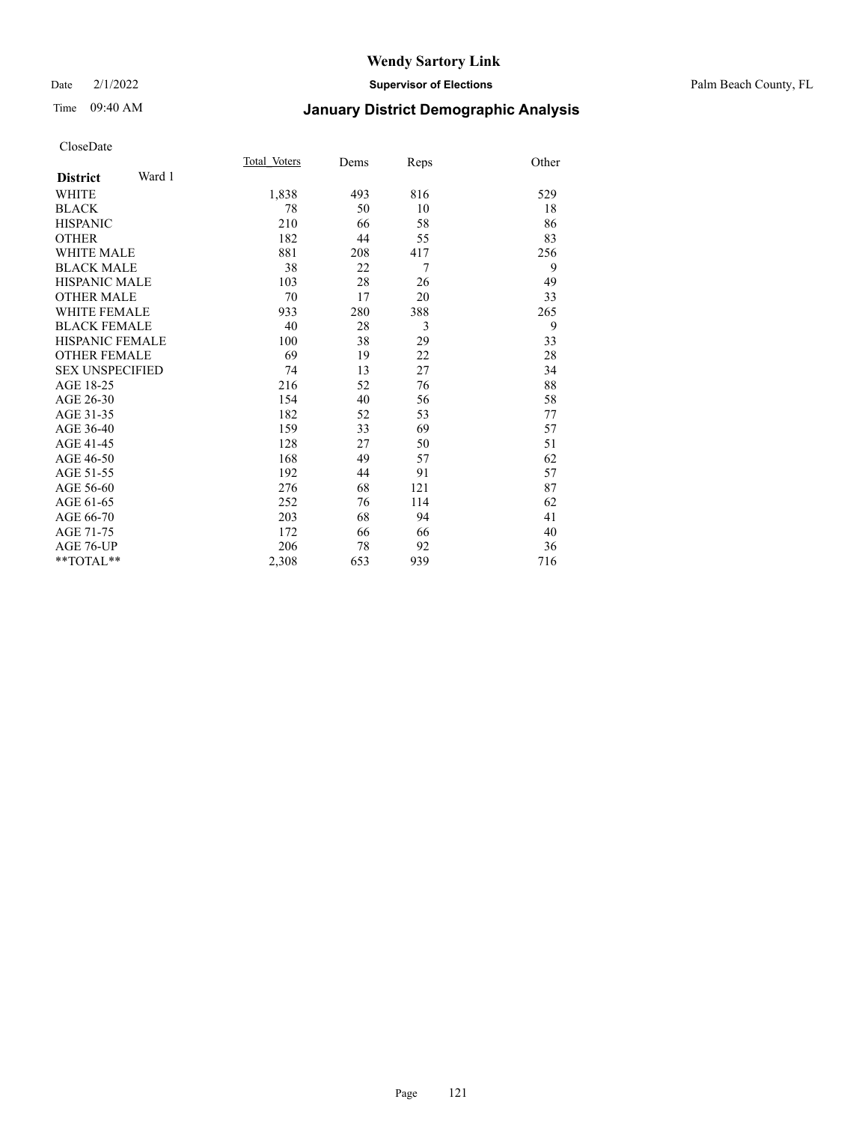## Date 2/1/2022 **Supervisor of Elections** Palm Beach County, FL

# Time 09:40 AM **January District Demographic Analysis**

|                           | Total Voters | Dems | Reps | Other |
|---------------------------|--------------|------|------|-------|
| Ward 1<br><b>District</b> |              |      |      |       |
| WHITE                     | 1,838        | 493  | 816  | 529   |
| <b>BLACK</b>              | 78           | 50   | 10   | 18    |
| <b>HISPANIC</b>           | 210          | 66   | 58   | 86    |
| <b>OTHER</b>              | 182          | 44   | 55   | 83    |
| <b>WHITE MALE</b>         | 881          | 208  | 417  | 256   |
| <b>BLACK MALE</b>         | 38           | 22   | 7    | 9     |
| <b>HISPANIC MALE</b>      | 103          | 28   | 26   | 49    |
| <b>OTHER MALE</b>         | 70           | 17   | 20   | 33    |
| <b>WHITE FEMALE</b>       | 933          | 280  | 388  | 265   |
| <b>BLACK FEMALE</b>       | 40           | 28   | 3    | 9     |
| <b>HISPANIC FEMALE</b>    | 100          | 38   | 29   | 33    |
| <b>OTHER FEMALE</b>       | 69           | 19   | 22   | 28    |
| <b>SEX UNSPECIFIED</b>    | 74           | 13   | 27   | 34    |
| AGE 18-25                 | 216          | 52   | 76   | 88    |
| AGE 26-30                 | 154          | 40   | 56   | 58    |
| AGE 31-35                 | 182          | 52   | 53   | 77    |
| AGE 36-40                 | 159          | 33   | 69   | 57    |
| AGE 41-45                 | 128          | 27   | 50   | 51    |
| AGE 46-50                 | 168          | 49   | 57   | 62    |
| AGE 51-55                 | 192          | 44   | 91   | 57    |
| AGE 56-60                 | 276          | 68   | 121  | 87    |
| AGE 61-65                 | 252          | 76   | 114  | 62    |
| AGE 66-70                 | 203          | 68   | 94   | 41    |
| AGE 71-75                 | 172          | 66   | 66   | 40    |
| <b>AGE 76-UP</b>          | 206          | 78   | 92   | 36    |
| $*$ $TOTAL**$             | 2,308        | 653  | 939  | 716   |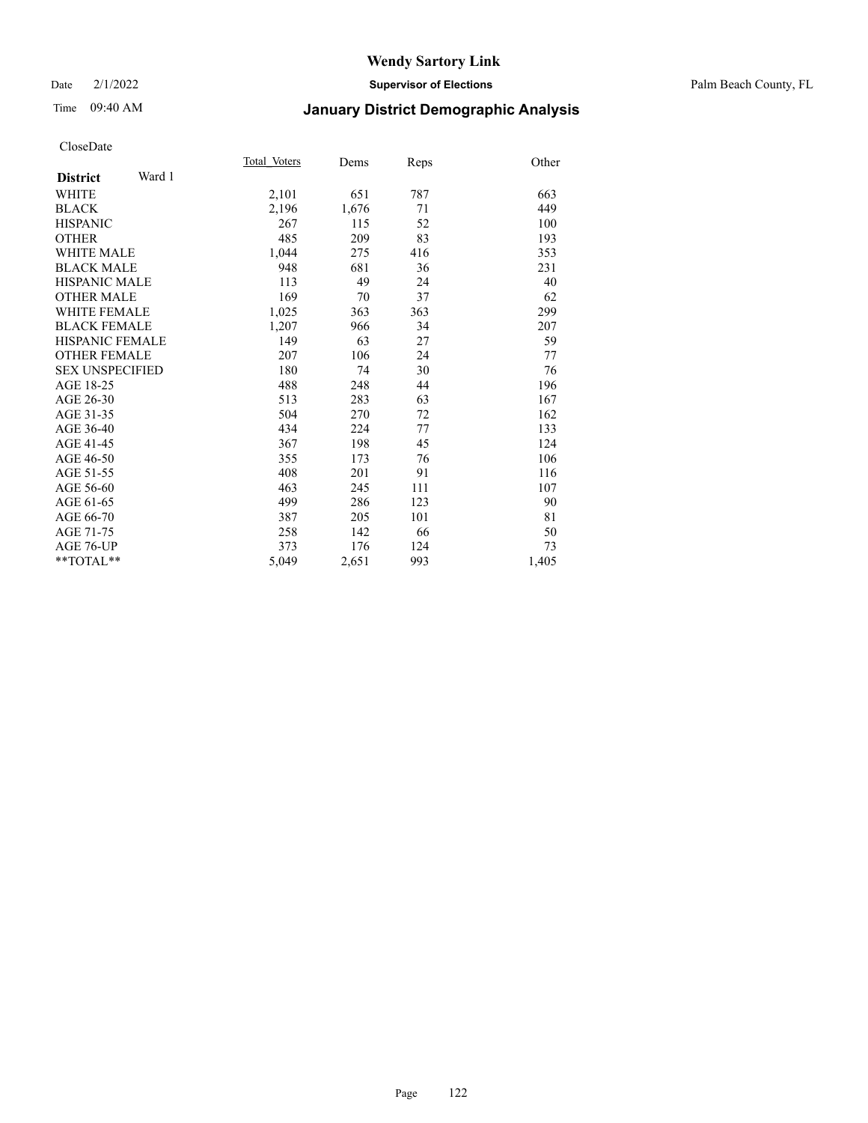## Date 2/1/2022 **Supervisor of Elections** Palm Beach County, FL

# Time 09:40 AM **January District Demographic Analysis**

|                           | Total Voters | Dems  | Reps | Other |
|---------------------------|--------------|-------|------|-------|
| Ward 1<br><b>District</b> |              |       |      |       |
| WHITE                     | 2,101        | 651   | 787  | 663   |
| <b>BLACK</b>              | 2,196        | 1,676 | 71   | 449   |
| <b>HISPANIC</b>           | 267          | 115   | 52   | 100   |
| <b>OTHER</b>              | 485          | 209   | 83   | 193   |
| <b>WHITE MALE</b>         | 1,044        | 275   | 416  | 353   |
| <b>BLACK MALE</b>         | 948          | 681   | 36   | 231   |
| <b>HISPANIC MALE</b>      | 113          | 49    | 24   | 40    |
| <b>OTHER MALE</b>         | 169          | 70    | 37   | 62    |
| <b>WHITE FEMALE</b>       | 1,025        | 363   | 363  | 299   |
| <b>BLACK FEMALE</b>       | 1,207        | 966   | 34   | 207   |
| <b>HISPANIC FEMALE</b>    | 149          | 63    | 27   | 59    |
| <b>OTHER FEMALE</b>       | 207          | 106   | 24   | 77    |
| <b>SEX UNSPECIFIED</b>    | 180          | 74    | 30   | 76    |
| AGE 18-25                 | 488          | 248   | 44   | 196   |
| AGE 26-30                 | 513          | 283   | 63   | 167   |
| AGE 31-35                 | 504          | 270   | 72   | 162   |
| AGE 36-40                 | 434          | 224   | 77   | 133   |
| AGE 41-45                 | 367          | 198   | 45   | 124   |
| AGE 46-50                 | 355          | 173   | 76   | 106   |
| AGE 51-55                 | 408          | 201   | 91   | 116   |
| AGE 56-60                 | 463          | 245   | 111  | 107   |
| AGE 61-65                 | 499          | 286   | 123  | 90    |
| AGE 66-70                 | 387          | 205   | 101  | 81    |
| AGE 71-75                 | 258          | 142   | 66   | 50    |
| AGE 76-UP                 | 373          | 176   | 124  | 73    |
| $*$ $TOTAL**$             | 5,049        | 2,651 | 993  | 1,405 |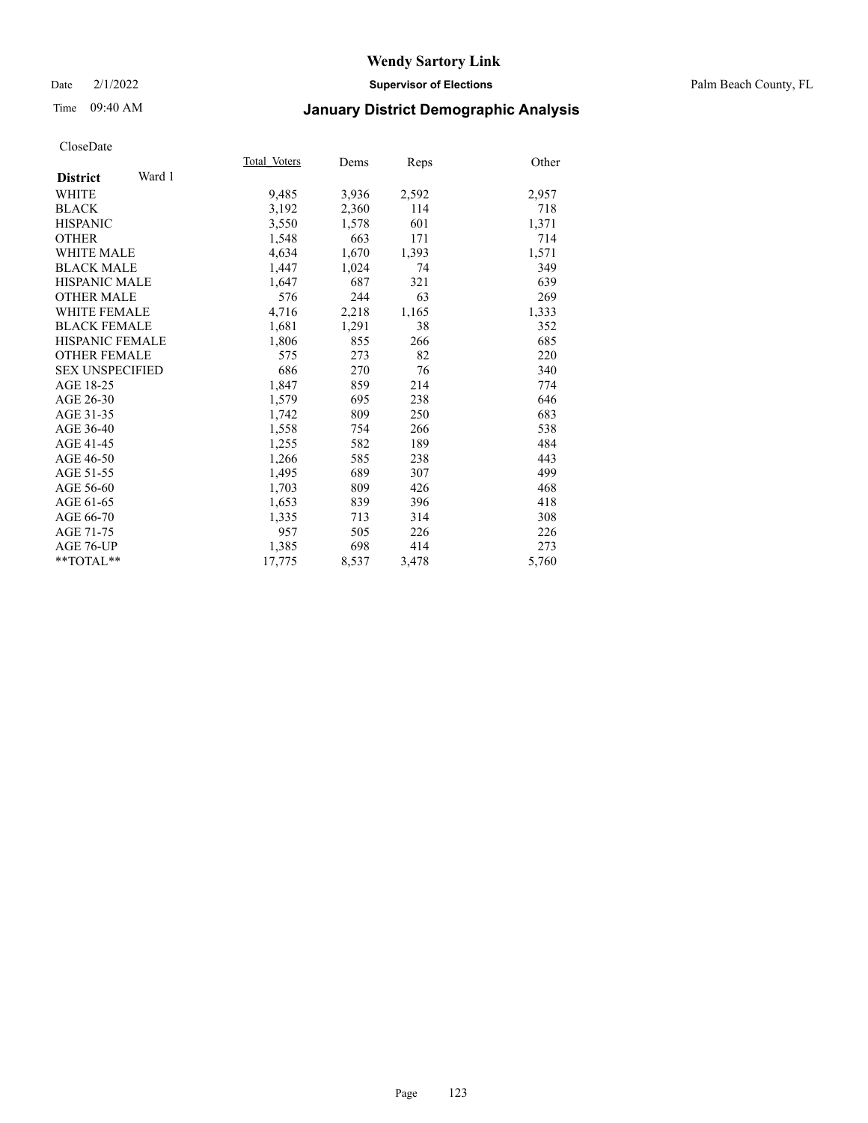## Date 2/1/2022 **Supervisor of Elections** Palm Beach County, FL

# Time 09:40 AM **January District Demographic Analysis**

|                           | Total Voters | Dems  | Reps  | Other |
|---------------------------|--------------|-------|-------|-------|
| Ward 1<br><b>District</b> |              |       |       |       |
| WHITE                     | 9,485        | 3,936 | 2,592 | 2,957 |
| <b>BLACK</b>              | 3,192        | 2,360 | 114   | 718   |
| <b>HISPANIC</b>           | 3,550        | 1,578 | 601   | 1,371 |
| <b>OTHER</b>              | 1,548        | 663   | 171   | 714   |
| <b>WHITE MALE</b>         | 4,634        | 1,670 | 1,393 | 1,571 |
| <b>BLACK MALE</b>         | 1,447        | 1,024 | 74    | 349   |
| <b>HISPANIC MALE</b>      | 1,647        | 687   | 321   | 639   |
| <b>OTHER MALE</b>         | 576          | 244   | 63    | 269   |
| <b>WHITE FEMALE</b>       | 4,716        | 2,218 | 1,165 | 1,333 |
| <b>BLACK FEMALE</b>       | 1,681        | 1,291 | 38    | 352   |
| <b>HISPANIC FEMALE</b>    | 1,806        | 855   | 266   | 685   |
| <b>OTHER FEMALE</b>       | 575          | 273   | 82    | 220   |
| <b>SEX UNSPECIFIED</b>    | 686          | 270   | 76    | 340   |
| AGE 18-25                 | 1,847        | 859   | 214   | 774   |
| AGE 26-30                 | 1,579        | 695   | 238   | 646   |
| AGE 31-35                 | 1,742        | 809   | 250   | 683   |
| AGE 36-40                 | 1,558        | 754   | 266   | 538   |
| AGE 41-45                 | 1,255        | 582   | 189   | 484   |
| AGE 46-50                 | 1,266        | 585   | 238   | 443   |
| AGE 51-55                 | 1,495        | 689   | 307   | 499   |
| AGE 56-60                 | 1,703        | 809   | 426   | 468   |
| AGE 61-65                 | 1,653        | 839   | 396   | 418   |
| AGE 66-70                 | 1,335        | 713   | 314   | 308   |
| AGE 71-75                 | 957          | 505   | 226   | 226   |
| AGE 76-UP                 | 1,385        | 698   | 414   | 273   |
| $*$ $TOTAL**$             | 17,775       | 8,537 | 3,478 | 5,760 |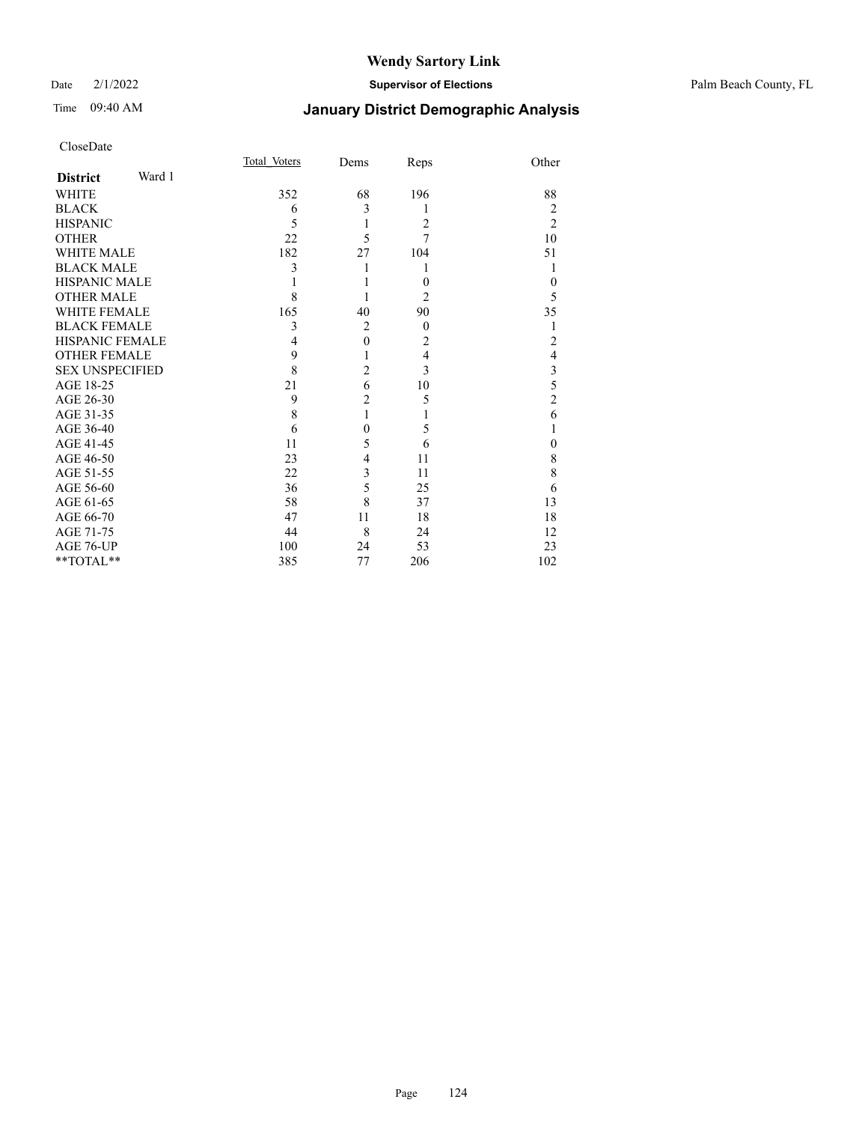## Date 2/1/2022 **Supervisor of Elections** Palm Beach County, FL

# Time 09:40 AM **January District Demographic Analysis**

| CloseDate |
|-----------|
|-----------|

| CloseDate              |        |              |                |                |                |
|------------------------|--------|--------------|----------------|----------------|----------------|
|                        |        | Total Voters | Dems           | Reps           | Other          |
| <b>District</b>        | Ward 1 |              |                |                |                |
| <b>WHITE</b>           |        | 352          | 68             | 196            | 88             |
| <b>BLACK</b>           |        | 6            | 3              | 1              | $\overline{2}$ |
| <b>HISPANIC</b>        |        | 5            | 1              | $\overline{c}$ | $\overline{c}$ |
| <b>OTHER</b>           |        | 22           | 5              | 7              | 10             |
| <b>WHITE MALE</b>      |        | 182          | 27             | 104            | 51             |
| <b>BLACK MALE</b>      |        | 3            | 1              | 1              | 1              |
| <b>HISPANIC MALE</b>   |        | 1            | 1              | $\theta$       | $\theta$       |
| <b>OTHER MALE</b>      |        | 8            | 1              | $\overline{2}$ | 5              |
| <b>WHITE FEMALE</b>    |        | 165          | 40             | 90             | 35             |
| <b>BLACK FEMALE</b>    |        | 3            | $\overline{2}$ | $\overline{0}$ | 1              |
| <b>HISPANIC FEMALE</b> |        | 4            | $\mathbf{0}$   | $\overline{c}$ | $\overline{c}$ |
| <b>OTHER FEMALE</b>    |        | 9            | 1              | $\overline{4}$ | $\overline{4}$ |
| <b>SEX UNSPECIFIED</b> |        | 8            | $\overline{2}$ | 3              | 3              |
| AGE 18-25              |        | 21           | 6              | 10             | 5              |
| AGE 26-30              |        | 9            | $\overline{2}$ | 5              | $\overline{c}$ |
| AGE 31-35              |        | 8            | 1              | 1              | 6              |
| AGE 36-40              |        | 6            | $\overline{0}$ | 5              | 1              |
| AGE 41-45              |        | 11           | 5              | 6              | $\theta$       |
| AGE 46-50              |        | 23           | 4              | 11             | 8              |
| AGE 51-55              |        | 22           | 3              | 11             | 8              |
| AGE 56-60              |        | 36           | 5              | 25             | 6              |
| AGE 61-65              |        | 58           | 8              | 37             | 13             |
| AGE 66-70              |        | 47           | 11             | 18             | 18             |
| AGE 71-75              |        | 44           | 8              | 24             | 12             |
| AGE 76-UP              |        | 100          | 24             | 53             | 23             |
| **TOTAL**              |        | 385          | 77             | 206            | 102            |
|                        |        |              |                |                |                |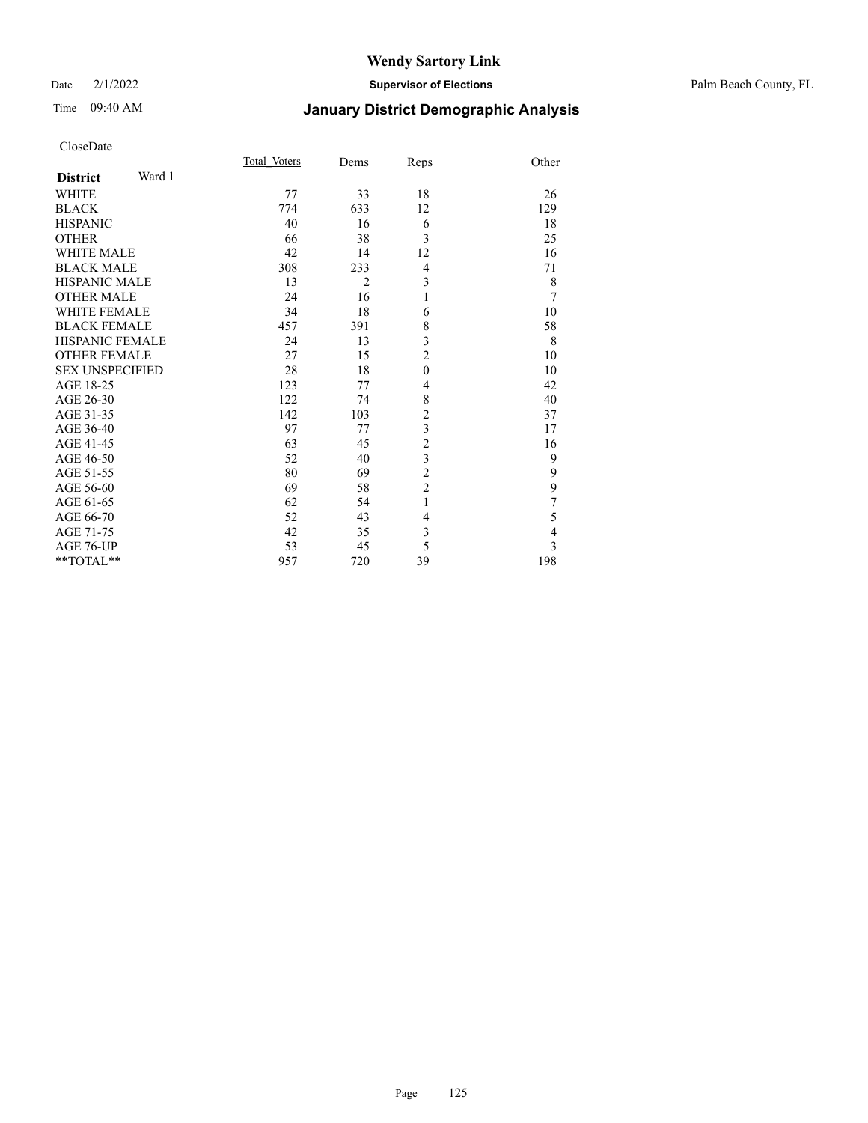# Time 09:40 AM **January District Demographic Analysis**

|                           | Total Voters | Dems           | Reps           | Other          |
|---------------------------|--------------|----------------|----------------|----------------|
| Ward 1<br><b>District</b> |              |                |                |                |
| <b>WHITE</b>              | 77           | 33             | 18             | 26             |
| <b>BLACK</b>              | 774          | 633            | 12             | 129            |
| <b>HISPANIC</b>           | 40           | 16             | 6              | 18             |
| <b>OTHER</b>              | 66           | 38             | 3              | 25             |
| <b>WHITE MALE</b>         | 42           | 14             | 12             | 16             |
| <b>BLACK MALE</b>         | 308          | 233            | 4              | 71             |
| <b>HISPANIC MALE</b>      | 13           | $\overline{2}$ | 3              | 8              |
| <b>OTHER MALE</b>         | 24           | 16             | 1              | $\overline{7}$ |
| <b>WHITE FEMALE</b>       | 34           | 18             | 6              | 10             |
| <b>BLACK FEMALE</b>       | 457          | 391            | 8              | 58             |
| <b>HISPANIC FEMALE</b>    | 24           | 13             | 3              | 8              |
| <b>OTHER FEMALE</b>       | 27           | 15             | $\overline{2}$ | 10             |
| <b>SEX UNSPECIFIED</b>    | 28           | 18             | $\mathbf{0}$   | 10             |
| AGE 18-25                 | 123          | 77             | 4              | 42             |
| AGE 26-30                 | 122          | 74             | 8              | 40             |
| AGE 31-35                 | 142          | 103            | $\overline{c}$ | 37             |
| AGE 36-40                 | 97           | 77             | 3              | 17             |
| AGE 41-45                 | 63           | 45             | $\overline{c}$ | 16             |
| AGE 46-50                 | 52           | 40             | 3              | 9              |
| AGE 51-55                 | 80           | 69             | $\overline{c}$ | 9              |
| AGE 56-60                 | 69           | 58             | $\overline{2}$ | 9              |
| AGE 61-65                 | 62           | 54             | 1              | $\overline{7}$ |
| AGE 66-70                 | 52           | 43             | 4              | 5              |
| AGE 71-75                 | 42           | 35             | 3              | $\overline{4}$ |
| AGE 76-UP                 | 53           | 45             | 5              | 3              |
| **TOTAL**                 | 957          | 720            | 39             | 198            |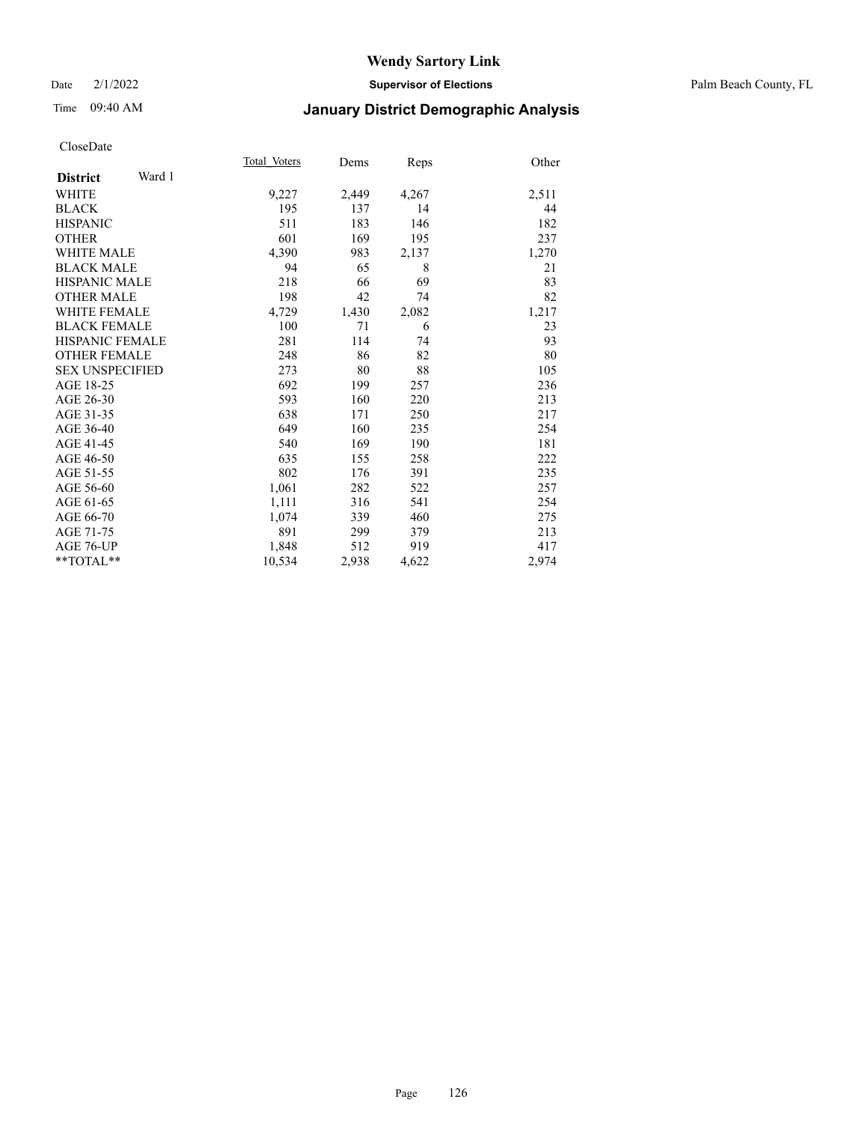## Date 2/1/2022 **Supervisor of Elections** Palm Beach County, FL

# Time 09:40 AM **January District Demographic Analysis**

|                        |        | Total Voters | Dems  | Reps  | Other |
|------------------------|--------|--------------|-------|-------|-------|
| <b>District</b>        | Ward 1 |              |       |       |       |
| WHITE                  |        | 9,227        | 2,449 | 4,267 | 2,511 |
| <b>BLACK</b>           |        | 195          | 137   | 14    | 44    |
| <b>HISPANIC</b>        |        | 511          | 183   | 146   | 182   |
| <b>OTHER</b>           |        | 601          | 169   | 195   | 237   |
| <b>WHITE MALE</b>      |        | 4,390        | 983   | 2,137 | 1,270 |
| <b>BLACK MALE</b>      |        | 94           | 65    | 8     | 21    |
| <b>HISPANIC MALE</b>   |        | 218          | 66    | 69    | 83    |
| <b>OTHER MALE</b>      |        | 198          | 42    | 74    | 82    |
| <b>WHITE FEMALE</b>    |        | 4,729        | 1,430 | 2,082 | 1,217 |
| <b>BLACK FEMALE</b>    |        | 100          | 71    | 6     | 23    |
| <b>HISPANIC FEMALE</b> |        | 281          | 114   | 74    | 93    |
| <b>OTHER FEMALE</b>    |        | 248          | 86    | 82    | 80    |
| <b>SEX UNSPECIFIED</b> |        | 273          | 80    | 88    | 105   |
| AGE 18-25              |        | 692          | 199   | 257   | 236   |
| AGE 26-30              |        | 593          | 160   | 220   | 213   |
| AGE 31-35              |        | 638          | 171   | 250   | 217   |
| AGE 36-40              |        | 649          | 160   | 235   | 254   |
| AGE 41-45              |        | 540          | 169   | 190   | 181   |
| AGE 46-50              |        | 635          | 155   | 258   | 222   |
| AGE 51-55              |        | 802          | 176   | 391   | 235   |
| AGE 56-60              |        | 1,061        | 282   | 522   | 257   |
| AGE 61-65              |        | 1,111        | 316   | 541   | 254   |
| AGE 66-70              |        | 1,074        | 339   | 460   | 275   |
| AGE 71-75              |        | 891          | 299   | 379   | 213   |
| <b>AGE 76-UP</b>       |        | 1,848        | 512   | 919   | 417   |
| $*$ $TOTAL**$          |        | 10,534       | 2,938 | 4,622 | 2,974 |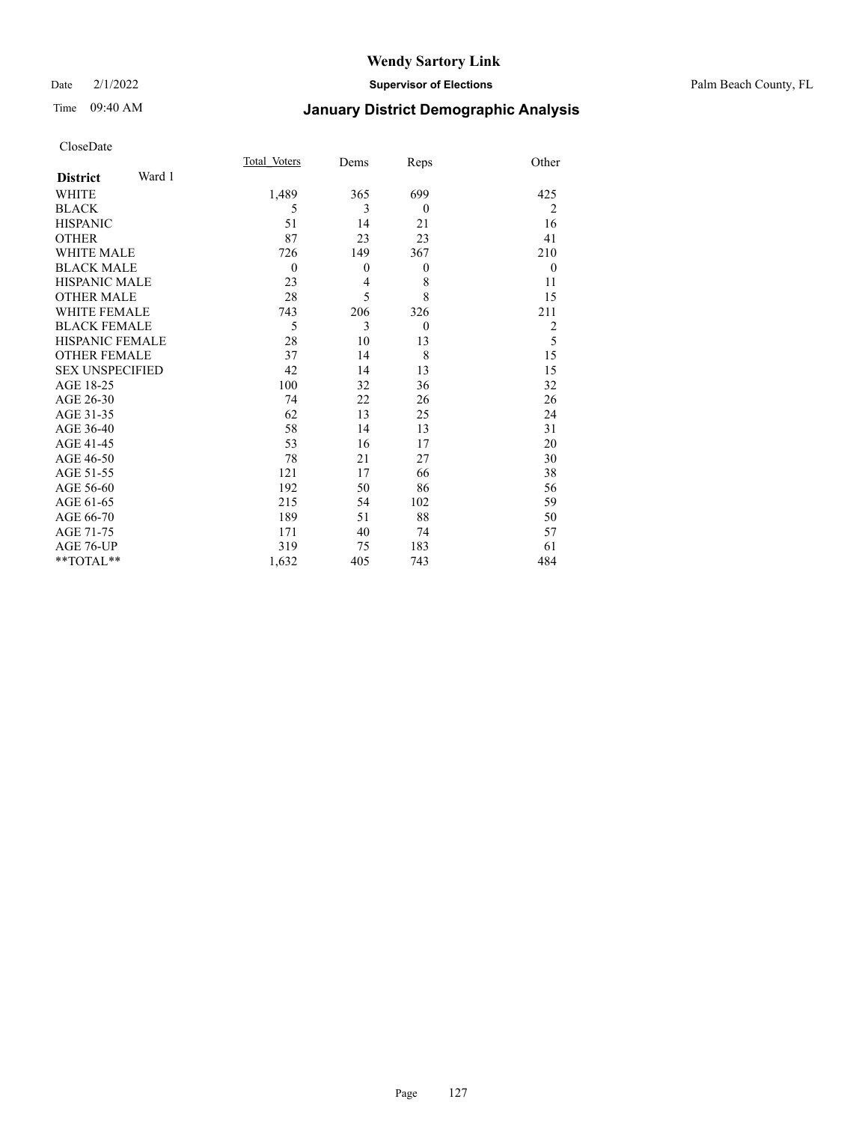## Date 2/1/2022 **Supervisor of Elections** Palm Beach County, FL

# Time 09:40 AM **January District Demographic Analysis**

|                           | Total Voters | Dems     | Reps     | Other          |
|---------------------------|--------------|----------|----------|----------------|
| Ward 1<br><b>District</b> |              |          |          |                |
| WHITE                     | 1,489        | 365      | 699      | 425            |
| <b>BLACK</b>              | 5            | 3        | $\theta$ | $\overline{2}$ |
| <b>HISPANIC</b>           | 51           | 14       | 21       | 16             |
| <b>OTHER</b>              | 87           | 23       | 23       | 41             |
| <b>WHITE MALE</b>         | 726          | 149      | 367      | 210            |
| <b>BLACK MALE</b>         | $\mathbf{0}$ | $\theta$ | $\theta$ | $\theta$       |
| <b>HISPANIC MALE</b>      | 23           | 4        | 8        | 11             |
| <b>OTHER MALE</b>         | 28           | 5        | 8        | 15             |
| <b>WHITE FEMALE</b>       | 743          | 206      | 326      | 211            |
| <b>BLACK FEMALE</b>       | 5            | 3        | $\theta$ | 2              |
| <b>HISPANIC FEMALE</b>    | 28           | 10       | 13       | 5              |
| <b>OTHER FEMALE</b>       | 37           | 14       | 8        | 15             |
| <b>SEX UNSPECIFIED</b>    | 42           | 14       | 13       | 15             |
| AGE 18-25                 | 100          | 32       | 36       | 32             |
| AGE 26-30                 | 74           | 22       | 26       | 26             |
| AGE 31-35                 | 62           | 13       | 25       | 24             |
| AGE 36-40                 | 58           | 14       | 13       | 31             |
| AGE 41-45                 | 53           | 16       | 17       | 20             |
| AGE 46-50                 | 78           | 21       | 27       | 30             |
| AGE 51-55                 | 121          | 17       | 66       | 38             |
| AGE 56-60                 | 192          | 50       | 86       | 56             |
| AGE 61-65                 | 215          | 54       | 102      | 59             |
| AGE 66-70                 | 189          | 51       | 88       | 50             |
| AGE 71-75                 | 171          | 40       | 74       | 57             |
| AGE 76-UP                 | 319          | 75       | 183      | 61             |
| **TOTAL**                 | 1,632        | 405      | 743      | 484            |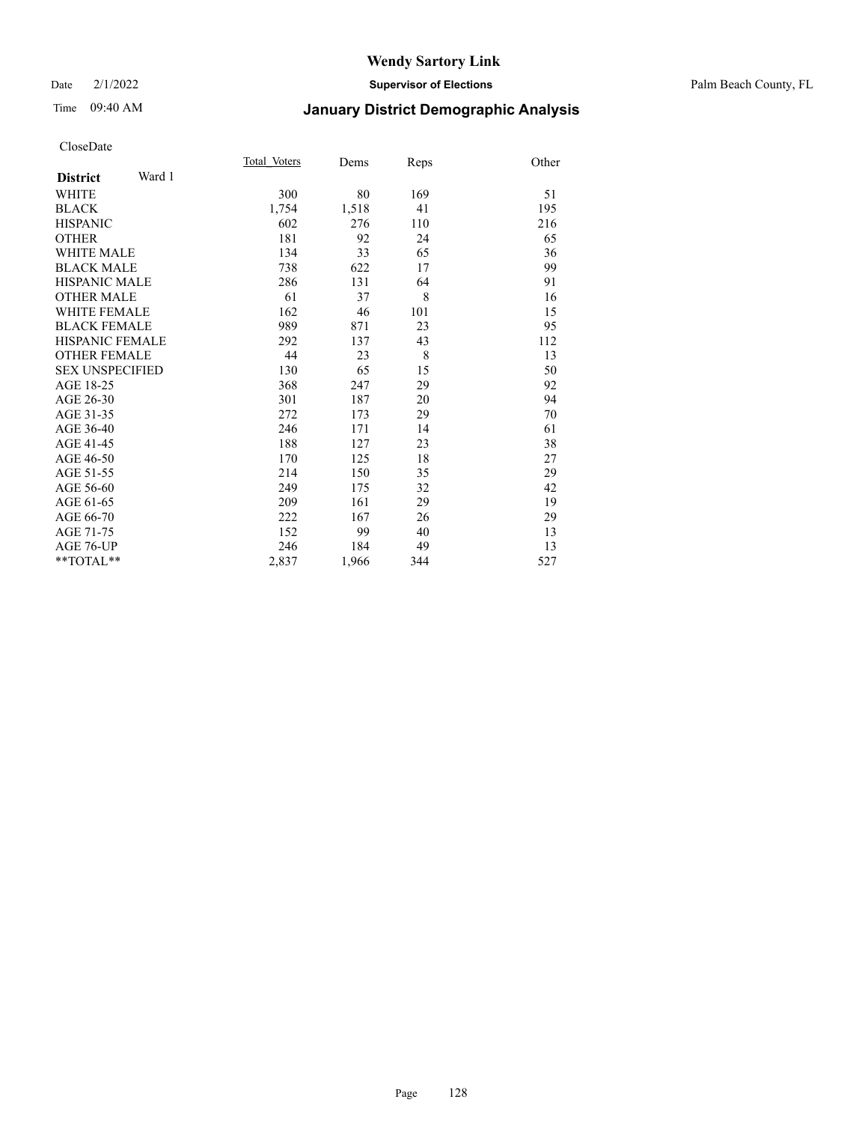## Date 2/1/2022 **Supervisor of Elections** Palm Beach County, FL

# Time 09:40 AM **January District Demographic Analysis**

|                           | Total Voters | Dems  | Reps | Other |
|---------------------------|--------------|-------|------|-------|
| Ward 1<br><b>District</b> |              |       |      |       |
| <b>WHITE</b>              | 300          | 80    | 169  | 51    |
| <b>BLACK</b>              | 1,754        | 1,518 | 41   | 195   |
| <b>HISPANIC</b>           | 602          | 276   | 110  | 216   |
| <b>OTHER</b>              | 181          | 92    | 24   | 65    |
| <b>WHITE MALE</b>         | 134          | 33    | 65   | 36    |
| <b>BLACK MALE</b>         | 738          | 622   | 17   | 99    |
| <b>HISPANIC MALE</b>      | 286          | 131   | 64   | 91    |
| <b>OTHER MALE</b>         | 61           | 37    | 8    | 16    |
| <b>WHITE FEMALE</b>       | 162          | 46    | 101  | 15    |
| <b>BLACK FEMALE</b>       | 989          | 871   | 23   | 95    |
| <b>HISPANIC FEMALE</b>    | 292          | 137   | 43   | 112   |
| <b>OTHER FEMALE</b>       | 44           | 23    | 8    | 13    |
| <b>SEX UNSPECIFIED</b>    | 130          | 65    | 15   | 50    |
| AGE 18-25                 | 368          | 247   | 29   | 92    |
| AGE 26-30                 | 301          | 187   | 20   | 94    |
| AGE 31-35                 | 272          | 173   | 29   | 70    |
| AGE 36-40                 | 246          | 171   | 14   | 61    |
| AGE 41-45                 | 188          | 127   | 23   | 38    |
| AGE 46-50                 | 170          | 125   | 18   | 27    |
| AGE 51-55                 | 214          | 150   | 35   | 29    |
| AGE 56-60                 | 249          | 175   | 32   | 42    |
| AGE 61-65                 | 209          | 161   | 29   | 19    |
| AGE 66-70                 | 222          | 167   | 26   | 29    |
| AGE 71-75                 | 152          | 99    | 40   | 13    |
| AGE 76-UP                 | 246          | 184   | 49   | 13    |
| $*$ $TOTAL**$             | 2,837        | 1,966 | 344  | 527   |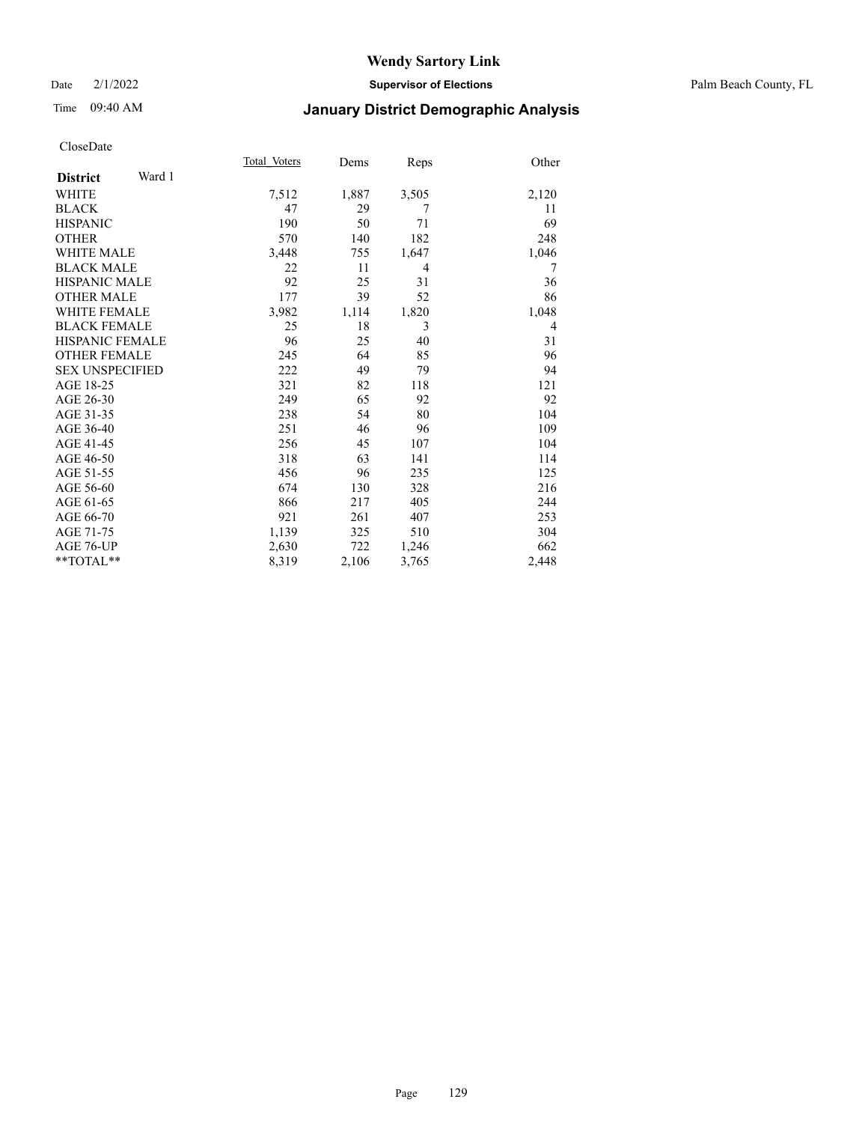# Time 09:40 AM **January District Demographic Analysis**

|                           | Total Voters | Dems  | Reps  | Other |
|---------------------------|--------------|-------|-------|-------|
| Ward 1<br><b>District</b> |              |       |       |       |
| WHITE                     | 7,512        | 1,887 | 3,505 | 2,120 |
| <b>BLACK</b>              | 47           | 29    | 7     | 11    |
| <b>HISPANIC</b>           | 190          | 50    | 71    | 69    |
| <b>OTHER</b>              | 570          | 140   | 182   | 248   |
| <b>WHITE MALE</b>         | 3,448        | 755   | 1,647 | 1,046 |
| <b>BLACK MALE</b>         | 22           | 11    | 4     | 7     |
| <b>HISPANIC MALE</b>      | 92           | 25    | 31    | 36    |
| <b>OTHER MALE</b>         | 177          | 39    | 52    | 86    |
| <b>WHITE FEMALE</b>       | 3,982        | 1,114 | 1,820 | 1,048 |
| <b>BLACK FEMALE</b>       | 25           | 18    | 3     | 4     |
| <b>HISPANIC FEMALE</b>    | 96           | 25    | 40    | 31    |
| <b>OTHER FEMALE</b>       | 245          | 64    | 85    | 96    |
| <b>SEX UNSPECIFIED</b>    | 222          | 49    | 79    | 94    |
| AGE 18-25                 | 321          | 82    | 118   | 121   |
| AGE 26-30                 | 249          | 65    | 92    | 92    |
| AGE 31-35                 | 238          | 54    | 80    | 104   |
| AGE 36-40                 | 251          | 46    | 96    | 109   |
| AGE 41-45                 | 256          | 45    | 107   | 104   |
| AGE 46-50                 | 318          | 63    | 141   | 114   |
| AGE 51-55                 | 456          | 96    | 235   | 125   |
| AGE 56-60                 | 674          | 130   | 328   | 216   |
| AGE 61-65                 | 866          | 217   | 405   | 244   |
| AGE 66-70                 | 921          | 261   | 407   | 253   |
| AGE 71-75                 | 1,139        | 325   | 510   | 304   |
| AGE 76-UP                 | 2,630        | 722   | 1,246 | 662   |
| **TOTAL**                 | 8,319        | 2,106 | 3,765 | 2,448 |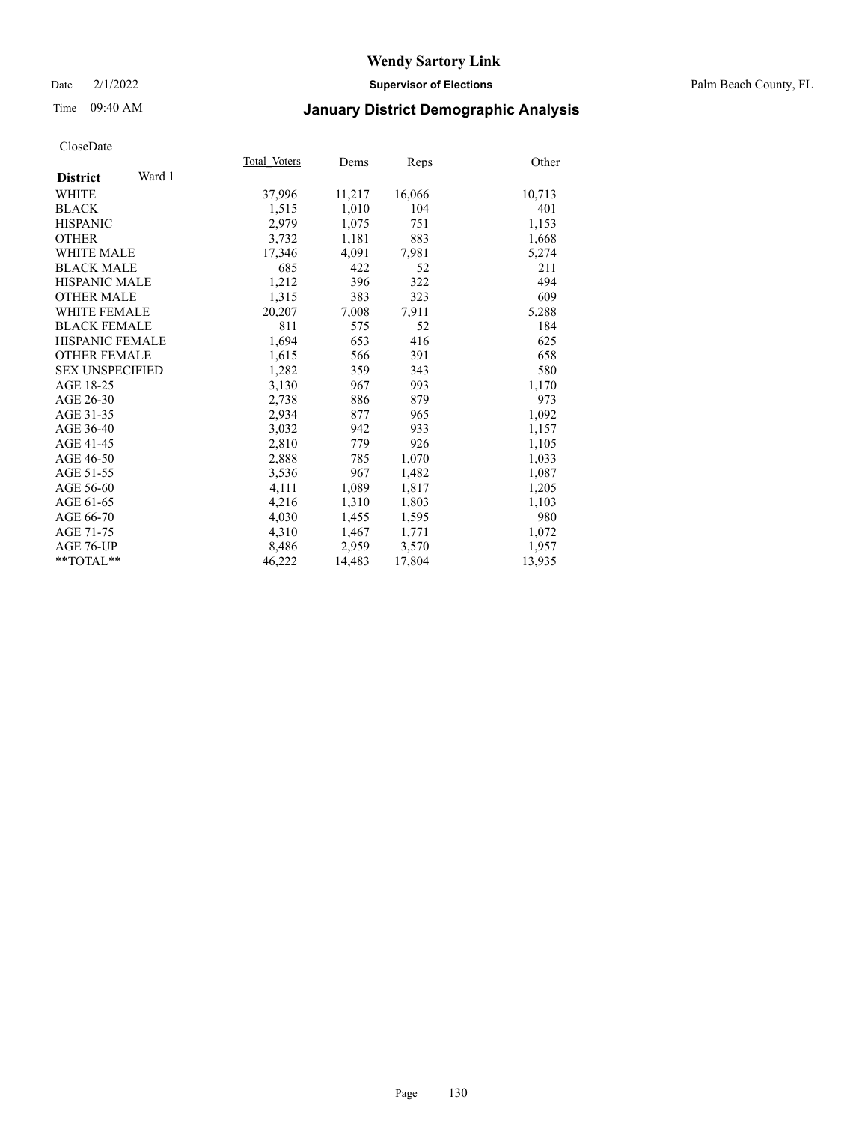## Date 2/1/2022 **Supervisor of Elections** Palm Beach County, FL

# Time 09:40 AM **January District Demographic Analysis**

|                           | Total Voters | Dems   | <u>Reps</u> | Other  |
|---------------------------|--------------|--------|-------------|--------|
| Ward 1<br><b>District</b> |              |        |             |        |
| <b>WHITE</b>              | 37,996       | 11,217 | 16,066      | 10,713 |
| <b>BLACK</b>              | 1,515        | 1,010  | 104         | 401    |
| <b>HISPANIC</b>           | 2,979        | 1,075  | 751         | 1,153  |
| <b>OTHER</b>              | 3,732        | 1,181  | 883         | 1,668  |
| <b>WHITE MALE</b>         | 17,346       | 4,091  | 7,981       | 5,274  |
| <b>BLACK MALE</b>         | 685          | 422    | 52          | 211    |
| <b>HISPANIC MALE</b>      | 1,212        | 396    | 322         | 494    |
| <b>OTHER MALE</b>         | 1,315        | 383    | 323         | 609    |
| <b>WHITE FEMALE</b>       | 20,207       | 7,008  | 7,911       | 5,288  |
| <b>BLACK FEMALE</b>       | 811          | 575    | 52          | 184    |
| HISPANIC FEMALE           | 1,694        | 653    | 416         | 625    |
| <b>OTHER FEMALE</b>       | 1,615        | 566    | 391         | 658    |
| <b>SEX UNSPECIFIED</b>    | 1,282        | 359    | 343         | 580    |
| AGE 18-25                 | 3,130        | 967    | 993         | 1,170  |
| AGE 26-30                 | 2,738        | 886    | 879         | 973    |
| AGE 31-35                 | 2,934        | 877    | 965         | 1,092  |
| AGE 36-40                 | 3,032        | 942    | 933         | 1,157  |
| AGE 41-45                 | 2,810        | 779    | 926         | 1,105  |
| AGE 46-50                 | 2,888        | 785    | 1,070       | 1,033  |
| AGE 51-55                 | 3,536        | 967    | 1,482       | 1,087  |
| AGE 56-60                 | 4,111        | 1,089  | 1,817       | 1,205  |
| AGE 61-65                 | 4,216        | 1,310  | 1,803       | 1,103  |
| AGE 66-70                 | 4,030        | 1,455  | 1,595       | 980    |
| AGE 71-75                 | 4,310        | 1,467  | 1,771       | 1,072  |
| AGE 76-UP                 | 8,486        | 2,959  | 3,570       | 1,957  |
| $*$ TOTAL $*$             | 46,222       | 14,483 | 17,804      | 13,935 |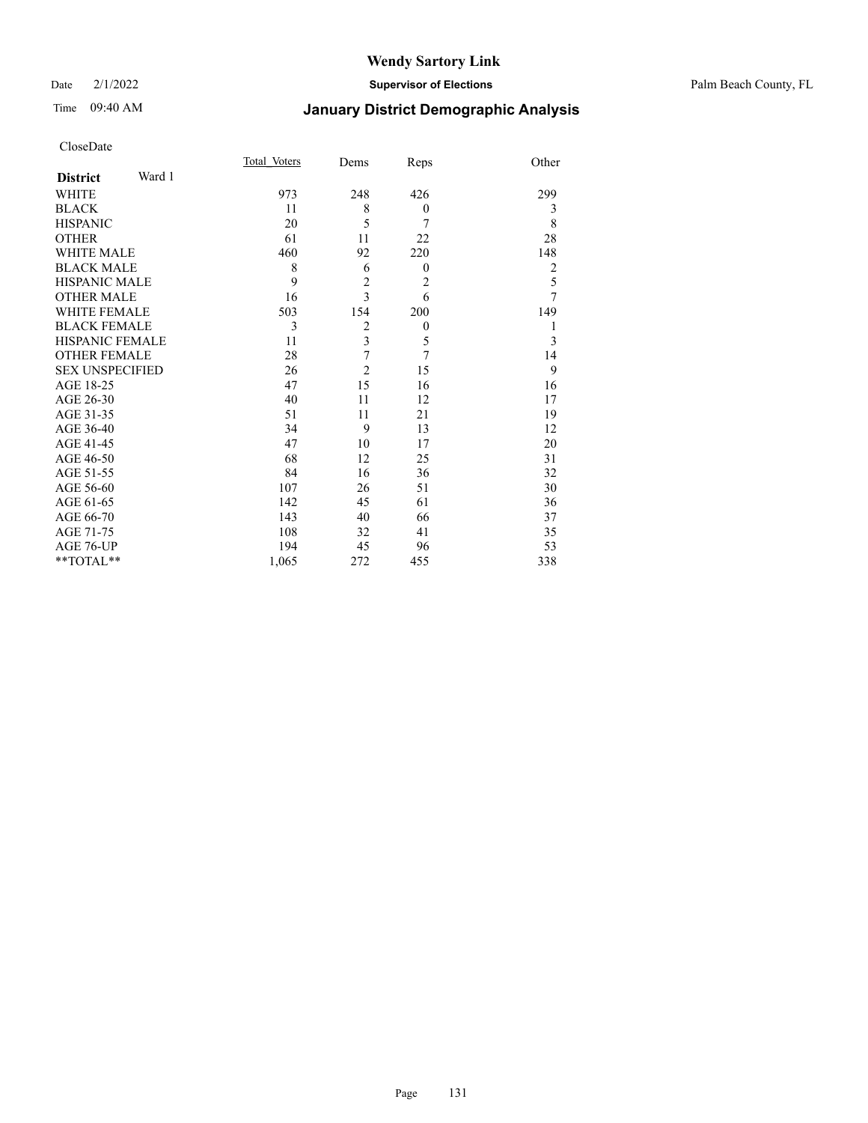## Date 2/1/2022 **Supervisor of Elections** Palm Beach County, FL

# Time 09:40 AM **January District Demographic Analysis**

| CloseDate |
|-----------|
|-----------|

|                        |        | Total Voters | Dems                    | Reps           | Other          |
|------------------------|--------|--------------|-------------------------|----------------|----------------|
| <b>District</b>        | Ward 1 |              |                         |                |                |
| WHITE                  |        | 973          | 248                     | 426            | 299            |
| <b>BLACK</b>           |        | 11           | 8                       | $\theta$       | 3              |
| <b>HISPANIC</b>        |        | 20           | 5                       | 7              | 8              |
| <b>OTHER</b>           |        | 61           | 11                      | 22             | 28             |
| <b>WHITE MALE</b>      |        | 460          | 92                      | 220            | 148            |
| <b>BLACK MALE</b>      |        | 8            | 6                       | $\theta$       | $\overline{2}$ |
| <b>HISPANIC MALE</b>   |        | 9            | $\overline{c}$          | 2              | 5              |
| <b>OTHER MALE</b>      |        | 16           | 3                       | 6              | $\overline{7}$ |
| WHITE FEMALE           |        | 503          | 154                     | 200            | 149            |
| <b>BLACK FEMALE</b>    |        | 3            | $\overline{2}$          | $\theta$       | 1              |
| HISPANIC FEMALE        |        | 11           | $\overline{\mathbf{3}}$ | 5              | 3              |
| <b>OTHER FEMALE</b>    |        | 28           | 7                       | $\overline{7}$ | 14             |
| <b>SEX UNSPECIFIED</b> |        | 26           | $\overline{c}$          | 15             | 9              |
| AGE 18-25              |        | 47           | 15                      | 16             | 16             |
| AGE 26-30              |        | 40           | 11                      | 12             | 17             |
| AGE 31-35              |        | 51           | 11                      | 21             | 19             |
| AGE 36-40              |        | 34           | 9                       | 13             | 12             |
| AGE 41-45              |        | 47           | 10                      | 17             | 20             |
| AGE 46-50              |        | 68           | 12                      | 25             | 31             |
| AGE 51-55              |        | 84           | 16                      | 36             | 32             |
| AGE 56-60              |        | 107          | 26                      | 51             | 30             |
| AGE 61-65              |        | 142          | 45                      | 61             | 36             |
| AGE 66-70              |        | 143          | 40                      | 66             | 37             |
| AGE 71-75              |        | 108          | 32                      | 41             | 35             |
| AGE 76-UP              |        | 194          | 45                      | 96             | 53             |
| **TOTAL**              |        | 1,065        | 272                     | 455            | 338            |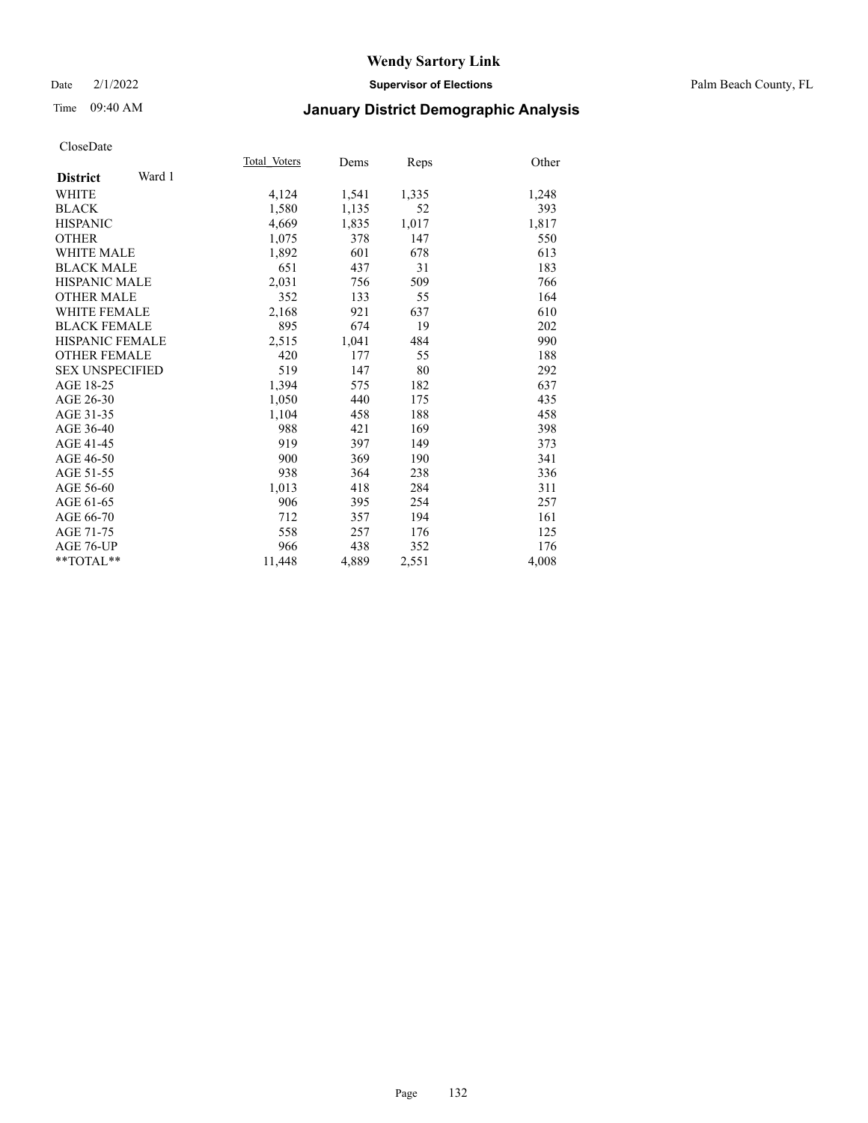## Date 2/1/2022 **Supervisor of Elections** Palm Beach County, FL

# Time 09:40 AM **January District Demographic Analysis**

|                           | Total Voters | Dems  | Reps  | Other |
|---------------------------|--------------|-------|-------|-------|
| Ward 1<br><b>District</b> |              |       |       |       |
| WHITE                     | 4,124        | 1,541 | 1,335 | 1,248 |
| <b>BLACK</b>              | 1,580        | 1,135 | 52    | 393   |
| <b>HISPANIC</b>           | 4,669        | 1,835 | 1,017 | 1,817 |
| <b>OTHER</b>              | 1,075        | 378   | 147   | 550   |
| <b>WHITE MALE</b>         | 1,892        | 601   | 678   | 613   |
| <b>BLACK MALE</b>         | 651          | 437   | 31    | 183   |
| <b>HISPANIC MALE</b>      | 2,031        | 756   | 509   | 766   |
| <b>OTHER MALE</b>         | 352          | 133   | 55    | 164   |
| <b>WHITE FEMALE</b>       | 2,168        | 921   | 637   | 610   |
| <b>BLACK FEMALE</b>       | 895          | 674   | 19    | 202   |
| <b>HISPANIC FEMALE</b>    | 2,515        | 1,041 | 484   | 990   |
| <b>OTHER FEMALE</b>       | 420          | 177   | 55    | 188   |
| <b>SEX UNSPECIFIED</b>    | 519          | 147   | 80    | 292   |
| AGE 18-25                 | 1,394        | 575   | 182   | 637   |
| AGE 26-30                 | 1,050        | 440   | 175   | 435   |
| AGE 31-35                 | 1,104        | 458   | 188   | 458   |
| AGE 36-40                 | 988          | 421   | 169   | 398   |
| AGE 41-45                 | 919          | 397   | 149   | 373   |
| AGE 46-50                 | 900          | 369   | 190   | 341   |
| AGE 51-55                 | 938          | 364   | 238   | 336   |
| AGE 56-60                 | 1,013        | 418   | 284   | 311   |
| AGE 61-65                 | 906          | 395   | 254   | 257   |
| AGE 66-70                 | 712          | 357   | 194   | 161   |
| AGE 71-75                 | 558          | 257   | 176   | 125   |
| AGE 76-UP                 | 966          | 438   | 352   | 176   |
| $*$ $TOTAL**$             | 11,448       | 4,889 | 2,551 | 4,008 |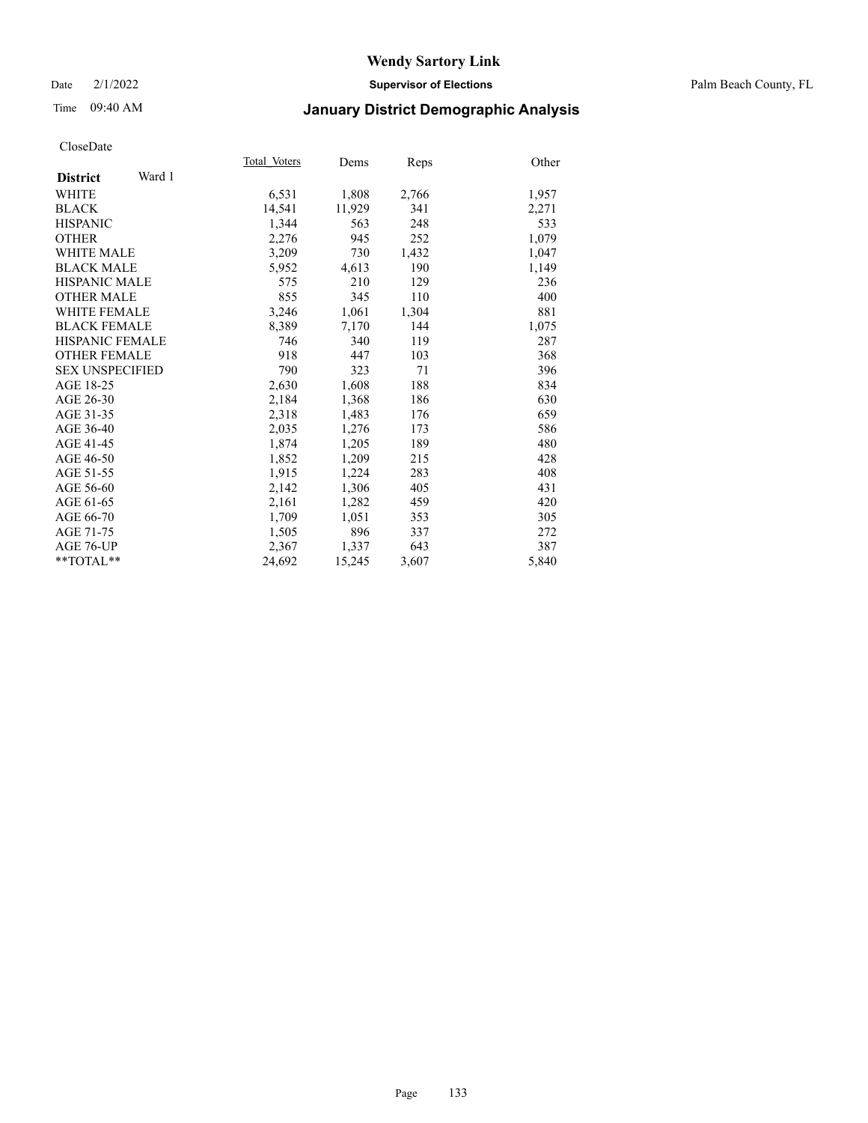## Date 2/1/2022 **Supervisor of Elections** Palm Beach County, FL

# Time 09:40 AM **January District Demographic Analysis**

|                           | Total Voters | Dems   | Reps  | Other |
|---------------------------|--------------|--------|-------|-------|
| Ward 1<br><b>District</b> |              |        |       |       |
| WHITE                     | 6,531        | 1,808  | 2,766 | 1,957 |
| <b>BLACK</b>              | 14,541       | 11,929 | 341   | 2,271 |
| <b>HISPANIC</b>           | 1.344        | 563    | 248   | 533   |
| <b>OTHER</b>              | 2,276        | 945    | 252   | 1,079 |
| WHITE MALE                | 3,209        | 730    | 1,432 | 1,047 |
| <b>BLACK MALE</b>         | 5,952        | 4,613  | 190   | 1,149 |
| <b>HISPANIC MALE</b>      | 575          | 210    | 129   | 236   |
| <b>OTHER MALE</b>         | 855          | 345    | 110   | 400   |
| <b>WHITE FEMALE</b>       | 3,246        | 1,061  | 1,304 | 881   |
| <b>BLACK FEMALE</b>       | 8,389        | 7,170  | 144   | 1,075 |
| <b>HISPANIC FEMALE</b>    | 746          | 340    | 119   | 287   |
| <b>OTHER FEMALE</b>       | 918          | 447    | 103   | 368   |
| <b>SEX UNSPECIFIED</b>    | 790          | 323    | 71    | 396   |
| AGE 18-25                 | 2,630        | 1,608  | 188   | 834   |
| AGE 26-30                 | 2,184        | 1,368  | 186   | 630   |
| AGE 31-35                 | 2,318        | 1,483  | 176   | 659   |
| AGE 36-40                 | 2,035        | 1,276  | 173   | 586   |
| AGE 41-45                 | 1,874        | 1,205  | 189   | 480   |
| AGE 46-50                 | 1,852        | 1,209  | 215   | 428   |
| AGE 51-55                 | 1,915        | 1,224  | 283   | 408   |
| AGE 56-60                 | 2,142        | 1,306  | 405   | 431   |
| AGE 61-65                 | 2,161        | 1,282  | 459   | 420   |
| AGE 66-70                 | 1,709        | 1,051  | 353   | 305   |
| AGE 71-75                 | 1,505        | 896    | 337   | 272   |
| AGE 76-UP                 | 2.367        | 1,337  | 643   | 387   |
| **TOTAL**                 | 24,692       | 15,245 | 3,607 | 5,840 |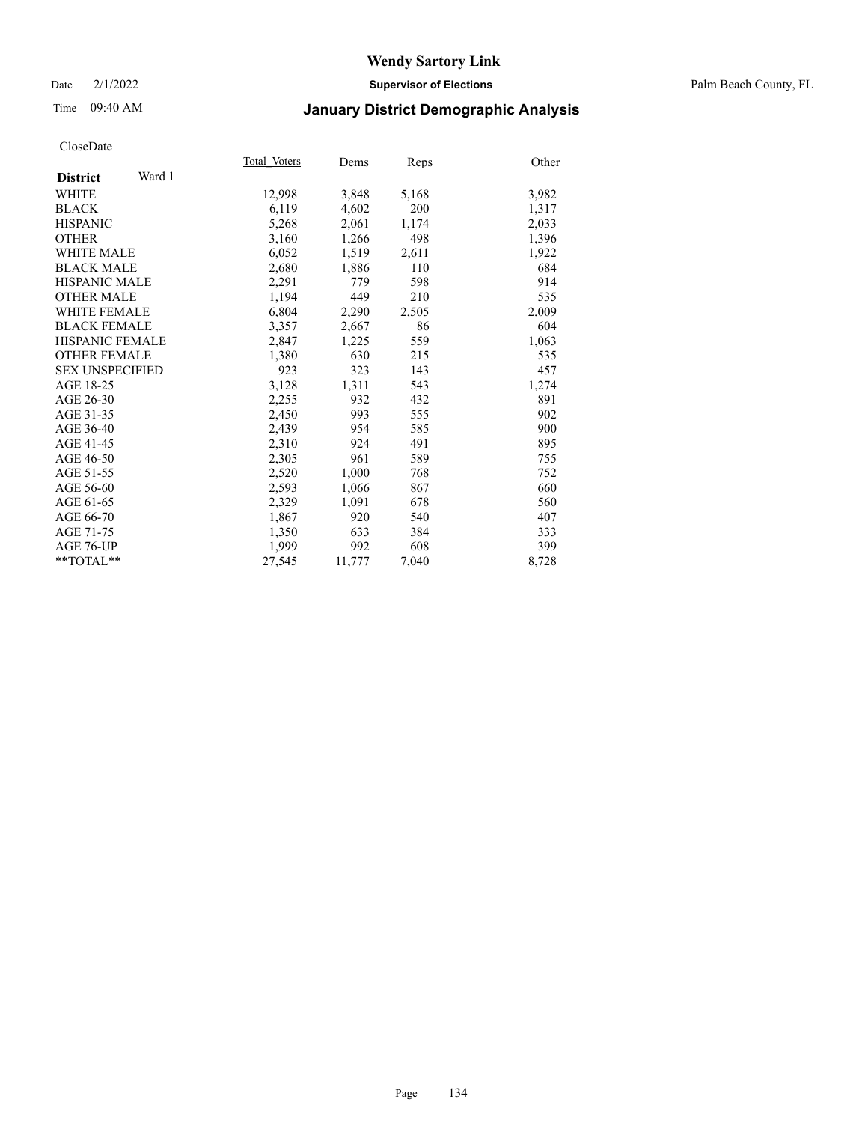## Date 2/1/2022 **Supervisor of Elections** Palm Beach County, FL

# Time 09:40 AM **January District Demographic Analysis**

|                           | Total Voters | Dems   | Reps  | Other |
|---------------------------|--------------|--------|-------|-------|
| Ward 1<br><b>District</b> |              |        |       |       |
| <b>WHITE</b>              | 12,998       | 3,848  | 5,168 | 3,982 |
| <b>BLACK</b>              | 6,119        | 4,602  | 200   | 1,317 |
| <b>HISPANIC</b>           | 5,268        | 2,061  | 1,174 | 2,033 |
| <b>OTHER</b>              | 3,160        | 1,266  | 498   | 1,396 |
| <b>WHITE MALE</b>         | 6,052        | 1,519  | 2,611 | 1,922 |
| <b>BLACK MALE</b>         | 2,680        | 1,886  | 110   | 684   |
| <b>HISPANIC MALE</b>      | 2,291        | 779    | 598   | 914   |
| <b>OTHER MALE</b>         | 1.194        | 449    | 210   | 535   |
| <b>WHITE FEMALE</b>       | 6,804        | 2,290  | 2,505 | 2,009 |
| <b>BLACK FEMALE</b>       | 3,357        | 2,667  | 86    | 604   |
| <b>HISPANIC FEMALE</b>    | 2,847        | 1,225  | 559   | 1,063 |
| <b>OTHER FEMALE</b>       | 1,380        | 630    | 215   | 535   |
| <b>SEX UNSPECIFIED</b>    | 923          | 323    | 143   | 457   |
| AGE 18-25                 | 3,128        | 1,311  | 543   | 1,274 |
| AGE 26-30                 | 2,255        | 932    | 432   | 891   |
| AGE 31-35                 | 2,450        | 993    | 555   | 902   |
| AGE 36-40                 | 2,439        | 954    | 585   | 900   |
| AGE 41-45                 | 2,310        | 924    | 491   | 895   |
| AGE 46-50                 | 2,305        | 961    | 589   | 755   |
| AGE 51-55                 | 2,520        | 1,000  | 768   | 752   |
| AGE 56-60                 | 2,593        | 1,066  | 867   | 660   |
| AGE 61-65                 | 2,329        | 1,091  | 678   | 560   |
| AGE 66-70                 | 1,867        | 920    | 540   | 407   |
| AGE 71-75                 | 1,350        | 633    | 384   | 333   |
| AGE 76-UP                 | 1,999        | 992    | 608   | 399   |
| $*$ TOTAL $*$             | 27,545       | 11,777 | 7,040 | 8,728 |
|                           |              |        |       |       |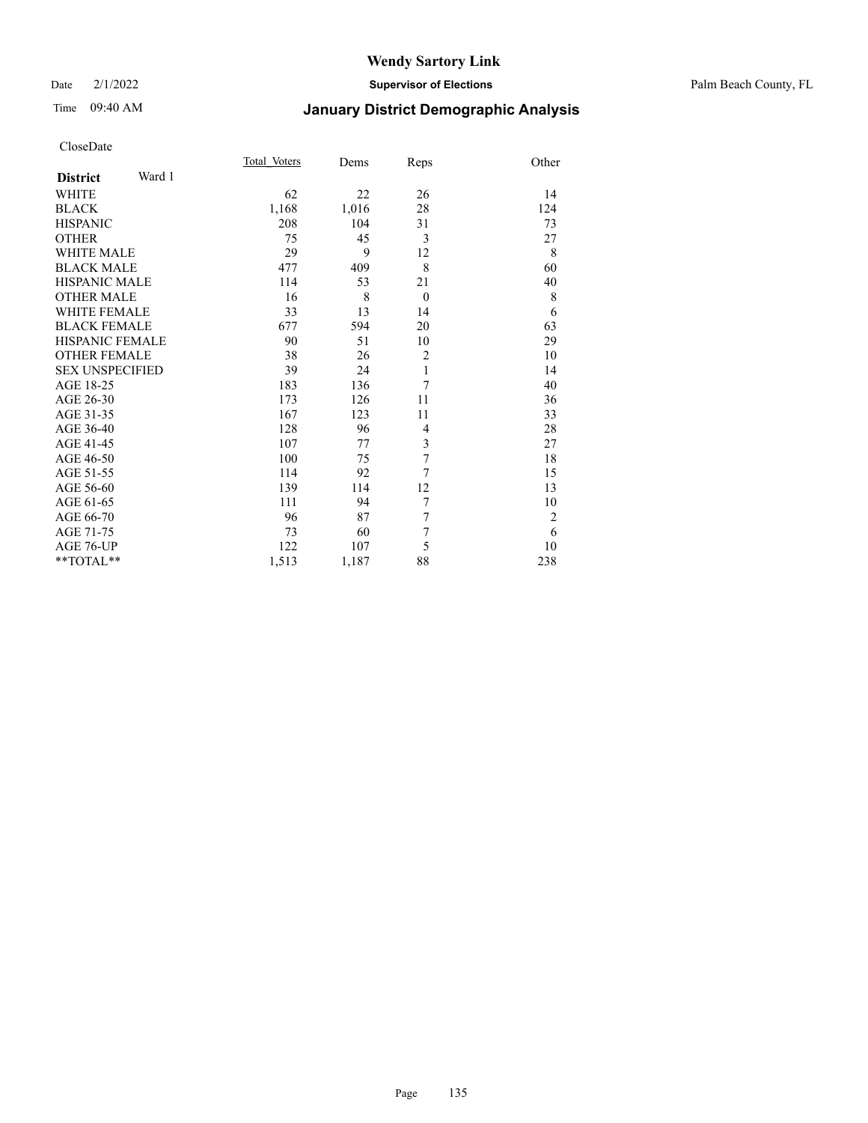## Date 2/1/2022 **Supervisor of Elections** Palm Beach County, FL

# Time 09:40 AM **January District Demographic Analysis**

|                           | Total Voters | Dems  | Reps           | Other          |
|---------------------------|--------------|-------|----------------|----------------|
| Ward 1<br><b>District</b> |              |       |                |                |
| WHITE                     | 62           | 22    | 26             | 14             |
| <b>BLACK</b>              | 1,168        | 1,016 | 28             | 124            |
| <b>HISPANIC</b>           | 208          | 104   | 31             | 73             |
| <b>OTHER</b>              | 75           | 45    | 3              | 27             |
| <b>WHITE MALE</b>         | 29           | 9     | 12             | 8              |
| <b>BLACK MALE</b>         | 477          | 409   | 8              | 60             |
| <b>HISPANIC MALE</b>      | 114          | 53    | 21             | 40             |
| <b>OTHER MALE</b>         | 16           | 8     | $\theta$       | 8              |
| <b>WHITE FEMALE</b>       | 33           | 13    | 14             | 6              |
| <b>BLACK FEMALE</b>       | 677          | 594   | 20             | 63             |
| <b>HISPANIC FEMALE</b>    | 90           | 51    | 10             | 29             |
| <b>OTHER FEMALE</b>       | 38           | 26    | $\overline{2}$ | 10             |
| <b>SEX UNSPECIFIED</b>    | 39           | 24    | 1              | 14             |
| AGE 18-25                 | 183          | 136   | 7              | 40             |
| AGE 26-30                 | 173          | 126   | 11             | 36             |
| AGE 31-35                 | 167          | 123   | 11             | 33             |
| AGE 36-40                 | 128          | 96    | $\overline{4}$ | 28             |
| AGE 41-45                 | 107          | 77    | 3              | 27             |
| AGE 46-50                 | 100          | 75    | 7              | 18             |
| AGE 51-55                 | 114          | 92    | 7              | 15             |
| AGE 56-60                 | 139          | 114   | 12             | 13             |
| AGE 61-65                 | 111          | 94    | 7              | 10             |
| AGE 66-70                 | 96           | 87    | 7              | $\overline{2}$ |
| AGE 71-75                 | 73           | 60    | 7              | 6              |
| AGE 76-UP                 | 122          | 107   | 5              | 10             |
| **TOTAL**                 | 1,513        | 1,187 | 88             | 238            |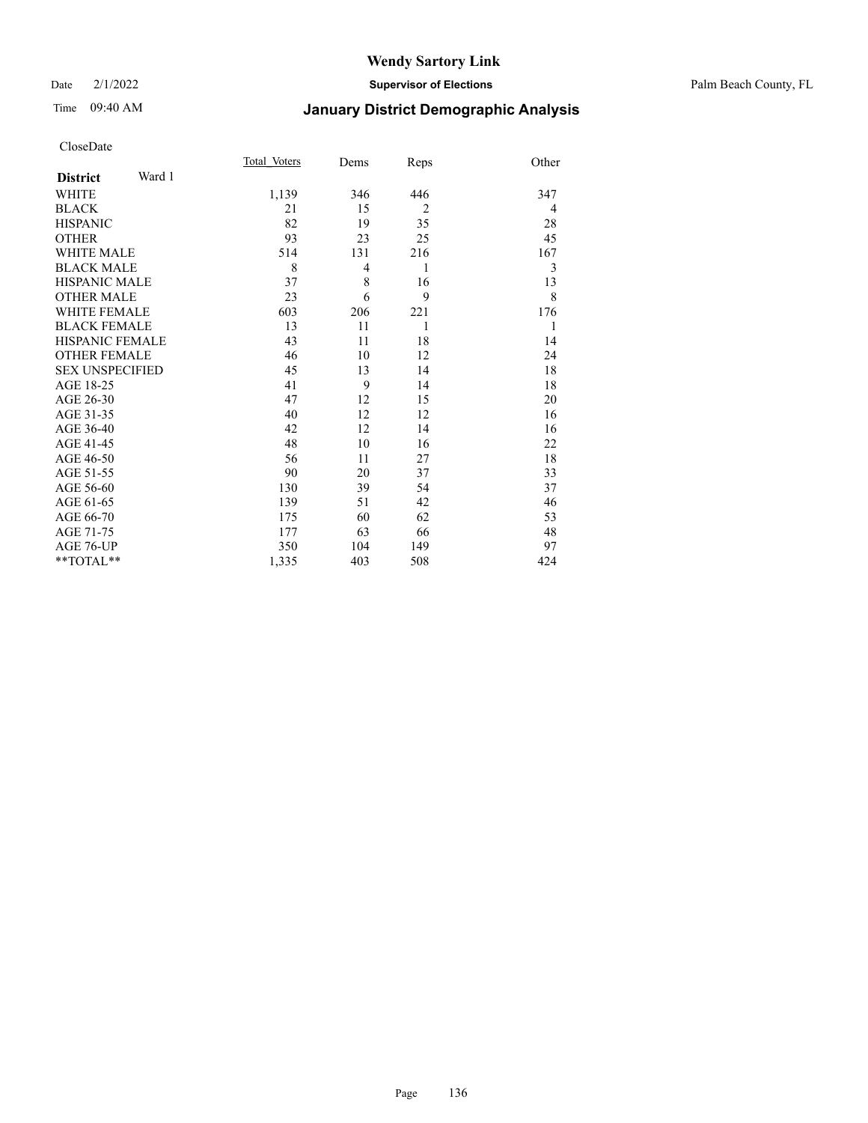## Date 2/1/2022 **Supervisor of Elections** Palm Beach County, FL

# Time 09:40 AM **January District Demographic Analysis**

|                        |        | Total Voters | Dems | Reps           | Other |
|------------------------|--------|--------------|------|----------------|-------|
| <b>District</b>        | Ward 1 |              |      |                |       |
| WHITE                  |        | 1,139        | 346  | 446            | 347   |
| <b>BLACK</b>           |        | 21           | 15   | $\overline{2}$ | 4     |
| <b>HISPANIC</b>        |        | 82           | 19   | 35             | 28    |
| <b>OTHER</b>           |        | 93           | 23   | 25             | 45    |
| <b>WHITE MALE</b>      |        | 514          | 131  | 216            | 167   |
| <b>BLACK MALE</b>      |        | 8            | 4    | 1              | 3     |
| <b>HISPANIC MALE</b>   |        | 37           | 8    | 16             | 13    |
| <b>OTHER MALE</b>      |        | 23           | 6    | 9              | 8     |
| <b>WHITE FEMALE</b>    |        | 603          | 206  | 221            | 176   |
| <b>BLACK FEMALE</b>    |        | 13           | 11   | 1              | 1     |
| <b>HISPANIC FEMALE</b> |        | 43           | 11   | 18             | 14    |
| <b>OTHER FEMALE</b>    |        | 46           | 10   | 12             | 24    |
| <b>SEX UNSPECIFIED</b> |        | 45           | 13   | 14             | 18    |
| AGE 18-25              |        | 41           | 9    | 14             | 18    |
| AGE 26-30              |        | 47           | 12   | 15             | 20    |
| AGE 31-35              |        | 40           | 12   | 12             | 16    |
| AGE 36-40              |        | 42           | 12   | 14             | 16    |
| AGE 41-45              |        | 48           | 10   | 16             | 22    |
| AGE 46-50              |        | 56           | 11   | 27             | 18    |
| AGE 51-55              |        | 90           | 20   | 37             | 33    |
| AGE 56-60              |        | 130          | 39   | 54             | 37    |
| AGE 61-65              |        | 139          | 51   | 42             | 46    |
| AGE 66-70              |        | 175          | 60   | 62             | 53    |
| AGE 71-75              |        | 177          | 63   | 66             | 48    |
| AGE 76-UP              |        | 350          | 104  | 149            | 97    |
| $*$ $TOTAL**$          |        | 1,335        | 403  | 508            | 424   |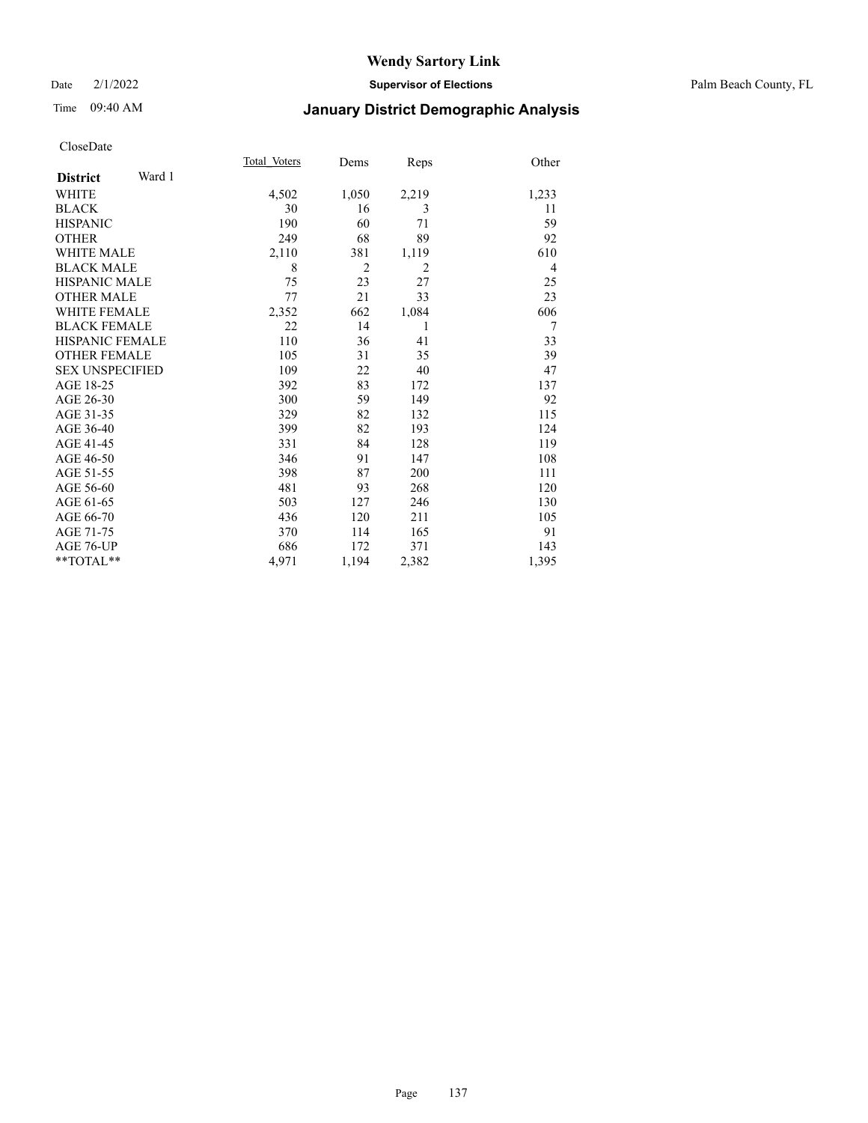# Time 09:40 AM **January District Demographic Analysis**

|                           | Total Voters | Dems           | Reps  | Other          |
|---------------------------|--------------|----------------|-------|----------------|
| Ward 1<br><b>District</b> |              |                |       |                |
| WHITE                     | 4,502        | 1,050          | 2,219 | 1,233          |
| <b>BLACK</b>              | 30           | 16             | 3     | 11             |
| <b>HISPANIC</b>           | 190          | 60             | 71    | 59             |
| <b>OTHER</b>              | 249          | 68             | 89    | 92             |
| WHITE MALE                | 2,110        | 381            | 1,119 | 610            |
| <b>BLACK MALE</b>         | 8            | $\overline{2}$ | 2     | $\overline{4}$ |
| <b>HISPANIC MALE</b>      | 75           | 23             | 27    | 25             |
| <b>OTHER MALE</b>         | 77           | 21             | 33    | 23             |
| <b>WHITE FEMALE</b>       | 2,352        | 662            | 1,084 | 606            |
| <b>BLACK FEMALE</b>       | 22           | 14             | 1     | 7              |
| <b>HISPANIC FEMALE</b>    | 110          | 36             | 41    | 33             |
| <b>OTHER FEMALE</b>       | 105          | 31             | 35    | 39             |
| <b>SEX UNSPECIFIED</b>    | 109          | 22             | 40    | 47             |
| AGE 18-25                 | 392          | 83             | 172   | 137            |
| AGE 26-30                 | 300          | 59             | 149   | 92             |
| AGE 31-35                 | 329          | 82             | 132   | 115            |
| AGE 36-40                 | 399          | 82             | 193   | 124            |
| AGE 41-45                 | 331          | 84             | 128   | 119            |
| AGE 46-50                 | 346          | 91             | 147   | 108            |
| AGE 51-55                 | 398          | 87             | 200   | 111            |
| AGE 56-60                 | 481          | 93             | 268   | 120            |
| AGE 61-65                 | 503          | 127            | 246   | 130            |
| AGE 66-70                 | 436          | 120            | 211   | 105            |
| AGE 71-75                 | 370          | 114            | 165   | 91             |
| AGE 76-UP                 | 686          | 172            | 371   | 143            |
| $*$ $TOTAL**$             | 4,971        | 1,194          | 2,382 | 1,395          |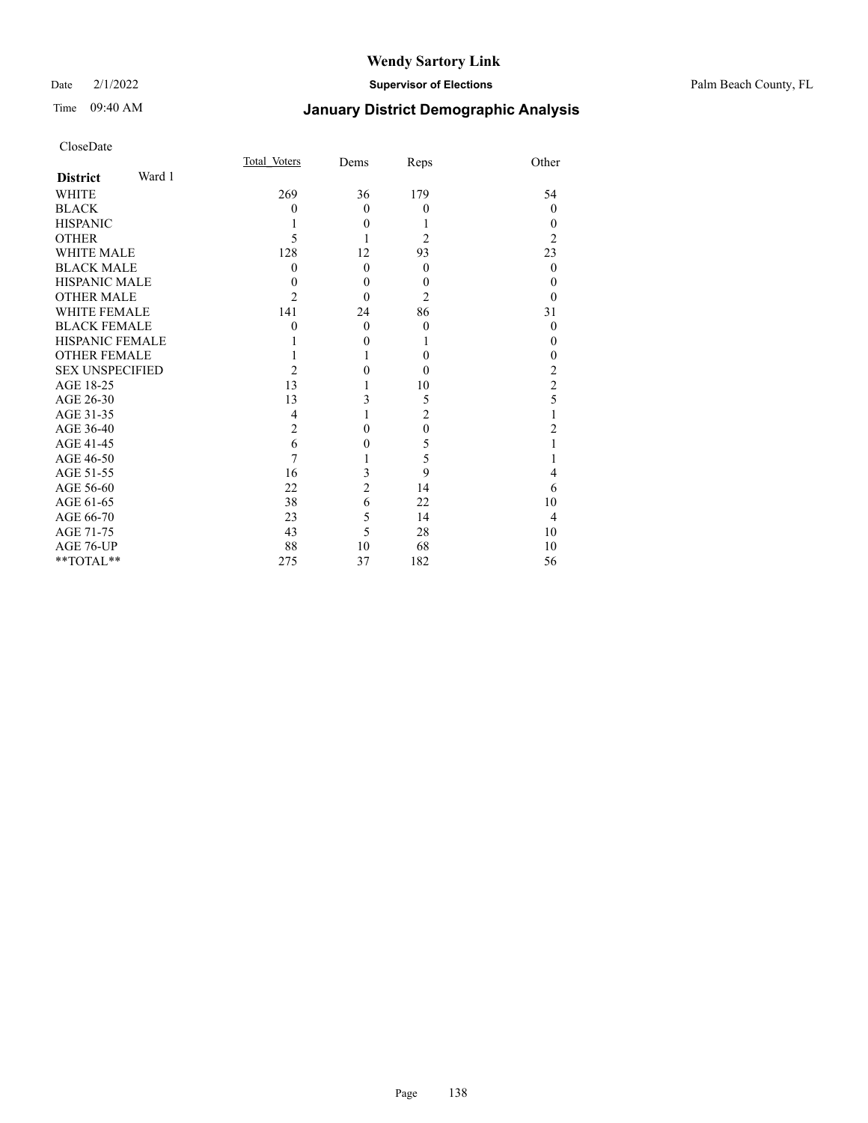# Time 09:40 AM **January District Demographic Analysis**

| CloseDate |
|-----------|
|-----------|

|                        |        | Total Voters   | Dems           | Reps     | Other          |
|------------------------|--------|----------------|----------------|----------|----------------|
| <b>District</b>        | Ward 1 |                |                |          |                |
| WHITE                  |        | 269            | 36             | 179      | 54             |
| BLACK                  |        | $\theta$       | $\Omega$       | $\theta$ | $\Omega$       |
| <b>HISPANIC</b>        |        |                | $\theta$       | 1        | $\theta$       |
| OTHER                  |        | 5              |                | 2        | $\overline{c}$ |
| WHITE MALE             |        | 128            | 12             | 93       | 23             |
| BLACK MALE             |        | $\Omega$       | $\theta$       | $\theta$ | $\theta$       |
| HISPANIC MALE          |        | $\theta$       | $\theta$       | $\theta$ | $\theta$       |
| OTHER MALE             |        | $\overline{2}$ | $\Omega$       | 2        | 0              |
| WHITE FEMALE           |        | 141            | 24             | 86       | 31             |
| <b>BLACK FEMALE</b>    |        | 0              | $\theta$       | $\theta$ | $\theta$       |
| HISPANIC FEMALE        |        |                | $\theta$       |          | 0              |
| <b>OTHER FEMALE</b>    |        |                |                | $\theta$ | 0              |
| <b>SEX UNSPECIFIED</b> |        | $\mathfrak{D}$ | 0              | $\theta$ | 2              |
| AGE 18-25              |        | 13             |                | 10       | $\overline{c}$ |
| AGE 26-30              |        | 13             | 3              | 5        | 5              |
| AGE 31-35              |        | 4              |                | 2        |                |
| AGE 36-40              |        | $\overline{2}$ | $\Omega$       | $\theta$ | 2              |
| AGE 41-45              |        | 6              | 0              | 5        |                |
| AGE 46-50              |        | 7              |                | 5        |                |
| AGE 51-55              |        | 16             | 3              | 9        | 4              |
| AGE 56-60              |        | 22             | $\overline{2}$ | 14       | 6              |
| AGE 61-65              |        | 38             | 6              | 22       | 10             |
| AGE 66-70              |        | 23             | 5              | 14       | $\overline{4}$ |
| AGE 71-75              |        | 43             | 5              | 28       | 10             |
| AGE 76-UP              |        | 88             | 10             | 68       | 10             |
| **TOTAL**              |        | 275            | 37             | 182      | 56             |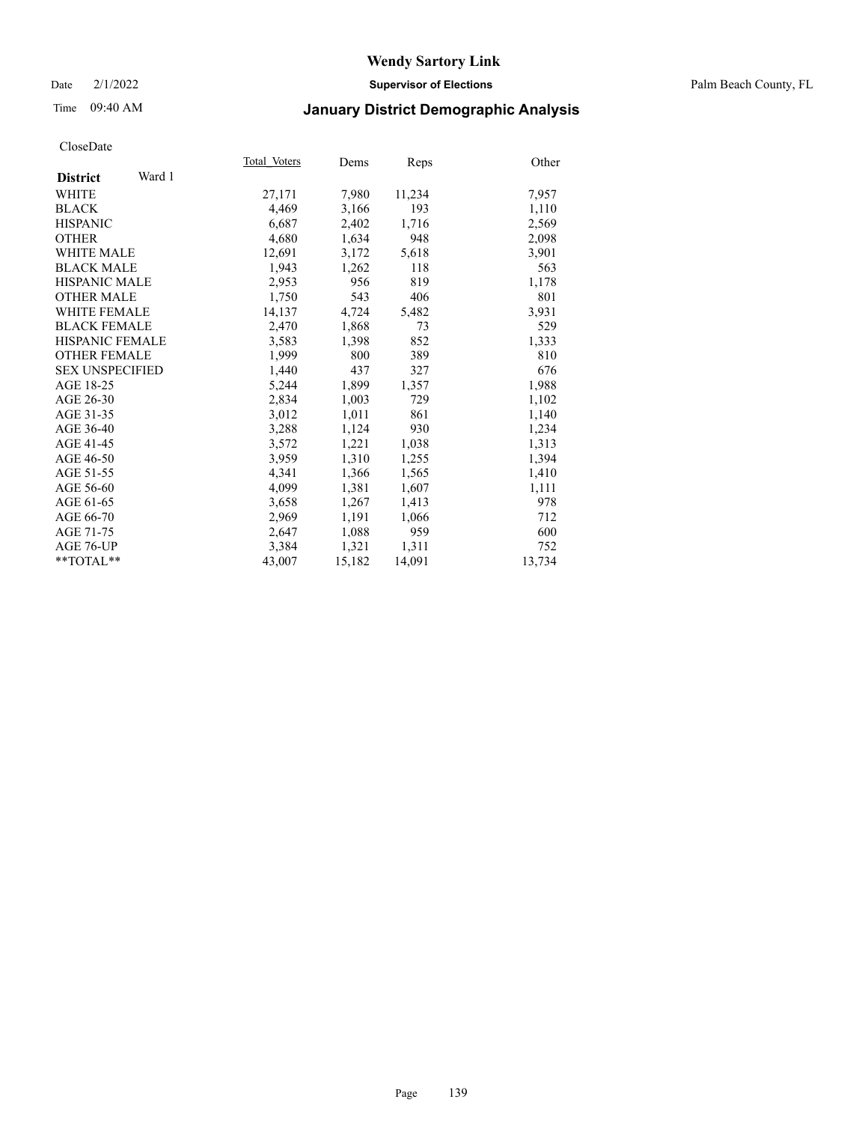## Date 2/1/2022 **Supervisor of Elections** Palm Beach County, FL

# Time 09:40 AM **January District Demographic Analysis**

|                           | Total Voters | Dems   |        | Other  |
|---------------------------|--------------|--------|--------|--------|
| Ward 1<br><b>District</b> |              |        | Reps   |        |
|                           |              |        |        |        |
| WHITE                     | 27,171       | 7,980  | 11,234 | 7,957  |
| <b>BLACK</b>              | 4,469        | 3,166  | 193    | 1,110  |
| <b>HISPANIC</b>           | 6,687        | 2,402  | 1,716  | 2,569  |
| <b>OTHER</b>              | 4,680        | 1,634  | 948    | 2,098  |
| <b>WHITE MALE</b>         | 12,691       | 3,172  | 5,618  | 3,901  |
| <b>BLACK MALE</b>         | 1,943        | 1,262  | 118    | 563    |
| <b>HISPANIC MALE</b>      | 2,953        | 956    | 819    | 1,178  |
| <b>OTHER MALE</b>         | 1,750        | 543    | 406    | 801    |
| <b>WHITE FEMALE</b>       | 14,137       | 4,724  | 5,482  | 3,931  |
| <b>BLACK FEMALE</b>       | 2,470        | 1,868  | 73     | 529    |
| <b>HISPANIC FEMALE</b>    | 3,583        | 1,398  | 852    | 1,333  |
| <b>OTHER FEMALE</b>       | 1,999        | 800    | 389    | 810    |
| <b>SEX UNSPECIFIED</b>    | 1,440        | 437    | 327    | 676    |
| AGE 18-25                 | 5,244        | 1,899  | 1,357  | 1,988  |
| AGE 26-30                 | 2,834        | 1,003  | 729    | 1,102  |
| AGE 31-35                 | 3,012        | 1,011  | 861    | 1,140  |
| AGE 36-40                 | 3,288        | 1,124  | 930    | 1,234  |
| AGE 41-45                 | 3,572        | 1,221  | 1,038  | 1,313  |
| AGE 46-50                 | 3,959        | 1,310  | 1,255  | 1,394  |
| AGE 51-55                 | 4,341        | 1,366  | 1,565  | 1,410  |
| AGE 56-60                 | 4,099        | 1,381  | 1,607  | 1,111  |
| AGE 61-65                 | 3,658        | 1,267  | 1,413  | 978    |
| AGE 66-70                 | 2,969        | 1,191  | 1,066  | 712    |
| AGE 71-75                 | 2,647        | 1,088  | 959    | 600    |
| AGE 76-UP                 | 3,384        | 1,321  | 1,311  | 752    |
| $*$ $TOTAL**$             | 43,007       | 15,182 | 14,091 | 13,734 |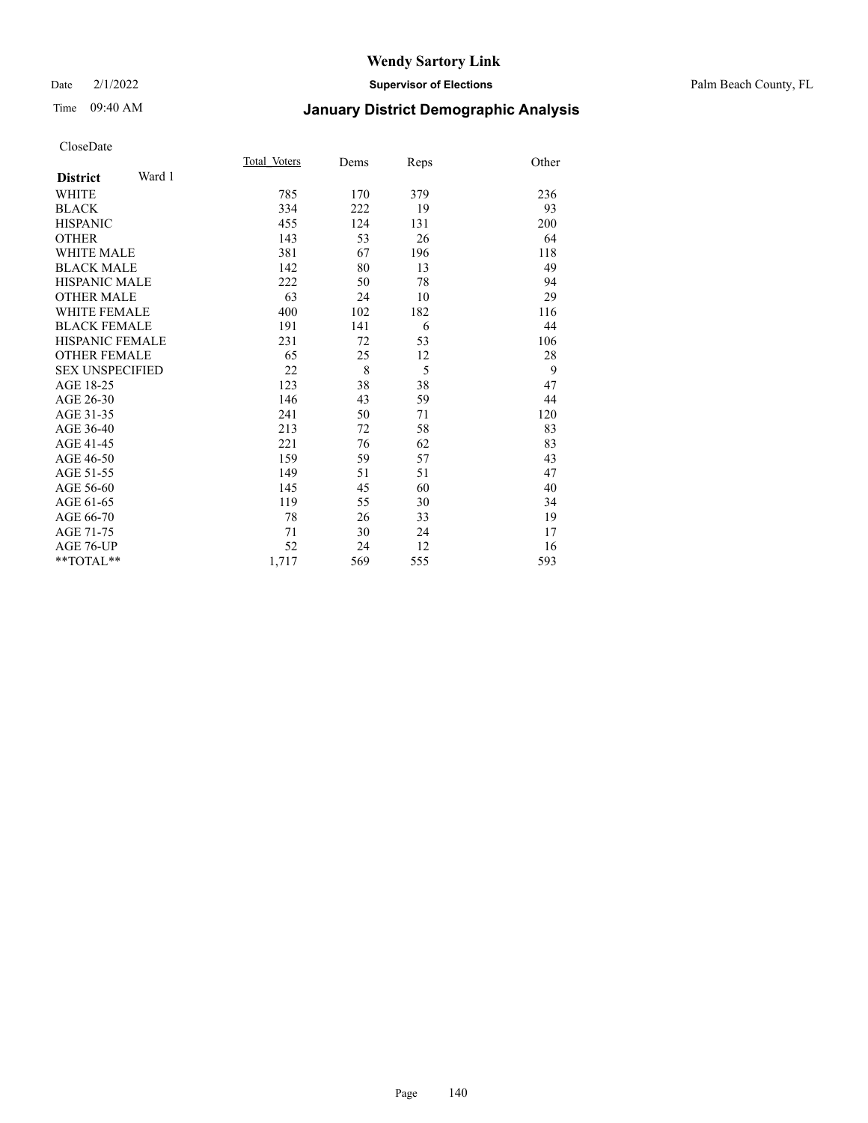## Date 2/1/2022 **Supervisor of Elections** Palm Beach County, FL

# Time 09:40 AM **January District Demographic Analysis**

|                           | Total Voters | Dems | Reps | Other |
|---------------------------|--------------|------|------|-------|
| Ward 1<br><b>District</b> |              |      |      |       |
| WHITE                     | 785          | 170  | 379  | 236   |
| <b>BLACK</b>              | 334          | 222  | 19   | 93    |
| <b>HISPANIC</b>           | 455          | 124  | 131  | 200   |
| <b>OTHER</b>              | 143          | 53   | 26   | 64    |
| <b>WHITE MALE</b>         | 381          | 67   | 196  | 118   |
| <b>BLACK MALE</b>         | 142          | 80   | 13   | 49    |
| <b>HISPANIC MALE</b>      | 222          | 50   | 78   | 94    |
| <b>OTHER MALE</b>         | 63           | 24   | 10   | 29    |
| <b>WHITE FEMALE</b>       | 400          | 102  | 182  | 116   |
| <b>BLACK FEMALE</b>       | 191          | 141  | 6    | 44    |
| <b>HISPANIC FEMALE</b>    | 231          | 72   | 53   | 106   |
| <b>OTHER FEMALE</b>       | 65           | 25   | 12   | 28    |
| <b>SEX UNSPECIFIED</b>    | 22           | 8    | 5    | 9     |
| AGE 18-25                 | 123          | 38   | 38   | 47    |
| AGE 26-30                 | 146          | 43   | 59   | 44    |
| AGE 31-35                 | 241          | 50   | 71   | 120   |
| AGE 36-40                 | 213          | 72   | 58   | 83    |
| AGE 41-45                 | 221          | 76   | 62   | 83    |
| AGE 46-50                 | 159          | 59   | 57   | 43    |
| AGE 51-55                 | 149          | 51   | 51   | 47    |
| AGE 56-60                 | 145          | 45   | 60   | 40    |
| AGE 61-65                 | 119          | 55   | 30   | 34    |
| AGE 66-70                 | 78           | 26   | 33   | 19    |
| AGE 71-75                 | 71           | 30   | 24   | 17    |
| AGE 76-UP                 | 52           | 24   | 12   | 16    |
| $*$ $TOTAL**$             | 1,717        | 569  | 555  | 593   |